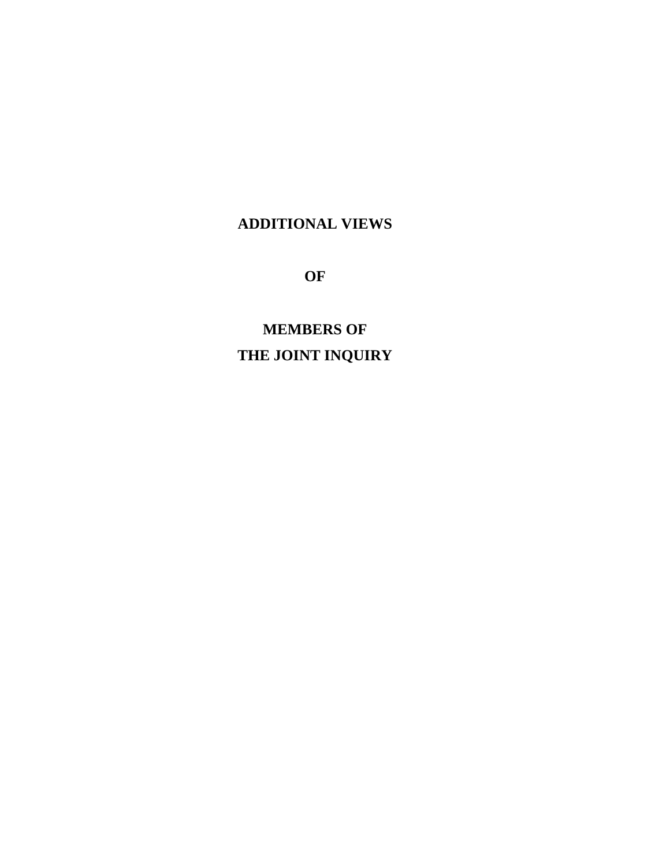# **ADDITIONAL VIEWS**

**OF**

**MEMBERS OF THE JOINT INQUIRY**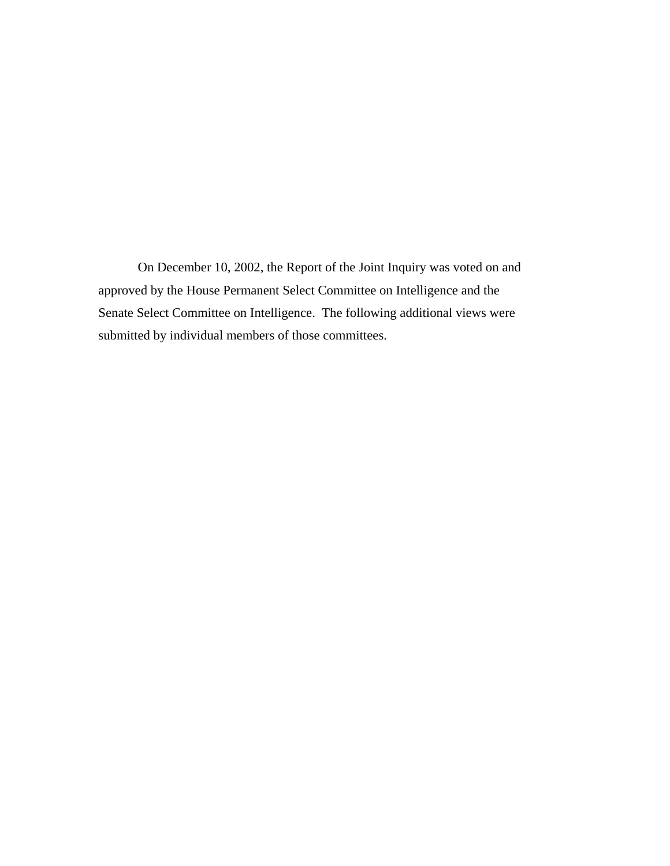On December 10, 2002, the Report of the Joint Inquiry was voted on and approved by the House Permanent Select Committee on Intelligence and the Senate Select Committee on Intelligence. The following additional views were submitted by individual members of those committees.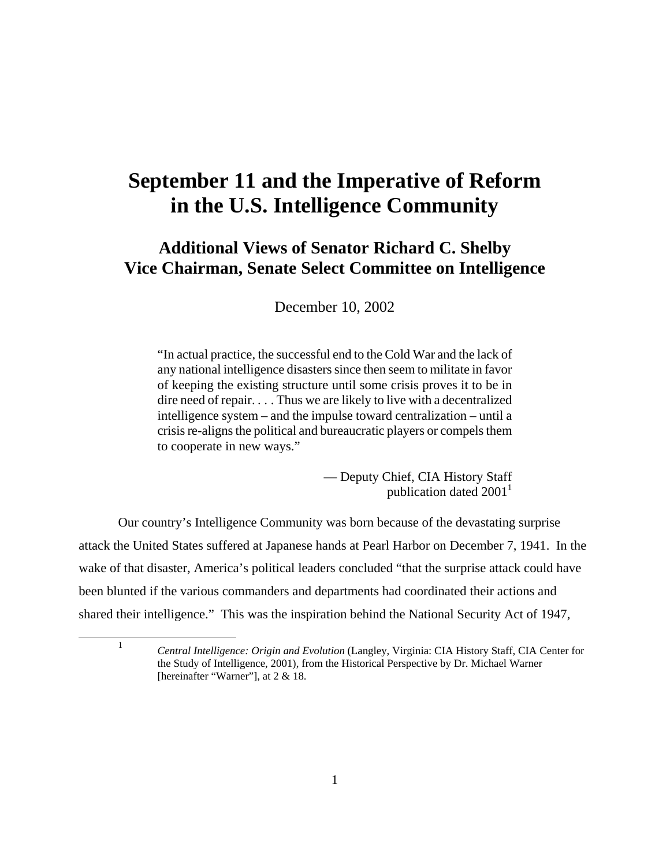# **September 11 and the Imperative of Reform in the U.S. Intelligence Community**

# **Additional Views of Senator Richard C. Shelby Vice Chairman, Senate Select Committee on Intelligence**

December 10, 2002

"In actual practice, the successful end to the Cold War and the lack of any national intelligence disasters since then seem to militate in favor of keeping the existing structure until some crisis proves it to be in dire need of repair. . . . Thus we are likely to live with a decentralized intelligence system – and the impulse toward centralization – until a crisis re-aligns the political and bureaucratic players or compels them to cooperate in new ways."

> — Deputy Chief, CIA History Staff publication dated  $2001<sup>1</sup>$

Our country's Intelligence Community was born because of the devastating surprise attack the United States suffered at Japanese hands at Pearl Harbor on December 7, 1941. In the wake of that disaster, America's political leaders concluded "that the surprise attack could have been blunted if the various commanders and departments had coordinated their actions and shared their intelligence." This was the inspiration behind the National Security Act of 1947,

<sup>1</sup> *Central Intelligence: Origin and Evolution* (Langley, Virginia: CIA History Staff, CIA Center for the Study of Intelligence, 2001), from the Historical Perspective by Dr. Michael Warner [hereinafter "Warner"], at 2 & 18.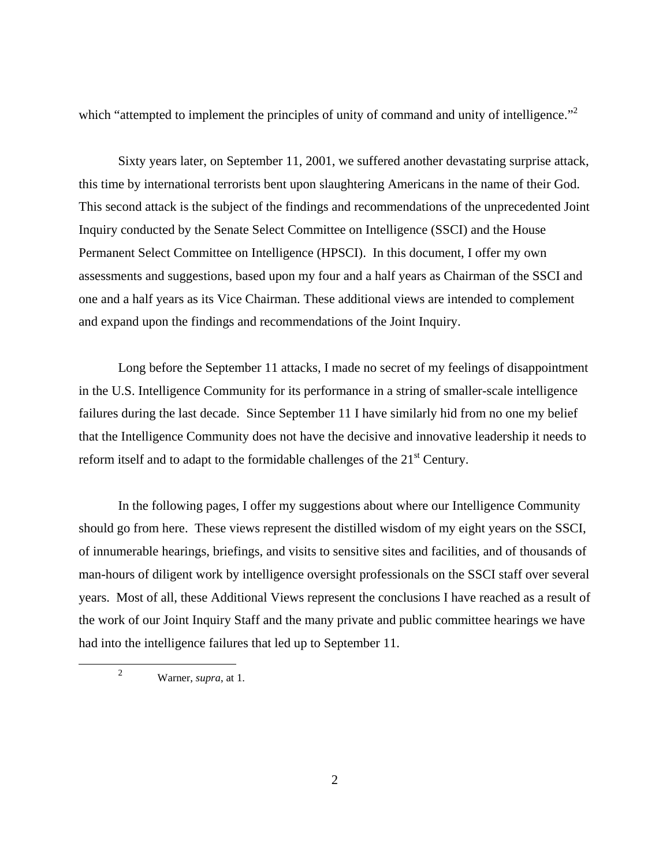which "attempted to implement the principles of unity of command and unity of intelligence."<sup>2</sup>

Sixty years later, on September 11, 2001, we suffered another devastating surprise attack, this time by international terrorists bent upon slaughtering Americans in the name of their God. This second attack is the subject of the findings and recommendations of the unprecedented Joint Inquiry conducted by the Senate Select Committee on Intelligence (SSCI) and the House Permanent Select Committee on Intelligence (HPSCI). In this document, I offer my own assessments and suggestions, based upon my four and a half years as Chairman of the SSCI and one and a half years as its Vice Chairman. These additional views are intended to complement and expand upon the findings and recommendations of the Joint Inquiry.

Long before the September 11 attacks, I made no secret of my feelings of disappointment in the U.S. Intelligence Community for its performance in a string of smaller-scale intelligence failures during the last decade. Since September 11 I have similarly hid from no one my belief that the Intelligence Community does not have the decisive and innovative leadership it needs to reform itself and to adapt to the formidable challenges of the  $21<sup>st</sup>$  Century.

In the following pages, I offer my suggestions about where our Intelligence Community should go from here. These views represent the distilled wisdom of my eight years on the SSCI, of innumerable hearings, briefings, and visits to sensitive sites and facilities, and of thousands of man-hours of diligent work by intelligence oversight professionals on the SSCI staff over several years. Most of all, these Additional Views represent the conclusions I have reached as a result of the work of our Joint Inquiry Staff and the many private and public committee hearings we have had into the intelligence failures that led up to September 11.

<sup>2</sup> Warner, *supra*, at 1.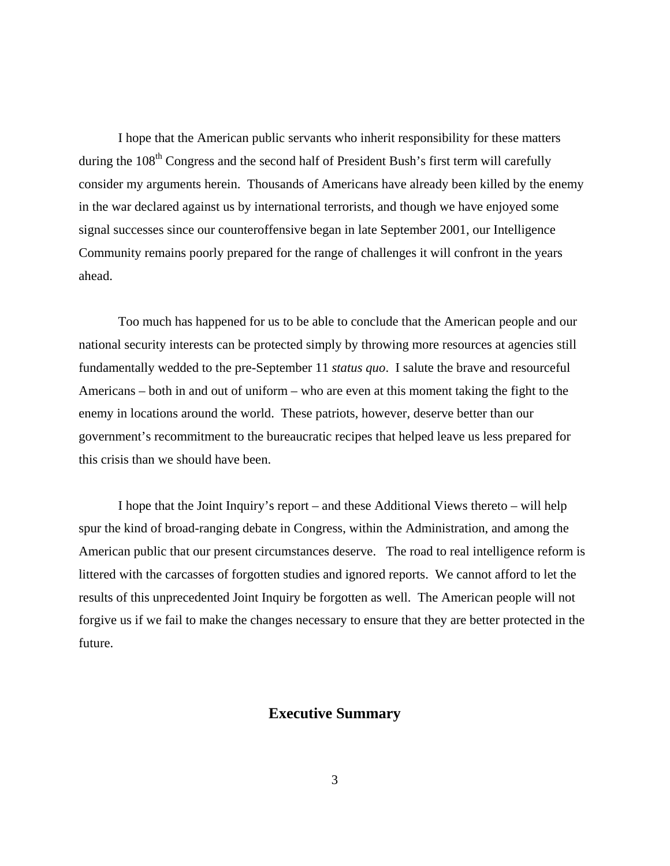I hope that the American public servants who inherit responsibility for these matters during the 108<sup>th</sup> Congress and the second half of President Bush's first term will carefully consider my arguments herein. Thousands of Americans have already been killed by the enemy in the war declared against us by international terrorists, and though we have enjoyed some signal successes since our counteroffensive began in late September 2001, our Intelligence Community remains poorly prepared for the range of challenges it will confront in the years ahead.

Too much has happened for us to be able to conclude that the American people and our national security interests can be protected simply by throwing more resources at agencies still fundamentally wedded to the pre-September 11 *status quo*. I salute the brave and resourceful Americans – both in and out of uniform – who are even at this moment taking the fight to the enemy in locations around the world. These patriots, however, deserve better than our government's recommitment to the bureaucratic recipes that helped leave us less prepared for this crisis than we should have been.

I hope that the Joint Inquiry's report – and these Additional Views thereto – will help spur the kind of broad-ranging debate in Congress, within the Administration, and among the American public that our present circumstances deserve. The road to real intelligence reform is littered with the carcasses of forgotten studies and ignored reports. We cannot afford to let the results of this unprecedented Joint Inquiry be forgotten as well. The American people will not forgive us if we fail to make the changes necessary to ensure that they are better protected in the future.

### **Executive Summary**

3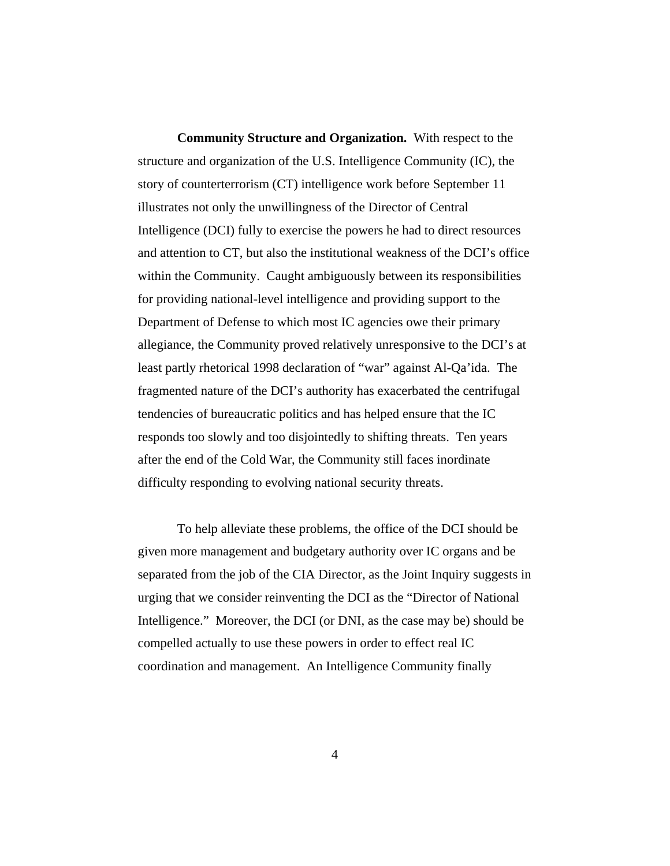**Community Structure and Organization.** With respect to the structure and organization of the U.S. Intelligence Community (IC), the story of counterterrorism (CT) intelligence work before September 11 illustrates not only the unwillingness of the Director of Central Intelligence (DCI) fully to exercise the powers he had to direct resources and attention to CT, but also the institutional weakness of the DCI's office within the Community. Caught ambiguously between its responsibilities for providing national-level intelligence and providing support to the Department of Defense to which most IC agencies owe their primary allegiance, the Community proved relatively unresponsive to the DCI's at least partly rhetorical 1998 declaration of "war" against Al-Qa'ida. The fragmented nature of the DCI's authority has exacerbated the centrifugal tendencies of bureaucratic politics and has helped ensure that the IC responds too slowly and too disjointedly to shifting threats. Ten years after the end of the Cold War, the Community still faces inordinate difficulty responding to evolving national security threats.

To help alleviate these problems, the office of the DCI should be given more management and budgetary authority over IC organs and be separated from the job of the CIA Director, as the Joint Inquiry suggests in urging that we consider reinventing the DCI as the "Director of National Intelligence." Moreover, the DCI (or DNI, as the case may be) should be compelled actually to use these powers in order to effect real IC coordination and management. An Intelligence Community finally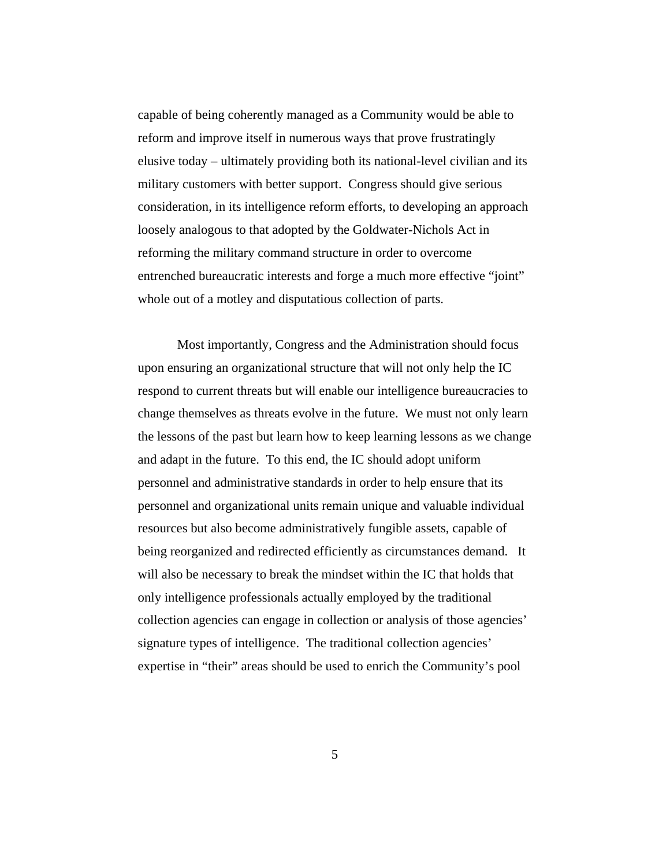capable of being coherently managed as a Community would be able to reform and improve itself in numerous ways that prove frustratingly elusive today – ultimately providing both its national-level civilian and its military customers with better support. Congress should give serious consideration, in its intelligence reform efforts, to developing an approach loosely analogous to that adopted by the Goldwater-Nichols Act in reforming the military command structure in order to overcome entrenched bureaucratic interests and forge a much more effective "joint" whole out of a motley and disputatious collection of parts.

Most importantly, Congress and the Administration should focus upon ensuring an organizational structure that will not only help the IC respond to current threats but will enable our intelligence bureaucracies to change themselves as threats evolve in the future. We must not only learn the lessons of the past but learn how to keep learning lessons as we change and adapt in the future. To this end, the IC should adopt uniform personnel and administrative standards in order to help ensure that its personnel and organizational units remain unique and valuable individual resources but also become administratively fungible assets, capable of being reorganized and redirected efficiently as circumstances demand. It will also be necessary to break the mindset within the IC that holds that only intelligence professionals actually employed by the traditional collection agencies can engage in collection or analysis of those agencies' signature types of intelligence. The traditional collection agencies' expertise in "their" areas should be used to enrich the Community's pool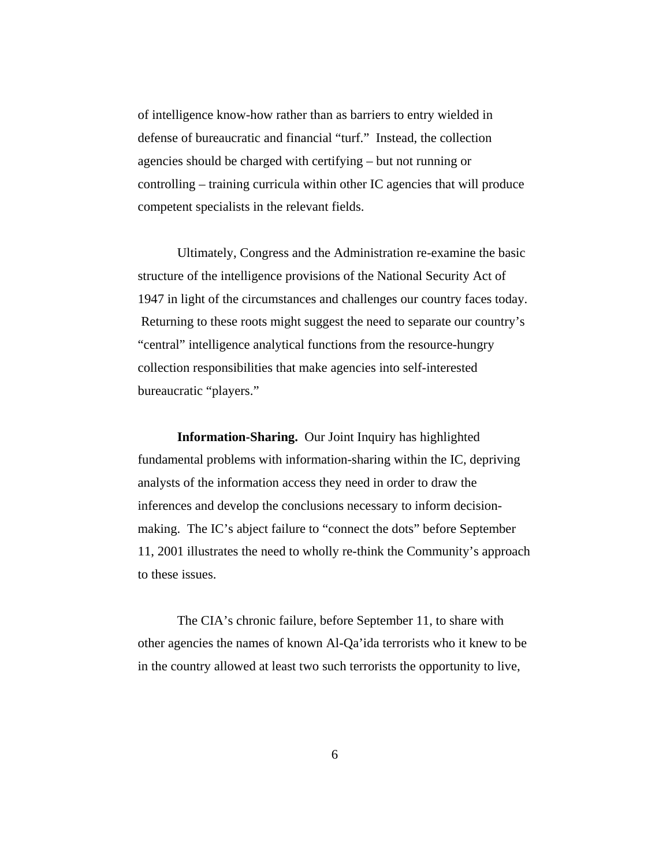of intelligence know-how rather than as barriers to entry wielded in defense of bureaucratic and financial "turf." Instead, the collection agencies should be charged with certifying – but not running or controlling – training curricula within other IC agencies that will produce competent specialists in the relevant fields.

Ultimately, Congress and the Administration re-examine the basic structure of the intelligence provisions of the National Security Act of 1947 in light of the circumstances and challenges our country faces today. Returning to these roots might suggest the need to separate our country's "central" intelligence analytical functions from the resource-hungry collection responsibilities that make agencies into self-interested bureaucratic "players."

**Information-Sharing.** Our Joint Inquiry has highlighted fundamental problems with information-sharing within the IC, depriving analysts of the information access they need in order to draw the inferences and develop the conclusions necessary to inform decisionmaking. The IC's abject failure to "connect the dots" before September 11, 2001 illustrates the need to wholly re-think the Community's approach to these issues.

The CIA's chronic failure, before September 11, to share with other agencies the names of known Al-Qa'ida terrorists who it knew to be in the country allowed at least two such terrorists the opportunity to live,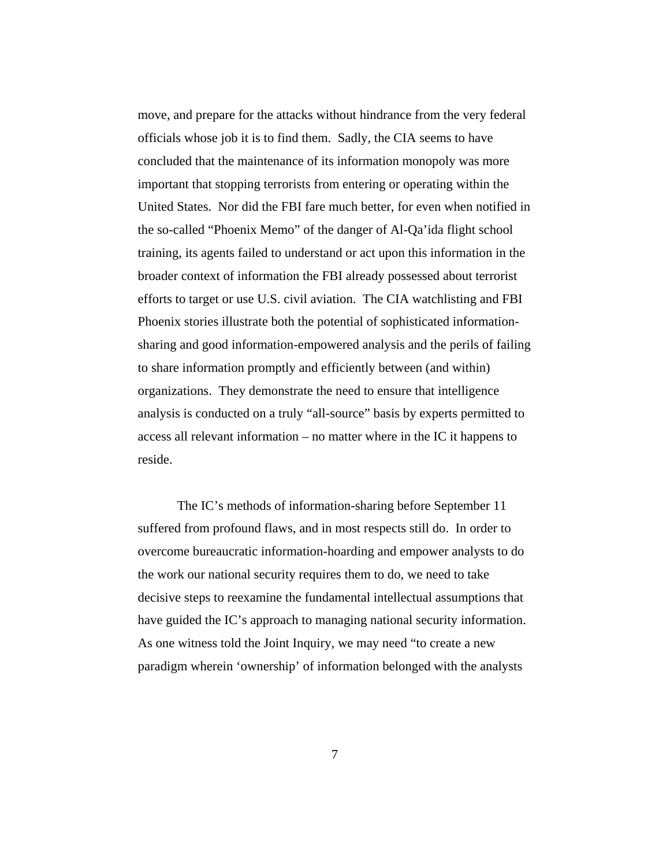move, and prepare for the attacks without hindrance from the very federal officials whose job it is to find them. Sadly, the CIA seems to have concluded that the maintenance of its information monopoly was more important that stopping terrorists from entering or operating within the United States. Nor did the FBI fare much better, for even when notified in the so-called "Phoenix Memo" of the danger of Al-Qa'ida flight school training, its agents failed to understand or act upon this information in the broader context of information the FBI already possessed about terrorist efforts to target or use U.S. civil aviation. The CIA watchlisting and FBI Phoenix stories illustrate both the potential of sophisticated informationsharing and good information-empowered analysis and the perils of failing to share information promptly and efficiently between (and within) organizations. They demonstrate the need to ensure that intelligence analysis is conducted on a truly "all-source" basis by experts permitted to access all relevant information – no matter where in the IC it happens to reside.

The IC's methods of information-sharing before September 11 suffered from profound flaws, and in most respects still do. In order to overcome bureaucratic information-hoarding and empower analysts to do the work our national security requires them to do, we need to take decisive steps to reexamine the fundamental intellectual assumptions that have guided the IC's approach to managing national security information. As one witness told the Joint Inquiry, we may need "to create a new paradigm wherein 'ownership' of information belonged with the analysts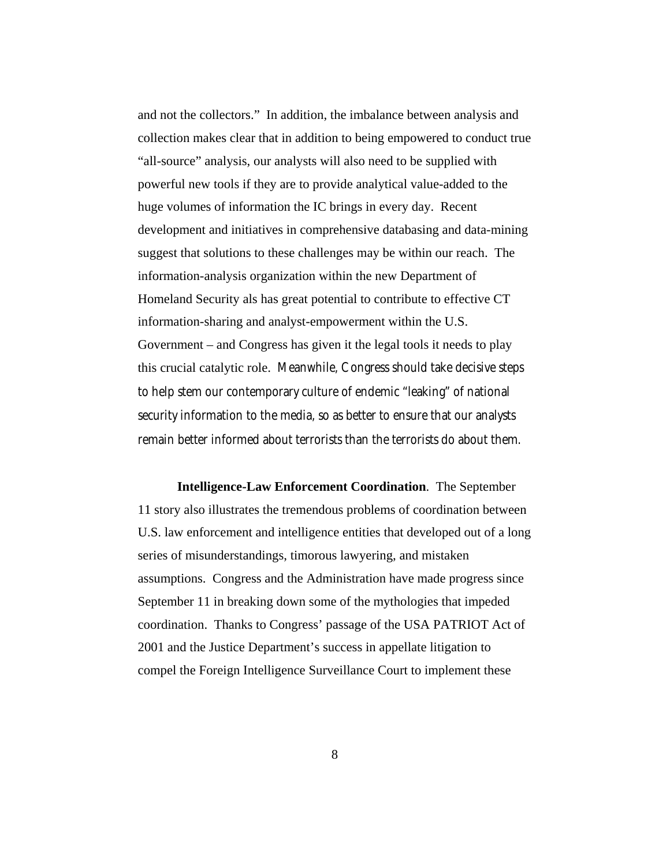and not the collectors." In addition, the imbalance between analysis and collection makes clear that in addition to being empowered to conduct true "all-source" analysis, our analysts will also need to be supplied with powerful new tools if they are to provide analytical value-added to the huge volumes of information the IC brings in every day. Recent development and initiatives in comprehensive databasing and data-mining suggest that solutions to these challenges may be within our reach. The information-analysis organization within the new Department of Homeland Security als has great potential to contribute to effective CT information-sharing and analyst-empowerment within the U.S. Government – and Congress has given it the legal tools it needs to play this crucial catalytic role. Meanwhile, Congress should take decisive steps to help stem our contemporary culture of endemic "leaking" of national security information to the media, so as better to ensure that our analysts remain better informed about terrorists than the terrorists do about them.

**Intelligence-Law Enforcement Coordination**. The September 11 story also illustrates the tremendous problems of coordination between U.S. law enforcement and intelligence entities that developed out of a long series of misunderstandings, timorous lawyering, and mistaken assumptions. Congress and the Administration have made progress since September 11 in breaking down some of the mythologies that impeded coordination. Thanks to Congress' passage of the USA PATRIOT Act of 2001 and the Justice Department's success in appellate litigation to compel the Foreign Intelligence Surveillance Court to implement these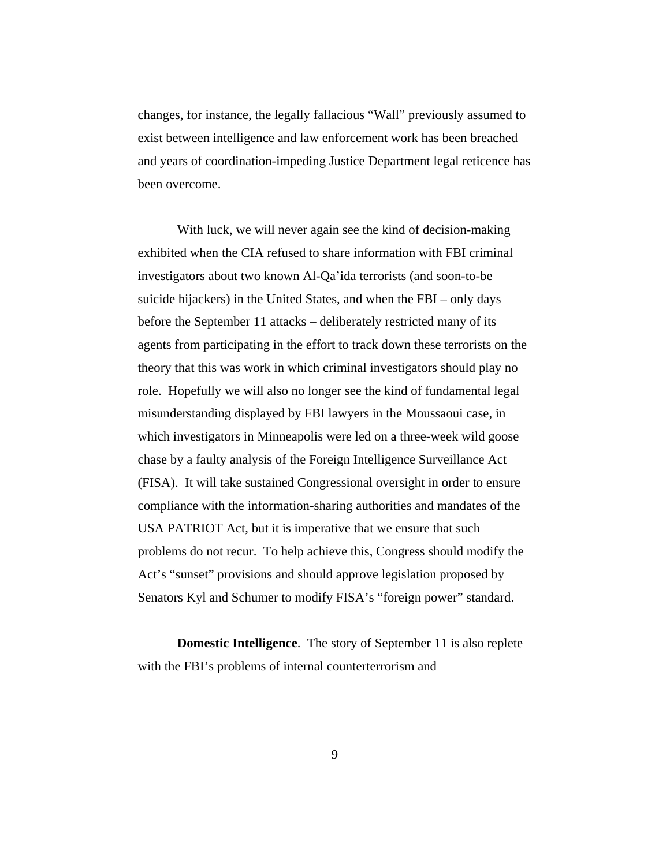changes, for instance, the legally fallacious "Wall" previously assumed to exist between intelligence and law enforcement work has been breached and years of coordination-impeding Justice Department legal reticence has been overcome.

With luck, we will never again see the kind of decision-making exhibited when the CIA refused to share information with FBI criminal investigators about two known Al-Qa'ida terrorists (and soon-to-be suicide hijackers) in the United States, and when the FBI – only days before the September 11 attacks – deliberately restricted many of its agents from participating in the effort to track down these terrorists on the theory that this was work in which criminal investigators should play no role. Hopefully we will also no longer see the kind of fundamental legal misunderstanding displayed by FBI lawyers in the Moussaoui case, in which investigators in Minneapolis were led on a three-week wild goose chase by a faulty analysis of the Foreign Intelligence Surveillance Act (FISA). It will take sustained Congressional oversight in order to ensure compliance with the information-sharing authorities and mandates of the USA PATRIOT Act, but it is imperative that we ensure that such problems do not recur. To help achieve this, Congress should modify the Act's "sunset" provisions and should approve legislation proposed by Senators Kyl and Schumer to modify FISA's "foreign power" standard.

**Domestic Intelligence**. The story of September 11 is also replete with the FBI's problems of internal counterterrorism and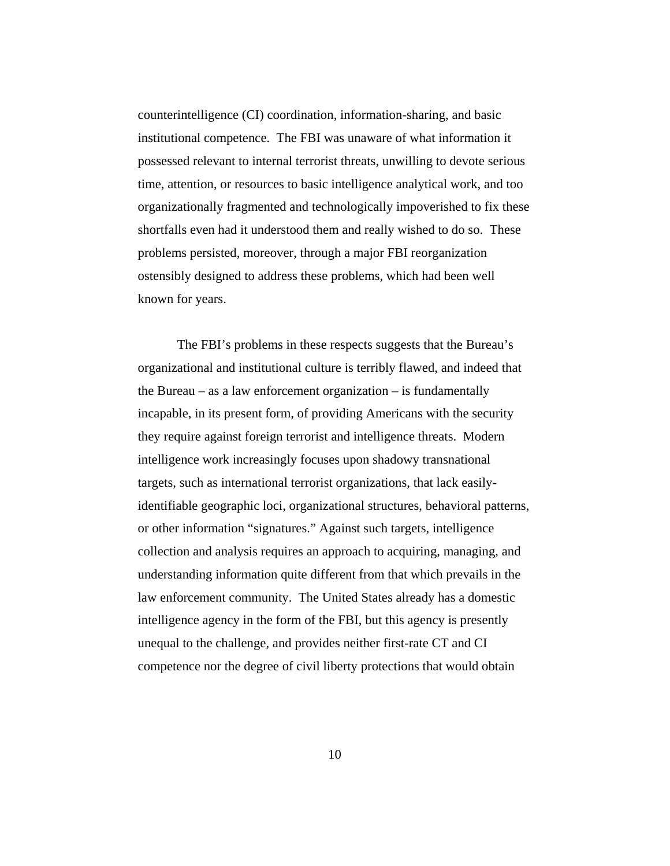counterintelligence (CI) coordination, information-sharing, and basic institutional competence. The FBI was unaware of what information it possessed relevant to internal terrorist threats, unwilling to devote serious time, attention, or resources to basic intelligence analytical work, and too organizationally fragmented and technologically impoverished to fix these shortfalls even had it understood them and really wished to do so. These problems persisted, moreover, through a major FBI reorganization ostensibly designed to address these problems, which had been well known for years.

The FBI's problems in these respects suggests that the Bureau's organizational and institutional culture is terribly flawed, and indeed that the Bureau – as a law enforcement organization – is fundamentally incapable, in its present form, of providing Americans with the security they require against foreign terrorist and intelligence threats. Modern intelligence work increasingly focuses upon shadowy transnational targets, such as international terrorist organizations, that lack easilyidentifiable geographic loci, organizational structures, behavioral patterns, or other information "signatures." Against such targets, intelligence collection and analysis requires an approach to acquiring, managing, and understanding information quite different from that which prevails in the law enforcement community. The United States already has a domestic intelligence agency in the form of the FBI, but this agency is presently unequal to the challenge, and provides neither first-rate CT and CI competence nor the degree of civil liberty protections that would obtain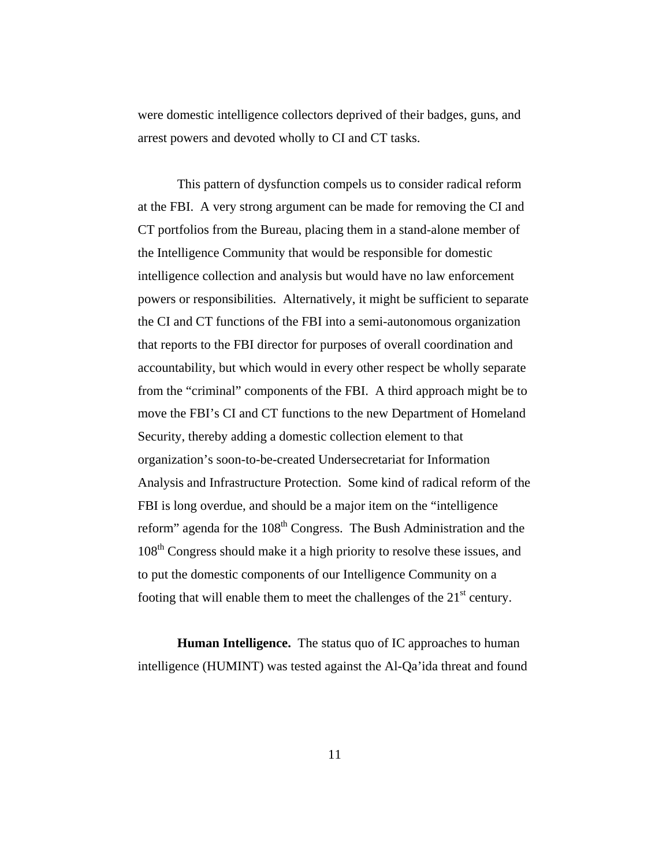were domestic intelligence collectors deprived of their badges, guns, and arrest powers and devoted wholly to CI and CT tasks.

This pattern of dysfunction compels us to consider radical reform at the FBI. A very strong argument can be made for removing the CI and CT portfolios from the Bureau, placing them in a stand-alone member of the Intelligence Community that would be responsible for domestic intelligence collection and analysis but would have no law enforcement powers or responsibilities. Alternatively, it might be sufficient to separate the CI and CT functions of the FBI into a semi-autonomous organization that reports to the FBI director for purposes of overall coordination and accountability, but which would in every other respect be wholly separate from the "criminal" components of the FBI. A third approach might be to move the FBI's CI and CT functions to the new Department of Homeland Security, thereby adding a domestic collection element to that organization's soon-to-be-created Undersecretariat for Information Analysis and Infrastructure Protection. Some kind of radical reform of the FBI is long overdue, and should be a major item on the "intelligence reform" agenda for the 108<sup>th</sup> Congress. The Bush Administration and the 108th Congress should make it a high priority to resolve these issues, and to put the domestic components of our Intelligence Community on a footing that will enable them to meet the challenges of the  $21<sup>st</sup>$  century.

**Human Intelligence.** The status quo of IC approaches to human intelligence (HUMINT) was tested against the Al-Qa'ida threat and found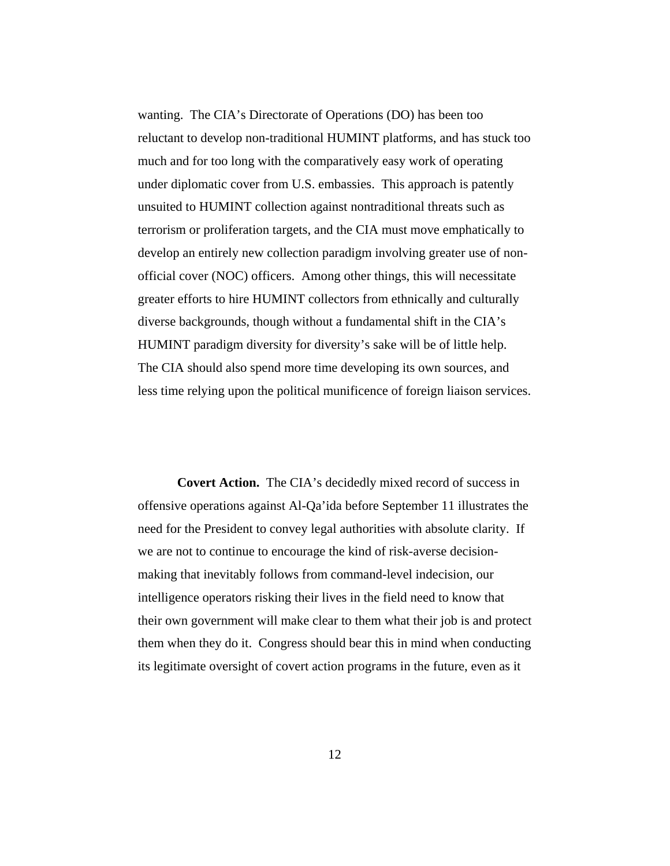wanting. The CIA's Directorate of Operations (DO) has been too reluctant to develop non-traditional HUMINT platforms, and has stuck too much and for too long with the comparatively easy work of operating under diplomatic cover from U.S. embassies. This approach is patently unsuited to HUMINT collection against nontraditional threats such as terrorism or proliferation targets, and the CIA must move emphatically to develop an entirely new collection paradigm involving greater use of nonofficial cover (NOC) officers. Among other things, this will necessitate greater efforts to hire HUMINT collectors from ethnically and culturally diverse backgrounds, though without a fundamental shift in the CIA's HUMINT paradigm diversity for diversity's sake will be of little help. The CIA should also spend more time developing its own sources, and less time relying upon the political munificence of foreign liaison services.

**Covert Action.** The CIA's decidedly mixed record of success in offensive operations against Al-Qa'ida before September 11 illustrates the need for the President to convey legal authorities with absolute clarity. If we are not to continue to encourage the kind of risk-averse decisionmaking that inevitably follows from command-level indecision, our intelligence operators risking their lives in the field need to know that their own government will make clear to them what their job is and protect them when they do it. Congress should bear this in mind when conducting its legitimate oversight of covert action programs in the future, even as it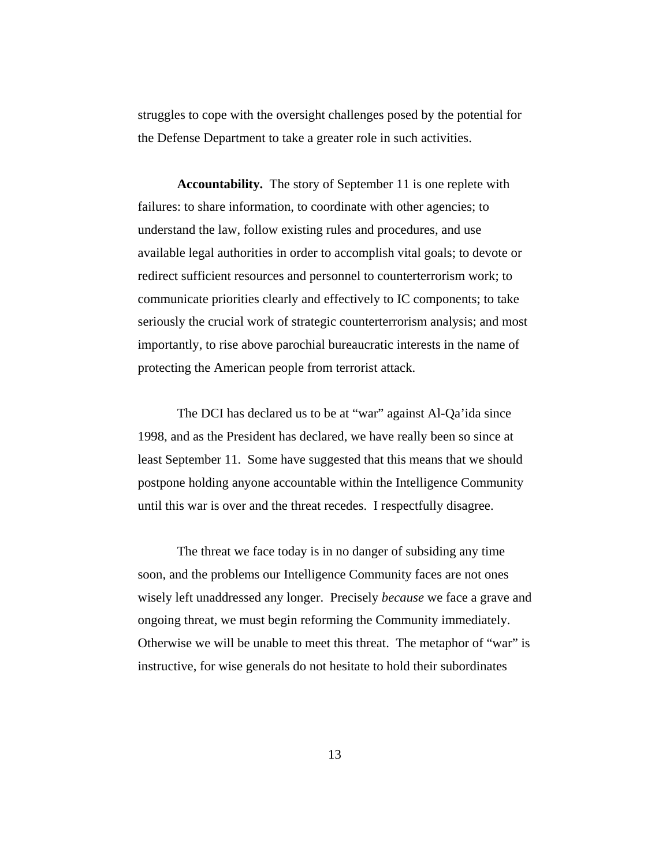struggles to cope with the oversight challenges posed by the potential for the Defense Department to take a greater role in such activities.

**Accountability.** The story of September 11 is one replete with failures: to share information, to coordinate with other agencies; to understand the law, follow existing rules and procedures, and use available legal authorities in order to accomplish vital goals; to devote or redirect sufficient resources and personnel to counterterrorism work; to communicate priorities clearly and effectively to IC components; to take seriously the crucial work of strategic counterterrorism analysis; and most importantly, to rise above parochial bureaucratic interests in the name of protecting the American people from terrorist attack.

The DCI has declared us to be at "war" against Al-Qa'ida since 1998, and as the President has declared, we have really been so since at least September 11. Some have suggested that this means that we should postpone holding anyone accountable within the Intelligence Community until this war is over and the threat recedes. I respectfully disagree.

The threat we face today is in no danger of subsiding any time soon, and the problems our Intelligence Community faces are not ones wisely left unaddressed any longer. Precisely *because* we face a grave and ongoing threat, we must begin reforming the Community immediately. Otherwise we will be unable to meet this threat. The metaphor of "war" is instructive, for wise generals do not hesitate to hold their subordinates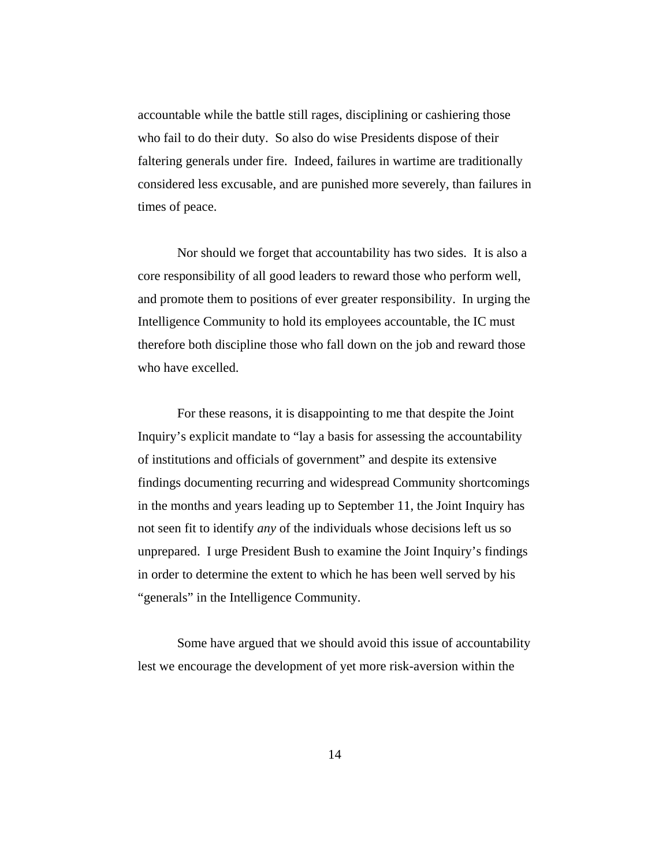accountable while the battle still rages, disciplining or cashiering those who fail to do their duty. So also do wise Presidents dispose of their faltering generals under fire. Indeed, failures in wartime are traditionally considered less excusable, and are punished more severely, than failures in times of peace.

Nor should we forget that accountability has two sides. It is also a core responsibility of all good leaders to reward those who perform well, and promote them to positions of ever greater responsibility. In urging the Intelligence Community to hold its employees accountable, the IC must therefore both discipline those who fall down on the job and reward those who have excelled.

For these reasons, it is disappointing to me that despite the Joint Inquiry's explicit mandate to "lay a basis for assessing the accountability of institutions and officials of government" and despite its extensive findings documenting recurring and widespread Community shortcomings in the months and years leading up to September 11, the Joint Inquiry has not seen fit to identify *any* of the individuals whose decisions left us so unprepared. I urge President Bush to examine the Joint Inquiry's findings in order to determine the extent to which he has been well served by his "generals" in the Intelligence Community.

Some have argued that we should avoid this issue of accountability lest we encourage the development of yet more risk-aversion within the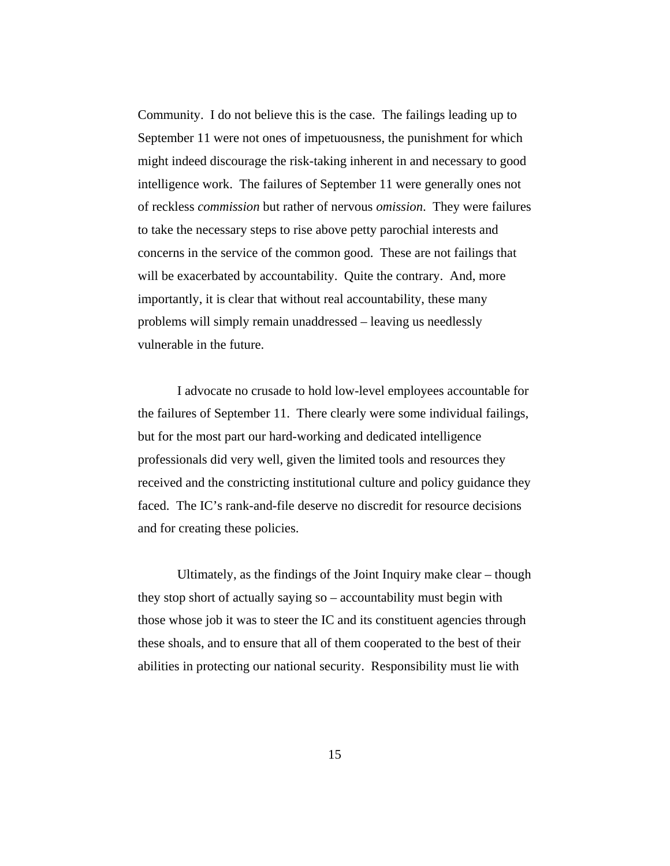Community. I do not believe this is the case. The failings leading up to September 11 were not ones of impetuousness, the punishment for which might indeed discourage the risk-taking inherent in and necessary to good intelligence work. The failures of September 11 were generally ones not of reckless *commission* but rather of nervous *omission*. They were failures to take the necessary steps to rise above petty parochial interests and concerns in the service of the common good. These are not failings that will be exacerbated by accountability. Quite the contrary. And, more importantly, it is clear that without real accountability, these many problems will simply remain unaddressed – leaving us needlessly vulnerable in the future.

I advocate no crusade to hold low-level employees accountable for the failures of September 11. There clearly were some individual failings, but for the most part our hard-working and dedicated intelligence professionals did very well, given the limited tools and resources they received and the constricting institutional culture and policy guidance they faced. The IC's rank-and-file deserve no discredit for resource decisions and for creating these policies.

Ultimately, as the findings of the Joint Inquiry make clear – though they stop short of actually saying so – accountability must begin with those whose job it was to steer the IC and its constituent agencies through these shoals, and to ensure that all of them cooperated to the best of their abilities in protecting our national security. Responsibility must lie with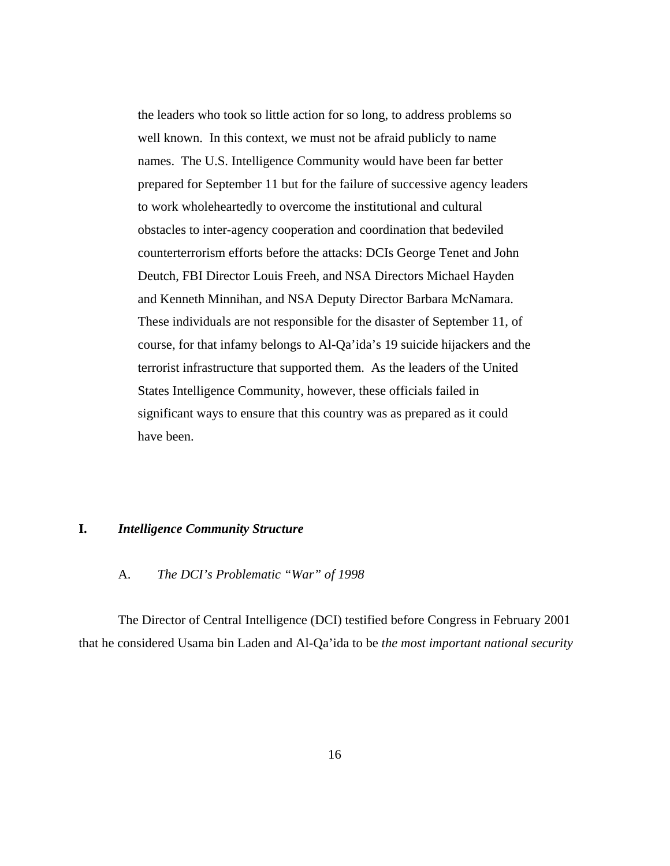the leaders who took so little action for so long, to address problems so well known. In this context, we must not be afraid publicly to name names. The U.S. Intelligence Community would have been far better prepared for September 11 but for the failure of successive agency leaders to work wholeheartedly to overcome the institutional and cultural obstacles to inter-agency cooperation and coordination that bedeviled counterterrorism efforts before the attacks: DCIs George Tenet and John Deutch, FBI Director Louis Freeh, and NSA Directors Michael Hayden and Kenneth Minnihan, and NSA Deputy Director Barbara McNamara. These individuals are not responsible for the disaster of September 11, of course, for that infamy belongs to Al-Qa'ida's 19 suicide hijackers and the terrorist infrastructure that supported them. As the leaders of the United States Intelligence Community, however, these officials failed in significant ways to ensure that this country was as prepared as it could have been.

#### **I.** *Intelligence Community Structure*

#### A. *The DCI's Problematic "War" of 1998*

The Director of Central Intelligence (DCI) testified before Congress in February 2001 that he considered Usama bin Laden and Al-Qa'ida to be *the most important national security*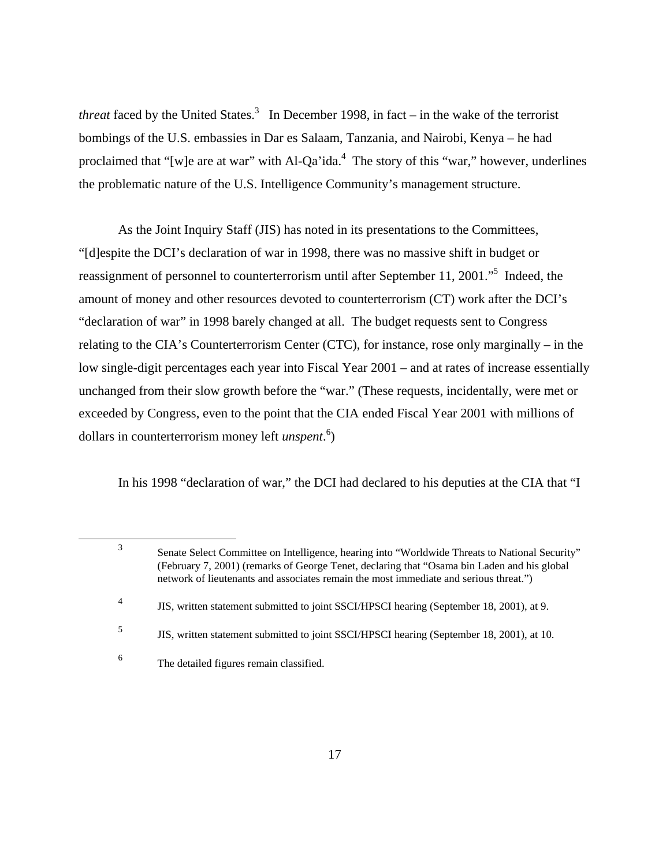*threat* faced by the United States.<sup>3</sup> In December 1998, in fact – in the wake of the terrorist bombings of the U.S. embassies in Dar es Salaam, Tanzania, and Nairobi, Kenya – he had proclaimed that "[w]e are at war" with  $Al-Qa'ida.<sup>4</sup>$  The story of this "war," however, underlines the problematic nature of the U.S. Intelligence Community's management structure.

As the Joint Inquiry Staff (JIS) has noted in its presentations to the Committees, "[d]espite the DCI's declaration of war in 1998, there was no massive shift in budget or reassignment of personnel to counterterrorism until after September 11, 2001."5 Indeed, the amount of money and other resources devoted to counterterrorism (CT) work after the DCI's "declaration of war" in 1998 barely changed at all. The budget requests sent to Congress relating to the CIA's Counterterrorism Center (CTC), for instance, rose only marginally – in the low single-digit percentages each year into Fiscal Year 2001 – and at rates of increase essentially unchanged from their slow growth before the "war." (These requests, incidentally, were met or exceeded by Congress, even to the point that the CIA ended Fiscal Year 2001 with millions of dollars in counterterrorism money left *unspent*. 6 )

In his 1998 "declaration of war," the DCI had declared to his deputies at the CIA that "I

<sup>3</sup> Senate Select Committee on Intelligence, hearing into "Worldwide Threats to National Security" (February 7, 2001) (remarks of George Tenet, declaring that "Osama bin Laden and his global network of lieutenants and associates remain the most immediate and serious threat.")

<sup>4</sup> JIS, written statement submitted to joint SSCI/HPSCI hearing (September 18, 2001), at 9.

<sup>&</sup>lt;sup>5</sup> JIS, written statement submitted to joint SSCI/HPSCI hearing (September 18, 2001), at 10.

<sup>6</sup> The detailed figures remain classified.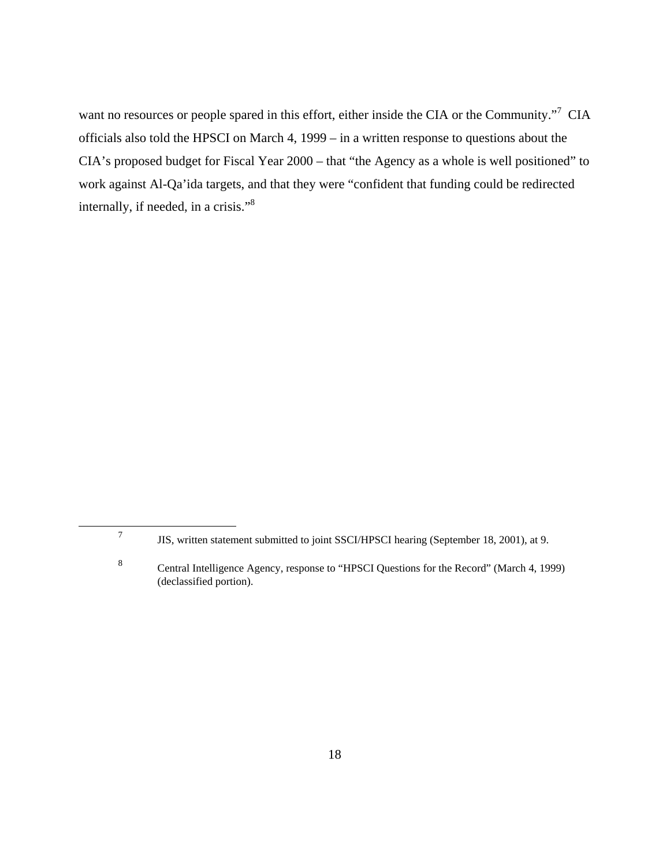want no resources or people spared in this effort, either inside the CIA or the Community."7 CIA officials also told the HPSCI on March 4, 1999 – in a written response to questions about the CIA's proposed budget for Fiscal Year 2000 – that "the Agency as a whole is well positioned" to work against Al-Qa'ida targets, and that they were "confident that funding could be redirected internally, if needed, in a crisis."8

<sup>7</sup> JIS, written statement submitted to joint SSCI/HPSCI hearing (September 18, 2001), at 9.

<sup>8</sup> Central Intelligence Agency, response to "HPSCI Questions for the Record" (March 4, 1999) (declassified portion).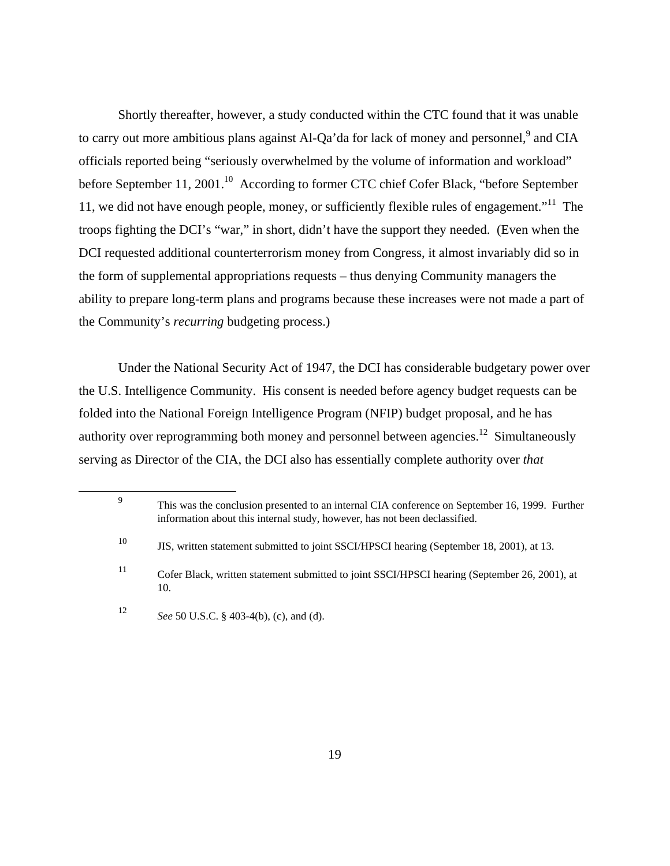Shortly thereafter, however, a study conducted within the CTC found that it was unable to carry out more ambitious plans against Al-Qa'da for lack of money and personnel,<sup>9</sup> and CIA officials reported being "seriously overwhelmed by the volume of information and workload" before September 11, 2001.<sup>10</sup> According to former CTC chief Cofer Black, "before September 11, we did not have enough people, money, or sufficiently flexible rules of engagement."<sup>11</sup> The troops fighting the DCI's "war," in short, didn't have the support they needed. (Even when the DCI requested additional counterterrorism money from Congress, it almost invariably did so in the form of supplemental appropriations requests – thus denying Community managers the ability to prepare long-term plans and programs because these increases were not made a part of the Community's *recurring* budgeting process.)

Under the National Security Act of 1947, the DCI has considerable budgetary power over the U.S. Intelligence Community. His consent is needed before agency budget requests can be folded into the National Foreign Intelligence Program (NFIP) budget proposal, and he has authority over reprogramming both money and personnel between agencies.<sup>12</sup> Simultaneously serving as Director of the CIA, the DCI also has essentially complete authority over *that*

<sup>9</sup> This was the conclusion presented to an internal CIA conference on September 16, 1999. Further information about this internal study, however, has not been declassified. <sup>10</sup> JIS, written statement submitted to joint SSCI/HPSCI hearing (September 18, 2001), at 13. <sup>11</sup> Cofer Black, written statement submitted to joint SSCI/HPSCI hearing (September 26, 2001), at 10. <sup>12</sup> *See* 50 U.S.C. § 403-4(b), (c), and (d).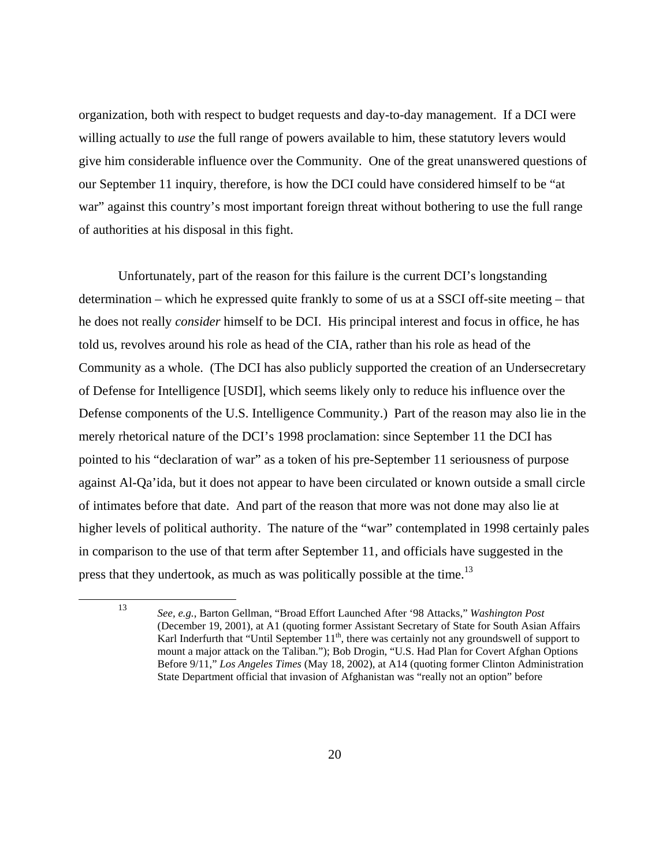organization, both with respect to budget requests and day-to-day management. If a DCI were willing actually to *use* the full range of powers available to him, these statutory levers would give him considerable influence over the Community. One of the great unanswered questions of our September 11 inquiry, therefore, is how the DCI could have considered himself to be "at war" against this country's most important foreign threat without bothering to use the full range of authorities at his disposal in this fight.

Unfortunately, part of the reason for this failure is the current DCI's longstanding determination – which he expressed quite frankly to some of us at a SSCI off-site meeting – that he does not really *consider* himself to be DCI. His principal interest and focus in office, he has told us, revolves around his role as head of the CIA, rather than his role as head of the Community as a whole. (The DCI has also publicly supported the creation of an Undersecretary of Defense for Intelligence [USDI], which seems likely only to reduce his influence over the Defense components of the U.S. Intelligence Community.) Part of the reason may also lie in the merely rhetorical nature of the DCI's 1998 proclamation: since September 11 the DCI has pointed to his "declaration of war" as a token of his pre-September 11 seriousness of purpose against Al-Qa'ida, but it does not appear to have been circulated or known outside a small circle of intimates before that date. And part of the reason that more was not done may also lie at higher levels of political authority. The nature of the "war" contemplated in 1998 certainly pales in comparison to the use of that term after September 11, and officials have suggested in the press that they undertook, as much as was politically possible at the time.<sup>13</sup>

<sup>13</sup> *See, e.g.*, Barton Gellman, "Broad Effort Launched After '98 Attacks," *Washington Post*  (December 19, 2001), at A1 (quoting former Assistant Secretary of State for South Asian Affairs Karl Inderfurth that "Until September 11<sup>th</sup>, there was certainly not any groundswell of support to mount a major attack on the Taliban."); Bob Drogin, "U.S. Had Plan for Covert Afghan Options Before 9/11," *Los Angeles Times* (May 18, 2002), at A14 (quoting former Clinton Administration State Department official that invasion of Afghanistan was "really not an option" before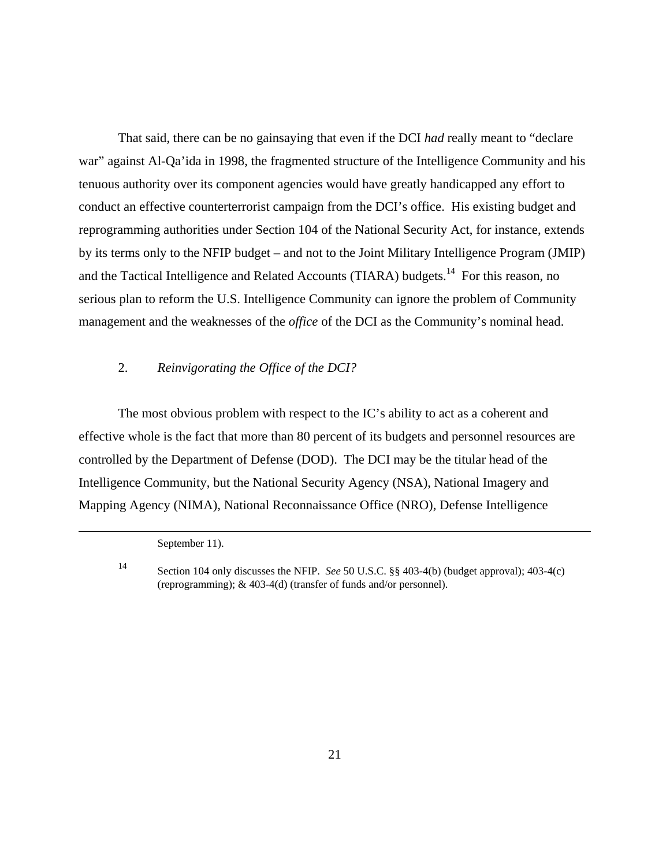That said, there can be no gainsaying that even if the DCI *had* really meant to "declare war" against Al-Qa'ida in 1998, the fragmented structure of the Intelligence Community and his tenuous authority over its component agencies would have greatly handicapped any effort to conduct an effective counterterrorist campaign from the DCI's office. His existing budget and reprogramming authorities under Section 104 of the National Security Act, for instance, extends by its terms only to the NFIP budget – and not to the Joint Military Intelligence Program (JMIP) and the Tactical Intelligence and Related Accounts (TIARA) budgets.<sup>14</sup> For this reason, no serious plan to reform the U.S. Intelligence Community can ignore the problem of Community management and the weaknesses of the *office* of the DCI as the Community's nominal head.

### 2. *Reinvigorating the Office of the DCI?*

The most obvious problem with respect to the IC's ability to act as a coherent and effective whole is the fact that more than 80 percent of its budgets and personnel resources are controlled by the Department of Defense (DOD). The DCI may be the titular head of the Intelligence Community, but the National Security Agency (NSA), National Imagery and Mapping Agency (NIMA), National Reconnaissance Office (NRO), Defense Intelligence

September 11).

<sup>14</sup> Section 104 only discusses the NFIP. *See* 50 U.S.C. §§ 403-4(b) (budget approval); 403-4(c) (reprogramming); & 403-4(d) (transfer of funds and/or personnel).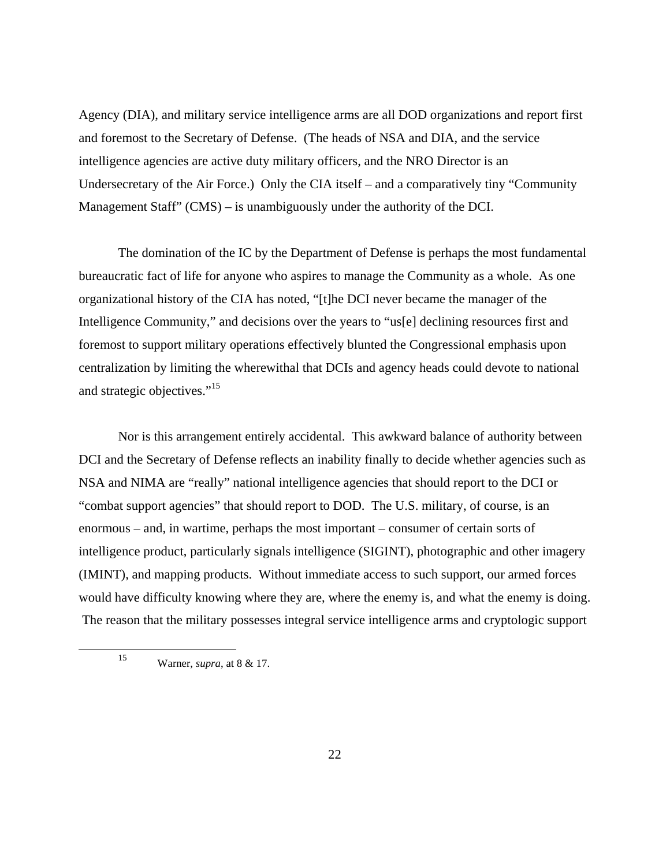Agency (DIA), and military service intelligence arms are all DOD organizations and report first and foremost to the Secretary of Defense. (The heads of NSA and DIA, and the service intelligence agencies are active duty military officers, and the NRO Director is an Undersecretary of the Air Force.) Only the CIA itself – and a comparatively tiny "Community Management Staff" (CMS) – is unambiguously under the authority of the DCI.

The domination of the IC by the Department of Defense is perhaps the most fundamental bureaucratic fact of life for anyone who aspires to manage the Community as a whole. As one organizational history of the CIA has noted, "[t]he DCI never became the manager of the Intelligence Community," and decisions over the years to "us[e] declining resources first and foremost to support military operations effectively blunted the Congressional emphasis upon centralization by limiting the wherewithal that DCIs and agency heads could devote to national and strategic objectives."15

Nor is this arrangement entirely accidental. This awkward balance of authority between DCI and the Secretary of Defense reflects an inability finally to decide whether agencies such as NSA and NIMA are "really" national intelligence agencies that should report to the DCI or "combat support agencies" that should report to DOD. The U.S. military, of course, is an enormous – and, in wartime, perhaps the most important – consumer of certain sorts of intelligence product, particularly signals intelligence (SIGINT), photographic and other imagery (IMINT), and mapping products. Without immediate access to such support, our armed forces would have difficulty knowing where they are, where the enemy is, and what the enemy is doing. The reason that the military possesses integral service intelligence arms and cryptologic support

<sup>15</sup> Warner, *supra*, at 8 & 17.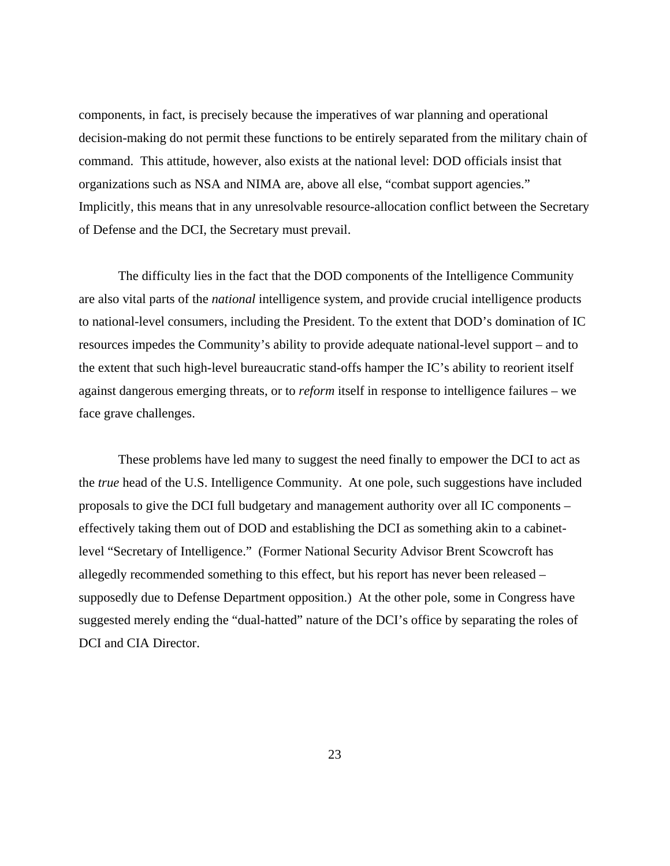components, in fact, is precisely because the imperatives of war planning and operational decision-making do not permit these functions to be entirely separated from the military chain of command. This attitude, however, also exists at the national level: DOD officials insist that organizations such as NSA and NIMA are, above all else, "combat support agencies." Implicitly, this means that in any unresolvable resource-allocation conflict between the Secretary of Defense and the DCI, the Secretary must prevail.

The difficulty lies in the fact that the DOD components of the Intelligence Community are also vital parts of the *national* intelligence system, and provide crucial intelligence products to national-level consumers, including the President. To the extent that DOD's domination of IC resources impedes the Community's ability to provide adequate national-level support – and to the extent that such high-level bureaucratic stand-offs hamper the IC's ability to reorient itself against dangerous emerging threats, or to *reform* itself in response to intelligence failures – we face grave challenges.

These problems have led many to suggest the need finally to empower the DCI to act as the *true* head of the U.S. Intelligence Community. At one pole, such suggestions have included proposals to give the DCI full budgetary and management authority over all IC components – effectively taking them out of DOD and establishing the DCI as something akin to a cabinetlevel "Secretary of Intelligence." (Former National Security Advisor Brent Scowcroft has allegedly recommended something to this effect, but his report has never been released – supposedly due to Defense Department opposition.) At the other pole, some in Congress have suggested merely ending the "dual-hatted" nature of the DCI's office by separating the roles of DCI and CIA Director.

23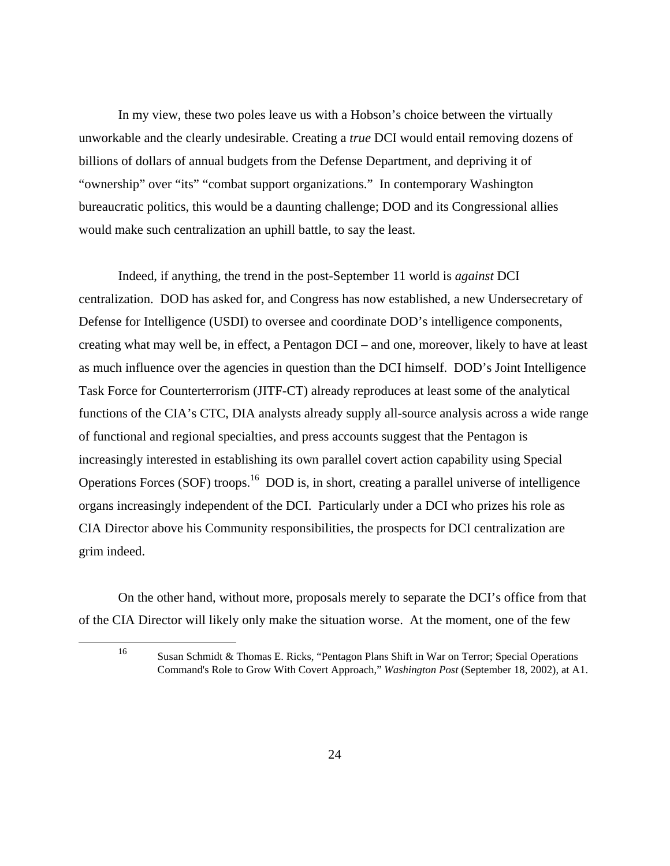In my view, these two poles leave us with a Hobson's choice between the virtually unworkable and the clearly undesirable. Creating a *true* DCI would entail removing dozens of billions of dollars of annual budgets from the Defense Department, and depriving it of "ownership" over "its" "combat support organizations." In contemporary Washington bureaucratic politics, this would be a daunting challenge; DOD and its Congressional allies would make such centralization an uphill battle, to say the least.

Indeed, if anything, the trend in the post-September 11 world is *against* DCI centralization. DOD has asked for, and Congress has now established, a new Undersecretary of Defense for Intelligence (USDI) to oversee and coordinate DOD's intelligence components, creating what may well be, in effect, a Pentagon DCI – and one, moreover, likely to have at least as much influence over the agencies in question than the DCI himself. DOD's Joint Intelligence Task Force for Counterterrorism (JITF-CT) already reproduces at least some of the analytical functions of the CIA's CTC, DIA analysts already supply all-source analysis across a wide range of functional and regional specialties, and press accounts suggest that the Pentagon is increasingly interested in establishing its own parallel covert action capability using Special Operations Forces (SOF) troops.16 DOD is, in short, creating a parallel universe of intelligence organs increasingly independent of the DCI. Particularly under a DCI who prizes his role as CIA Director above his Community responsibilities, the prospects for DCI centralization are grim indeed.

On the other hand, without more, proposals merely to separate the DCI's office from that of the CIA Director will likely only make the situation worse. At the moment, one of the few

<sup>16</sup> Susan Schmidt & Thomas E. Ricks, "Pentagon Plans Shift in War on Terror; Special Operations Command's Role to Grow With Covert Approach," *Washington Post* (September 18, 2002), at A1.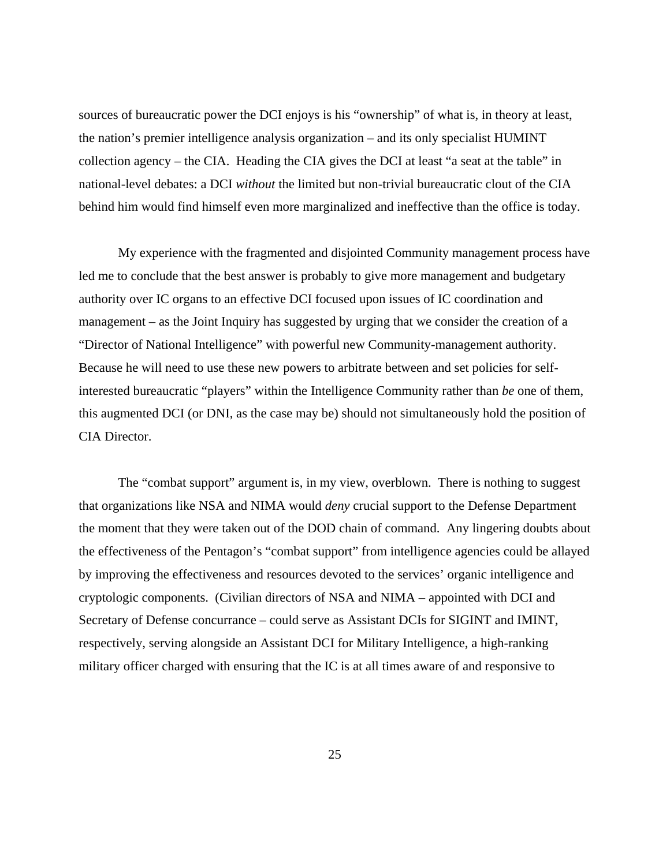sources of bureaucratic power the DCI enjoys is his "ownership" of what is, in theory at least, the nation's premier intelligence analysis organization – and its only specialist HUMINT collection agency – the CIA. Heading the CIA gives the DCI at least "a seat at the table" in national-level debates: a DCI *without* the limited but non-trivial bureaucratic clout of the CIA behind him would find himself even more marginalized and ineffective than the office is today.

My experience with the fragmented and disjointed Community management process have led me to conclude that the best answer is probably to give more management and budgetary authority over IC organs to an effective DCI focused upon issues of IC coordination and management – as the Joint Inquiry has suggested by urging that we consider the creation of a "Director of National Intelligence" with powerful new Community-management authority. Because he will need to use these new powers to arbitrate between and set policies for selfinterested bureaucratic "players" within the Intelligence Community rather than *be* one of them, this augmented DCI (or DNI, as the case may be) should not simultaneously hold the position of CIA Director.

The "combat support" argument is, in my view, overblown. There is nothing to suggest that organizations like NSA and NIMA would *deny* crucial support to the Defense Department the moment that they were taken out of the DOD chain of command. Any lingering doubts about the effectiveness of the Pentagon's "combat support" from intelligence agencies could be allayed by improving the effectiveness and resources devoted to the services' organic intelligence and cryptologic components. (Civilian directors of NSA and NIMA – appointed with DCI and Secretary of Defense concurrance – could serve as Assistant DCIs for SIGINT and IMINT, respectively, serving alongside an Assistant DCI for Military Intelligence, a high-ranking military officer charged with ensuring that the IC is at all times aware of and responsive to

25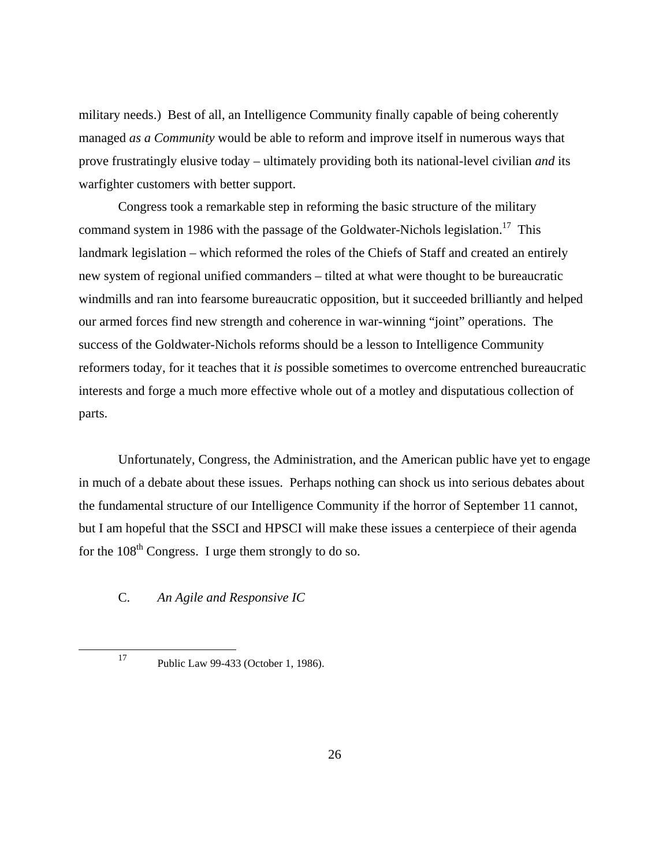military needs.) Best of all, an Intelligence Community finally capable of being coherently managed *as a Community* would be able to reform and improve itself in numerous ways that prove frustratingly elusive today – ultimately providing both its national-level civilian *and* its warfighter customers with better support.

Congress took a remarkable step in reforming the basic structure of the military command system in 1986 with the passage of the Goldwater-Nichols legislation.<sup>17</sup> This landmark legislation – which reformed the roles of the Chiefs of Staff and created an entirely new system of regional unified commanders – tilted at what were thought to be bureaucratic windmills and ran into fearsome bureaucratic opposition, but it succeeded brilliantly and helped our armed forces find new strength and coherence in war-winning "joint" operations. The success of the Goldwater-Nichols reforms should be a lesson to Intelligence Community reformers today, for it teaches that it *is* possible sometimes to overcome entrenched bureaucratic interests and forge a much more effective whole out of a motley and disputatious collection of parts.

Unfortunately, Congress, the Administration, and the American public have yet to engage in much of a debate about these issues. Perhaps nothing can shock us into serious debates about the fundamental structure of our Intelligence Community if the horror of September 11 cannot, but I am hopeful that the SSCI and HPSCI will make these issues a centerpiece of their agenda for the  $108<sup>th</sup>$  Congress. I urge them strongly to do so.

#### C. *An Agile and Responsive IC*

<sup>17</sup> Public Law 99-433 (October 1, 1986).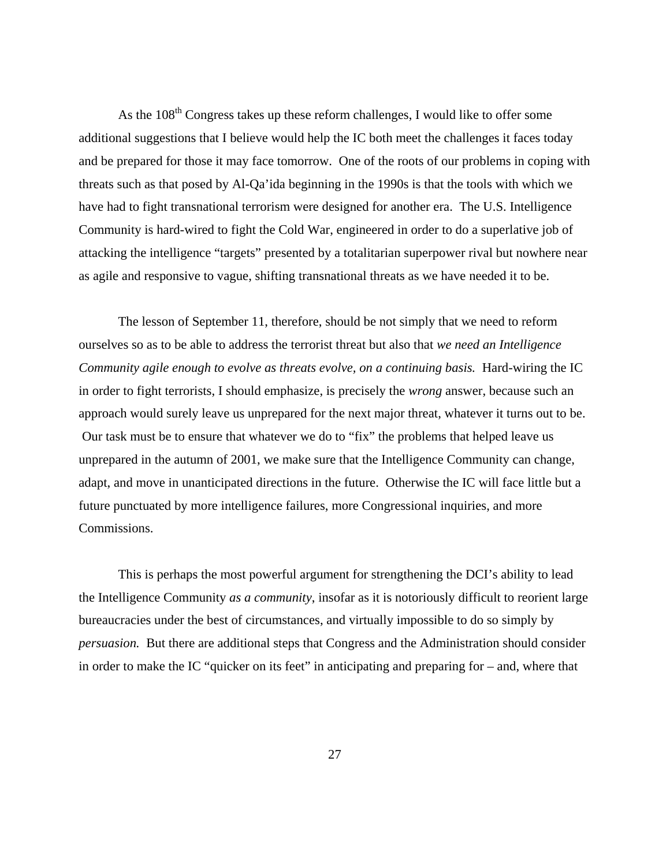As the 108<sup>th</sup> Congress takes up these reform challenges, I would like to offer some additional suggestions that I believe would help the IC both meet the challenges it faces today and be prepared for those it may face tomorrow. One of the roots of our problems in coping with threats such as that posed by Al-Qa'ida beginning in the 1990s is that the tools with which we have had to fight transnational terrorism were designed for another era. The U.S. Intelligence Community is hard-wired to fight the Cold War, engineered in order to do a superlative job of attacking the intelligence "targets" presented by a totalitarian superpower rival but nowhere near as agile and responsive to vague, shifting transnational threats as we have needed it to be.

The lesson of September 11, therefore, should be not simply that we need to reform ourselves so as to be able to address the terrorist threat but also that *we need an Intelligence Community agile enough to evolve as threats evolve, on a continuing basis.* Hard-wiring the IC in order to fight terrorists, I should emphasize, is precisely the *wrong* answer, because such an approach would surely leave us unprepared for the next major threat, whatever it turns out to be. Our task must be to ensure that whatever we do to "fix" the problems that helped leave us unprepared in the autumn of 2001, we make sure that the Intelligence Community can change, adapt, and move in unanticipated directions in the future. Otherwise the IC will face little but a future punctuated by more intelligence failures, more Congressional inquiries, and more Commissions.

This is perhaps the most powerful argument for strengthening the DCI's ability to lead the Intelligence Community *as a community*, insofar as it is notoriously difficult to reorient large bureaucracies under the best of circumstances, and virtually impossible to do so simply by *persuasion.* But there are additional steps that Congress and the Administration should consider in order to make the IC "quicker on its feet" in anticipating and preparing for – and, where that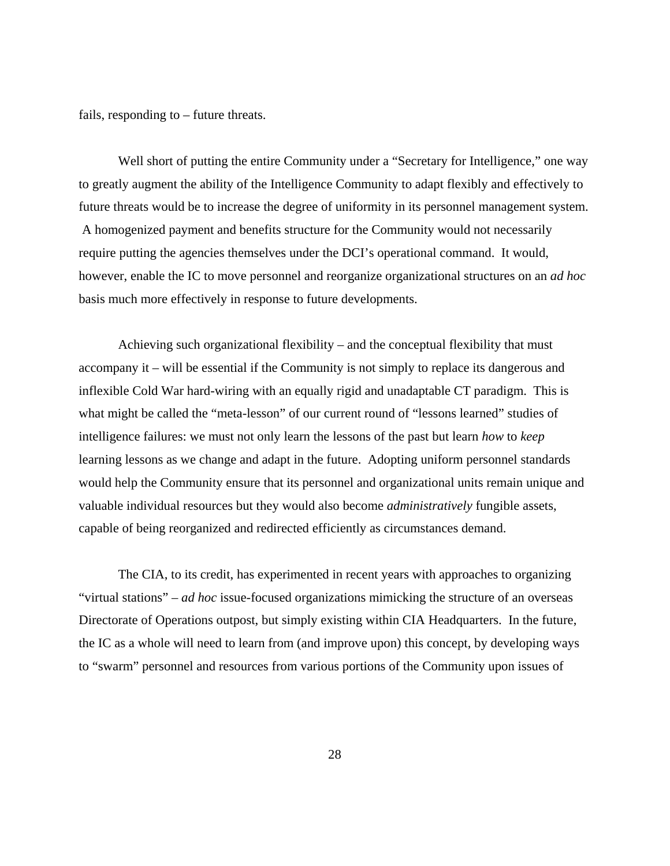fails, responding to – future threats.

Well short of putting the entire Community under a "Secretary for Intelligence," one way to greatly augment the ability of the Intelligence Community to adapt flexibly and effectively to future threats would be to increase the degree of uniformity in its personnel management system. A homogenized payment and benefits structure for the Community would not necessarily require putting the agencies themselves under the DCI's operational command. It would, however, enable the IC to move personnel and reorganize organizational structures on an *ad hoc*  basis much more effectively in response to future developments.

Achieving such organizational flexibility – and the conceptual flexibility that must accompany it – will be essential if the Community is not simply to replace its dangerous and inflexible Cold War hard-wiring with an equally rigid and unadaptable CT paradigm. This is what might be called the "meta-lesson" of our current round of "lessons learned" studies of intelligence failures: we must not only learn the lessons of the past but learn *how* to *keep* learning lessons as we change and adapt in the future. Adopting uniform personnel standards would help the Community ensure that its personnel and organizational units remain unique and valuable individual resources but they would also become *administratively* fungible assets, capable of being reorganized and redirected efficiently as circumstances demand.

The CIA, to its credit, has experimented in recent years with approaches to organizing "virtual stations" – *ad hoc* issue-focused organizations mimicking the structure of an overseas Directorate of Operations outpost, but simply existing within CIA Headquarters. In the future, the IC as a whole will need to learn from (and improve upon) this concept, by developing ways to "swarm" personnel and resources from various portions of the Community upon issues of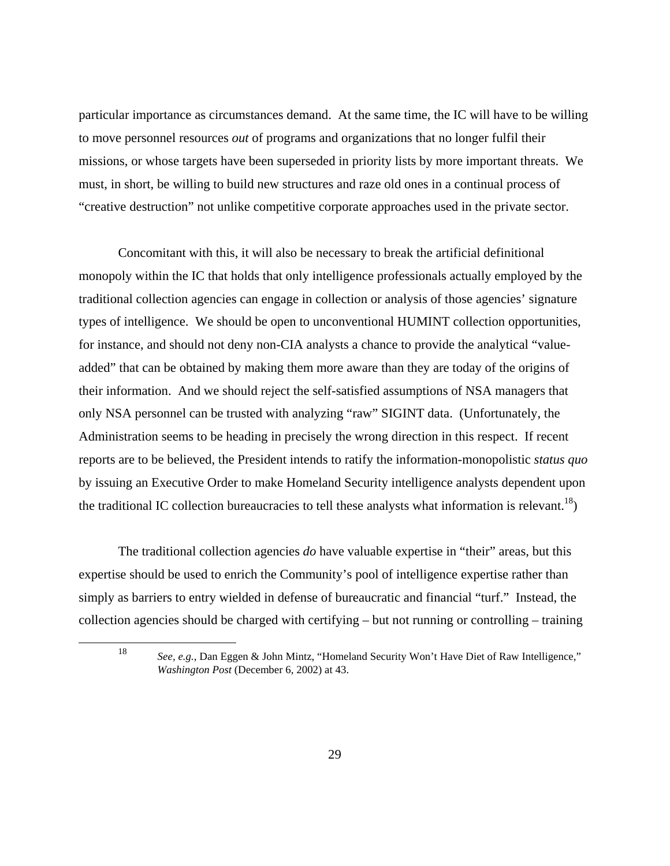particular importance as circumstances demand. At the same time, the IC will have to be willing to move personnel resources *out* of programs and organizations that no longer fulfil their missions, or whose targets have been superseded in priority lists by more important threats. We must, in short, be willing to build new structures and raze old ones in a continual process of "creative destruction" not unlike competitive corporate approaches used in the private sector.

Concomitant with this, it will also be necessary to break the artificial definitional monopoly within the IC that holds that only intelligence professionals actually employed by the traditional collection agencies can engage in collection or analysis of those agencies' signature types of intelligence. We should be open to unconventional HUMINT collection opportunities, for instance, and should not deny non-CIA analysts a chance to provide the analytical "valueadded" that can be obtained by making them more aware than they are today of the origins of their information. And we should reject the self-satisfied assumptions of NSA managers that only NSA personnel can be trusted with analyzing "raw" SIGINT data. (Unfortunately, the Administration seems to be heading in precisely the wrong direction in this respect. If recent reports are to be believed, the President intends to ratify the information-monopolistic *status quo*  by issuing an Executive Order to make Homeland Security intelligence analysts dependent upon the traditional IC collection bureaucracies to tell these analysts what information is relevant.<sup>18</sup>)

The traditional collection agencies *do* have valuable expertise in "their" areas, but this expertise should be used to enrich the Community's pool of intelligence expertise rather than simply as barriers to entry wielded in defense of bureaucratic and financial "turf." Instead, the collection agencies should be charged with certifying – but not running or controlling – training

<sup>18</sup> *See, e.g.*, Dan Eggen & John Mintz, "Homeland Security Won't Have Diet of Raw Intelligence," *Washington Post* (December 6, 2002) at 43.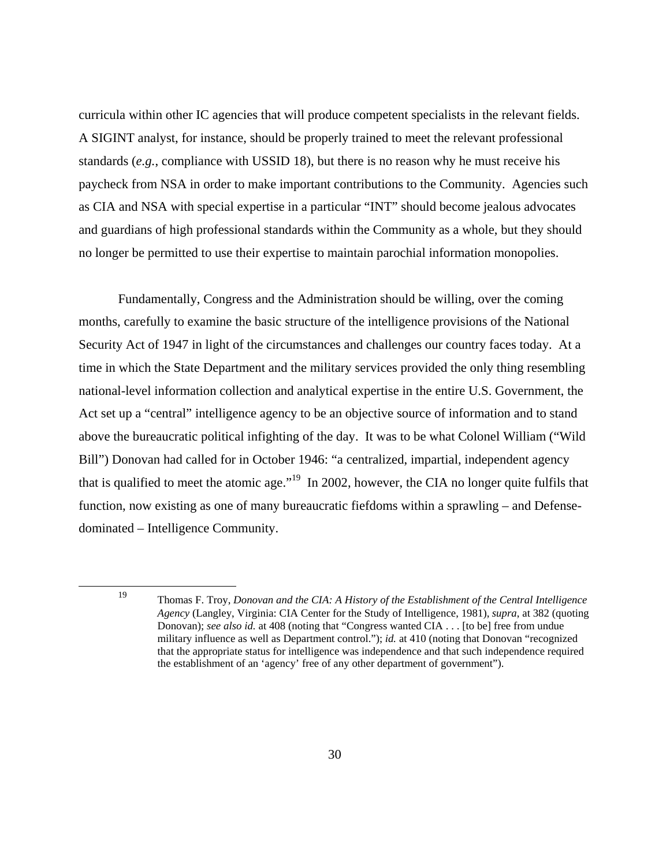curricula within other IC agencies that will produce competent specialists in the relevant fields. A SIGINT analyst, for instance, should be properly trained to meet the relevant professional standards (*e.g.*, compliance with USSID 18), but there is no reason why he must receive his paycheck from NSA in order to make important contributions to the Community. Agencies such as CIA and NSA with special expertise in a particular "INT" should become jealous advocates and guardians of high professional standards within the Community as a whole, but they should no longer be permitted to use their expertise to maintain parochial information monopolies.

Fundamentally, Congress and the Administration should be willing, over the coming months, carefully to examine the basic structure of the intelligence provisions of the National Security Act of 1947 in light of the circumstances and challenges our country faces today. At a time in which the State Department and the military services provided the only thing resembling national-level information collection and analytical expertise in the entire U.S. Government, the Act set up a "central" intelligence agency to be an objective source of information and to stand above the bureaucratic political infighting of the day. It was to be what Colonel William ("Wild Bill") Donovan had called for in October 1946: "a centralized, impartial, independent agency that is qualified to meet the atomic age."19 In 2002, however, the CIA no longer quite fulfils that function, now existing as one of many bureaucratic fiefdoms within a sprawling – and Defensedominated – Intelligence Community.

<sup>19</sup> Thomas F. Troy, *Donovan and the CIA: A History of the Establishment of the Central Intelligence Agency* (Langley, Virginia: CIA Center for the Study of Intelligence, 1981), *supra*, at 382 (quoting Donovan); *see also id.* at 408 (noting that "Congress wanted CIA . . . [to be] free from undue military influence as well as Department control."); *id.* at 410 (noting that Donovan "recognized that the appropriate status for intelligence was independence and that such independence required the establishment of an 'agency' free of any other department of government").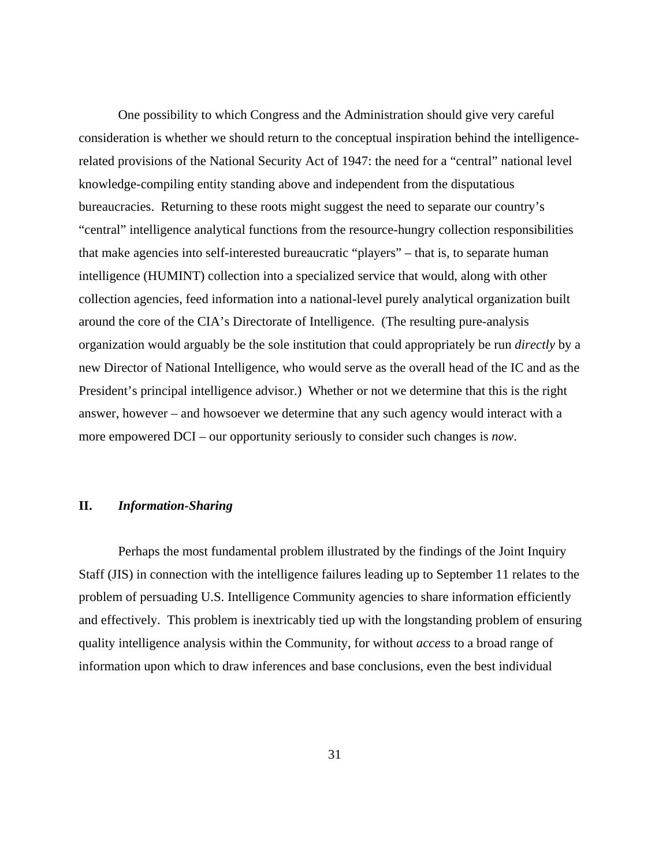One possibility to which Congress and the Administration should give very careful consideration is whether we should return to the conceptual inspiration behind the intelligencerelated provisions of the National Security Act of 1947: the need for a "central" national level knowledge-compiling entity standing above and independent from the disputatious bureaucracies. Returning to these roots might suggest the need to separate our country's "central" intelligence analytical functions from the resource-hungry collection responsibilities that make agencies into self-interested bureaucratic "players" – that is, to separate human intelligence (HUMINT) collection into a specialized service that would, along with other collection agencies, feed information into a national-level purely analytical organization built around the core of the CIA's Directorate of Intelligence. (The resulting pure-analysis organization would arguably be the sole institution that could appropriately be run *directly* by a new Director of National Intelligence, who would serve as the overall head of the IC and as the President's principal intelligence advisor.) Whether or not we determine that this is the right answer, however – and howsoever we determine that any such agency would interact with a more empowered DCI – our opportunity seriously to consider such changes is *now*.

#### **II.** *Information-Sharing*

Perhaps the most fundamental problem illustrated by the findings of the Joint Inquiry Staff (JIS) in connection with the intelligence failures leading up to September 11 relates to the problem of persuading U.S. Intelligence Community agencies to share information efficiently and effectively. This problem is inextricably tied up with the longstanding problem of ensuring quality intelligence analysis within the Community, for without *access* to a broad range of information upon which to draw inferences and base conclusions, even the best individual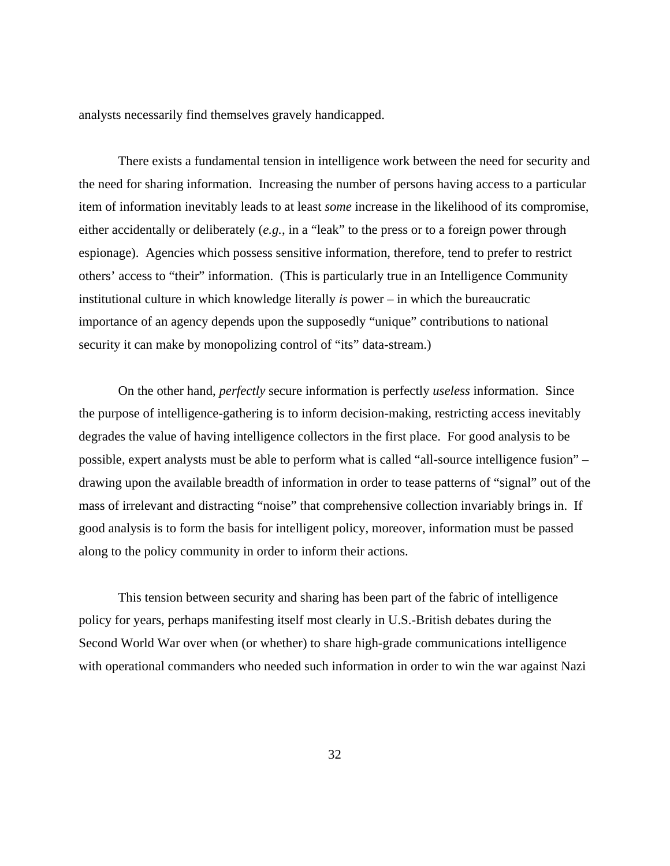analysts necessarily find themselves gravely handicapped.

There exists a fundamental tension in intelligence work between the need for security and the need for sharing information. Increasing the number of persons having access to a particular item of information inevitably leads to at least *some* increase in the likelihood of its compromise, either accidentally or deliberately (*e.g.*, in a "leak" to the press or to a foreign power through espionage). Agencies which possess sensitive information, therefore, tend to prefer to restrict others' access to "their" information. (This is particularly true in an Intelligence Community institutional culture in which knowledge literally *is* power – in which the bureaucratic importance of an agency depends upon the supposedly "unique" contributions to national security it can make by monopolizing control of "its" data-stream.)

On the other hand, *perfectly* secure information is perfectly *useless* information. Since the purpose of intelligence-gathering is to inform decision-making, restricting access inevitably degrades the value of having intelligence collectors in the first place. For good analysis to be possible, expert analysts must be able to perform what is called "all-source intelligence fusion" – drawing upon the available breadth of information in order to tease patterns of "signal" out of the mass of irrelevant and distracting "noise" that comprehensive collection invariably brings in. If good analysis is to form the basis for intelligent policy, moreover, information must be passed along to the policy community in order to inform their actions.

This tension between security and sharing has been part of the fabric of intelligence policy for years, perhaps manifesting itself most clearly in U.S.-British debates during the Second World War over when (or whether) to share high-grade communications intelligence with operational commanders who needed such information in order to win the war against Nazi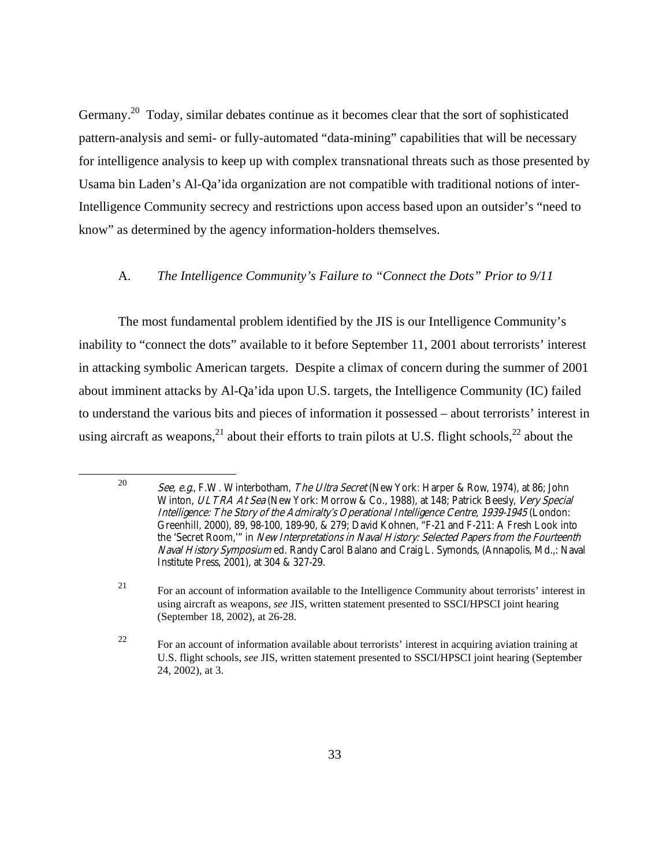Germany.20 Today, similar debates continue as it becomes clear that the sort of sophisticated pattern-analysis and semi- or fully-automated "data-mining" capabilities that will be necessary for intelligence analysis to keep up with complex transnational threats such as those presented by Usama bin Laden's Al-Qa'ida organization are not compatible with traditional notions of inter-Intelligence Community secrecy and restrictions upon access based upon an outsider's "need to know" as determined by the agency information-holders themselves.

#### A. *The Intelligence Community's Failure to "Connect the Dots" Prior to 9/11*

The most fundamental problem identified by the JIS is our Intelligence Community's inability to "connect the dots" available to it before September 11, 2001 about terrorists' interest in attacking symbolic American targets. Despite a climax of concern during the summer of 2001 about imminent attacks by Al-Qa'ida upon U.S. targets, the Intelligence Community (IC) failed to understand the various bits and pieces of information it possessed – about terrorists' interest in using aircraft as weapons,<sup>21</sup> about their efforts to train pilots at U.S. flight schools,<sup>22</sup> about the

<sup>&</sup>lt;sup>20</sup> See, e.g., F.W. Winterbotham, The Ultra Secret (New York: Harper & Row, 1974), at 86; John Winton, ULTRA At Sea (New York: Morrow & Co., 1988), at 148; Patrick Beesly, Very Special Intelligence: The Story of the Admiralty's Operational Intelligence Centre, 1939-1945 (London: Greenhill, 2000), 89, 98-100, 189-90, & 279; David Kohnen, "F-21 and F-211: A Fresh Look into the 'Secret Room,'" in New Interpretations in Naval History: Selected Papers from the Fourteenth Naval History Symposium ed. Randy Carol Balano and Craig L. Symonds, (Annapolis, Md.,: Naval Institute Press, 2001), at 304 & 327-29.

<sup>21</sup> For an account of information available to the Intelligence Community about terrorists' interest in using aircraft as weapons, *see* JIS, written statement presented to SSCI/HPSCI joint hearing (September 18, 2002), at 26-28.

<sup>22</sup> For an account of information available about terrorists' interest in acquiring aviation training at U.S. flight schools, *see* JIS, written statement presented to SSCI/HPSCI joint hearing (September 24, 2002), at 3.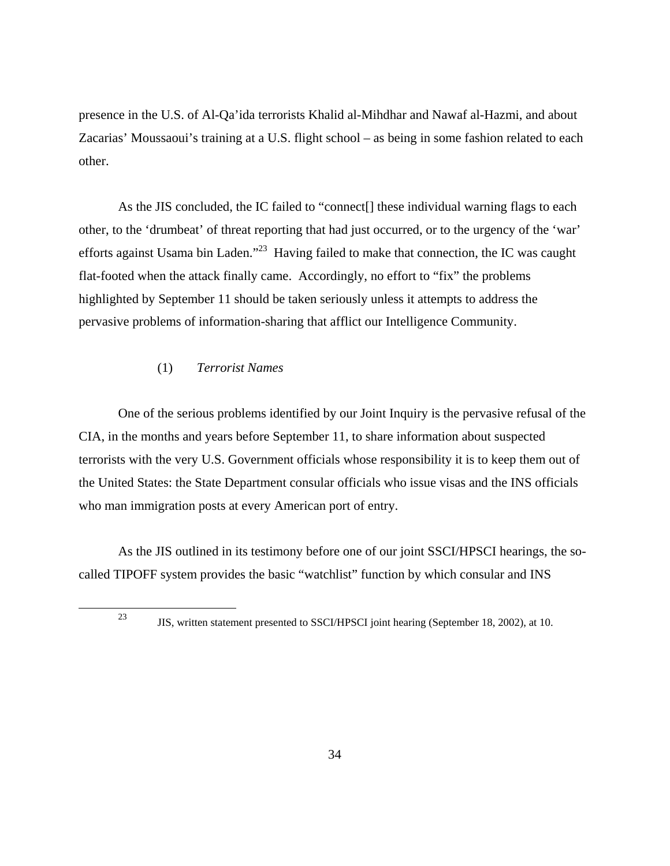presence in the U.S. of Al-Qa'ida terrorists Khalid al-Mihdhar and Nawaf al-Hazmi, and about Zacarias' Moussaoui's training at a U.S. flight school – as being in some fashion related to each other.

As the JIS concluded, the IC failed to "connect[] these individual warning flags to each other, to the 'drumbeat' of threat reporting that had just occurred, or to the urgency of the 'war' efforts against Usama bin Laden."<sup>23</sup> Having failed to make that connection, the IC was caught flat-footed when the attack finally came. Accordingly, no effort to "fix" the problems highlighted by September 11 should be taken seriously unless it attempts to address the pervasive problems of information-sharing that afflict our Intelligence Community.

## (1) *Terrorist Names*

One of the serious problems identified by our Joint Inquiry is the pervasive refusal of the CIA, in the months and years before September 11, to share information about suspected terrorists with the very U.S. Government officials whose responsibility it is to keep them out of the United States: the State Department consular officials who issue visas and the INS officials who man immigration posts at every American port of entry.

As the JIS outlined in its testimony before one of our joint SSCI/HPSCI hearings, the socalled TIPOFF system provides the basic "watchlist" function by which consular and INS

<sup>23</sup> JIS, written statement presented to SSCI/HPSCI joint hearing (September 18, 2002), at 10.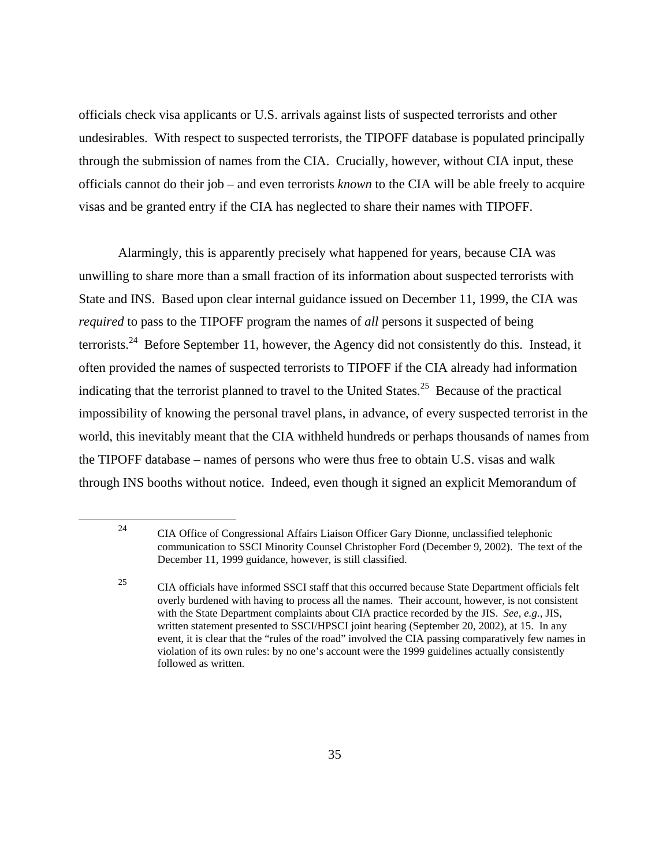officials check visa applicants or U.S. arrivals against lists of suspected terrorists and other undesirables. With respect to suspected terrorists, the TIPOFF database is populated principally through the submission of names from the CIA. Crucially, however, without CIA input, these officials cannot do their job – and even terrorists *known* to the CIA will be able freely to acquire visas and be granted entry if the CIA has neglected to share their names with TIPOFF.

Alarmingly, this is apparently precisely what happened for years, because CIA was unwilling to share more than a small fraction of its information about suspected terrorists with State and INS. Based upon clear internal guidance issued on December 11, 1999, the CIA was *required* to pass to the TIPOFF program the names of *all* persons it suspected of being terrorists.<sup>24</sup> Before September 11, however, the Agency did not consistently do this. Instead, it often provided the names of suspected terrorists to TIPOFF if the CIA already had information indicating that the terrorist planned to travel to the United States.<sup>25</sup> Because of the practical impossibility of knowing the personal travel plans, in advance, of every suspected terrorist in the world, this inevitably meant that the CIA withheld hundreds or perhaps thousands of names from the TIPOFF database – names of persons who were thus free to obtain U.S. visas and walk through INS booths without notice. Indeed, even though it signed an explicit Memorandum of

<sup>24</sup> CIA Office of Congressional Affairs Liaison Officer Gary Dionne, unclassified telephonic communication to SSCI Minority Counsel Christopher Ford (December 9, 2002). The text of the December 11, 1999 guidance, however, is still classified.

<sup>25</sup> CIA officials have informed SSCI staff that this occurred because State Department officials felt overly burdened with having to process all the names. Their account, however, is not consistent with the State Department complaints about CIA practice recorded by the JIS. *See, e.g.*, JIS, written statement presented to SSCI/HPSCI joint hearing (September 20, 2002), at 15. In any event, it is clear that the "rules of the road" involved the CIA passing comparatively few names in violation of its own rules: by no one's account were the 1999 guidelines actually consistently followed as written.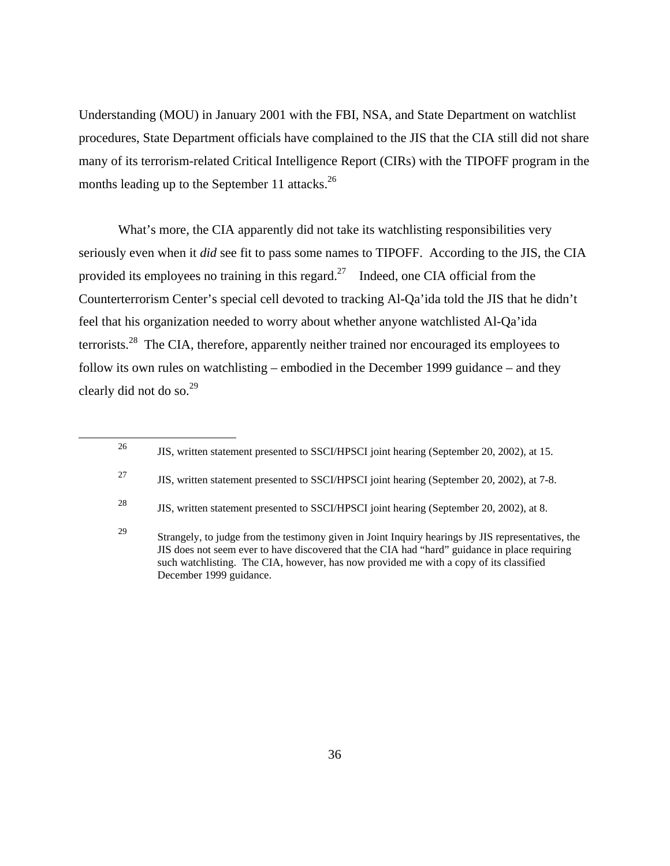Understanding (MOU) in January 2001 with the FBI, NSA, and State Department on watchlist procedures, State Department officials have complained to the JIS that the CIA still did not share many of its terrorism-related Critical Intelligence Report (CIRs) with the TIPOFF program in the months leading up to the September 11 attacks.<sup>26</sup>

What's more, the CIA apparently did not take its watchlisting responsibilities very seriously even when it *did* see fit to pass some names to TIPOFF. According to the JIS, the CIA provided its employees no training in this regard.<sup>27</sup> Indeed, one CIA official from the Counterterrorism Center's special cell devoted to tracking Al-Qa'ida told the JIS that he didn't feel that his organization needed to worry about whether anyone watchlisted Al-Qa'ida terrorists.<sup>28</sup> The CIA, therefore, apparently neither trained nor encouraged its employees to follow its own rules on watchlisting – embodied in the December 1999 guidance – and they clearly did not do so.<sup>29</sup>

<sup>&</sup>lt;sup>26</sup> JIS, written statement presented to SSCI/HPSCI joint hearing (September 20, 2002), at 15.

<sup>&</sup>lt;sup>27</sup> JIS, written statement presented to SSCI/HPSCI joint hearing (September 20, 2002), at 7-8.

<sup>28</sup> JIS, written statement presented to SSCI/HPSCI joint hearing (September 20, 2002), at 8.

<sup>&</sup>lt;sup>29</sup> Strangely, to judge from the testimony given in Joint Inquiry hearings by JIS representatives, the JIS does not seem ever to have discovered that the CIA had "hard" guidance in place requiring such watchlisting. The CIA, however, has now provided me with a copy of its classified December 1999 guidance.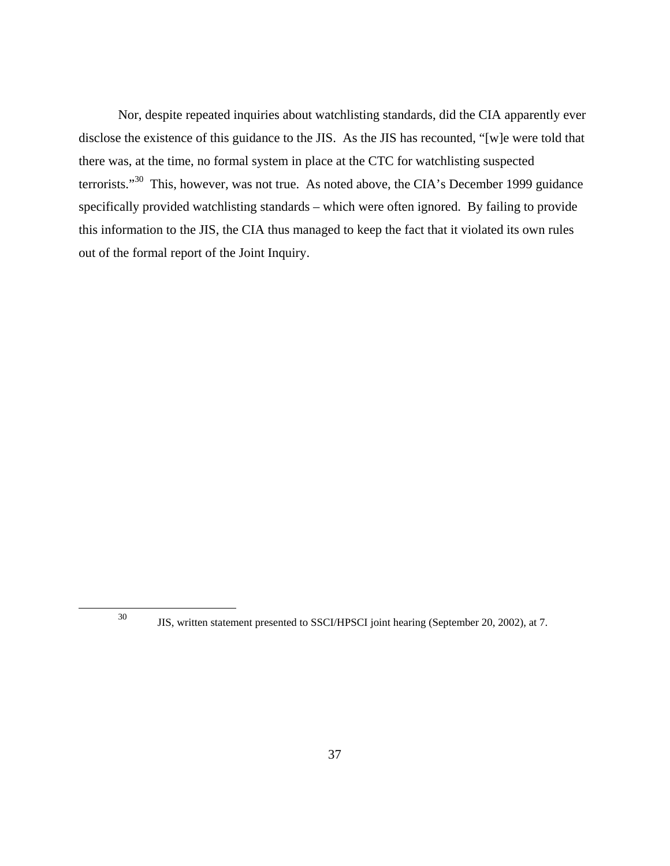Nor, despite repeated inquiries about watchlisting standards, did the CIA apparently ever disclose the existence of this guidance to the JIS. As the JIS has recounted, "[w]e were told that there was, at the time, no formal system in place at the CTC for watchlisting suspected terrorists."30 This, however, was not true. As noted above, the CIA's December 1999 guidance specifically provided watchlisting standards – which were often ignored. By failing to provide this information to the JIS, the CIA thus managed to keep the fact that it violated its own rules out of the formal report of the Joint Inquiry.

<sup>30</sup> JIS, written statement presented to SSCI/HPSCI joint hearing (September 20, 2002), at 7.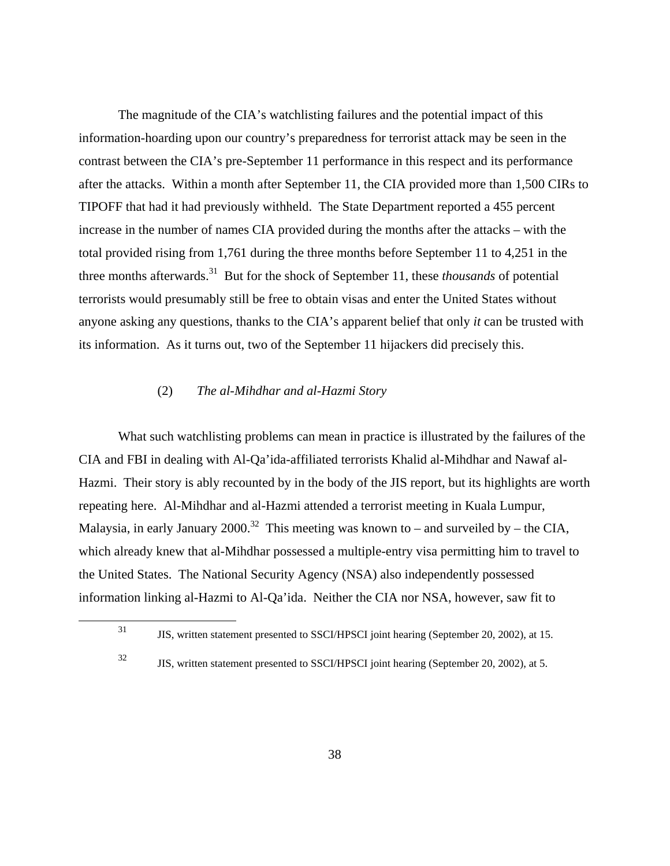The magnitude of the CIA's watchlisting failures and the potential impact of this information-hoarding upon our country's preparedness for terrorist attack may be seen in the contrast between the CIA's pre-September 11 performance in this respect and its performance after the attacks. Within a month after September 11, the CIA provided more than 1,500 CIRs to TIPOFF that had it had previously withheld. The State Department reported a 455 percent increase in the number of names CIA provided during the months after the attacks – with the total provided rising from 1,761 during the three months before September 11 to 4,251 in the three months afterwards.31 But for the shock of September 11, these *thousands* of potential terrorists would presumably still be free to obtain visas and enter the United States without anyone asking any questions, thanks to the CIA's apparent belief that only *it* can be trusted with its information. As it turns out, two of the September 11 hijackers did precisely this.

#### (2) *The al-Mihdhar and al-Hazmi Story*

What such watchlisting problems can mean in practice is illustrated by the failures of the CIA and FBI in dealing with Al-Qa'ida-affiliated terrorists Khalid al-Mihdhar and Nawaf al-Hazmi. Their story is ably recounted by in the body of the JIS report, but its highlights are worth repeating here. Al-Mihdhar and al-Hazmi attended a terrorist meeting in Kuala Lumpur, Malaysia, in early January 2000.<sup>32</sup> This meeting was known to – and surveiled by – the CIA, which already knew that al-Mihdhar possessed a multiple-entry visa permitting him to travel to the United States. The National Security Agency (NSA) also independently possessed information linking al-Hazmi to Al-Qa'ida. Neither the CIA nor NSA, however, saw fit to

<sup>31</sup> JIS, written statement presented to SSCI/HPSCI joint hearing (September 20, 2002), at 15.

<sup>32</sup> JIS, written statement presented to SSCI/HPSCI joint hearing (September 20, 2002), at 5.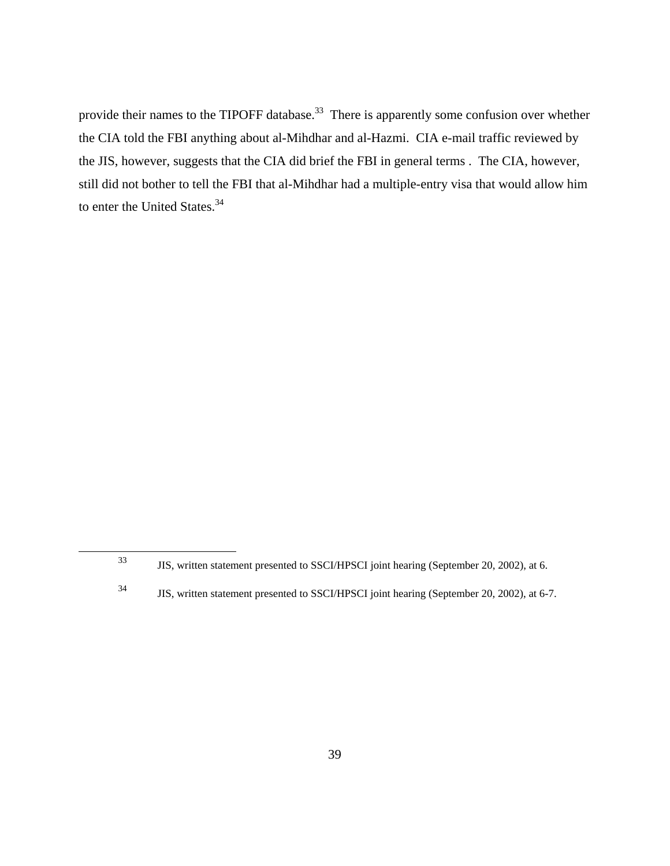provide their names to the TIPOFF database.<sup>33</sup> There is apparently some confusion over whether the CIA told the FBI anything about al-Mihdhar and al-Hazmi. CIA e-mail traffic reviewed by the JIS, however, suggests that the CIA did brief the FBI in general terms . The CIA, however, still did not bother to tell the FBI that al-Mihdhar had a multiple-entry visa that would allow him to enter the United States.<sup>34</sup>

<sup>33</sup> JIS, written statement presented to SSCI/HPSCI joint hearing (September 20, 2002), at 6.

<sup>34</sup> JIS, written statement presented to SSCI/HPSCI joint hearing (September 20, 2002), at 6-7.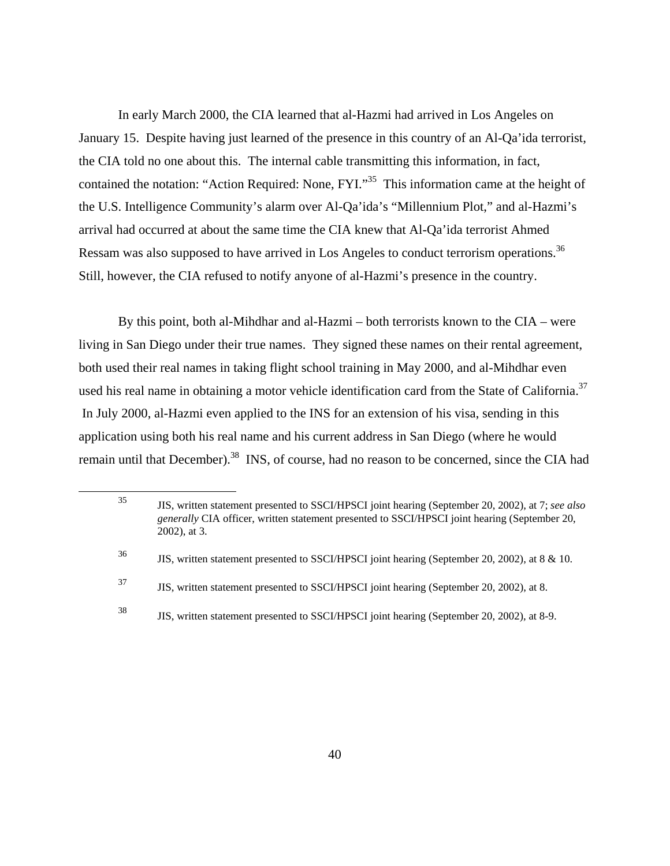In early March 2000, the CIA learned that al-Hazmi had arrived in Los Angeles on January 15. Despite having just learned of the presence in this country of an Al-Qa'ida terrorist, the CIA told no one about this. The internal cable transmitting this information, in fact, contained the notation: "Action Required: None, FYI."<sup>35</sup> This information came at the height of the U.S. Intelligence Community's alarm over Al-Qa'ida's "Millennium Plot," and al-Hazmi's arrival had occurred at about the same time the CIA knew that Al-Qa'ida terrorist Ahmed Ressam was also supposed to have arrived in Los Angeles to conduct terrorism operations.<sup>36</sup> Still, however, the CIA refused to notify anyone of al-Hazmi's presence in the country.

By this point, both al-Mihdhar and al-Hazmi – both terrorists known to the CIA – were living in San Diego under their true names. They signed these names on their rental agreement, both used their real names in taking flight school training in May 2000, and al-Mihdhar even used his real name in obtaining a motor vehicle identification card from the State of California.<sup>37</sup> In July 2000, al-Hazmi even applied to the INS for an extension of his visa, sending in this application using both his real name and his current address in San Diego (where he would remain until that December).<sup>38</sup> INS, of course, had no reason to be concerned, since the CIA had

<sup>35</sup> JIS, written statement presented to SSCI/HPSCI joint hearing (September 20, 2002), at 7; *see also generally* CIA officer, written statement presented to SSCI/HPSCI joint hearing (September 20, 2002), at 3. <sup>36</sup> JIS, written statement presented to SSCI/HPSCI joint hearing (September 20, 2002), at 8 & 10.

<sup>37</sup> JIS, written statement presented to SSCI/HPSCI joint hearing (September 20, 2002), at 8.

<sup>38</sup> JIS, written statement presented to SSCI/HPSCI joint hearing (September 20, 2002), at 8-9.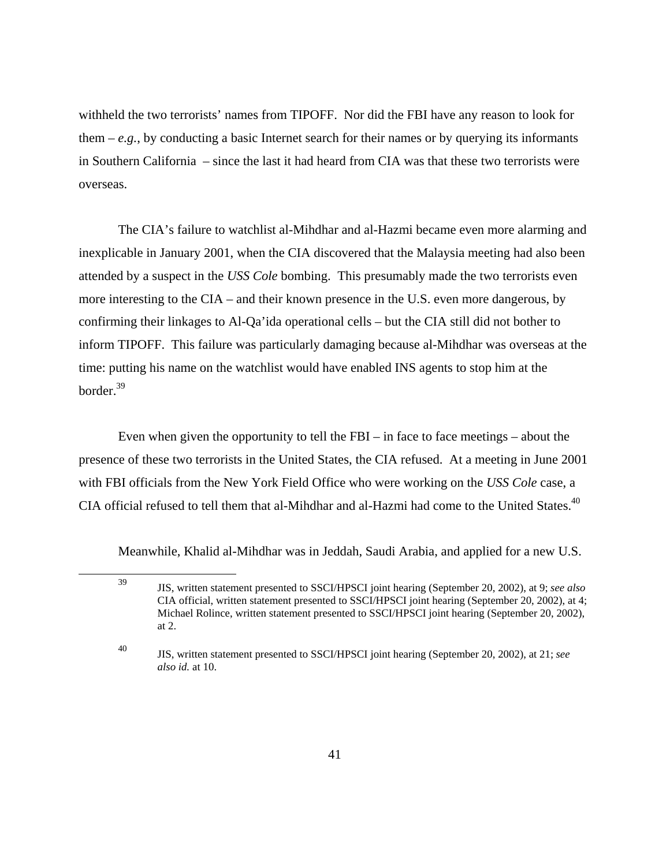withheld the two terrorists' names from TIPOFF. Nor did the FBI have any reason to look for them  $-e.g.,$  by conducting a basic Internet search for their names or by querying its informants in Southern California – since the last it had heard from CIA was that these two terrorists were overseas.

The CIA's failure to watchlist al-Mihdhar and al-Hazmi became even more alarming and inexplicable in January 2001, when the CIA discovered that the Malaysia meeting had also been attended by a suspect in the *USS Cole* bombing. This presumably made the two terrorists even more interesting to the CIA – and their known presence in the U.S. even more dangerous, by confirming their linkages to Al-Qa'ida operational cells – but the CIA still did not bother to inform TIPOFF. This failure was particularly damaging because al-Mihdhar was overseas at the time: putting his name on the watchlist would have enabled INS agents to stop him at the border.39

Even when given the opportunity to tell the FBI – in face to face meetings – about the presence of these two terrorists in the United States, the CIA refused. At a meeting in June 2001 with FBI officials from the New York Field Office who were working on the *USS Cole* case, a CIA official refused to tell them that al-Mihdhar and al-Hazmi had come to the United States.<sup>40</sup>

Meanwhile, Khalid al-Mihdhar was in Jeddah, Saudi Arabia, and applied for a new U.S.

<sup>39</sup> JIS, written statement presented to SSCI/HPSCI joint hearing (September 20, 2002), at 9; *see also*  CIA official, written statement presented to SSCI/HPSCI joint hearing (September 20, 2002), at 4; Michael Rolince, written statement presented to SSCI/HPSCI joint hearing (September 20, 2002), at 2.

<sup>40</sup> JIS, written statement presented to SSCI/HPSCI joint hearing (September 20, 2002), at 21; *see also id.* at 10.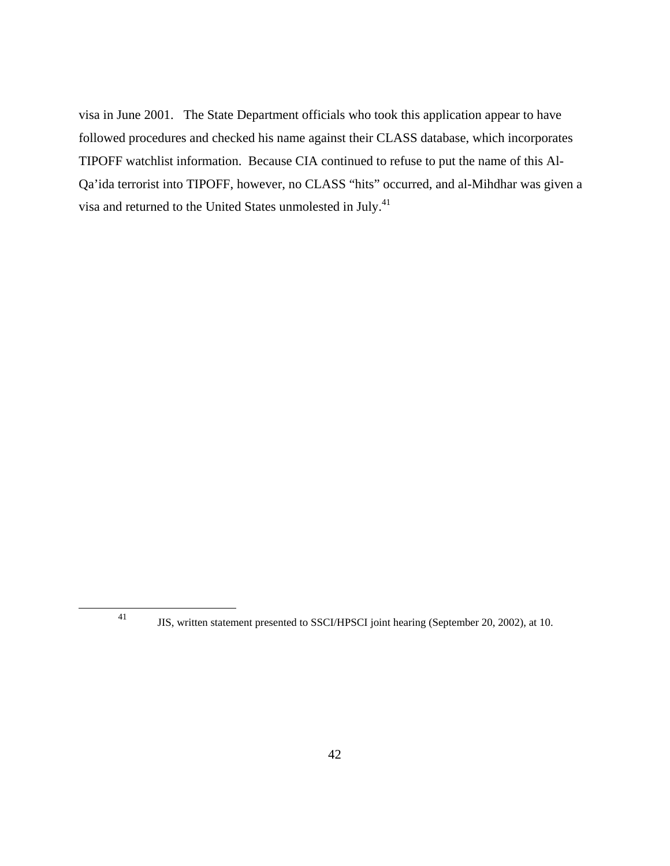visa in June 2001. The State Department officials who took this application appear to have followed procedures and checked his name against their CLASS database, which incorporates TIPOFF watchlist information. Because CIA continued to refuse to put the name of this Al-Qa'ida terrorist into TIPOFF, however, no CLASS "hits" occurred, and al-Mihdhar was given a visa and returned to the United States unmolested in July.<sup>41</sup>

<sup>41</sup> JIS, written statement presented to SSCI/HPSCI joint hearing (September 20, 2002), at 10.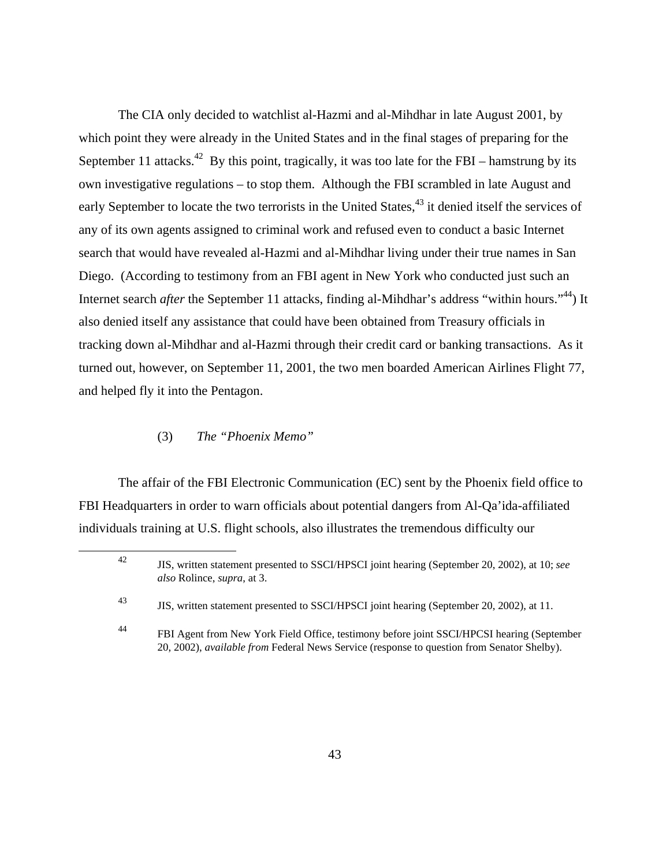The CIA only decided to watchlist al-Hazmi and al-Mihdhar in late August 2001, by which point they were already in the United States and in the final stages of preparing for the September 11 attacks.<sup>42</sup> By this point, tragically, it was too late for the FBI – hamstrung by its own investigative regulations – to stop them. Although the FBI scrambled in late August and early September to locate the two terrorists in the United States,<sup>43</sup> it denied itself the services of any of its own agents assigned to criminal work and refused even to conduct a basic Internet search that would have revealed al-Hazmi and al-Mihdhar living under their true names in San Diego. (According to testimony from an FBI agent in New York who conducted just such an Internet search *after* the September 11 attacks, finding al-Mihdhar's address "within hours."44) It also denied itself any assistance that could have been obtained from Treasury officials in tracking down al-Mihdhar and al-Hazmi through their credit card or banking transactions. As it turned out, however, on September 11, 2001, the two men boarded American Airlines Flight 77, and helped fly it into the Pentagon.

#### (3) *The "Phoenix Memo"*

The affair of the FBI Electronic Communication (EC) sent by the Phoenix field office to FBI Headquarters in order to warn officials about potential dangers from Al-Qa'ida-affiliated individuals training at U.S. flight schools, also illustrates the tremendous difficulty our

<sup>42</sup> JIS, written statement presented to SSCI/HPSCI joint hearing (September 20, 2002), at 10; *see also* Rolince, *supra*, at 3.

<sup>43</sup> JIS, written statement presented to SSCI/HPSCI joint hearing (September 20, 2002), at 11.

<sup>44</sup> FBI Agent from New York Field Office, testimony before joint SSCI/HPCSI hearing (September 20, 2002), *available from* Federal News Service (response to question from Senator Shelby).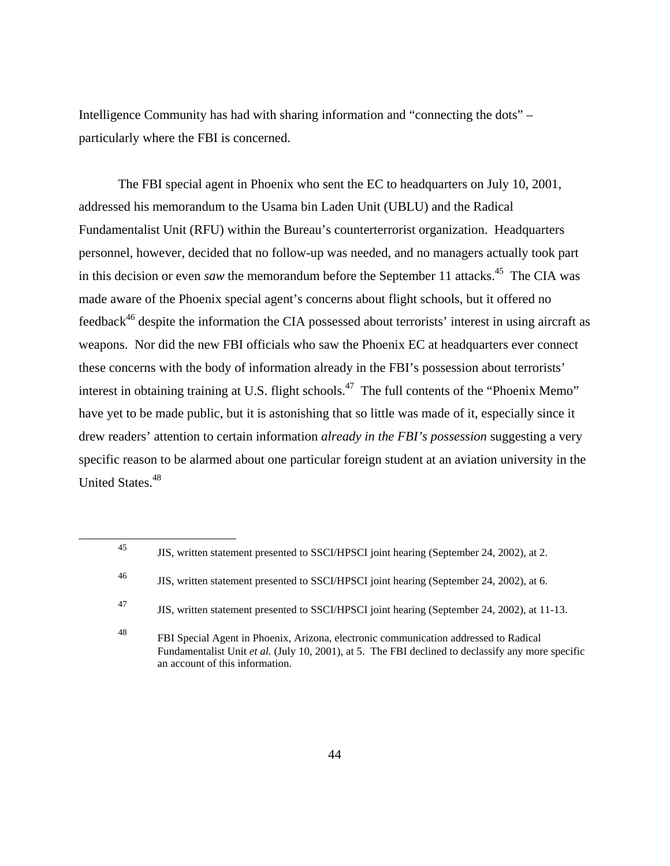Intelligence Community has had with sharing information and "connecting the dots" – particularly where the FBI is concerned.

The FBI special agent in Phoenix who sent the EC to headquarters on July 10, 2001, addressed his memorandum to the Usama bin Laden Unit (UBLU) and the Radical Fundamentalist Unit (RFU) within the Bureau's counterterrorist organization. Headquarters personnel, however, decided that no follow-up was needed, and no managers actually took part in this decision or even *saw* the memorandum before the September 11 attacks.<sup>45</sup> The CIA was made aware of the Phoenix special agent's concerns about flight schools, but it offered no feedback<sup>46</sup> despite the information the CIA possessed about terrorists' interest in using aircraft as weapons. Nor did the new FBI officials who saw the Phoenix EC at headquarters ever connect these concerns with the body of information already in the FBI's possession about terrorists' interest in obtaining training at U.S. flight schools.<sup>47</sup> The full contents of the "Phoenix Memo" have yet to be made public, but it is astonishing that so little was made of it, especially since it drew readers' attention to certain information *already in the FBI's possession* suggesting a very specific reason to be alarmed about one particular foreign student at an aviation university in the United States.<sup>48</sup>

<sup>45</sup> JIS, written statement presented to SSCI/HPSCI joint hearing (September 24, 2002), at 2.

<sup>46</sup> JIS, written statement presented to SSCI/HPSCI joint hearing (September 24, 2002), at 6.

<sup>47</sup> JIS, written statement presented to SSCI/HPSCI joint hearing (September 24, 2002), at 11-13.

<sup>48</sup> FBI Special Agent in Phoenix, Arizona, electronic communication addressed to Radical Fundamentalist Unit *et al.* (July 10, 2001), at 5. The FBI declined to declassify any more specific an account of this information.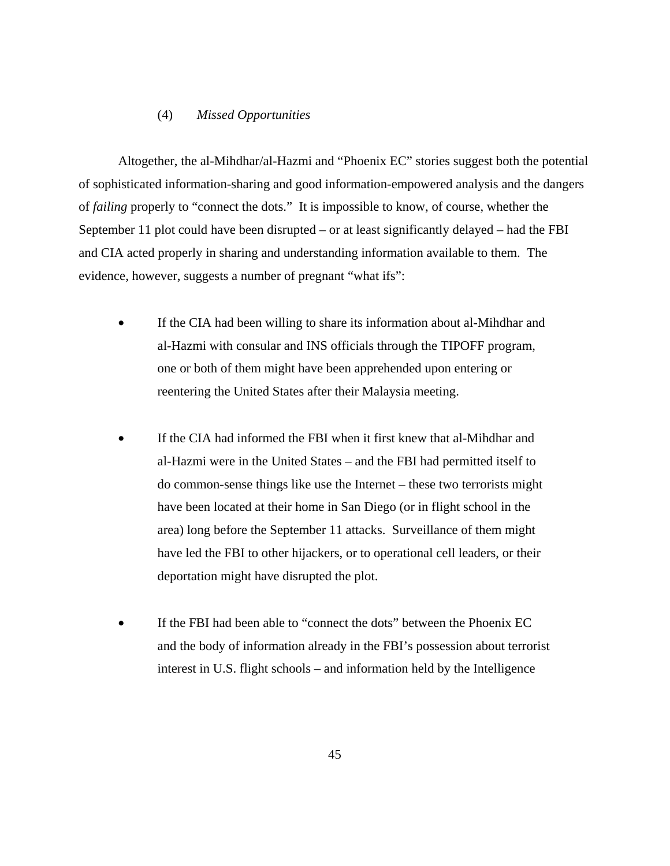#### (4) *Missed Opportunities*

Altogether, the al-Mihdhar/al-Hazmi and "Phoenix EC" stories suggest both the potential of sophisticated information-sharing and good information-empowered analysis and the dangers of *failing* properly to "connect the dots." It is impossible to know, of course, whether the September 11 plot could have been disrupted – or at least significantly delayed – had the FBI and CIA acted properly in sharing and understanding information available to them. The evidence, however, suggests a number of pregnant "what ifs":

- If the CIA had been willing to share its information about al-Mihdhar and al-Hazmi with consular and INS officials through the TIPOFF program, one or both of them might have been apprehended upon entering or reentering the United States after their Malaysia meeting.
- If the CIA had informed the FBI when it first knew that al-Mihdhar and al-Hazmi were in the United States – and the FBI had permitted itself to do common-sense things like use the Internet – these two terrorists might have been located at their home in San Diego (or in flight school in the area) long before the September 11 attacks. Surveillance of them might have led the FBI to other hijackers, or to operational cell leaders, or their deportation might have disrupted the plot.
- If the FBI had been able to "connect the dots" between the Phoenix EC and the body of information already in the FBI's possession about terrorist interest in U.S. flight schools – and information held by the Intelligence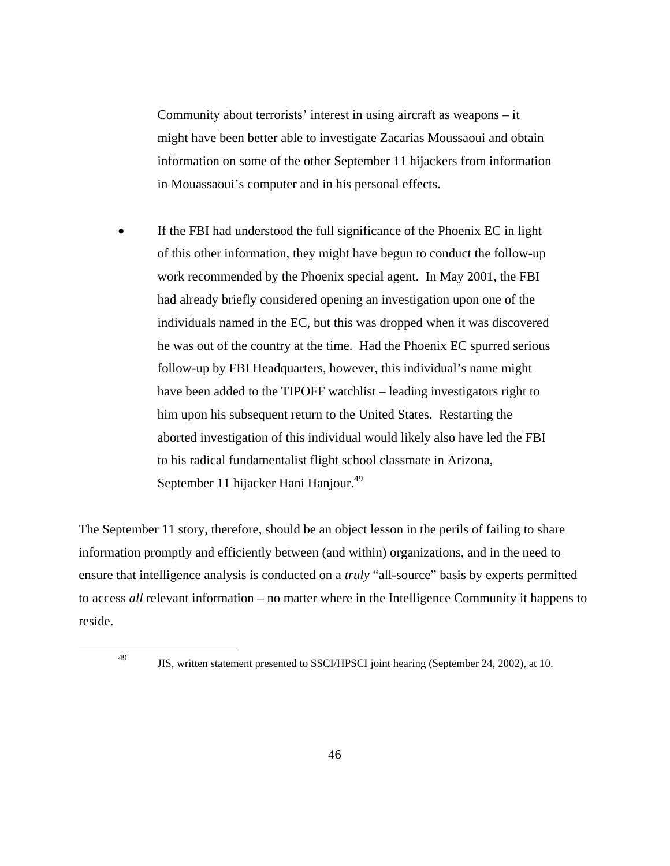Community about terrorists' interest in using aircraft as weapons – it might have been better able to investigate Zacarias Moussaoui and obtain information on some of the other September 11 hijackers from information in Mouassaoui's computer and in his personal effects.

If the FBI had understood the full significance of the Phoenix EC in light of this other information, they might have begun to conduct the follow-up work recommended by the Phoenix special agent. In May 2001, the FBI had already briefly considered opening an investigation upon one of the individuals named in the EC, but this was dropped when it was discovered he was out of the country at the time. Had the Phoenix EC spurred serious follow-up by FBI Headquarters, however, this individual's name might have been added to the TIPOFF watchlist – leading investigators right to him upon his subsequent return to the United States. Restarting the aborted investigation of this individual would likely also have led the FBI to his radical fundamentalist flight school classmate in Arizona, September 11 hijacker Hani Hanjour.<sup>49</sup>

The September 11 story, therefore, should be an object lesson in the perils of failing to share information promptly and efficiently between (and within) organizations, and in the need to ensure that intelligence analysis is conducted on a *truly* "all-source" basis by experts permitted to access *all* relevant information – no matter where in the Intelligence Community it happens to reside.

<sup>49</sup> JIS, written statement presented to SSCI/HPSCI joint hearing (September 24, 2002), at 10.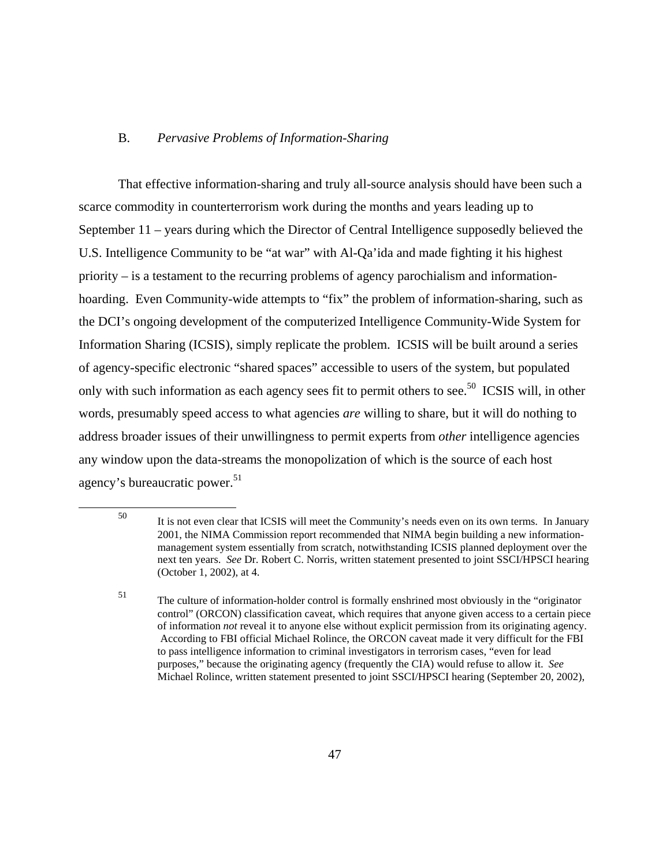#### B. *Pervasive Problems of Information-Sharing*

That effective information-sharing and truly all-source analysis should have been such a scarce commodity in counterterrorism work during the months and years leading up to September 11 – years during which the Director of Central Intelligence supposedly believed the U.S. Intelligence Community to be "at war" with Al-Qa'ida and made fighting it his highest priority – is a testament to the recurring problems of agency parochialism and informationhoarding. Even Community-wide attempts to "fix" the problem of information-sharing, such as the DCI's ongoing development of the computerized Intelligence Community-Wide System for Information Sharing (ICSIS), simply replicate the problem. ICSIS will be built around a series of agency-specific electronic "shared spaces" accessible to users of the system, but populated only with such information as each agency sees fit to permit others to see.<sup>50</sup> ICSIS will, in other words, presumably speed access to what agencies *are* willing to share, but it will do nothing to address broader issues of their unwillingness to permit experts from *other* intelligence agencies any window upon the data-streams the monopolization of which is the source of each host agency's bureaucratic power.<sup>51</sup>

<sup>50</sup> It is not even clear that ICSIS will meet the Community's needs even on its own terms. In January 2001, the NIMA Commission report recommended that NIMA begin building a new informationmanagement system essentially from scratch, notwithstanding ICSIS planned deployment over the next ten years. *See* Dr. Robert C. Norris, written statement presented to joint SSCI/HPSCI hearing (October 1, 2002), at 4.

<sup>51</sup> The culture of information-holder control is formally enshrined most obviously in the "originator control" (ORCON) classification caveat, which requires that anyone given access to a certain piece of information *not* reveal it to anyone else without explicit permission from its originating agency. According to FBI official Michael Rolince, the ORCON caveat made it very difficult for the FBI to pass intelligence information to criminal investigators in terrorism cases, "even for lead purposes," because the originating agency (frequently the CIA) would refuse to allow it. *See* Michael Rolince, written statement presented to joint SSCI/HPSCI hearing (September 20, 2002),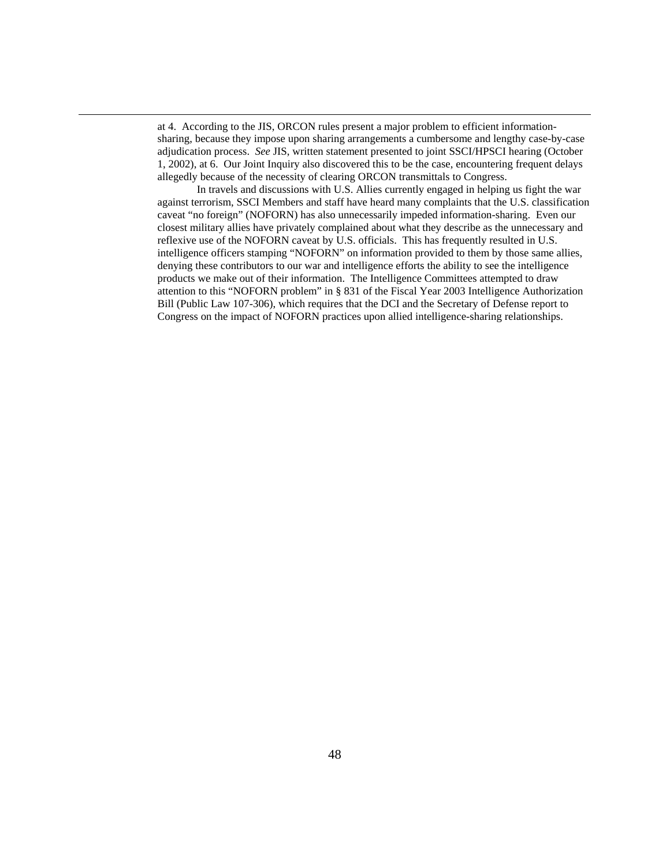at 4. According to the JIS, ORCON rules present a major problem to efficient informationsharing, because they impose upon sharing arrangements a cumbersome and lengthy case-by-case adjudication process. *See* JIS, written statement presented to joint SSCI/HPSCI hearing (October 1, 2002), at 6. Our Joint Inquiry also discovered this to be the case, encountering frequent delays allegedly because of the necessity of clearing ORCON transmittals to Congress.

In travels and discussions with U.S. Allies currently engaged in helping us fight the war against terrorism, SSCI Members and staff have heard many complaints that the U.S. classification caveat "no foreign" (NOFORN) has also unnecessarily impeded information-sharing. Even our closest military allies have privately complained about what they describe as the unnecessary and reflexive use of the NOFORN caveat by U.S. officials. This has frequently resulted in U.S. intelligence officers stamping "NOFORN" on information provided to them by those same allies, denying these contributors to our war and intelligence efforts the ability to see the intelligence products we make out of their information. The Intelligence Committees attempted to draw attention to this "NOFORN problem" in § 831 of the Fiscal Year 2003 Intelligence Authorization Bill (Public Law 107-306), which requires that the DCI and the Secretary of Defense report to Congress on the impact of NOFORN practices upon allied intelligence-sharing relationships.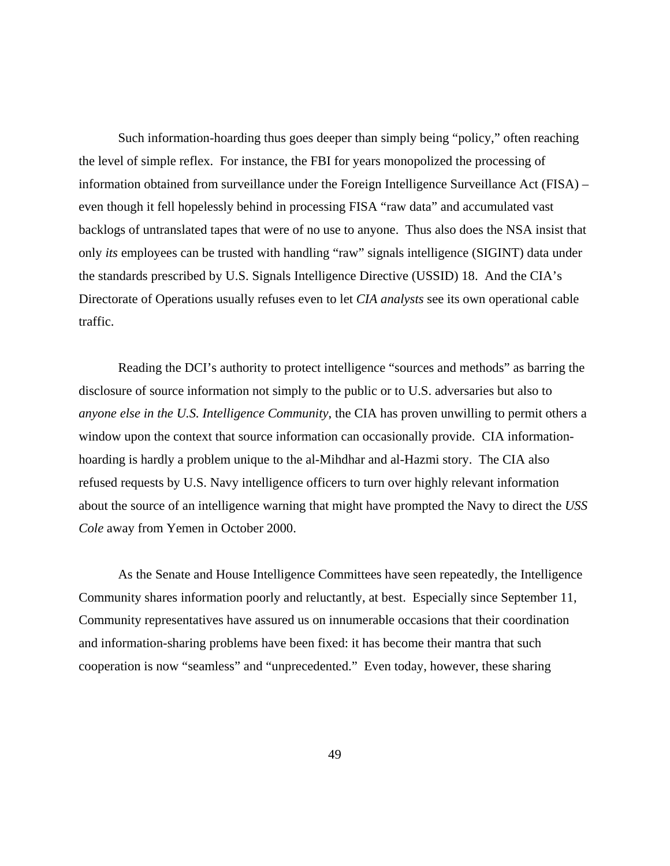Such information-hoarding thus goes deeper than simply being "policy," often reaching the level of simple reflex. For instance, the FBI for years monopolized the processing of information obtained from surveillance under the Foreign Intelligence Surveillance Act (FISA) – even though it fell hopelessly behind in processing FISA "raw data" and accumulated vast backlogs of untranslated tapes that were of no use to anyone. Thus also does the NSA insist that only *its* employees can be trusted with handling "raw" signals intelligence (SIGINT) data under the standards prescribed by U.S. Signals Intelligence Directive (USSID) 18. And the CIA's Directorate of Operations usually refuses even to let *CIA analysts* see its own operational cable traffic.

Reading the DCI's authority to protect intelligence "sources and methods" as barring the disclosure of source information not simply to the public or to U.S. adversaries but also to *anyone else in the U.S. Intelligence Community*, the CIA has proven unwilling to permit others a window upon the context that source information can occasionally provide. CIA informationhoarding is hardly a problem unique to the al-Mihdhar and al-Hazmi story. The CIA also refused requests by U.S. Navy intelligence officers to turn over highly relevant information about the source of an intelligence warning that might have prompted the Navy to direct the *USS Cole* away from Yemen in October 2000.

As the Senate and House Intelligence Committees have seen repeatedly, the Intelligence Community shares information poorly and reluctantly, at best. Especially since September 11, Community representatives have assured us on innumerable occasions that their coordination and information-sharing problems have been fixed: it has become their mantra that such cooperation is now "seamless" and "unprecedented." Even today, however, these sharing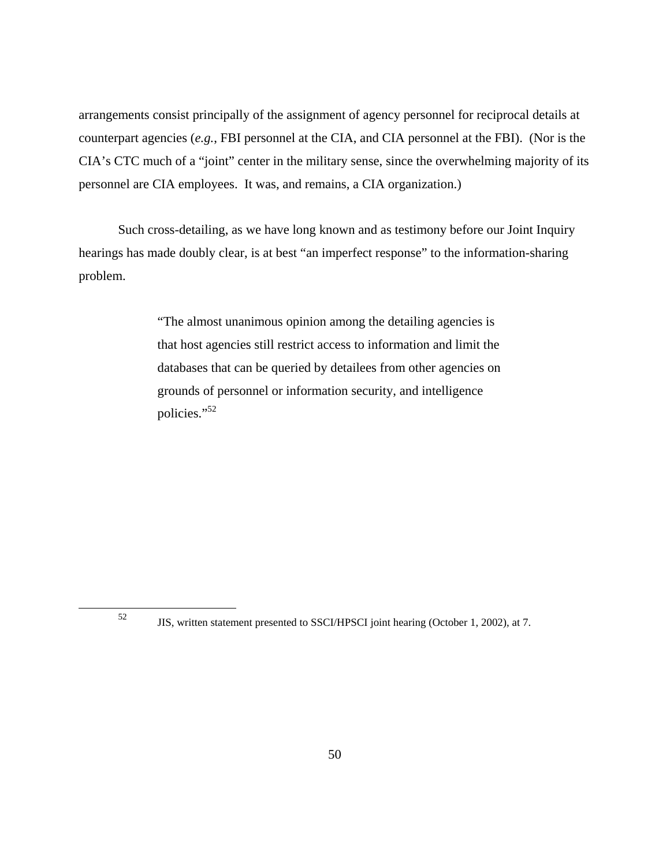arrangements consist principally of the assignment of agency personnel for reciprocal details at counterpart agencies (*e.g.*, FBI personnel at the CIA, and CIA personnel at the FBI). (Nor is the CIA's CTC much of a "joint" center in the military sense, since the overwhelming majority of its personnel are CIA employees. It was, and remains, a CIA organization.)

Such cross-detailing, as we have long known and as testimony before our Joint Inquiry hearings has made doubly clear, is at best "an imperfect response" to the information-sharing problem.

> "The almost unanimous opinion among the detailing agencies is that host agencies still restrict access to information and limit the databases that can be queried by detailees from other agencies on grounds of personnel or information security, and intelligence policies."<sup>52</sup>

<sup>52</sup> JIS, written statement presented to SSCI/HPSCI joint hearing (October 1, 2002), at 7.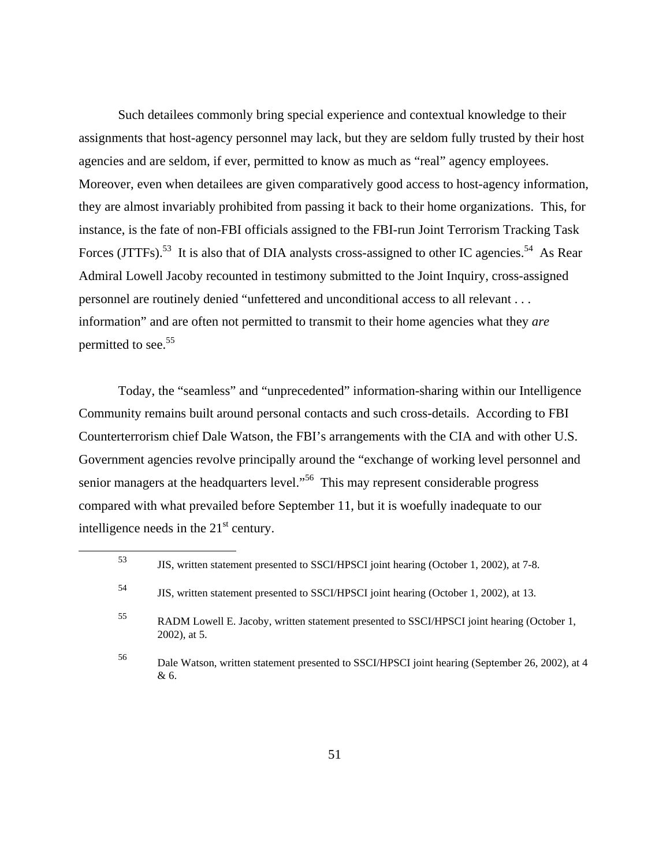Such detailees commonly bring special experience and contextual knowledge to their assignments that host-agency personnel may lack, but they are seldom fully trusted by their host agencies and are seldom, if ever, permitted to know as much as "real" agency employees. Moreover, even when detailees are given comparatively good access to host-agency information, they are almost invariably prohibited from passing it back to their home organizations. This, for instance, is the fate of non-FBI officials assigned to the FBI-run Joint Terrorism Tracking Task Forces (JTTFs).<sup>53</sup> It is also that of DIA analysts cross-assigned to other IC agencies.<sup>54</sup> As Rear Admiral Lowell Jacoby recounted in testimony submitted to the Joint Inquiry, cross-assigned personnel are routinely denied "unfettered and unconditional access to all relevant . . . information" and are often not permitted to transmit to their home agencies what they *are* permitted to see.<sup>55</sup>

Today, the "seamless" and "unprecedented" information-sharing within our Intelligence Community remains built around personal contacts and such cross-details. According to FBI Counterterrorism chief Dale Watson, the FBI's arrangements with the CIA and with other U.S. Government agencies revolve principally around the "exchange of working level personnel and senior managers at the headquarters level."<sup>56</sup> This may represent considerable progress compared with what prevailed before September 11, but it is woefully inadequate to our intelligence needs in the  $21<sup>st</sup>$  century.

<sup>53</sup> JIS, written statement presented to SSCI/HPSCI joint hearing (October 1, 2002), at 7-8.

<sup>54</sup> JIS, written statement presented to SSCI/HPSCI joint hearing (October 1, 2002), at 13.

<sup>55</sup> RADM Lowell E. Jacoby, written statement presented to SSCI/HPSCI joint hearing (October 1, 2002), at 5.

<sup>56</sup> Dale Watson, written statement presented to SSCI/HPSCI joint hearing (September 26, 2002), at 4 & 6.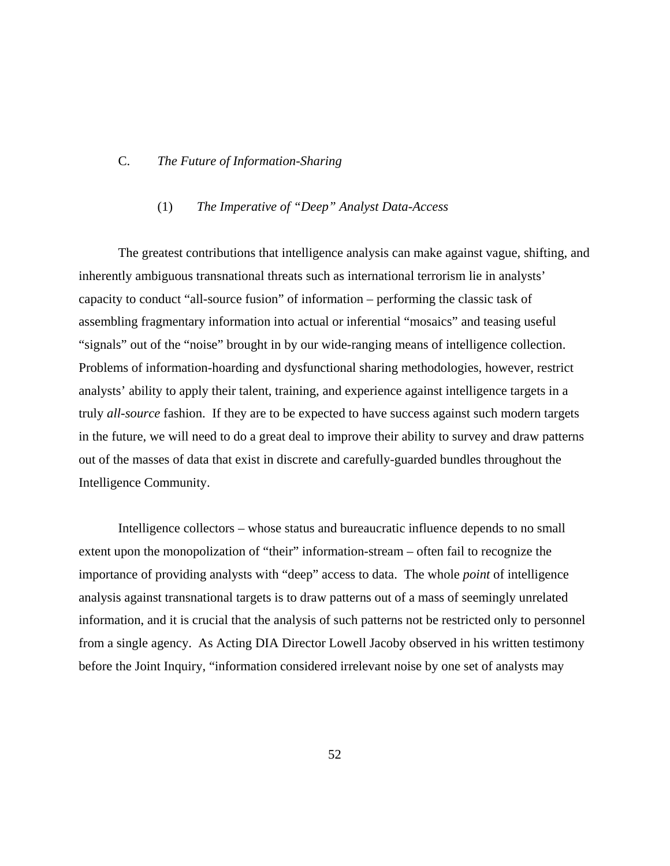#### C. *The Future of Information-Sharing*

## (1) *The Imperative of "Deep" Analyst Data-Access*

The greatest contributions that intelligence analysis can make against vague, shifting, and inherently ambiguous transnational threats such as international terrorism lie in analysts' capacity to conduct "all-source fusion" of information – performing the classic task of assembling fragmentary information into actual or inferential "mosaics" and teasing useful "signals" out of the "noise" brought in by our wide-ranging means of intelligence collection. Problems of information-hoarding and dysfunctional sharing methodologies, however, restrict analysts' ability to apply their talent, training, and experience against intelligence targets in a truly *all-source* fashion. If they are to be expected to have success against such modern targets in the future, we will need to do a great deal to improve their ability to survey and draw patterns out of the masses of data that exist in discrete and carefully-guarded bundles throughout the Intelligence Community.

Intelligence collectors – whose status and bureaucratic influence depends to no small extent upon the monopolization of "their" information-stream – often fail to recognize the importance of providing analysts with "deep" access to data. The whole *point* of intelligence analysis against transnational targets is to draw patterns out of a mass of seemingly unrelated information, and it is crucial that the analysis of such patterns not be restricted only to personnel from a single agency. As Acting DIA Director Lowell Jacoby observed in his written testimony before the Joint Inquiry, "information considered irrelevant noise by one set of analysts may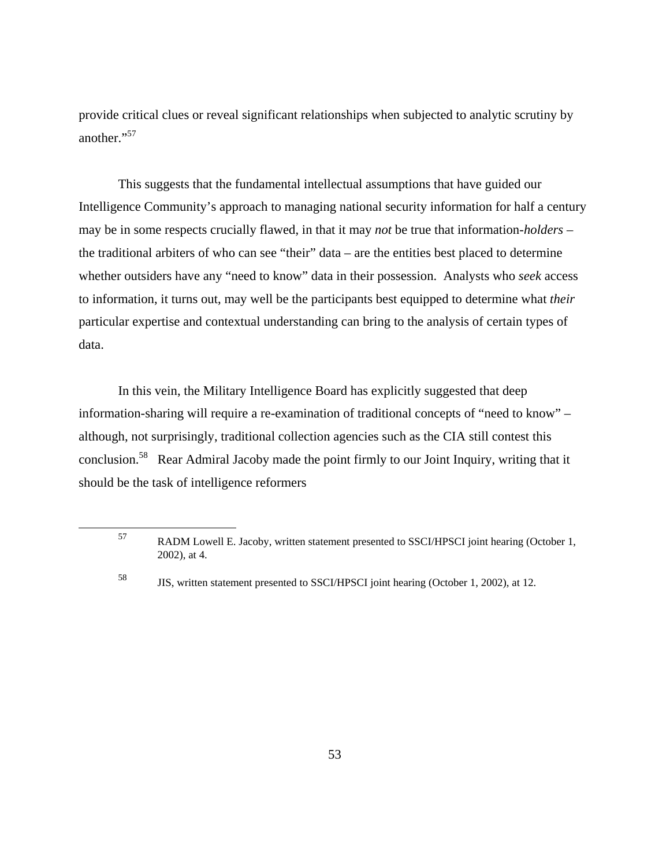provide critical clues or reveal significant relationships when subjected to analytic scrutiny by another."<sup>57</sup>

This suggests that the fundamental intellectual assumptions that have guided our Intelligence Community's approach to managing national security information for half a century may be in some respects crucially flawed, in that it may *not* be true that information-*holders* – the traditional arbiters of who can see "their" data – are the entities best placed to determine whether outsiders have any "need to know" data in their possession. Analysts who *seek* access to information, it turns out, may well be the participants best equipped to determine what *their* particular expertise and contextual understanding can bring to the analysis of certain types of data.

In this vein, the Military Intelligence Board has explicitly suggested that deep information-sharing will require a re-examination of traditional concepts of "need to know" – although, not surprisingly, traditional collection agencies such as the CIA still contest this conclusion.58 Rear Admiral Jacoby made the point firmly to our Joint Inquiry, writing that it should be the task of intelligence reformers

<sup>57</sup> RADM Lowell E. Jacoby, written statement presented to SSCI/HPSCI joint hearing (October 1, 2002), at 4.

<sup>58</sup> JIS, written statement presented to SSCI/HPSCI joint hearing (October 1, 2002), at 12.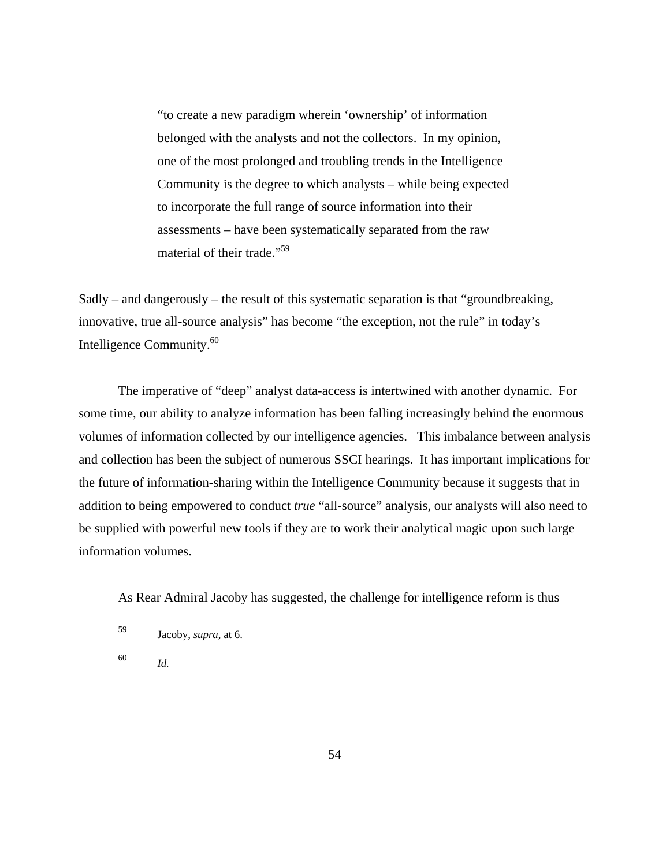"to create a new paradigm wherein 'ownership' of information belonged with the analysts and not the collectors. In my opinion, one of the most prolonged and troubling trends in the Intelligence Community is the degree to which analysts – while being expected to incorporate the full range of source information into their assessments – have been systematically separated from the raw material of their trade."59

Sadly – and dangerously – the result of this systematic separation is that "groundbreaking, innovative, true all-source analysis" has become "the exception, not the rule" in today's Intelligence Community.<sup>60</sup>

The imperative of "deep" analyst data-access is intertwined with another dynamic. For some time, our ability to analyze information has been falling increasingly behind the enormous volumes of information collected by our intelligence agencies. This imbalance between analysis and collection has been the subject of numerous SSCI hearings. It has important implications for the future of information-sharing within the Intelligence Community because it suggests that in addition to being empowered to conduct *true* "all-source" analysis, our analysts will also need to be supplied with powerful new tools if they are to work their analytical magic upon such large information volumes.

As Rear Admiral Jacoby has suggested, the challenge for intelligence reform is thus

<sup>60</sup> *Id.*

<sup>59</sup> Jacoby, *supra*, at 6.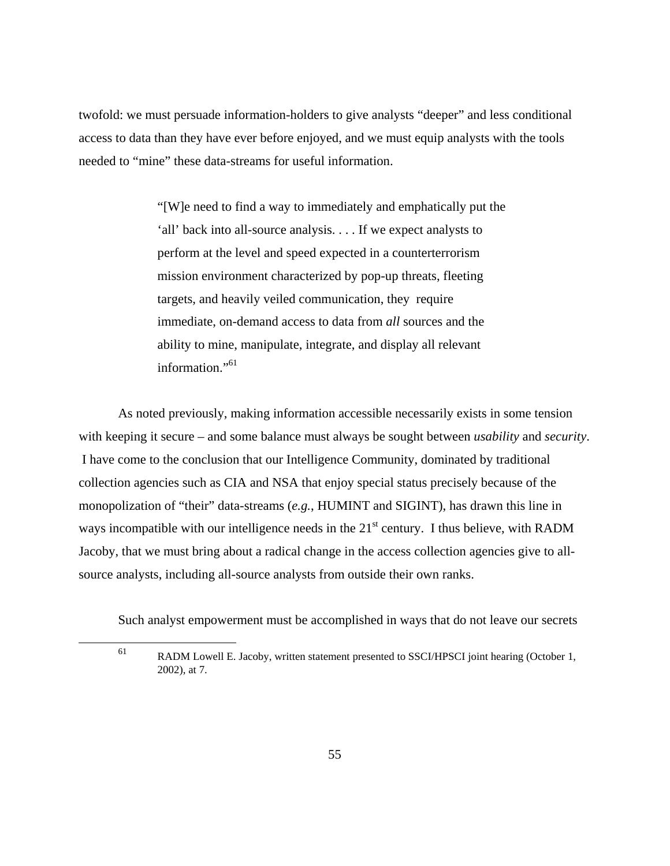twofold: we must persuade information-holders to give analysts "deeper" and less conditional access to data than they have ever before enjoyed, and we must equip analysts with the tools needed to "mine" these data-streams for useful information.

> "[W]e need to find a way to immediately and emphatically put the 'all' back into all-source analysis. . . . If we expect analysts to perform at the level and speed expected in a counterterrorism mission environment characterized by pop-up threats, fleeting targets, and heavily veiled communication, they require immediate, on-demand access to data from *all* sources and the ability to mine, manipulate, integrate, and display all relevant information."<sup>61</sup>

As noted previously, making information accessible necessarily exists in some tension with keeping it secure – and some balance must always be sought between *usability* and *security*. I have come to the conclusion that our Intelligence Community, dominated by traditional collection agencies such as CIA and NSA that enjoy special status precisely because of the monopolization of "their" data-streams (*e.g.*, HUMINT and SIGINT), has drawn this line in ways incompatible with our intelligence needs in the  $21<sup>st</sup>$  century. I thus believe, with RADM Jacoby, that we must bring about a radical change in the access collection agencies give to allsource analysts, including all-source analysts from outside their own ranks.

Such analyst empowerment must be accomplished in ways that do not leave our secrets

<sup>61</sup> RADM Lowell E. Jacoby, written statement presented to SSCI/HPSCI joint hearing (October 1, 2002), at 7.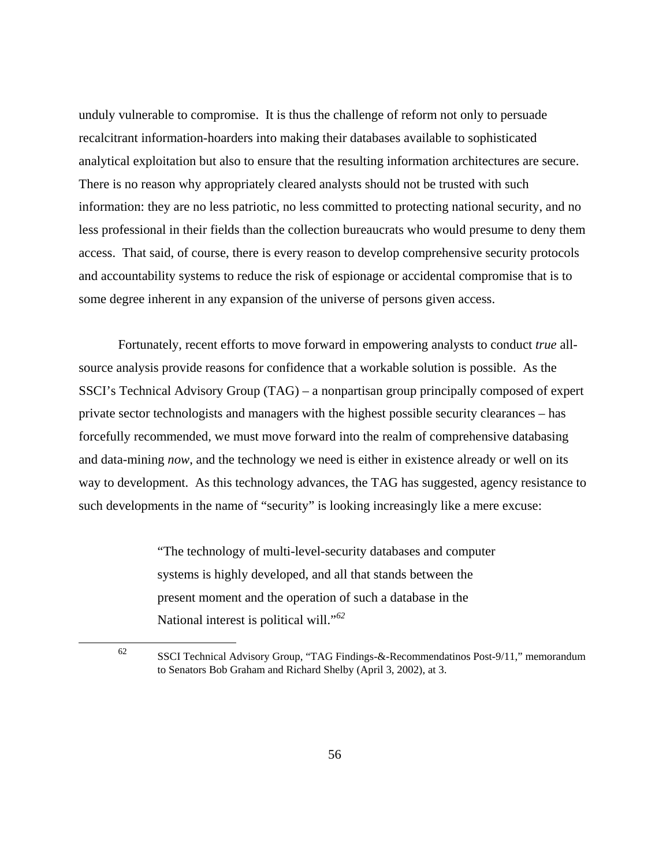unduly vulnerable to compromise. It is thus the challenge of reform not only to persuade recalcitrant information-hoarders into making their databases available to sophisticated analytical exploitation but also to ensure that the resulting information architectures are secure. There is no reason why appropriately cleared analysts should not be trusted with such information: they are no less patriotic, no less committed to protecting national security, and no less professional in their fields than the collection bureaucrats who would presume to deny them access. That said, of course, there is every reason to develop comprehensive security protocols and accountability systems to reduce the risk of espionage or accidental compromise that is to some degree inherent in any expansion of the universe of persons given access.

Fortunately, recent efforts to move forward in empowering analysts to conduct *true* allsource analysis provide reasons for confidence that a workable solution is possible. As the SSCI's Technical Advisory Group (TAG) – a nonpartisan group principally composed of expert private sector technologists and managers with the highest possible security clearances – has forcefully recommended, we must move forward into the realm of comprehensive databasing and data-mining *now*, and the technology we need is either in existence already or well on its way to development. As this technology advances, the TAG has suggested, agency resistance to such developments in the name of "security" is looking increasingly like a mere excuse:

> "The technology of multi-level-security databases and computer systems is highly developed, and all that stands between the present moment and the operation of such a database in the National interest is political will."*<sup>62</sup>*

<sup>62</sup> SSCI Technical Advisory Group, "TAG Findings-&-Recommendatinos Post-9/11," memorandum to Senators Bob Graham and Richard Shelby (April 3, 2002), at 3.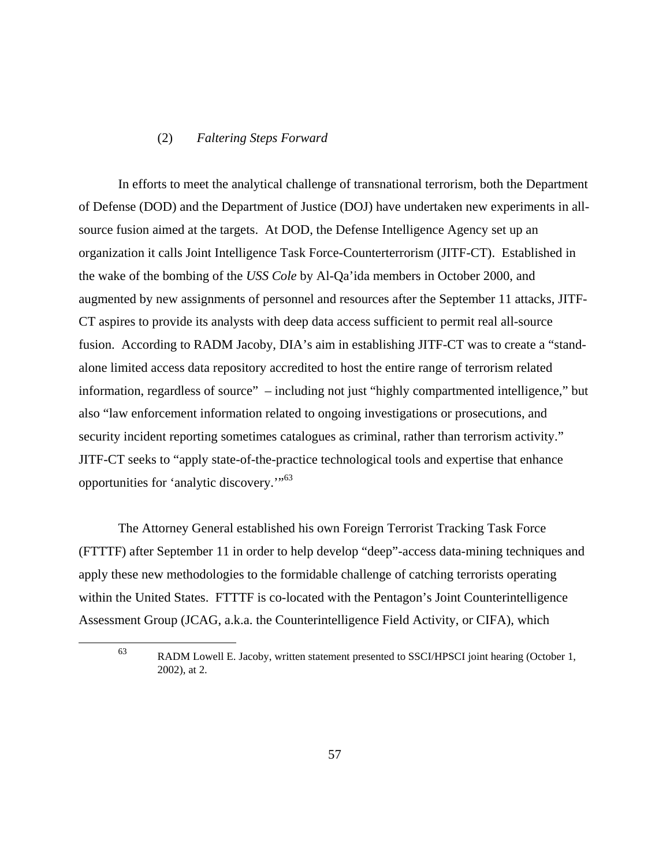### (2) *Faltering Steps Forward*

In efforts to meet the analytical challenge of transnational terrorism, both the Department of Defense (DOD) and the Department of Justice (DOJ) have undertaken new experiments in allsource fusion aimed at the targets. At DOD, the Defense Intelligence Agency set up an organization it calls Joint Intelligence Task Force-Counterterrorism (JITF-CT). Established in the wake of the bombing of the *USS Cole* by Al-Qa'ida members in October 2000, and augmented by new assignments of personnel and resources after the September 11 attacks, JITF-CT aspires to provide its analysts with deep data access sufficient to permit real all-source fusion. According to RADM Jacoby, DIA's aim in establishing JITF-CT was to create a "standalone limited access data repository accredited to host the entire range of terrorism related information, regardless of source" – including not just "highly compartmented intelligence," but also "law enforcement information related to ongoing investigations or prosecutions, and security incident reporting sometimes catalogues as criminal, rather than terrorism activity." JITF-CT seeks to "apply state-of-the-practice technological tools and expertise that enhance opportunities for 'analytic discovery.'"63

The Attorney General established his own Foreign Terrorist Tracking Task Force (FTTTF) after September 11 in order to help develop "deep"-access data-mining techniques and apply these new methodologies to the formidable challenge of catching terrorists operating within the United States. FTTTF is co-located with the Pentagon's Joint Counterintelligence Assessment Group (JCAG, a.k.a. the Counterintelligence Field Activity, or CIFA), which

<sup>63</sup> RADM Lowell E. Jacoby, written statement presented to SSCI/HPSCI joint hearing (October 1, 2002), at 2.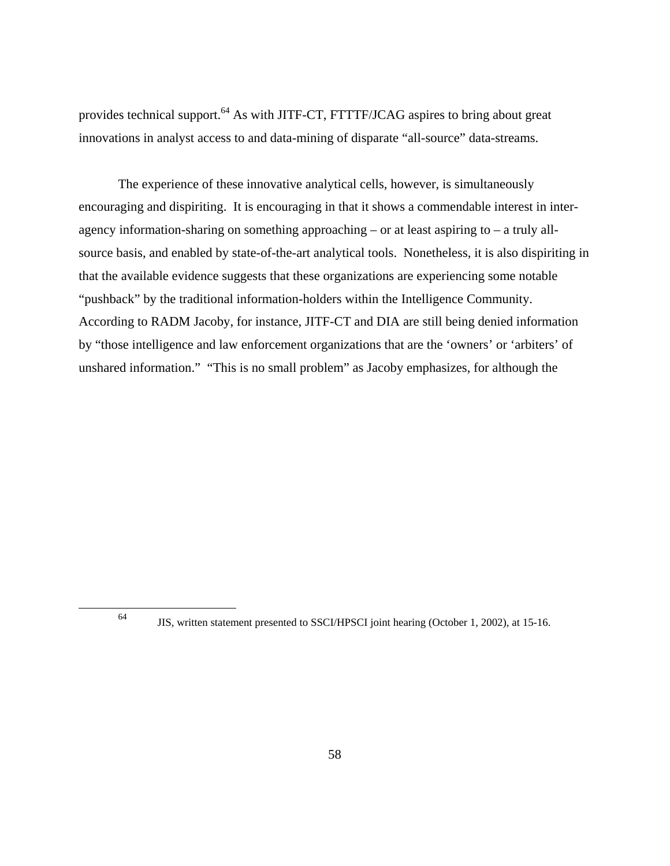provides technical support.<sup>64</sup> As with JITF-CT, FTTTF/JCAG aspires to bring about great innovations in analyst access to and data-mining of disparate "all-source" data-streams.

The experience of these innovative analytical cells, however, is simultaneously encouraging and dispiriting. It is encouraging in that it shows a commendable interest in interagency information-sharing on something approaching – or at least aspiring to – a truly allsource basis, and enabled by state-of-the-art analytical tools. Nonetheless, it is also dispiriting in that the available evidence suggests that these organizations are experiencing some notable "pushback" by the traditional information-holders within the Intelligence Community. According to RADM Jacoby, for instance, JITF-CT and DIA are still being denied information by "those intelligence and law enforcement organizations that are the 'owners' or 'arbiters' of unshared information." "This is no small problem" as Jacoby emphasizes, for although the

<sup>64</sup> JIS, written statement presented to SSCI/HPSCI joint hearing (October 1, 2002), at 15-16.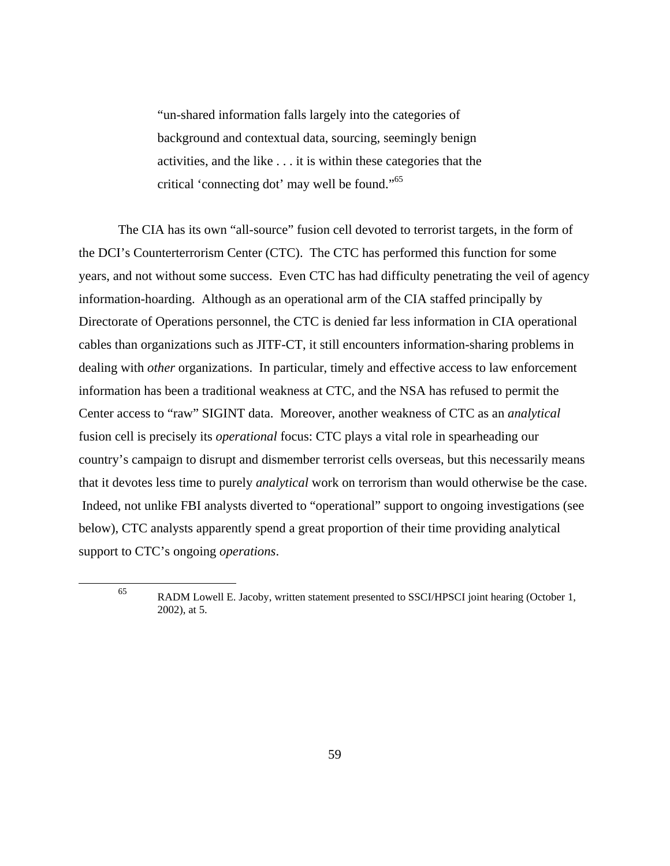"un-shared information falls largely into the categories of background and contextual data, sourcing, seemingly benign activities, and the like . . . it is within these categories that the critical 'connecting dot' may well be found."65

The CIA has its own "all-source" fusion cell devoted to terrorist targets, in the form of the DCI's Counterterrorism Center (CTC). The CTC has performed this function for some years, and not without some success. Even CTC has had difficulty penetrating the veil of agency information-hoarding. Although as an operational arm of the CIA staffed principally by Directorate of Operations personnel, the CTC is denied far less information in CIA operational cables than organizations such as JITF-CT, it still encounters information-sharing problems in dealing with *other* organizations. In particular, timely and effective access to law enforcement information has been a traditional weakness at CTC, and the NSA has refused to permit the Center access to "raw" SIGINT data. Moreover, another weakness of CTC as an *analytical* fusion cell is precisely its *operational* focus: CTC plays a vital role in spearheading our country's campaign to disrupt and dismember terrorist cells overseas, but this necessarily means that it devotes less time to purely *analytical* work on terrorism than would otherwise be the case. Indeed, not unlike FBI analysts diverted to "operational" support to ongoing investigations (see below), CTC analysts apparently spend a great proportion of their time providing analytical support to CTC's ongoing *operations*.

<sup>65</sup> RADM Lowell E. Jacoby, written statement presented to SSCI/HPSCI joint hearing (October 1, 2002), at 5.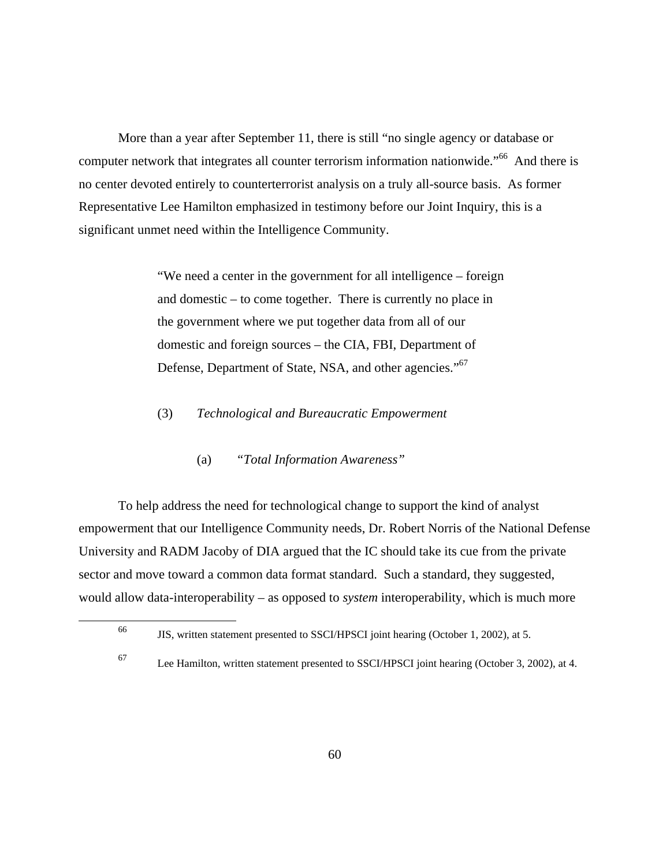More than a year after September 11, there is still "no single agency or database or computer network that integrates all counter terrorism information nationwide."<sup>66</sup> And there is no center devoted entirely to counterterrorist analysis on a truly all-source basis. As former Representative Lee Hamilton emphasized in testimony before our Joint Inquiry, this is a significant unmet need within the Intelligence Community.

> "We need a center in the government for all intelligence – foreign and domestic – to come together. There is currently no place in the government where we put together data from all of our domestic and foreign sources – the CIA, FBI, Department of Defense, Department of State, NSA, and other agencies."<sup>67</sup>

- (3) *Technological and Bureaucratic Empowerment* 
	- (a) *"Total Information Awareness"*

To help address the need for technological change to support the kind of analyst empowerment that our Intelligence Community needs, Dr. Robert Norris of the National Defense University and RADM Jacoby of DIA argued that the IC should take its cue from the private sector and move toward a common data format standard. Such a standard, they suggested, would allow data-interoperability – as opposed to *system* interoperability, which is much more

<sup>66</sup> JIS, written statement presented to SSCI/HPSCI joint hearing (October 1, 2002), at 5.

<sup>67</sup> Lee Hamilton, written statement presented to SSCI/HPSCI joint hearing (October 3, 2002), at 4.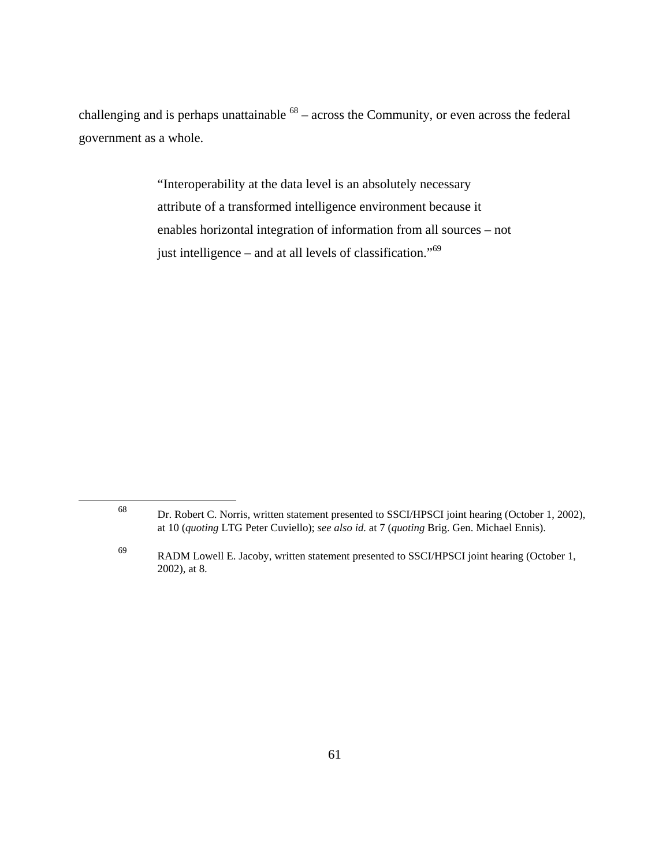challenging and is perhaps unattainable  $^{68}$  – across the Community, or even across the federal government as a whole.

> "Interoperability at the data level is an absolutely necessary attribute of a transformed intelligence environment because it enables horizontal integration of information from all sources – not just intelligence – and at all levels of classification."<sup>69</sup>

<sup>68</sup> Dr. Robert C. Norris, written statement presented to SSCI/HPSCI joint hearing (October 1, 2002), at 10 (*quoting* LTG Peter Cuviello); *see also id.* at 7 (*quoting* Brig. Gen. Michael Ennis).

<sup>69</sup> RADM Lowell E. Jacoby, written statement presented to SSCI/HPSCI joint hearing (October 1, 2002), at 8.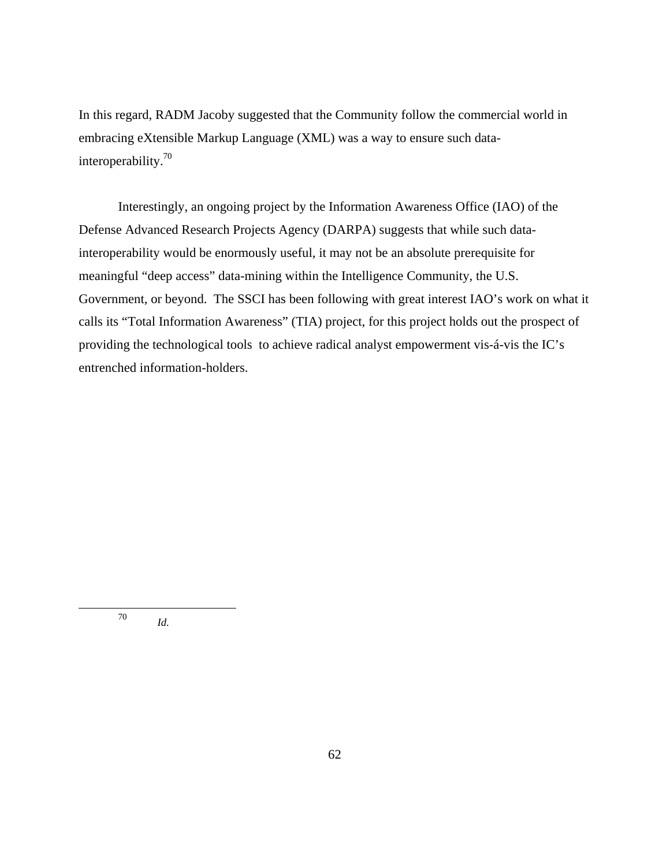In this regard, RADM Jacoby suggested that the Community follow the commercial world in embracing eXtensible Markup Language (XML) was a way to ensure such datainteroperability.70

Interestingly, an ongoing project by the Information Awareness Office (IAO) of the Defense Advanced Research Projects Agency (DARPA) suggests that while such datainteroperability would be enormously useful, it may not be an absolute prerequisite for meaningful "deep access" data-mining within the Intelligence Community, the U.S. Government, or beyond. The SSCI has been following with great interest IAO's work on what it calls its "Total Information Awareness" (TIA) project, for this project holds out the prospect of providing the technological tools to achieve radical analyst empowerment vis-á-vis the IC's entrenched information-holders.

<sup>70</sup> *Id.*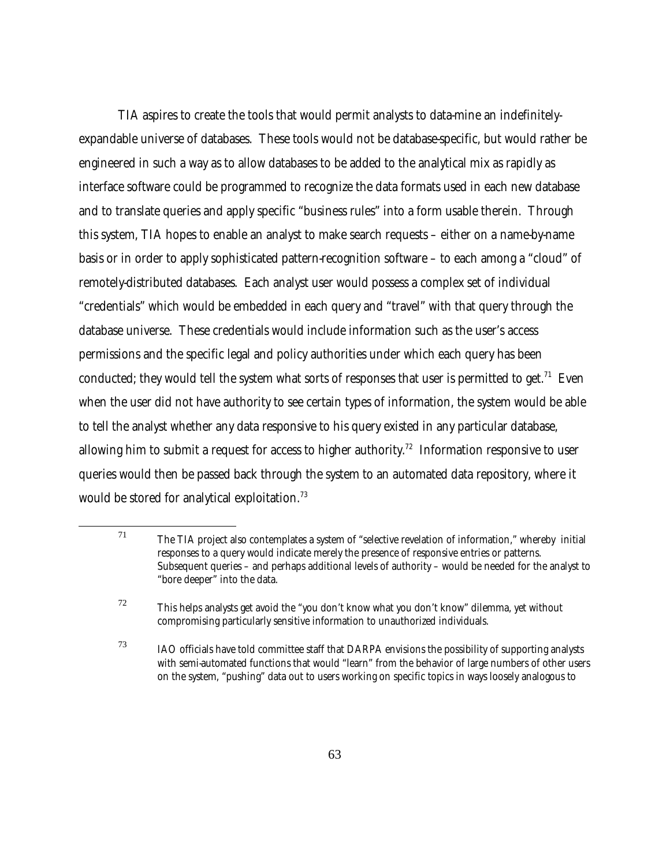TIA aspires to create the tools that would permit analysts to data-mine an indefinitelyexpandable universe of databases. These tools would not be database-specific, but would rather be engineered in such a way as to allow databases to be added to the analytical mix as rapidly as interface software could be programmed to recognize the data formats used in each new database and to translate queries and apply specific "business rules" into a form usable therein. Through this system, TIA hopes to enable an analyst to make search requests – either on a name-by-name basis or in order to apply sophisticated pattern-recognition software – to each among a "cloud" of remotely-distributed databases. Each analyst user would possess a complex set of individual "credentials" which would be embedded in each query and "travel" with that query through the database universe. These credentials would include information such as the user's access permissions and the specific legal and policy authorities under which each query has been conducted; they would tell the system what sorts of responses that user is permitted to get.<sup>71</sup> Even when the user did not have authority to see certain types of information, the system would be able to tell the analyst whether any data responsive to his query existed in any particular database, allowing him to submit a request for access to higher authority.<sup>72</sup> Information responsive to user queries would then be passed back through the system to an automated data repository, where it would be stored for analytical exploitation.<sup>73</sup>

 $71$  The TIA project also contemplates a system of "selective revelation of information," whereby initial responses to a query would indicate merely the presence of responsive entries or patterns. Subsequent queries – and perhaps additional levels of authority – would be needed for the analyst to "bore deeper" into the data.

 $72$  This helps analysts get avoid the "you don't know what you don't know" dilemma, yet without compromising particularly sensitive information to unauthorized individuals.

 $73$  IAO officials have told committee staff that DARPA envisions the possibility of supporting analysts with semi-automated functions that would "learn" from the behavior of large numbers of other users on the system, "pushing" data out to users working on specific topics in ways loosely analogous to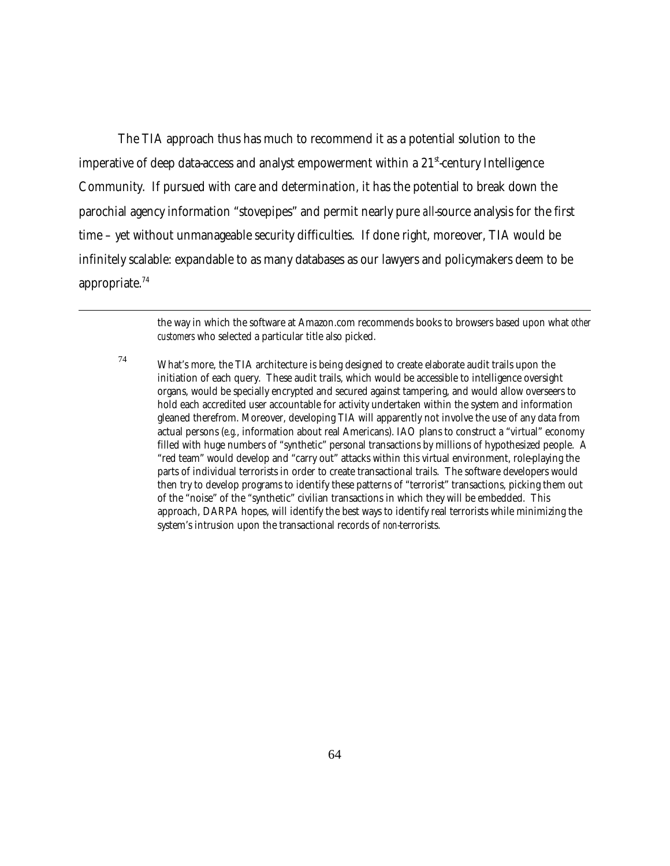The TIA approach thus has much to recommend it as a potential solution to the imperative of deep data-access and analyst empowerment within a  $21<sup>st</sup>$  century Intelligence Community. If pursued with care and determination, it has the potential to break down the parochial agency information "stovepipes" and permit nearly pure *all*-source analysis for the first time – yet without unmanageable security difficulties. If done right, moreover, TIA would be infinitely scalable: expandable to as many databases as our lawyers and policymakers deem to be appropriate.74

> the way in which the software at Amazon.com recommends books to browsers based upon what *other customers* who selected a particular title also picked.

 $74$  What's more, the TIA architecture is being designed to create elaborate audit trails upon the initiation of each query. These audit trails, which would be accessible to intelligence oversight organs, would be specially encrypted and secured against tampering, and would allow overseers to hold each accredited user accountable for activity undertaken within the system and information gleaned therefrom. Moreover, developing TIA will apparently not involve the use of any data from actual persons (*e.g.*, information about real Americans). IAO plans to construct a "virtual" economy filled with huge numbers of "synthetic" personal transactions by millions of hypothesized people. A "red team" would develop and "carry out" attacks within this virtual environment, role-playing the parts of individual terrorists in order to create transactional trails. The software developers would then try to develop programs to identify these patterns of "terrorist" transactions, picking them out of the "noise" of the "synthetic" civilian transactions in which they will be embedded. This approach, DARPA hopes, will identify the best ways to identify real terrorists while minimizing the system's intrusion upon the transactional records of *non*-terrorists.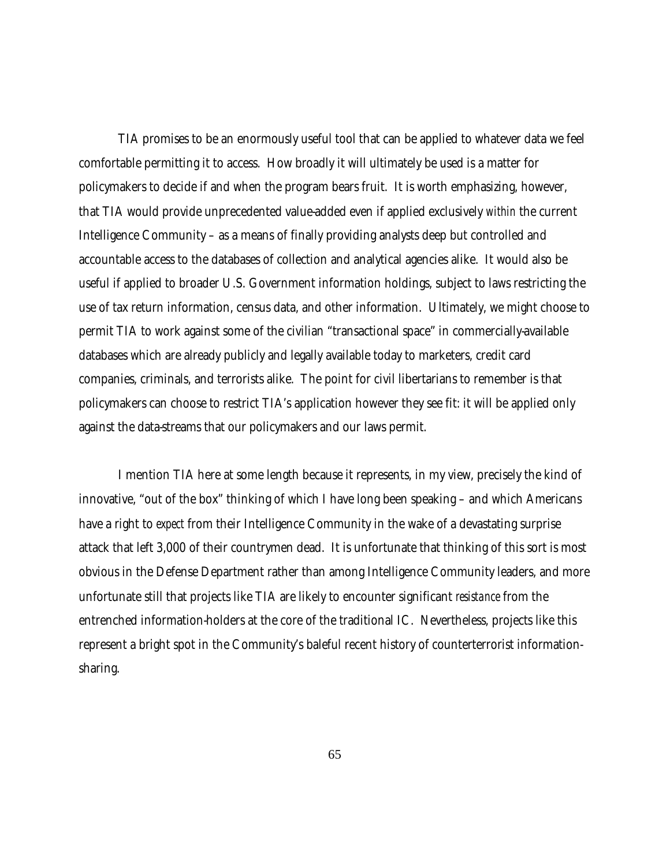TIA promises to be an enormously useful tool that can be applied to whatever data we feel comfortable permitting it to access. How broadly it will ultimately be used is a matter for policymakers to decide if and when the program bears fruit. It is worth emphasizing, however, that TIA would provide unprecedented value-added even if applied exclusively *within* the current Intelligence Community – as a means of finally providing analysts deep but controlled and accountable access to the databases of collection and analytical agencies alike. It would also be useful if applied to broader U.S. Government information holdings, subject to laws restricting the use of tax return information, census data, and other information. Ultimately, we might choose to permit TIA to work against some of the civilian "transactional space" in commercially-available databases which are already publicly and legally available today to marketers, credit card companies, criminals, and terrorists alike. The point for civil libertarians to remember is that policymakers can choose to restrict TIA's application however they see fit: it will be applied only against the data-streams that our policymakers and our laws permit.

I mention TIA here at some length because it represents, in my view, precisely the kind of innovative, "out of the box" thinking of which I have long been speaking – and which Americans have a right to *expect* from their Intelligence Community in the wake of a devastating surprise attack that left 3,000 of their countrymen dead. It is unfortunate that thinking of this sort is most obvious in the Defense Department rather than among Intelligence Community leaders, and more unfortunate still that projects like TIA are likely to encounter significant *resistance* from the entrenched information-holders at the core of the traditional IC. Nevertheless, projects like this represent a bright spot in the Community's baleful recent history of counterterrorist informationsharing.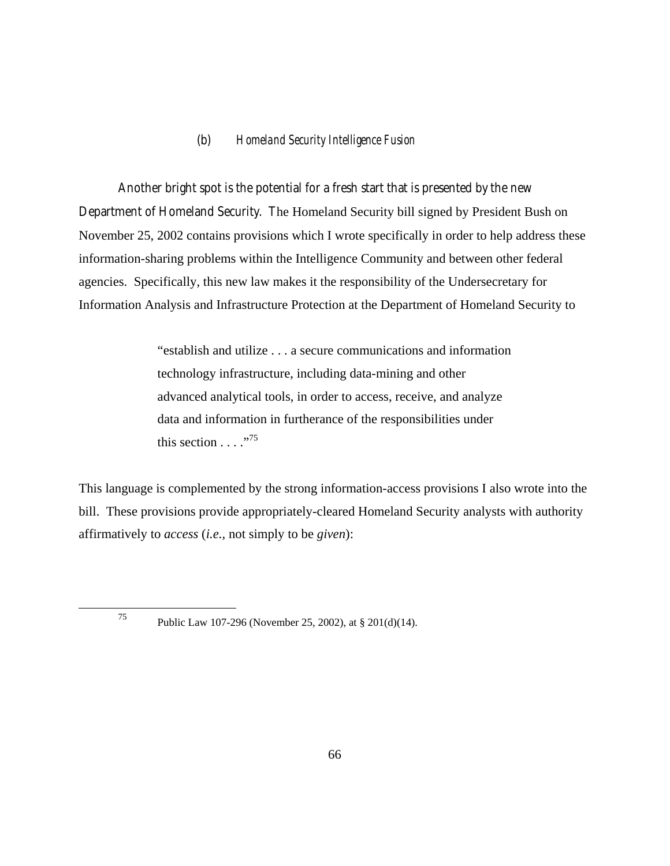# (b) *Homeland Security Intelligence Fusion*

Another bright spot is the potential for a fresh start that is presented by the new Department of Homeland Security. The Homeland Security bill signed by President Bush on November 25, 2002 contains provisions which I wrote specifically in order to help address these information-sharing problems within the Intelligence Community and between other federal agencies. Specifically, this new law makes it the responsibility of the Undersecretary for Information Analysis and Infrastructure Protection at the Department of Homeland Security to

> "establish and utilize . . . a secure communications and information technology infrastructure, including data-mining and other advanced analytical tools, in order to access, receive, and analyze data and information in furtherance of the responsibilities under this section  $\ldots$  ."<sup>75</sup>

This language is complemented by the strong information-access provisions I also wrote into the bill. These provisions provide appropriately-cleared Homeland Security analysts with authority affirmatively to *access* (*i.e.*, not simply to be *given*):

<sup>75</sup> Public Law 107-296 (November 25, 2002), at § 201(d)(14).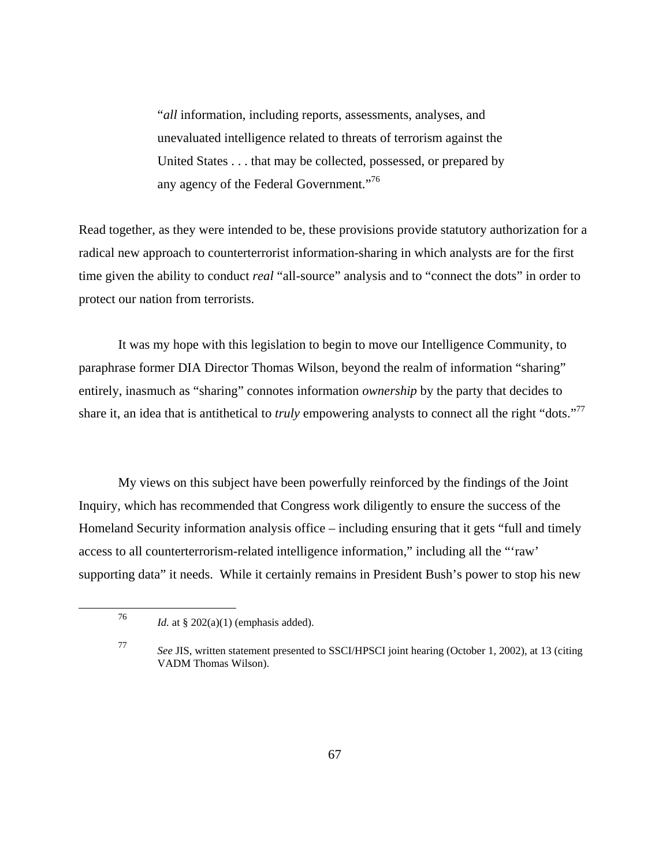"*all* information, including reports, assessments, analyses, and unevaluated intelligence related to threats of terrorism against the United States . . . that may be collected, possessed, or prepared by any agency of the Federal Government."76

Read together, as they were intended to be, these provisions provide statutory authorization for a radical new approach to counterterrorist information-sharing in which analysts are for the first time given the ability to conduct *real* "all-source" analysis and to "connect the dots" in order to protect our nation from terrorists.

It was my hope with this legislation to begin to move our Intelligence Community, to paraphrase former DIA Director Thomas Wilson, beyond the realm of information "sharing" entirely, inasmuch as "sharing" connotes information *ownership* by the party that decides to share it, an idea that is antithetical to *truly* empowering analysts to connect all the right "dots."77

My views on this subject have been powerfully reinforced by the findings of the Joint Inquiry, which has recommended that Congress work diligently to ensure the success of the Homeland Security information analysis office – including ensuring that it gets "full and timely access to all counterterrorism-related intelligence information," including all the "'raw' supporting data" it needs. While it certainly remains in President Bush's power to stop his new

<sup>&</sup>lt;sup>76</sup> *Id.* at § 202(a)(1) (emphasis added).

<sup>77</sup> *See* JIS, written statement presented to SSCI/HPSCI joint hearing (October 1, 2002), at 13 (citing VADM Thomas Wilson).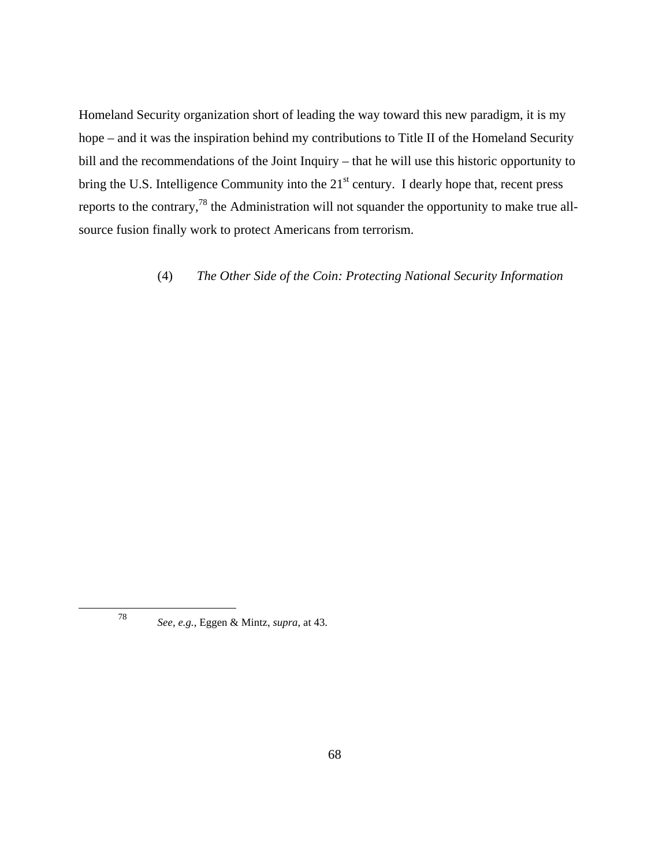Homeland Security organization short of leading the way toward this new paradigm, it is my hope – and it was the inspiration behind my contributions to Title II of the Homeland Security bill and the recommendations of the Joint Inquiry – that he will use this historic opportunity to bring the U.S. Intelligence Community into the 21<sup>st</sup> century. I dearly hope that, recent press reports to the contrary,<sup>78</sup> the Administration will not squander the opportunity to make true allsource fusion finally work to protect Americans from terrorism.

(4) *The Other Side of the Coin: Protecting National Security Information* 

<sup>78</sup> *See, e.g.*, Eggen & Mintz, *supra*, at 43.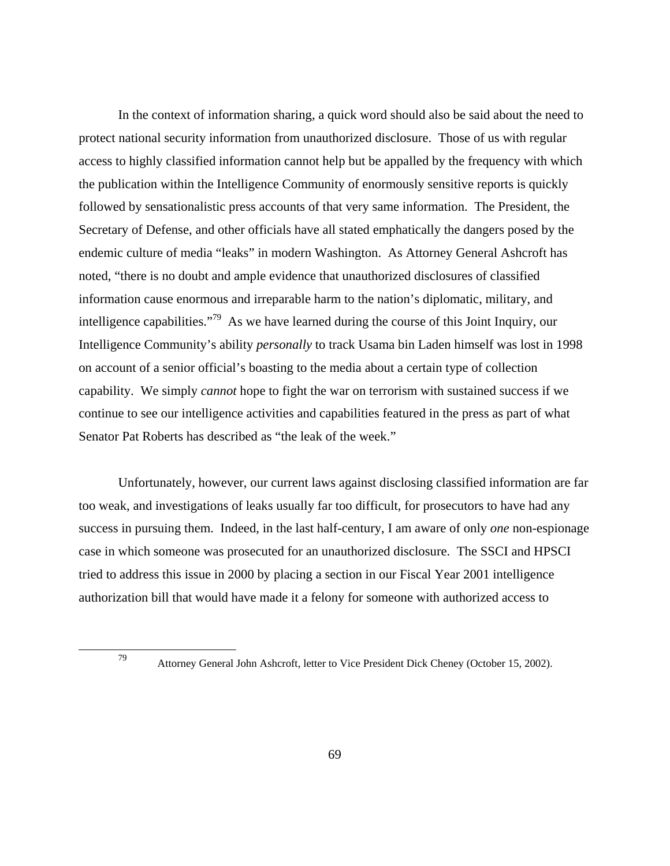In the context of information sharing, a quick word should also be said about the need to protect national security information from unauthorized disclosure. Those of us with regular access to highly classified information cannot help but be appalled by the frequency with which the publication within the Intelligence Community of enormously sensitive reports is quickly followed by sensationalistic press accounts of that very same information. The President, the Secretary of Defense, and other officials have all stated emphatically the dangers posed by the endemic culture of media "leaks" in modern Washington. As Attorney General Ashcroft has noted, "there is no doubt and ample evidence that unauthorized disclosures of classified information cause enormous and irreparable harm to the nation's diplomatic, military, and intelligence capabilities."79 As we have learned during the course of this Joint Inquiry, our Intelligence Community's ability *personally* to track Usama bin Laden himself was lost in 1998 on account of a senior official's boasting to the media about a certain type of collection capability. We simply *cannot* hope to fight the war on terrorism with sustained success if we continue to see our intelligence activities and capabilities featured in the press as part of what Senator Pat Roberts has described as "the leak of the week."

Unfortunately, however, our current laws against disclosing classified information are far too weak, and investigations of leaks usually far too difficult, for prosecutors to have had any success in pursuing them. Indeed, in the last half-century, I am aware of only *one* non-espionage case in which someone was prosecuted for an unauthorized disclosure. The SSCI and HPSCI tried to address this issue in 2000 by placing a section in our Fiscal Year 2001 intelligence authorization bill that would have made it a felony for someone with authorized access to

<sup>79</sup> Attorney General John Ashcroft, letter to Vice President Dick Cheney (October 15, 2002).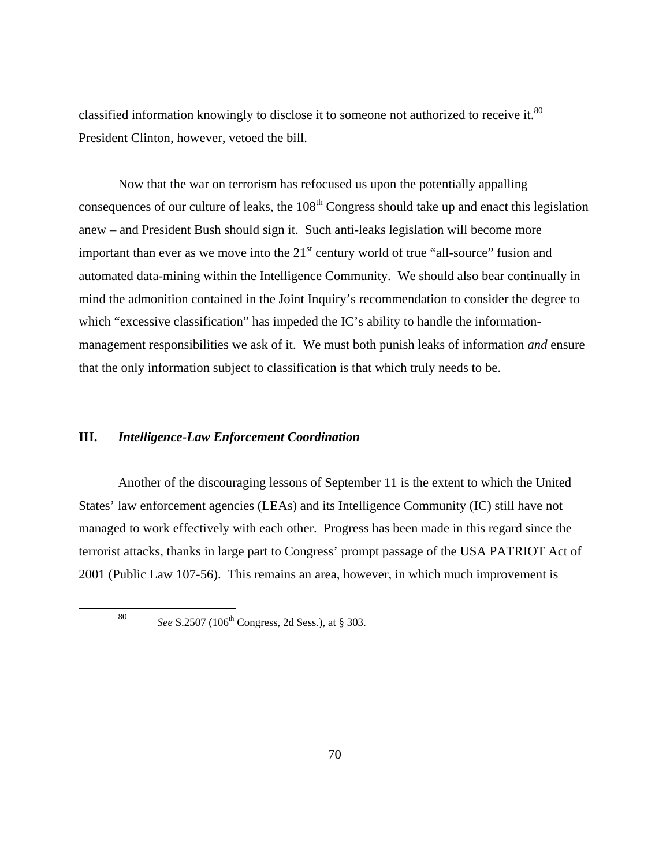classified information knowingly to disclose it to someone not authorized to receive it.<sup>80</sup> President Clinton, however, vetoed the bill.

Now that the war on terrorism has refocused us upon the potentially appalling consequences of our culture of leaks, the 108<sup>th</sup> Congress should take up and enact this legislation anew – and President Bush should sign it. Such anti-leaks legislation will become more important than ever as we move into the  $21<sup>st</sup>$  century world of true "all-source" fusion and automated data-mining within the Intelligence Community. We should also bear continually in mind the admonition contained in the Joint Inquiry's recommendation to consider the degree to which "excessive classification" has impeded the IC's ability to handle the informationmanagement responsibilities we ask of it. We must both punish leaks of information *and* ensure that the only information subject to classification is that which truly needs to be.

#### **III.** *Intelligence-Law Enforcement Coordination*

Another of the discouraging lessons of September 11 is the extent to which the United States' law enforcement agencies (LEAs) and its Intelligence Community (IC) still have not managed to work effectively with each other. Progress has been made in this regard since the terrorist attacks, thanks in large part to Congress' prompt passage of the USA PATRIOT Act of 2001 (Public Law 107-56). This remains an area, however, in which much improvement is

<sup>80</sup> *See* S.2507 (106th Congress, 2d Sess.), at § 303.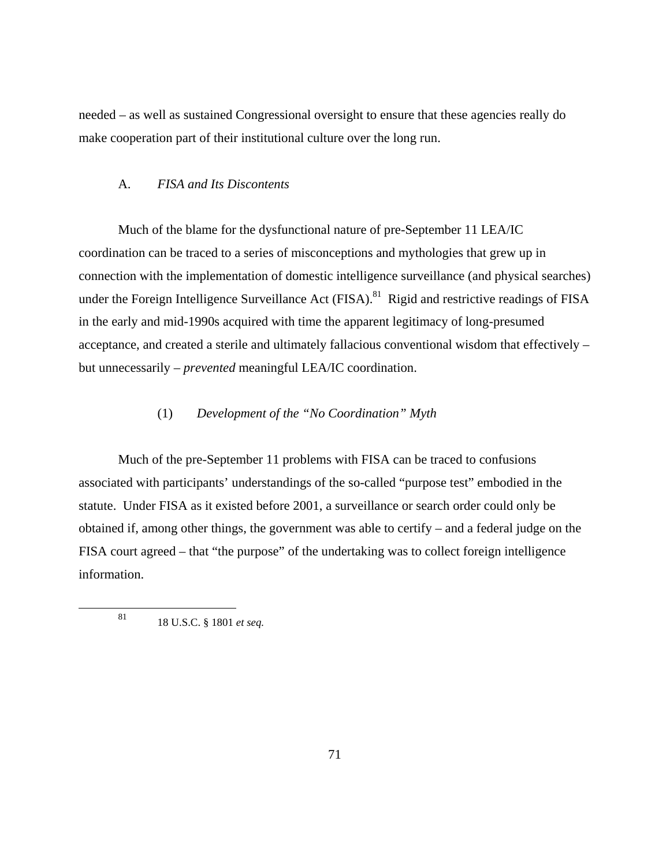needed – as well as sustained Congressional oversight to ensure that these agencies really do make cooperation part of their institutional culture over the long run.

### A. *FISA and Its Discontents*

Much of the blame for the dysfunctional nature of pre-September 11 LEA/IC coordination can be traced to a series of misconceptions and mythologies that grew up in connection with the implementation of domestic intelligence surveillance (and physical searches) under the Foreign Intelligence Surveillance Act (FISA).<sup>81</sup> Rigid and restrictive readings of FISA in the early and mid-1990s acquired with time the apparent legitimacy of long-presumed acceptance, and created a sterile and ultimately fallacious conventional wisdom that effectively – but unnecessarily – *prevented* meaningful LEA/IC coordination.

## (1) *Development of the "No Coordination" Myth*

Much of the pre-September 11 problems with FISA can be traced to confusions associated with participants' understandings of the so-called "purpose test" embodied in the statute. Under FISA as it existed before 2001, a surveillance or search order could only be obtained if, among other things, the government was able to certify – and a federal judge on the FISA court agreed – that "the purpose" of the undertaking was to collect foreign intelligence information.

<sup>81</sup> 18 U.S.C. § 1801 *et seq.*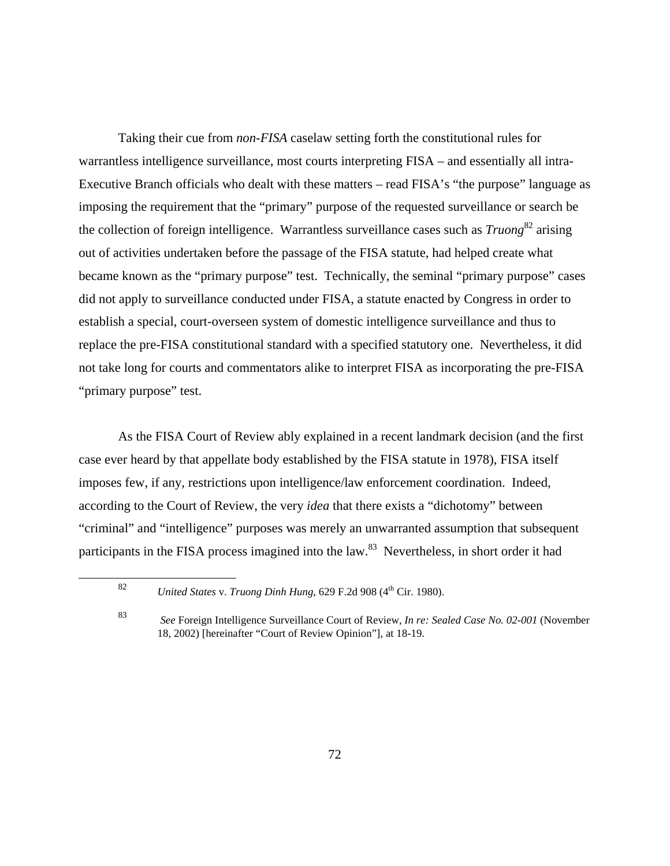Taking their cue from *non-FISA* caselaw setting forth the constitutional rules for warrantless intelligence surveillance, most courts interpreting FISA – and essentially all intra-Executive Branch officials who dealt with these matters – read FISA's "the purpose" language as imposing the requirement that the "primary" purpose of the requested surveillance or search be the collection of foreign intelligence. Warrantless surveillance cases such as *Truong*82 arising out of activities undertaken before the passage of the FISA statute, had helped create what became known as the "primary purpose" test. Technically, the seminal "primary purpose" cases did not apply to surveillance conducted under FISA, a statute enacted by Congress in order to establish a special, court-overseen system of domestic intelligence surveillance and thus to replace the pre-FISA constitutional standard with a specified statutory one. Nevertheless, it did not take long for courts and commentators alike to interpret FISA as incorporating the pre-FISA "primary purpose" test.

As the FISA Court of Review ably explained in a recent landmark decision (and the first case ever heard by that appellate body established by the FISA statute in 1978), FISA itself imposes few, if any, restrictions upon intelligence/law enforcement coordination. Indeed, according to the Court of Review, the very *idea* that there exists a "dichotomy" between "criminal" and "intelligence" purposes was merely an unwarranted assumption that subsequent participants in the FISA process imagined into the law.<sup>83</sup> Nevertheless, in short order it had

<sup>82</sup> *United States* v. *Truong Dinh Hung*, 629 F.2d 908 (4th Cir. 1980).

<sup>83</sup> *See* Foreign Intelligence Surveillance Court of Review, *In re: Sealed Case No. 02-001* (November 18, 2002) [hereinafter "Court of Review Opinion"], at 18-19.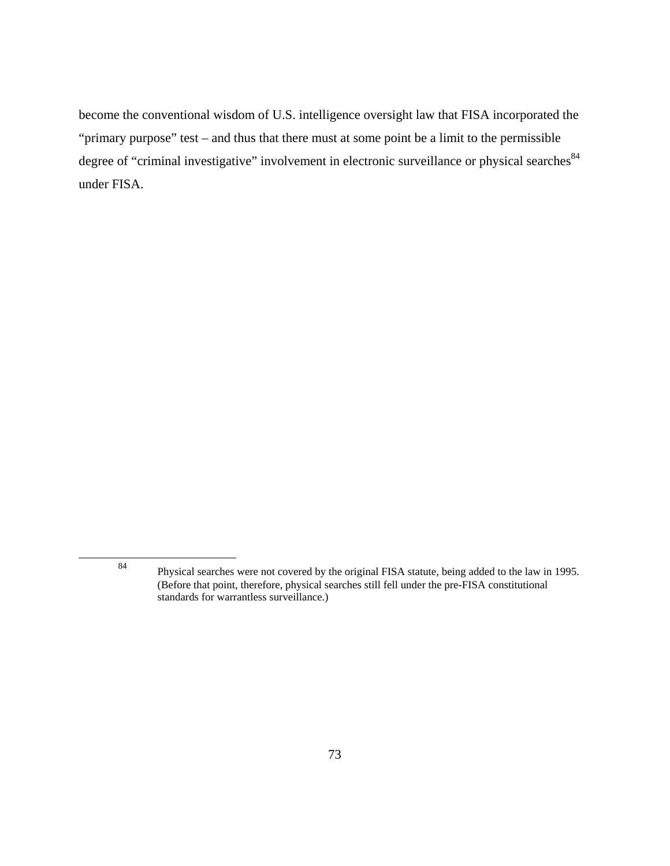become the conventional wisdom of U.S. intelligence oversight law that FISA incorporated the "primary purpose" test – and thus that there must at some point be a limit to the permissible degree of "criminal investigative" involvement in electronic surveillance or physical searches<sup>84</sup> under FISA.

<sup>84</sup> Physical searches were not covered by the original FISA statute, being added to the law in 1995. (Before that point, therefore, physical searches still fell under the pre-FISA constitutional standards for warrantless surveillance.)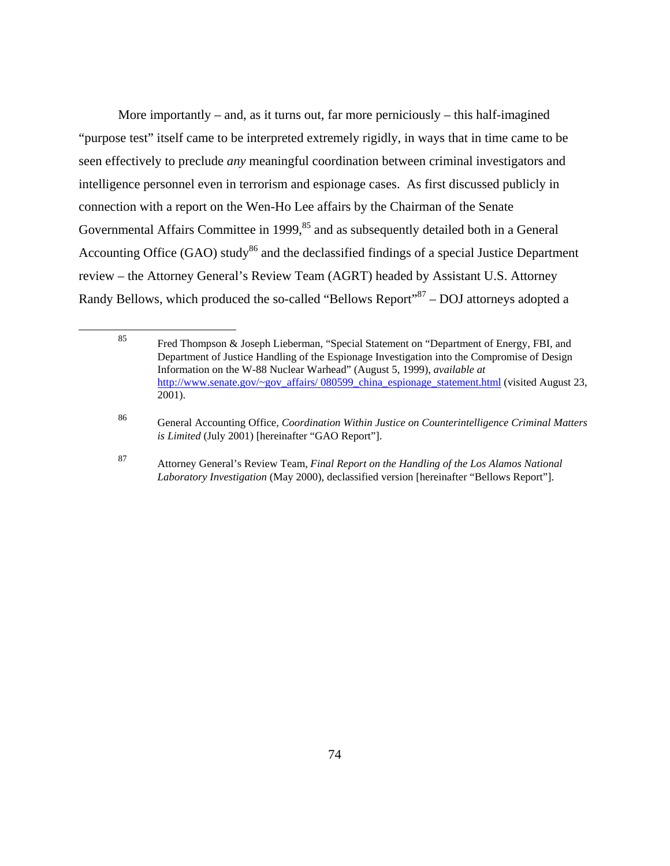More importantly – and, as it turns out, far more perniciously – this half-imagined "purpose test" itself came to be interpreted extremely rigidly, in ways that in time came to be seen effectively to preclude *any* meaningful coordination between criminal investigators and intelligence personnel even in terrorism and espionage cases. As first discussed publicly in connection with a report on the Wen-Ho Lee affairs by the Chairman of the Senate Governmental Affairs Committee in 1999,<sup>85</sup> and as subsequently detailed both in a General Accounting Office (GAO) study<sup>86</sup> and the declassified findings of a special Justice Department review – the Attorney General's Review Team (AGRT) headed by Assistant U.S. Attorney Randy Bellows, which produced the so-called "Bellows Report"<sup>87</sup> – DOJ attorneys adopted a

<sup>85</sup> Fred Thompson & Joseph Lieberman, "Special Statement on "Department of Energy, FBI, and Department of Justice Handling of the Espionage Investigation into the Compromise of Design Information on the W-88 Nuclear Warhead" (August 5, 1999), *available at*  http://www.senate.gov/~gov\_affairs/ 080599\_china\_espionage\_statement.html (visited August 23, 2001).

<sup>86</sup> General Accounting Office, *Coordination Within Justice on Counterintelligence Criminal Matters is Limited* (July 2001) [hereinafter "GAO Report"].

<sup>87</sup> Attorney General's Review Team, *Final Report on the Handling of the Los Alamos National Laboratory Investigation* (May 2000), declassified version [hereinafter "Bellows Report"].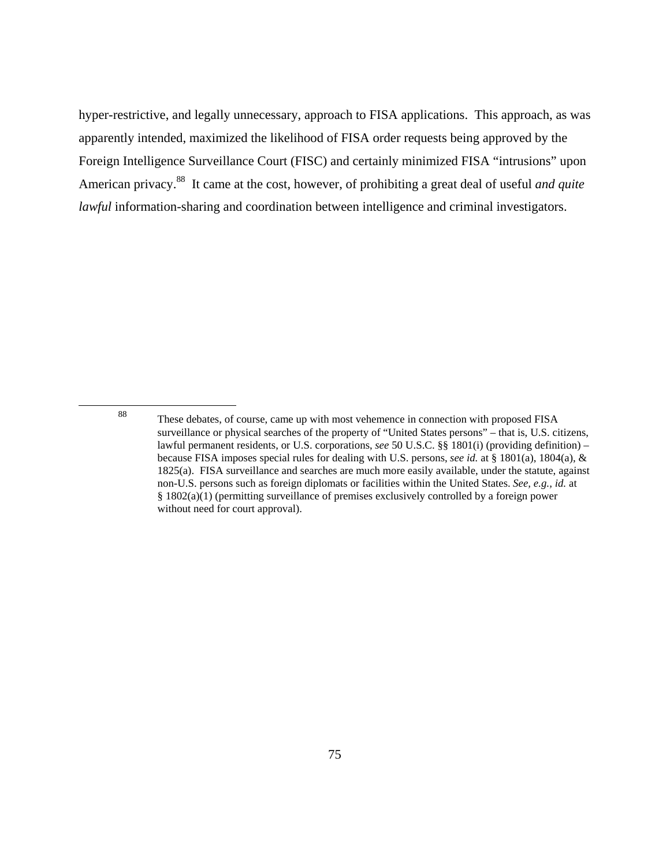hyper-restrictive, and legally unnecessary, approach to FISA applications. This approach, as was apparently intended, maximized the likelihood of FISA order requests being approved by the Foreign Intelligence Surveillance Court (FISC) and certainly minimized FISA "intrusions" upon American privacy.88 It came at the cost, however, of prohibiting a great deal of useful *and quite lawful* information-sharing and coordination between intelligence and criminal investigators.

<sup>88</sup> These debates, of course, came up with most vehemence in connection with proposed FISA surveillance or physical searches of the property of "United States persons" – that is, U.S. citizens, lawful permanent residents, or U.S. corporations, *see* 50 U.S.C. §§ 1801(i) (providing definition) – because FISA imposes special rules for dealing with U.S. persons, *see id.* at § 1801(a), 1804(a), & 1825(a). FISA surveillance and searches are much more easily available, under the statute, against non-U.S. persons such as foreign diplomats or facilities within the United States. *See, e.g., id.* at § 1802(a)(1) (permitting surveillance of premises exclusively controlled by a foreign power without need for court approval).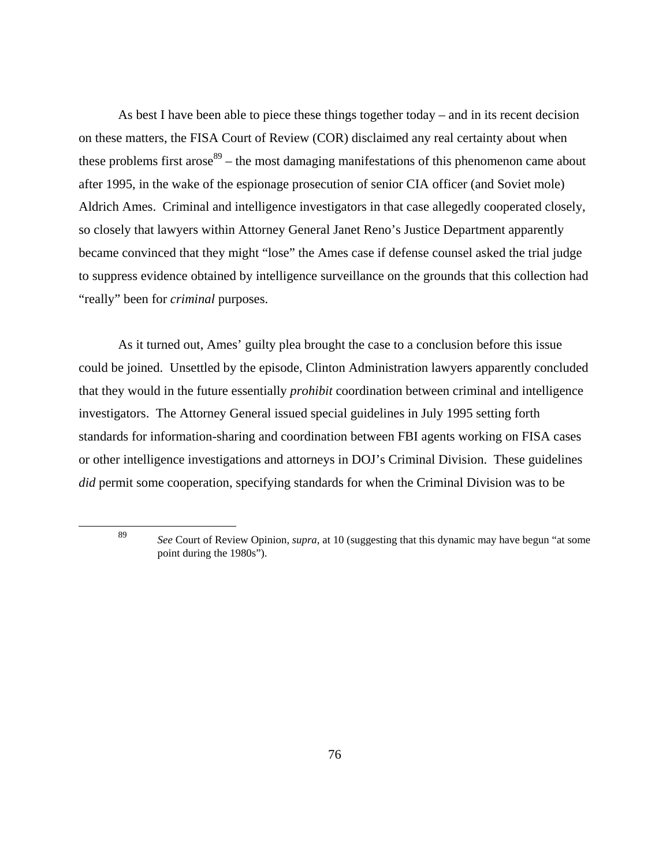As best I have been able to piece these things together today – and in its recent decision on these matters, the FISA Court of Review (COR) disclaimed any real certainty about when these problems first arose $89$  – the most damaging manifestations of this phenomenon came about after 1995, in the wake of the espionage prosecution of senior CIA officer (and Soviet mole) Aldrich Ames. Criminal and intelligence investigators in that case allegedly cooperated closely, so closely that lawyers within Attorney General Janet Reno's Justice Department apparently became convinced that they might "lose" the Ames case if defense counsel asked the trial judge to suppress evidence obtained by intelligence surveillance on the grounds that this collection had "really" been for *criminal* purposes.

As it turned out, Ames' guilty plea brought the case to a conclusion before this issue could be joined. Unsettled by the episode, Clinton Administration lawyers apparently concluded that they would in the future essentially *prohibit* coordination between criminal and intelligence investigators. The Attorney General issued special guidelines in July 1995 setting forth standards for information-sharing and coordination between FBI agents working on FISA cases or other intelligence investigations and attorneys in DOJ's Criminal Division. These guidelines *did* permit some cooperation, specifying standards for when the Criminal Division was to be

<sup>89</sup> *See* Court of Review Opinion, *supra*, at 10 (suggesting that this dynamic may have begun "at some point during the 1980s").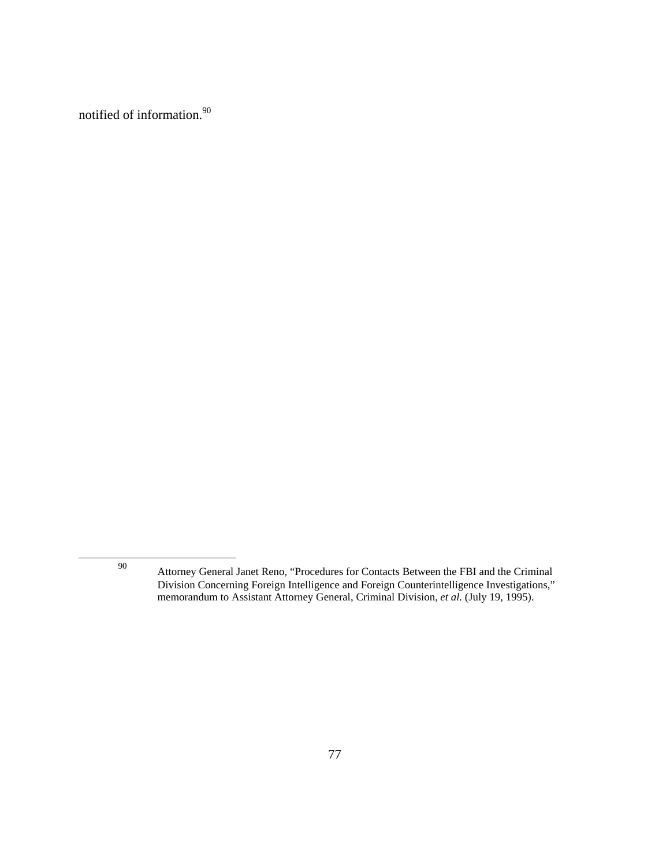notified of information.<sup>90</sup>

<sup>90</sup> Attorney General Janet Reno, "Procedures for Contacts Between the FBI and the Criminal Division Concerning Foreign Intelligence and Foreign Counterintelligence Investigations," memorandum to Assistant Attorney General, Criminal Division, *et al.* (July 19, 1995).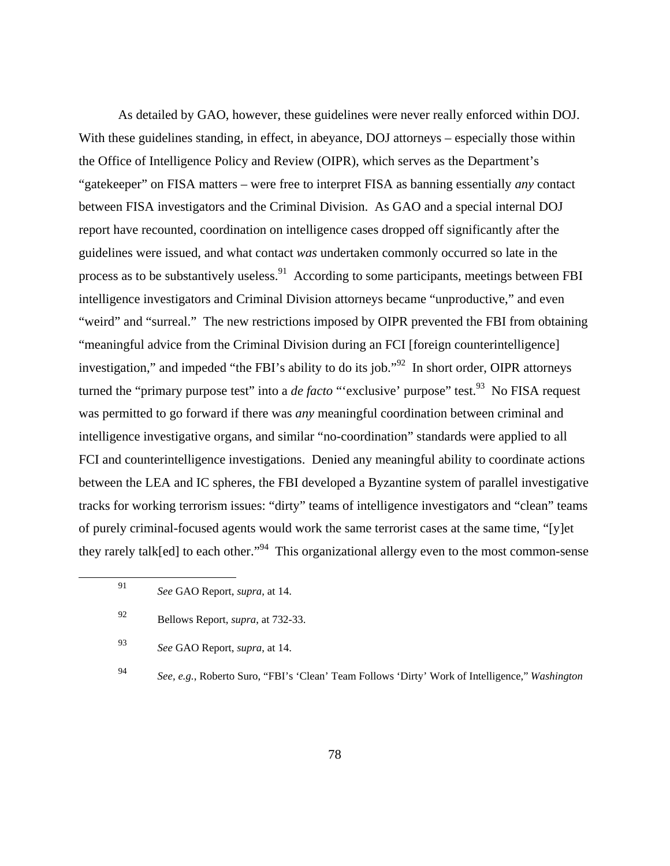As detailed by GAO, however, these guidelines were never really enforced within DOJ. With these guidelines standing, in effect, in abeyance, DOJ attorneys – especially those within the Office of Intelligence Policy and Review (OIPR), which serves as the Department's "gatekeeper" on FISA matters – were free to interpret FISA as banning essentially *any* contact between FISA investigators and the Criminal Division. As GAO and a special internal DOJ report have recounted, coordination on intelligence cases dropped off significantly after the guidelines were issued, and what contact *was* undertaken commonly occurred so late in the process as to be substantively useless.<sup>91</sup> According to some participants, meetings between FBI intelligence investigators and Criminal Division attorneys became "unproductive," and even "weird" and "surreal." The new restrictions imposed by OIPR prevented the FBI from obtaining "meaningful advice from the Criminal Division during an FCI [foreign counterintelligence] investigation," and impeded "the FBI's ability to do its job."<sup>92</sup> In short order, OIPR attorneys turned the "primary purpose test" into a *de facto* "'exclusive' purpose" test.<sup>93</sup> No FISA request was permitted to go forward if there was *any* meaningful coordination between criminal and intelligence investigative organs, and similar "no-coordination" standards were applied to all FCI and counterintelligence investigations. Denied any meaningful ability to coordinate actions between the LEA and IC spheres, the FBI developed a Byzantine system of parallel investigative tracks for working terrorism issues: "dirty" teams of intelligence investigators and "clean" teams of purely criminal-focused agents would work the same terrorist cases at the same time, "[y]et they rarely talk[ed] to each other."<sup>94</sup> This organizational allergy even to the most common-sense

<sup>91</sup> *See* GAO Report, *supra*, at 14.

<sup>92</sup> Bellows Report, *supra*, at 732-33.

<sup>93</sup> *See* GAO Report, *supra*, at 14.

<sup>94</sup> *See, e.g.*, Roberto Suro, "FBI's 'Clean' Team Follows 'Dirty' Work of Intelligence," *Washington*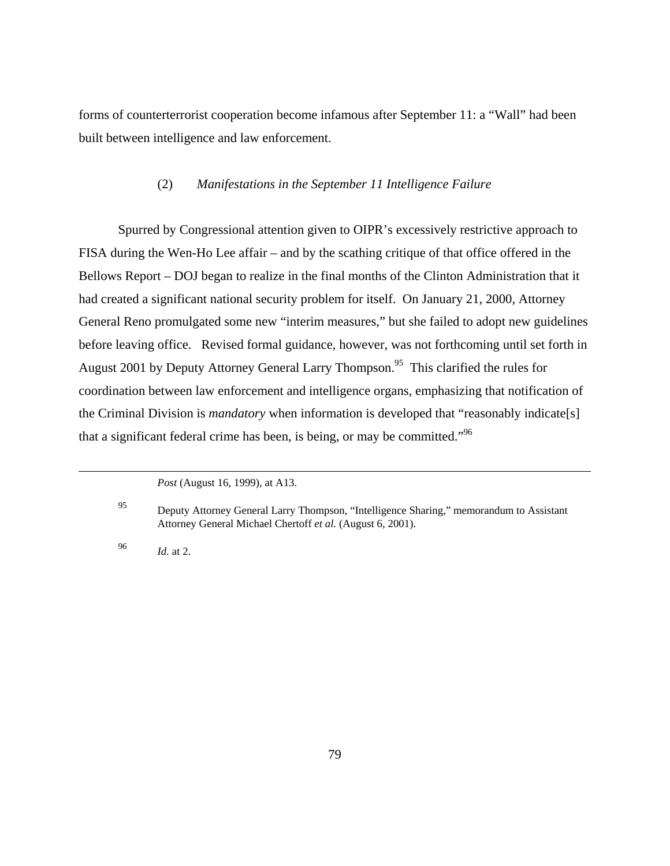forms of counterterrorist cooperation become infamous after September 11: a "Wall" had been built between intelligence and law enforcement.

# (2) *Manifestations in the September 11 Intelligence Failure*

Spurred by Congressional attention given to OIPR's excessively restrictive approach to FISA during the Wen-Ho Lee affair – and by the scathing critique of that office offered in the Bellows Report – DOJ began to realize in the final months of the Clinton Administration that it had created a significant national security problem for itself. On January 21, 2000, Attorney General Reno promulgated some new "interim measures," but she failed to adopt new guidelines before leaving office. Revised formal guidance, however, was not forthcoming until set forth in August 2001 by Deputy Attorney General Larry Thompson.<sup>95</sup> This clarified the rules for coordination between law enforcement and intelligence organs, emphasizing that notification of the Criminal Division is *mandatory* when information is developed that "reasonably indicate[s] that a significant federal crime has been, is being, or may be committed."96

<sup>96</sup> *Id.* at 2.

*Post* (August 16, 1999), at A13.

<sup>95</sup> Deputy Attorney General Larry Thompson, "Intelligence Sharing," memorandum to Assistant Attorney General Michael Chertoff *et al.* (August 6, 2001).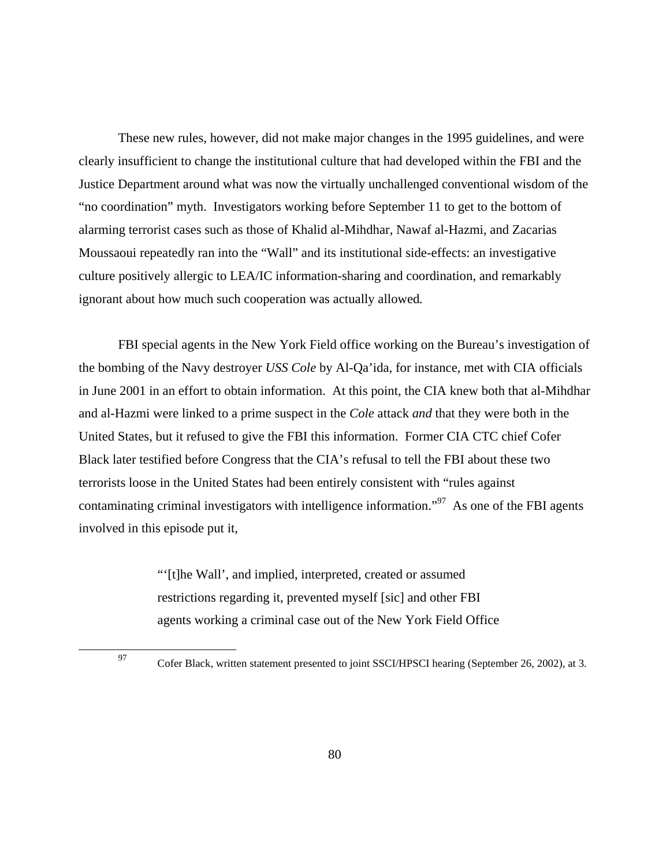These new rules, however, did not make major changes in the 1995 guidelines, and were clearly insufficient to change the institutional culture that had developed within the FBI and the Justice Department around what was now the virtually unchallenged conventional wisdom of the "no coordination" myth. Investigators working before September 11 to get to the bottom of alarming terrorist cases such as those of Khalid al-Mihdhar, Nawaf al-Hazmi, and Zacarias Moussaoui repeatedly ran into the "Wall" and its institutional side-effects: an investigative culture positively allergic to LEA/IC information-sharing and coordination, and remarkably ignorant about how much such cooperation was actually allowed*.*

FBI special agents in the New York Field office working on the Bureau's investigation of the bombing of the Navy destroyer *USS Cole* by Al-Qa'ida, for instance, met with CIA officials in June 2001 in an effort to obtain information. At this point, the CIA knew both that al-Mihdhar and al-Hazmi were linked to a prime suspect in the *Cole* attack *and* that they were both in the United States, but it refused to give the FBI this information. Former CIA CTC chief Cofer Black later testified before Congress that the CIA's refusal to tell the FBI about these two terrorists loose in the United States had been entirely consistent with "rules against contaminating criminal investigators with intelligence information."<sup>97</sup> As one of the FBI agents involved in this episode put it,

> "'[t]he Wall', and implied, interpreted, created or assumed restrictions regarding it, prevented myself [sic] and other FBI agents working a criminal case out of the New York Field Office

<sup>97</sup> Cofer Black, written statement presented to joint SSCI/HPSCI hearing (September 26, 2002), at 3.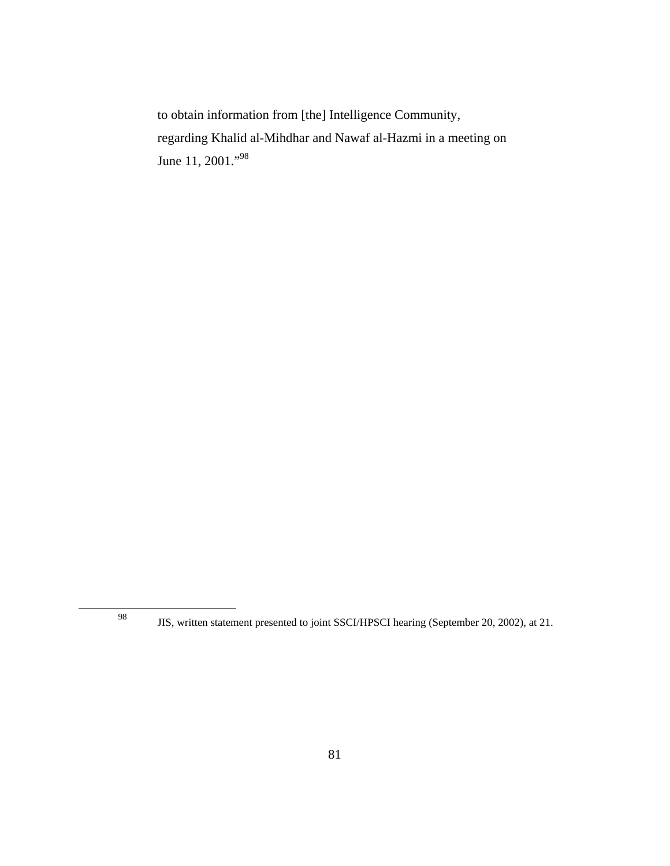to obtain information from [the] Intelligence Community, regarding Khalid al-Mihdhar and Nawaf al-Hazmi in a meeting on June 11, 2001."<sup>98</sup>

98

JIS, written statement presented to joint SSCI/HPSCI hearing (September 20, 2002), at 21.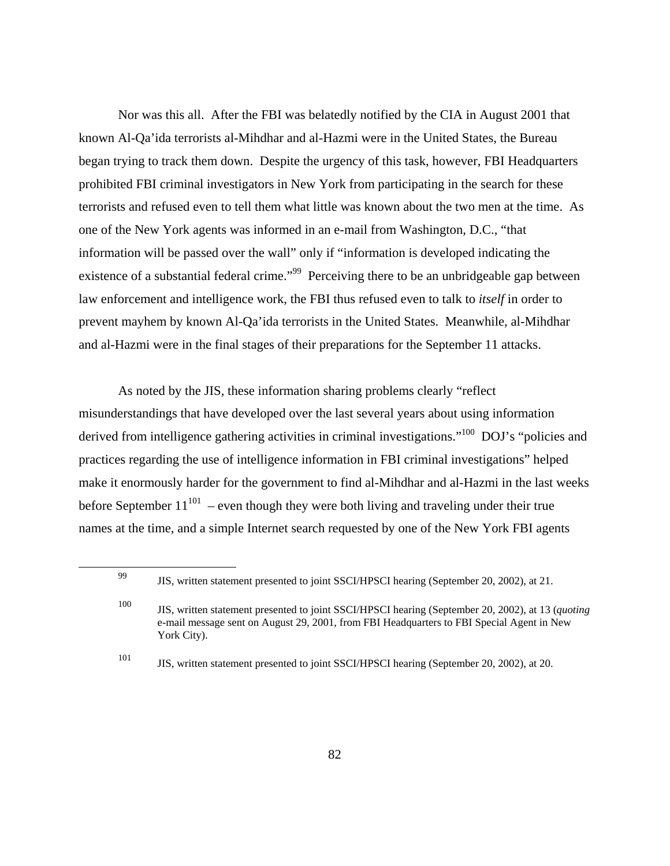Nor was this all. After the FBI was belatedly notified by the CIA in August 2001 that known Al-Qa'ida terrorists al-Mihdhar and al-Hazmi were in the United States, the Bureau began trying to track them down. Despite the urgency of this task, however, FBI Headquarters prohibited FBI criminal investigators in New York from participating in the search for these terrorists and refused even to tell them what little was known about the two men at the time. As one of the New York agents was informed in an e-mail from Washington, D.C., "that information will be passed over the wall" only if "information is developed indicating the existence of a substantial federal crime."<sup>99</sup> Perceiving there to be an unbridgeable gap between law enforcement and intelligence work, the FBI thus refused even to talk to *itself* in order to prevent mayhem by known Al-Qa'ida terrorists in the United States. Meanwhile, al-Mihdhar and al-Hazmi were in the final stages of their preparations for the September 11 attacks.

As noted by the JIS, these information sharing problems clearly "reflect misunderstandings that have developed over the last several years about using information derived from intelligence gathering activities in criminal investigations."<sup>100</sup> DOJ's "policies and practices regarding the use of intelligence information in FBI criminal investigations" helped make it enormously harder for the government to find al-Mihdhar and al-Hazmi in the last weeks before September  $11^{101}$  – even though they were both living and traveling under their true names at the time, and a simple Internet search requested by one of the New York FBI agents

<sup>99</sup> JIS, written statement presented to joint SSCI/HPSCI hearing (September 20, 2002), at 21.

<sup>100</sup> JIS, written statement presented to joint SSCI/HPSCI hearing (September 20, 2002), at 13 (*quoting* e-mail message sent on August 29, 2001, from FBI Headquarters to FBI Special Agent in New York City).

<sup>101</sup> JIS, written statement presented to joint SSCI/HPSCI hearing (September 20, 2002), at 20.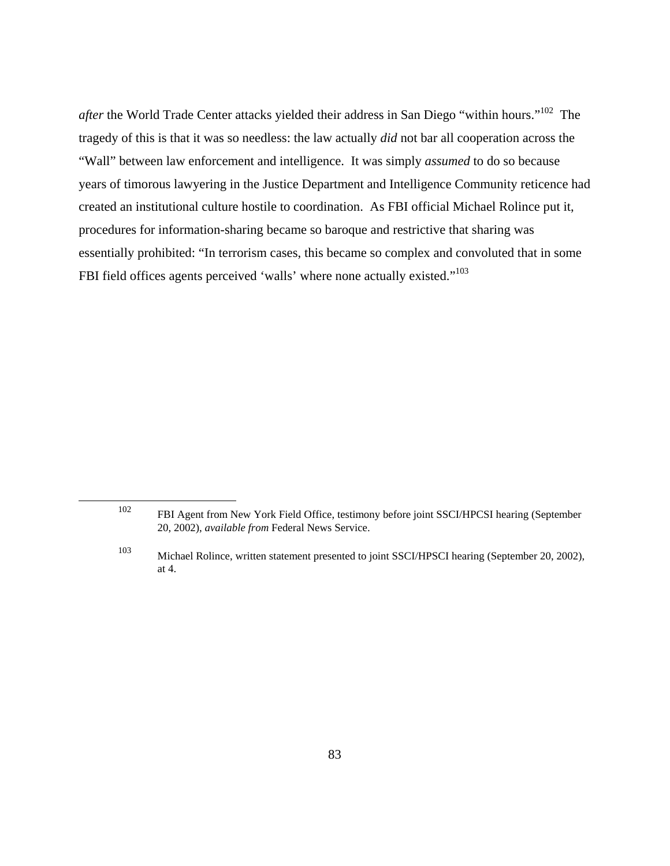*after* the World Trade Center attacks yielded their address in San Diego "within hours."102 The tragedy of this is that it was so needless: the law actually *did* not bar all cooperation across the "Wall" between law enforcement and intelligence. It was simply *assumed* to do so because years of timorous lawyering in the Justice Department and Intelligence Community reticence had created an institutional culture hostile to coordination. As FBI official Michael Rolince put it, procedures for information-sharing became so baroque and restrictive that sharing was essentially prohibited: "In terrorism cases, this became so complex and convoluted that in some FBI field offices agents perceived 'walls' where none actually existed."<sup>103</sup>

<sup>102</sup> FBI Agent from New York Field Office, testimony before joint SSCI/HPCSI hearing (September 20, 2002), *available from* Federal News Service.

<sup>103</sup> Michael Rolince, written statement presented to joint SSCI/HPSCI hearing (September 20, 2002), at 4.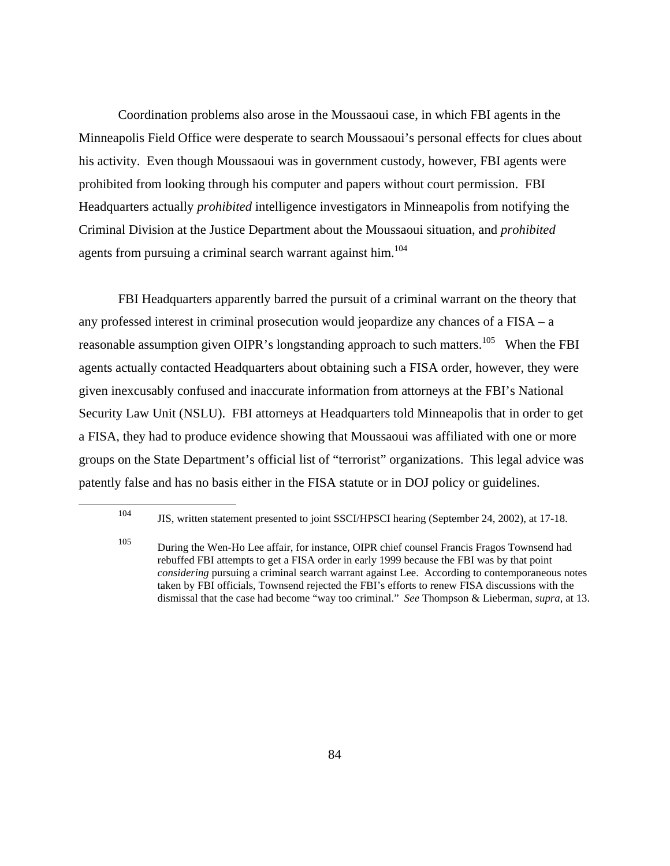Coordination problems also arose in the Moussaoui case, in which FBI agents in the Minneapolis Field Office were desperate to search Moussaoui's personal effects for clues about his activity. Even though Moussaoui was in government custody, however, FBI agents were prohibited from looking through his computer and papers without court permission. FBI Headquarters actually *prohibited* intelligence investigators in Minneapolis from notifying the Criminal Division at the Justice Department about the Moussaoui situation, and *prohibited* agents from pursuing a criminal search warrant against him.<sup>104</sup>

FBI Headquarters apparently barred the pursuit of a criminal warrant on the theory that any professed interest in criminal prosecution would jeopardize any chances of a FISA – a reasonable assumption given OIPR's longstanding approach to such matters.<sup>105</sup> When the FBI agents actually contacted Headquarters about obtaining such a FISA order, however, they were given inexcusably confused and inaccurate information from attorneys at the FBI's National Security Law Unit (NSLU). FBI attorneys at Headquarters told Minneapolis that in order to get a FISA, they had to produce evidence showing that Moussaoui was affiliated with one or more groups on the State Department's official list of "terrorist" organizations. This legal advice was patently false and has no basis either in the FISA statute or in DOJ policy or guidelines.

<sup>104</sup> JIS, written statement presented to joint SSCI/HPSCI hearing (September 24, 2002), at 17-18.

<sup>105</sup> During the Wen-Ho Lee affair, for instance, OIPR chief counsel Francis Fragos Townsend had rebuffed FBI attempts to get a FISA order in early 1999 because the FBI was by that point *considering* pursuing a criminal search warrant against Lee. According to contemporaneous notes taken by FBI officials, Townsend rejected the FBI's efforts to renew FISA discussions with the dismissal that the case had become "way too criminal." *See* Thompson & Lieberman, *supra*, at 13.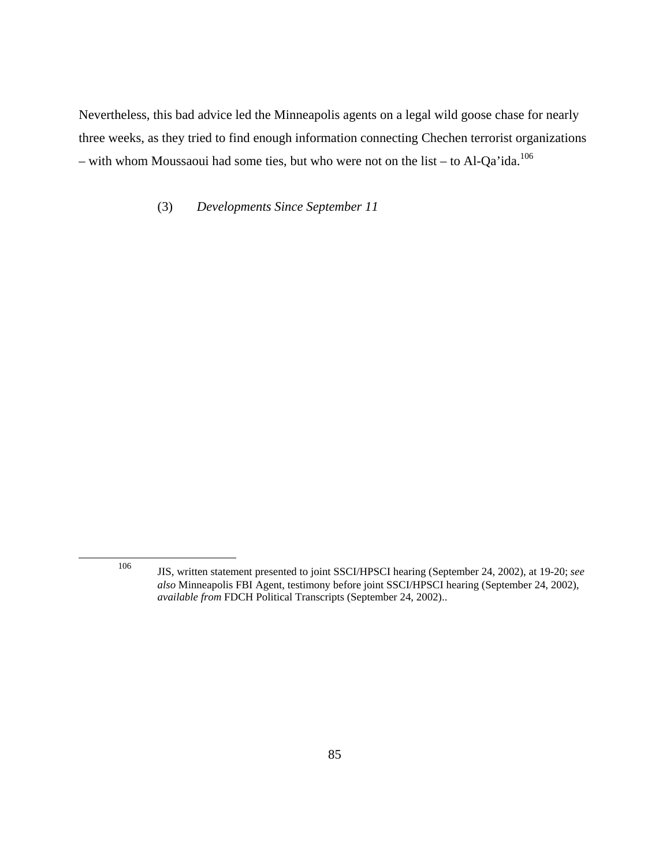Nevertheless, this bad advice led the Minneapolis agents on a legal wild goose chase for nearly three weeks, as they tried to find enough information connecting Chechen terrorist organizations – with whom Moussaoui had some ties, but who were not on the list – to Al-Qa'ida.<sup>106</sup>

(3) *Developments Since September 11* 

<sup>106</sup> JIS, written statement presented to joint SSCI/HPSCI hearing (September 24, 2002), at 19-20; *see also* Minneapolis FBI Agent, testimony before joint SSCI/HPSCI hearing (September 24, 2002), *available from* FDCH Political Transcripts (September 24, 2002)..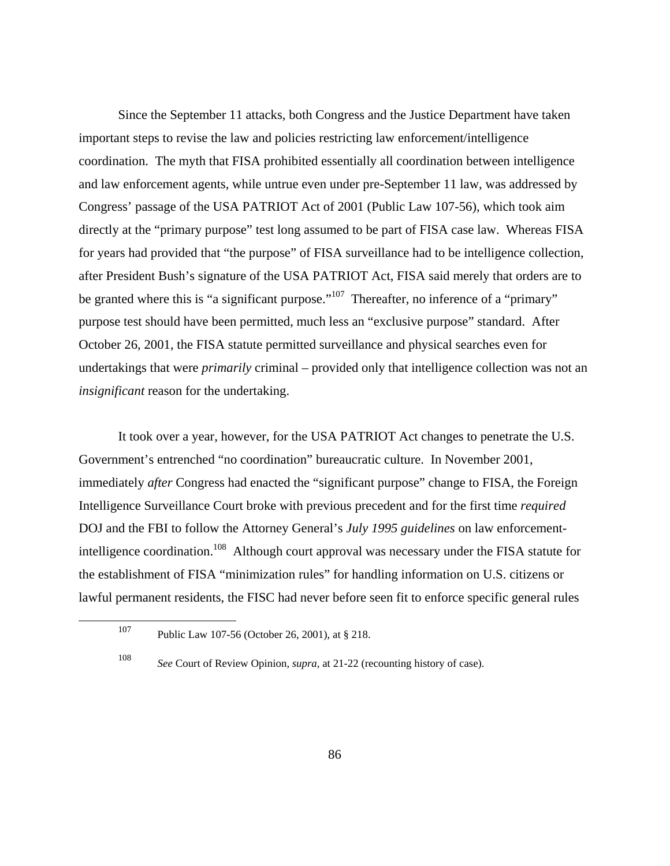Since the September 11 attacks, both Congress and the Justice Department have taken important steps to revise the law and policies restricting law enforcement/intelligence coordination. The myth that FISA prohibited essentially all coordination between intelligence and law enforcement agents, while untrue even under pre-September 11 law, was addressed by Congress' passage of the USA PATRIOT Act of 2001 (Public Law 107-56), which took aim directly at the "primary purpose" test long assumed to be part of FISA case law. Whereas FISA for years had provided that "the purpose" of FISA surveillance had to be intelligence collection, after President Bush's signature of the USA PATRIOT Act, FISA said merely that orders are to be granted where this is "a significant purpose."<sup>107</sup> Thereafter, no inference of a "primary" purpose test should have been permitted, much less an "exclusive purpose" standard. After October 26, 2001, the FISA statute permitted surveillance and physical searches even for undertakings that were *primarily* criminal – provided only that intelligence collection was not an *insignificant* reason for the undertaking.

It took over a year, however, for the USA PATRIOT Act changes to penetrate the U.S. Government's entrenched "no coordination" bureaucratic culture. In November 2001, immediately *after* Congress had enacted the "significant purpose" change to FISA, the Foreign Intelligence Surveillance Court broke with previous precedent and for the first time *required* DOJ and the FBI to follow the Attorney General's *July 1995 guidelines* on law enforcementintelligence coordination.<sup>108</sup> Although court approval was necessary under the FISA statute for the establishment of FISA "minimization rules" for handling information on U.S. citizens or lawful permanent residents, the FISC had never before seen fit to enforce specific general rules

<sup>107</sup> Public Law 107-56 (October 26, 2001), at § 218.

<sup>108</sup> *See* Court of Review Opinion, *supra*, at 21-22 (recounting history of case).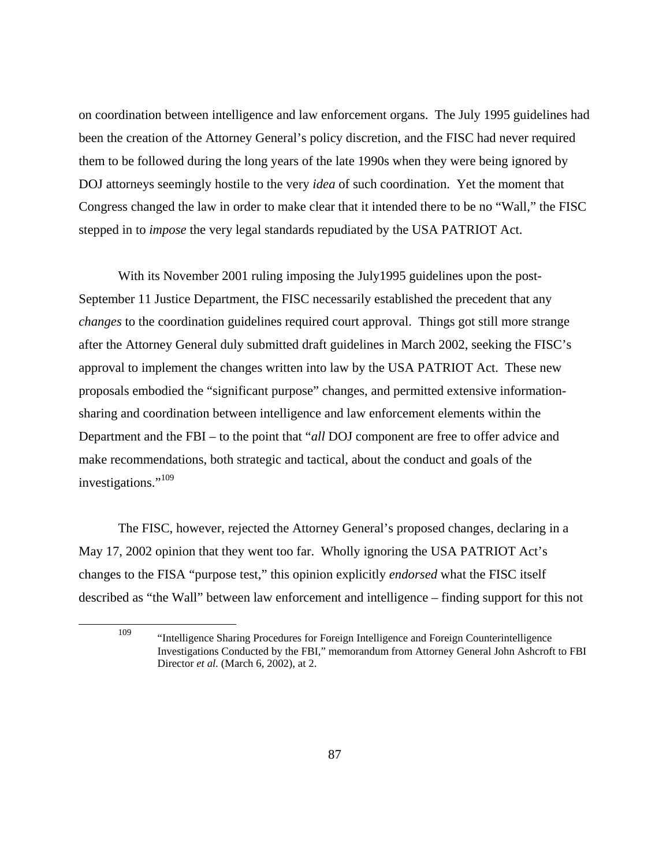on coordination between intelligence and law enforcement organs. The July 1995 guidelines had been the creation of the Attorney General's policy discretion, and the FISC had never required them to be followed during the long years of the late 1990s when they were being ignored by DOJ attorneys seemingly hostile to the very *idea* of such coordination. Yet the moment that Congress changed the law in order to make clear that it intended there to be no "Wall," the FISC stepped in to *impose* the very legal standards repudiated by the USA PATRIOT Act.

With its November 2001 ruling imposing the July1995 guidelines upon the post-September 11 Justice Department, the FISC necessarily established the precedent that any *changes* to the coordination guidelines required court approval. Things got still more strange after the Attorney General duly submitted draft guidelines in March 2002, seeking the FISC's approval to implement the changes written into law by the USA PATRIOT Act. These new proposals embodied the "significant purpose" changes, and permitted extensive informationsharing and coordination between intelligence and law enforcement elements within the Department and the FBI – to the point that "*all* DOJ component are free to offer advice and make recommendations, both strategic and tactical, about the conduct and goals of the investigations."<sup>109</sup>

The FISC, however, rejected the Attorney General's proposed changes, declaring in a May 17, 2002 opinion that they went too far. Wholly ignoring the USA PATRIOT Act's changes to the FISA "purpose test," this opinion explicitly *endorsed* what the FISC itself described as "the Wall" between law enforcement and intelligence – finding support for this not

<sup>109</sup> "Intelligence Sharing Procedures for Foreign Intelligence and Foreign Counterintelligence Investigations Conducted by the FBI," memorandum from Attorney General John Ashcroft to FBI Director *et al.* (March 6, 2002), at 2.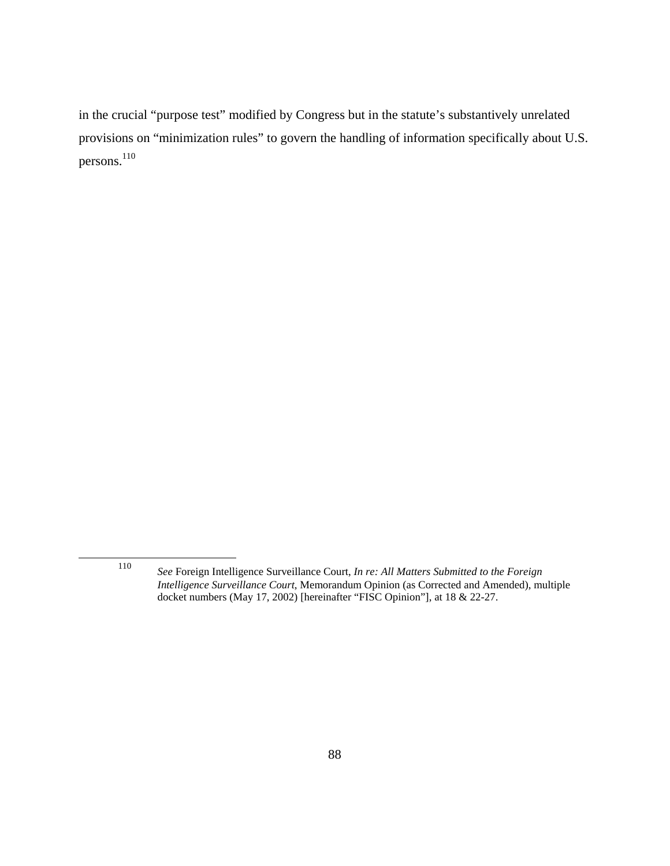in the crucial "purpose test" modified by Congress but in the statute's substantively unrelated provisions on "minimization rules" to govern the handling of information specifically about U.S. persons.<sup>110</sup>

<sup>110</sup> *See* Foreign Intelligence Surveillance Court, *In re: All Matters Submitted to the Foreign Intelligence Surveillance Court*, Memorandum Opinion (as Corrected and Amended), multiple docket numbers (May 17, 2002) [hereinafter "FISC Opinion"], at 18 & 22-27.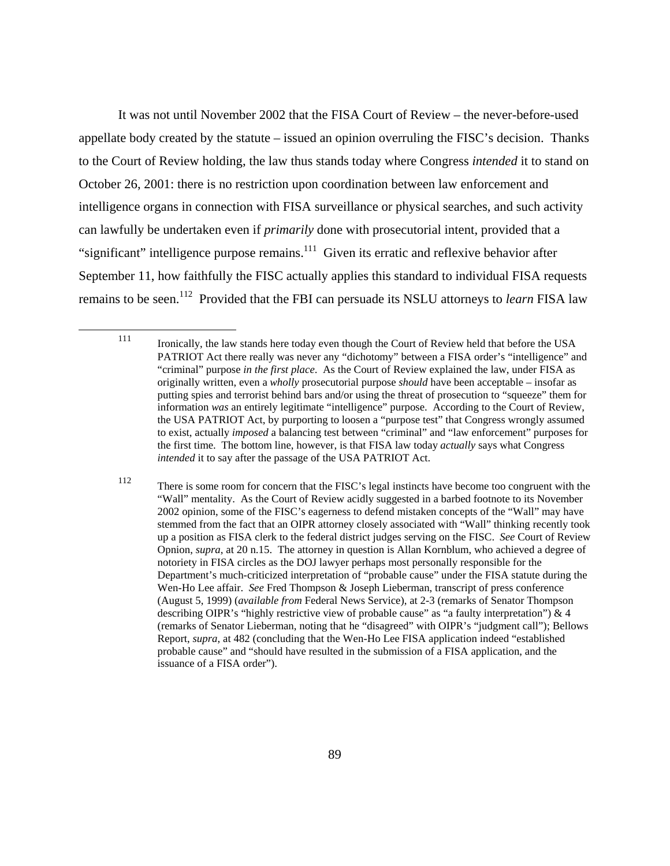It was not until November 2002 that the FISA Court of Review – the never-before-used appellate body created by the statute – issued an opinion overruling the FISC's decision. Thanks to the Court of Review holding, the law thus stands today where Congress *intended* it to stand on October 26, 2001: there is no restriction upon coordination between law enforcement and intelligence organs in connection with FISA surveillance or physical searches, and such activity can lawfully be undertaken even if *primarily* done with prosecutorial intent, provided that a "significant" intelligence purpose remains. $111$  Given its erratic and reflexive behavior after September 11, how faithfully the FISC actually applies this standard to individual FISA requests remains to be seen.112 Provided that the FBI can persuade its NSLU attorneys to *learn* FISA law

<sup>111</sup> Ironically, the law stands here today even though the Court of Review held that before the USA PATRIOT Act there really was never any "dichotomy" between a FISA order's "intelligence" and "criminal" purpose *in the first place*. As the Court of Review explained the law, under FISA as originally written, even a *wholly* prosecutorial purpose *should* have been acceptable – insofar as putting spies and terrorist behind bars and/or using the threat of prosecution to "squeeze" them for information *was* an entirely legitimate "intelligence" purpose. According to the Court of Review, the USA PATRIOT Act, by purporting to loosen a "purpose test" that Congress wrongly assumed to exist, actually *imposed* a balancing test between "criminal" and "law enforcement" purposes for the first time. The bottom line, however, is that FISA law today *actually* says what Congress *intended* it to say after the passage of the USA PATRIOT Act.

<sup>112</sup> There is some room for concern that the FISC's legal instincts have become too congruent with the "Wall" mentality. As the Court of Review acidly suggested in a barbed footnote to its November 2002 opinion, some of the FISC's eagerness to defend mistaken concepts of the "Wall" may have stemmed from the fact that an OIPR attorney closely associated with "Wall" thinking recently took up a position as FISA clerk to the federal district judges serving on the FISC. *See* Court of Review Opnion, *supra*, at 20 n.15. The attorney in question is Allan Kornblum, who achieved a degree of notoriety in FISA circles as the DOJ lawyer perhaps most personally responsible for the Department's much-criticized interpretation of "probable cause" under the FISA statute during the Wen-Ho Lee affair. *See* Fred Thompson & Joseph Lieberman, transcript of press conference (August 5, 1999) (*available from* Federal News Service), at 2-3 (remarks of Senator Thompson describing OIPR's "highly restrictive view of probable cause" as "a faulty interpretation") & 4 (remarks of Senator Lieberman, noting that he "disagreed" with OIPR's "judgment call"); Bellows Report, *supra*, at 482 (concluding that the Wen-Ho Lee FISA application indeed "established probable cause" and "should have resulted in the submission of a FISA application, and the issuance of a FISA order").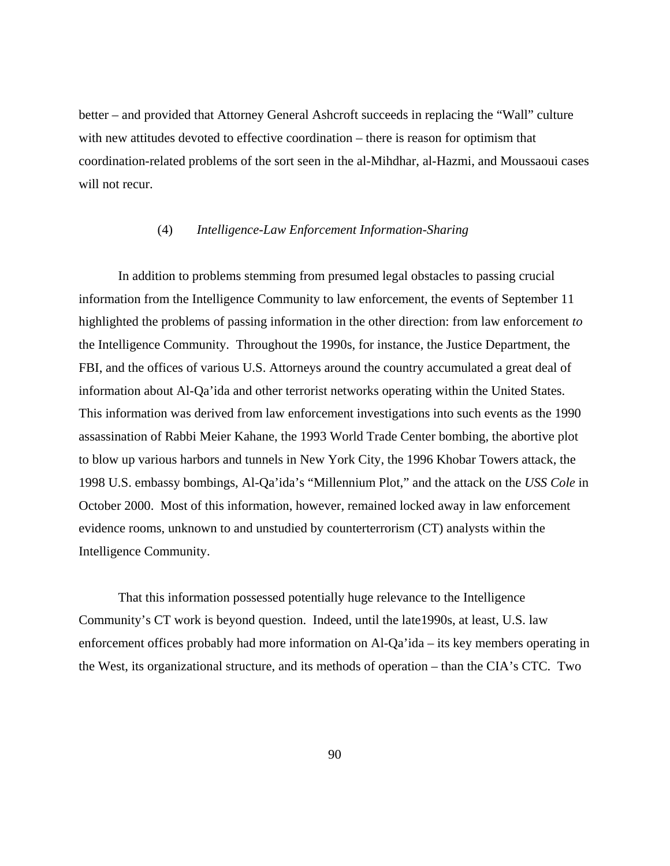better – and provided that Attorney General Ashcroft succeeds in replacing the "Wall" culture with new attitudes devoted to effective coordination – there is reason for optimism that coordination-related problems of the sort seen in the al-Mihdhar, al-Hazmi, and Moussaoui cases will not recur.

## (4) *Intelligence-Law Enforcement Information-Sharing*

In addition to problems stemming from presumed legal obstacles to passing crucial information from the Intelligence Community to law enforcement, the events of September 11 highlighted the problems of passing information in the other direction: from law enforcement *to* the Intelligence Community. Throughout the 1990s, for instance, the Justice Department, the FBI, and the offices of various U.S. Attorneys around the country accumulated a great deal of information about Al-Qa'ida and other terrorist networks operating within the United States. This information was derived from law enforcement investigations into such events as the 1990 assassination of Rabbi Meier Kahane, the 1993 World Trade Center bombing, the abortive plot to blow up various harbors and tunnels in New York City, the 1996 Khobar Towers attack, the 1998 U.S. embassy bombings, Al-Qa'ida's "Millennium Plot," and the attack on the *USS Cole* in October 2000. Most of this information, however, remained locked away in law enforcement evidence rooms, unknown to and unstudied by counterterrorism (CT) analysts within the Intelligence Community.

That this information possessed potentially huge relevance to the Intelligence Community's CT work is beyond question. Indeed, until the late1990s, at least, U.S. law enforcement offices probably had more information on Al-Qa'ida – its key members operating in the West, its organizational structure, and its methods of operation – than the CIA's CTC. Two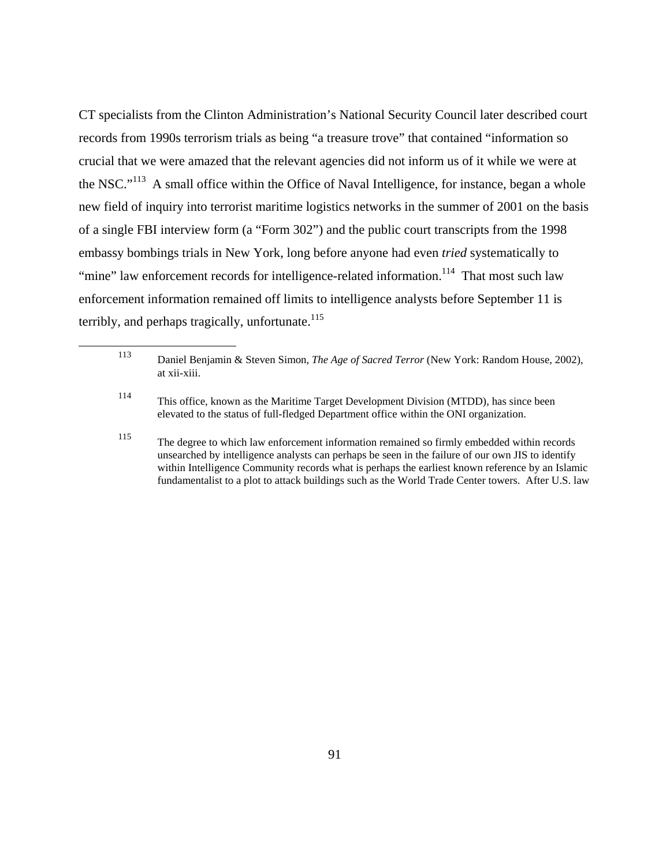CT specialists from the Clinton Administration's National Security Council later described court records from 1990s terrorism trials as being "a treasure trove" that contained "information so crucial that we were amazed that the relevant agencies did not inform us of it while we were at the NSC."<sup>113</sup> A small office within the Office of Naval Intelligence, for instance, began a whole new field of inquiry into terrorist maritime logistics networks in the summer of 2001 on the basis of a single FBI interview form (a "Form 302") and the public court transcripts from the 1998 embassy bombings trials in New York, long before anyone had even *tried* systematically to "mine" law enforcement records for intelligence-related information.<sup>114</sup> That most such law enforcement information remained off limits to intelligence analysts before September 11 is terribly, and perhaps tragically, unfortunate.<sup>115</sup>

<sup>115</sup> The degree to which law enforcement information remained so firmly embedded within records unsearched by intelligence analysts can perhaps be seen in the failure of our own JIS to identify within Intelligence Community records what is perhaps the earliest known reference by an Islamic fundamentalist to a plot to attack buildings such as the World Trade Center towers. After U.S. law

<sup>113</sup> Daniel Benjamin & Steven Simon, *The Age of Sacred Terror* (New York: Random House, 2002), at xii-xiii.

<sup>114</sup> This office, known as the Maritime Target Development Division (MTDD), has since been elevated to the status of full-fledged Department office within the ONI organization.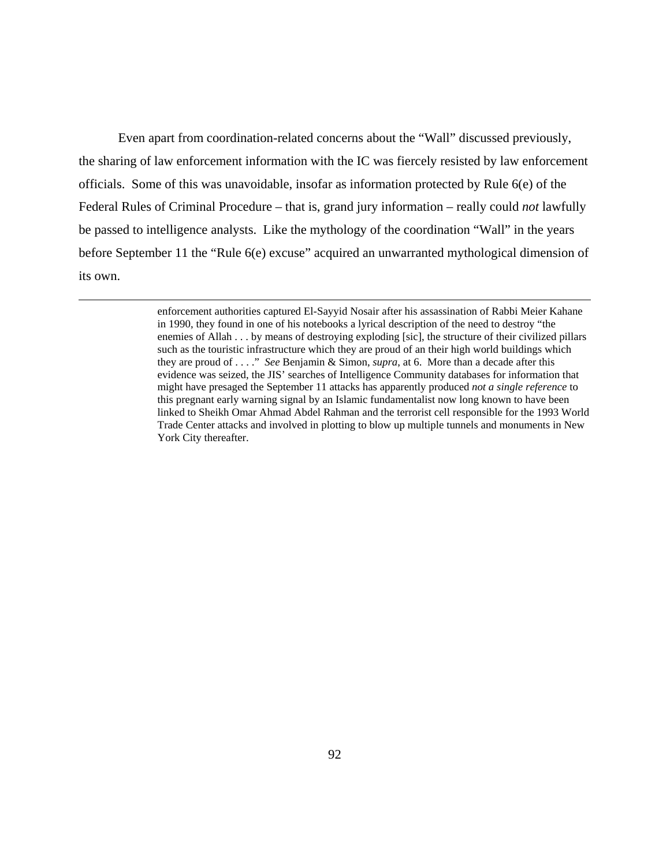Even apart from coordination-related concerns about the "Wall" discussed previously, the sharing of law enforcement information with the IC was fiercely resisted by law enforcement officials. Some of this was unavoidable, insofar as information protected by Rule 6(e) of the Federal Rules of Criminal Procedure – that is, grand jury information – really could *not* lawfully be passed to intelligence analysts. Like the mythology of the coordination "Wall" in the years before September 11 the "Rule 6(e) excuse" acquired an unwarranted mythological dimension of its own.

> enforcement authorities captured El-Sayyid Nosair after his assassination of Rabbi Meier Kahane in 1990, they found in one of his notebooks a lyrical description of the need to destroy "the enemies of Allah . . . by means of destroying exploding [sic], the structure of their civilized pillars such as the touristic infrastructure which they are proud of an their high world buildings which they are proud of . . . ." *See* Benjamin & Simon, *supra*, at 6. More than a decade after this evidence was seized, the JIS' searches of Intelligence Community databases for information that might have presaged the September 11 attacks has apparently produced *not a single reference* to this pregnant early warning signal by an Islamic fundamentalist now long known to have been linked to Sheikh Omar Ahmad Abdel Rahman and the terrorist cell responsible for the 1993 World Trade Center attacks and involved in plotting to blow up multiple tunnels and monuments in New York City thereafter.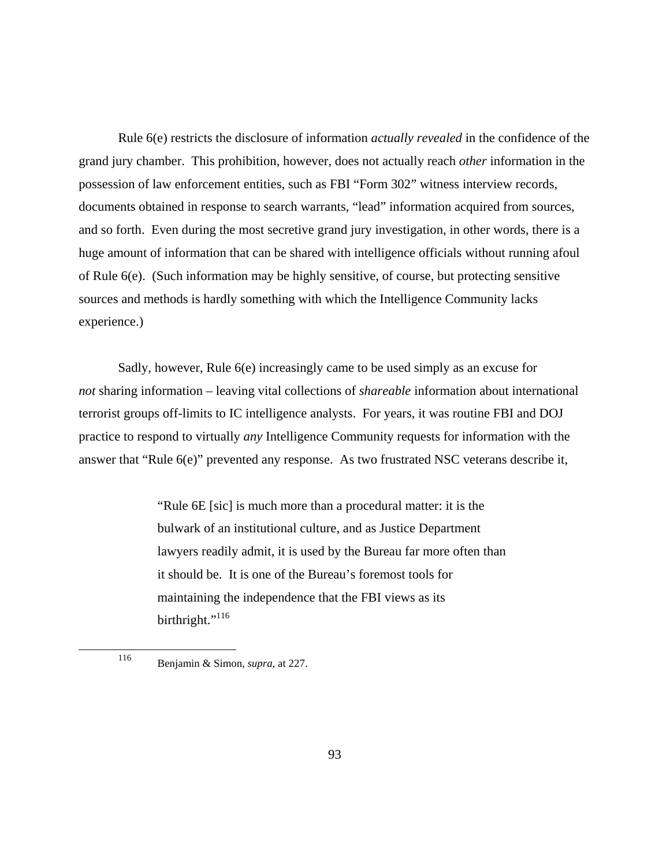Rule 6(e) restricts the disclosure of information *actually revealed* in the confidence of the grand jury chamber. This prohibition, however, does not actually reach *other* information in the possession of law enforcement entities, such as FBI "Form 302" witness interview records, documents obtained in response to search warrants, "lead" information acquired from sources, and so forth. Even during the most secretive grand jury investigation, in other words, there is a huge amount of information that can be shared with intelligence officials without running afoul of Rule 6(e). (Such information may be highly sensitive, of course, but protecting sensitive sources and methods is hardly something with which the Intelligence Community lacks experience.)

Sadly, however, Rule 6(e) increasingly came to be used simply as an excuse for *not* sharing information – leaving vital collections of *shareable* information about international terrorist groups off-limits to IC intelligence analysts. For years, it was routine FBI and DOJ practice to respond to virtually *any* Intelligence Community requests for information with the answer that "Rule 6(e)" prevented any response. As two frustrated NSC veterans describe it,

> "Rule 6E [sic] is much more than a procedural matter: it is the bulwark of an institutional culture, and as Justice Department lawyers readily admit, it is used by the Bureau far more often than it should be. It is one of the Bureau's foremost tools for maintaining the independence that the FBI views as its birthright."<sup>116</sup>

<sup>116</sup> Benjamin & Simon, *supra*, at 227.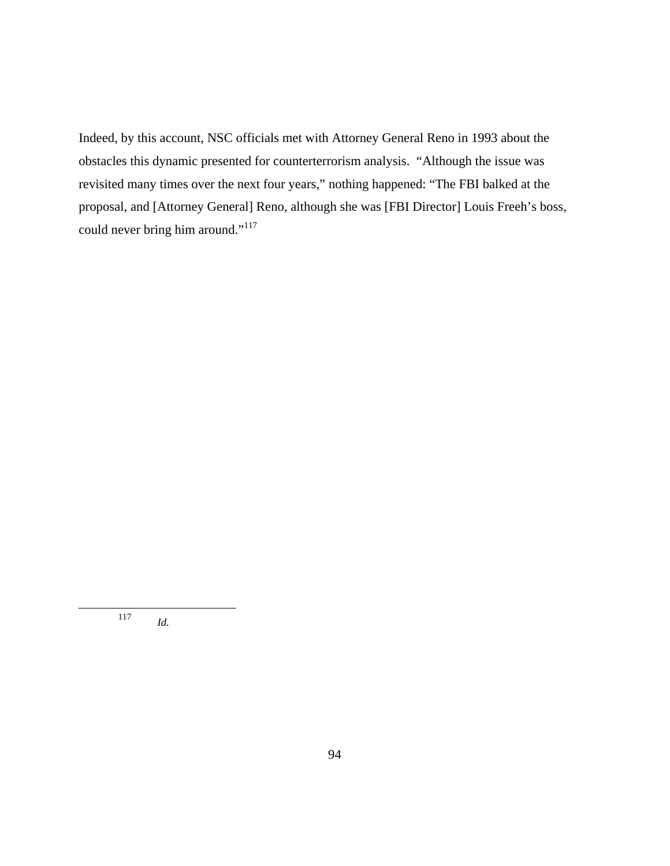Indeed, by this account, NSC officials met with Attorney General Reno in 1993 about the obstacles this dynamic presented for counterterrorism analysis. "Although the issue was revisited many times over the next four years," nothing happened: "The FBI balked at the proposal, and [Attorney General] Reno, although she was [FBI Director] Louis Freeh's boss, could never bring him around."<sup>117</sup>

<sup>117</sup> *Id.*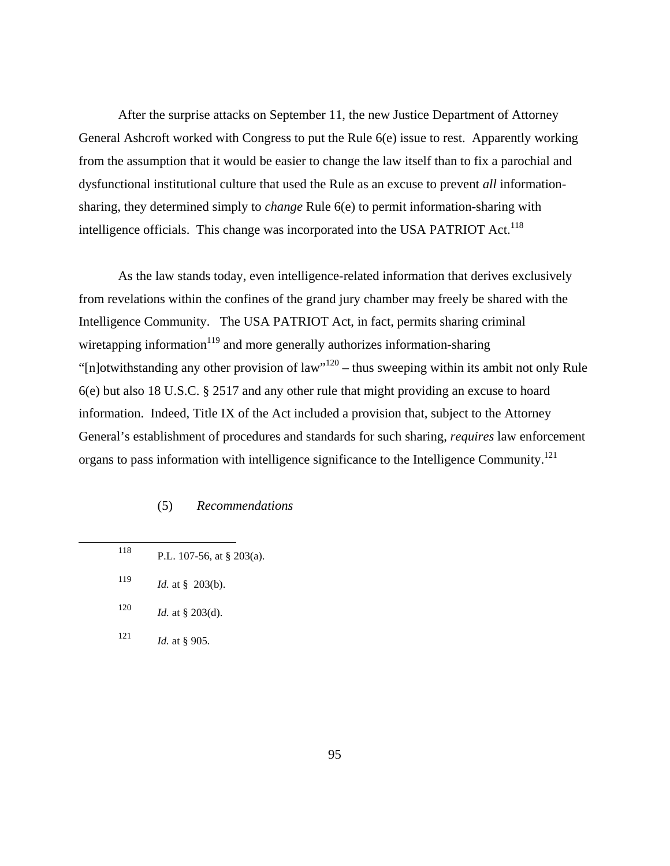After the surprise attacks on September 11, the new Justice Department of Attorney General Ashcroft worked with Congress to put the Rule 6(e) issue to rest. Apparently working from the assumption that it would be easier to change the law itself than to fix a parochial and dysfunctional institutional culture that used the Rule as an excuse to prevent *all* informationsharing, they determined simply to *change* Rule 6(e) to permit information-sharing with intelligence officials. This change was incorporated into the USA PATRIOT Act.<sup>118</sup>

As the law stands today, even intelligence-related information that derives exclusively from revelations within the confines of the grand jury chamber may freely be shared with the Intelligence Community. The USA PATRIOT Act, in fact, permits sharing criminal wiretapping information $119$  and more generally authorizes information-sharing " $[n]$ otwithstanding any other provision of law"<sup>120</sup> – thus sweeping within its ambit not only Rule 6(e) but also 18 U.S.C. § 2517 and any other rule that might providing an excuse to hoard information. Indeed, Title IX of the Act included a provision that, subject to the Attorney General's establishment of procedures and standards for such sharing, *requires* law enforcement organs to pass information with intelligence significance to the Intelligence Community.<sup>121</sup>

### (5) *Recommendations*

| 118 | P.L. 107-56, at $\S$ 203(a). |
|-----|------------------------------|
| 119 | <i>Id.</i> at § 203(b).      |
| 120 | <i>Id.</i> at § 203(d).      |
| 121 | <i>Id.</i> at § 905.         |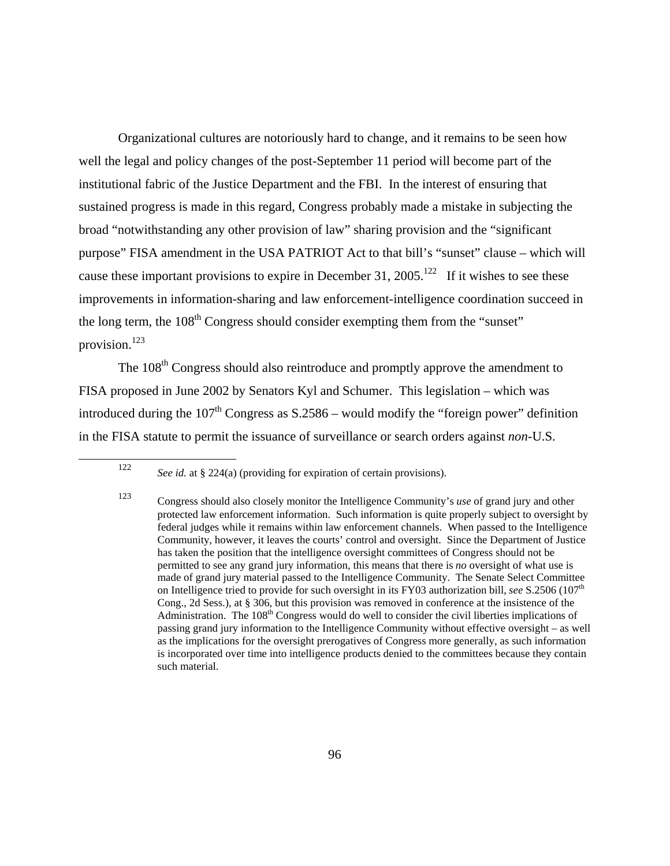Organizational cultures are notoriously hard to change, and it remains to be seen how well the legal and policy changes of the post-September 11 period will become part of the institutional fabric of the Justice Department and the FBI. In the interest of ensuring that sustained progress is made in this regard, Congress probably made a mistake in subjecting the broad "notwithstanding any other provision of law" sharing provision and the "significant purpose" FISA amendment in the USA PATRIOT Act to that bill's "sunset" clause – which will cause these important provisions to expire in December 31, 2005.<sup>122</sup> If it wishes to see these improvements in information-sharing and law enforcement-intelligence coordination succeed in the long term, the  $108<sup>th</sup>$  Congress should consider exempting them from the "sunset" provision.<sup>123</sup>

The 108<sup>th</sup> Congress should also reintroduce and promptly approve the amendment to FISA proposed in June 2002 by Senators Kyl and Schumer. This legislation – which was introduced during the  $107<sup>th</sup>$  Congress as S.2586 – would modify the "foreign power" definition in the FISA statute to permit the issuance of surveillance or search orders against *non*-U.S.

<sup>122</sup> *See id.* at § 224(a) (providing for expiration of certain provisions).

<sup>123</sup> Congress should also closely monitor the Intelligence Community's *use* of grand jury and other protected law enforcement information. Such information is quite properly subject to oversight by federal judges while it remains within law enforcement channels. When passed to the Intelligence Community, however, it leaves the courts' control and oversight. Since the Department of Justice has taken the position that the intelligence oversight committees of Congress should not be permitted to see any grand jury information, this means that there is *no* oversight of what use is made of grand jury material passed to the Intelligence Community. The Senate Select Committee on Intelligence tried to provide for such oversight in its FY03 authorization bill, see S.2506 (107<sup>th</sup>) Cong., 2d Sess.), at § 306, but this provision was removed in conference at the insistence of the Administration. The  $108<sup>th</sup>$  Congress would do well to consider the civil liberties implications of passing grand jury information to the Intelligence Community without effective oversight – as well as the implications for the oversight prerogatives of Congress more generally, as such information is incorporated over time into intelligence products denied to the committees because they contain such material.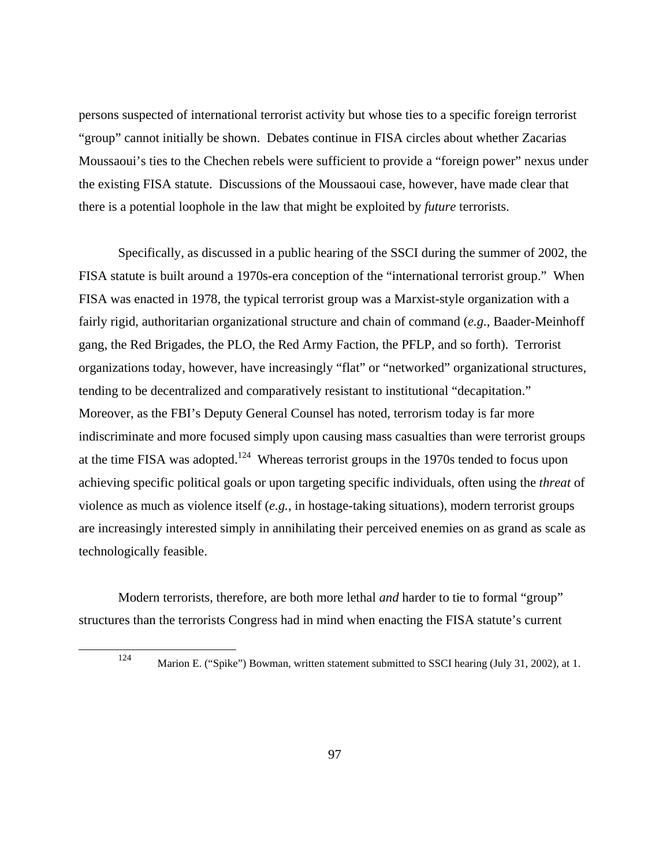persons suspected of international terrorist activity but whose ties to a specific foreign terrorist "group" cannot initially be shown. Debates continue in FISA circles about whether Zacarias Moussaoui's ties to the Chechen rebels were sufficient to provide a "foreign power" nexus under the existing FISA statute. Discussions of the Moussaoui case, however, have made clear that there is a potential loophole in the law that might be exploited by *future* terrorists.

Specifically, as discussed in a public hearing of the SSCI during the summer of 2002, the FISA statute is built around a 1970s-era conception of the "international terrorist group." When FISA was enacted in 1978, the typical terrorist group was a Marxist-style organization with a fairly rigid, authoritarian organizational structure and chain of command (*e.g.*, Baader-Meinhoff gang, the Red Brigades, the PLO, the Red Army Faction, the PFLP, and so forth). Terrorist organizations today, however, have increasingly "flat" or "networked" organizational structures, tending to be decentralized and comparatively resistant to institutional "decapitation." Moreover, as the FBI's Deputy General Counsel has noted, terrorism today is far more indiscriminate and more focused simply upon causing mass casualties than were terrorist groups at the time FISA was adopted.<sup>124</sup> Whereas terrorist groups in the 1970s tended to focus upon achieving specific political goals or upon targeting specific individuals, often using the *threat* of violence as much as violence itself (*e.g.*, in hostage-taking situations), modern terrorist groups are increasingly interested simply in annihilating their perceived enemies on as grand as scale as technologically feasible.

Modern terrorists, therefore, are both more lethal *and* harder to tie to formal "group" structures than the terrorists Congress had in mind when enacting the FISA statute's current

<sup>124</sup> Marion E. ("Spike") Bowman, written statement submitted to SSCI hearing (July 31, 2002), at 1.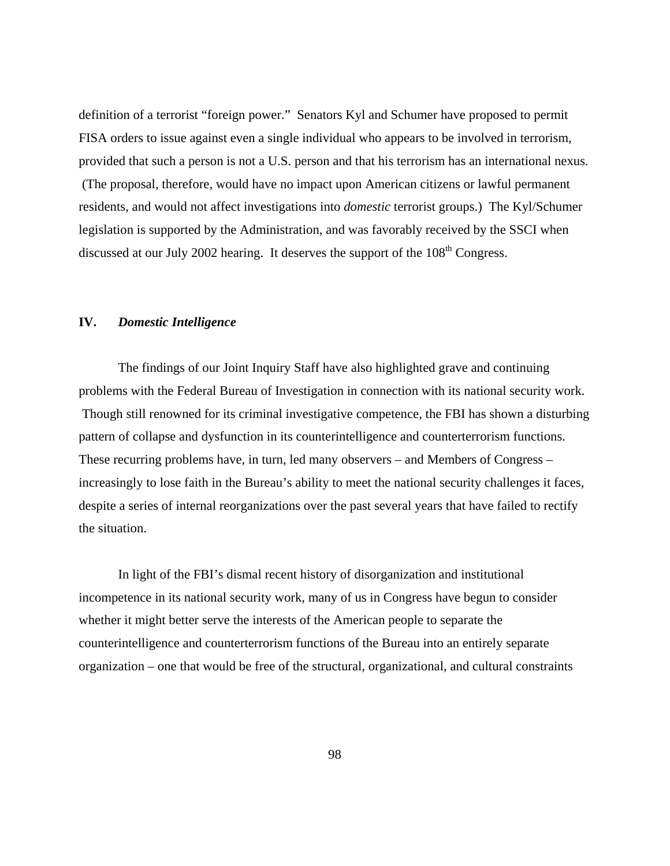definition of a terrorist "foreign power." Senators Kyl and Schumer have proposed to permit FISA orders to issue against even a single individual who appears to be involved in terrorism, provided that such a person is not a U.S. person and that his terrorism has an international nexus. (The proposal, therefore, would have no impact upon American citizens or lawful permanent residents, and would not affect investigations into *domestic* terrorist groups.) The Kyl/Schumer legislation is supported by the Administration, and was favorably received by the SSCI when discussed at our July 2002 hearing. It deserves the support of the 108<sup>th</sup> Congress.

## **IV.** *Domestic Intelligence*

The findings of our Joint Inquiry Staff have also highlighted grave and continuing problems with the Federal Bureau of Investigation in connection with its national security work. Though still renowned for its criminal investigative competence, the FBI has shown a disturbing pattern of collapse and dysfunction in its counterintelligence and counterterrorism functions. These recurring problems have, in turn, led many observers – and Members of Congress – increasingly to lose faith in the Bureau's ability to meet the national security challenges it faces, despite a series of internal reorganizations over the past several years that have failed to rectify the situation.

In light of the FBI's dismal recent history of disorganization and institutional incompetence in its national security work, many of us in Congress have begun to consider whether it might better serve the interests of the American people to separate the counterintelligence and counterterrorism functions of the Bureau into an entirely separate organization – one that would be free of the structural, organizational, and cultural constraints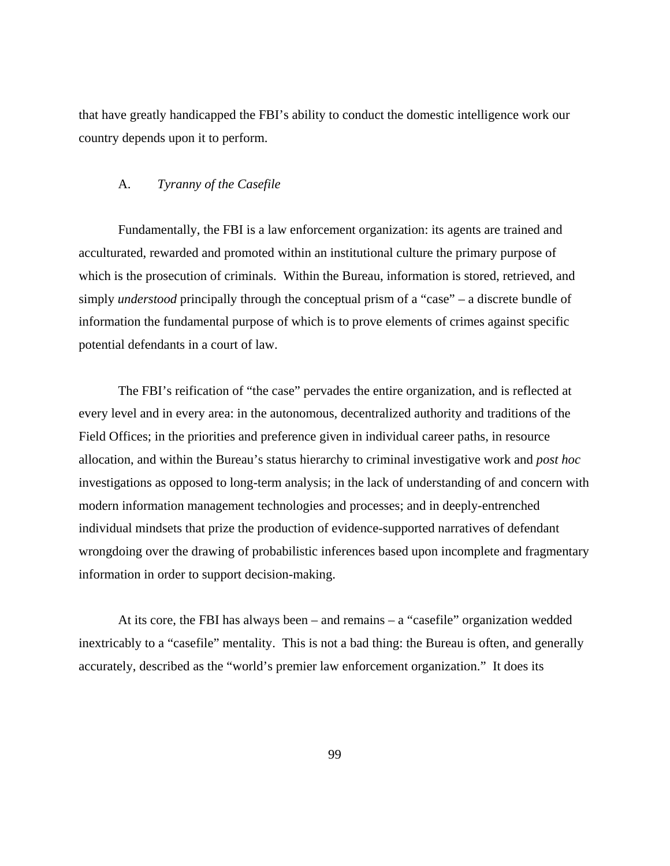that have greatly handicapped the FBI's ability to conduct the domestic intelligence work our country depends upon it to perform.

#### A. *Tyranny of the Casefile*

Fundamentally, the FBI is a law enforcement organization: its agents are trained and acculturated, rewarded and promoted within an institutional culture the primary purpose of which is the prosecution of criminals. Within the Bureau, information is stored, retrieved, and simply *understood* principally through the conceptual prism of a "case" – a discrete bundle of information the fundamental purpose of which is to prove elements of crimes against specific potential defendants in a court of law.

The FBI's reification of "the case" pervades the entire organization, and is reflected at every level and in every area: in the autonomous, decentralized authority and traditions of the Field Offices; in the priorities and preference given in individual career paths, in resource allocation, and within the Bureau's status hierarchy to criminal investigative work and *post hoc*  investigations as opposed to long-term analysis; in the lack of understanding of and concern with modern information management technologies and processes; and in deeply-entrenched individual mindsets that prize the production of evidence-supported narratives of defendant wrongdoing over the drawing of probabilistic inferences based upon incomplete and fragmentary information in order to support decision-making.

At its core, the FBI has always been – and remains – a "casefile" organization wedded inextricably to a "casefile" mentality. This is not a bad thing: the Bureau is often, and generally accurately, described as the "world's premier law enforcement organization." It does its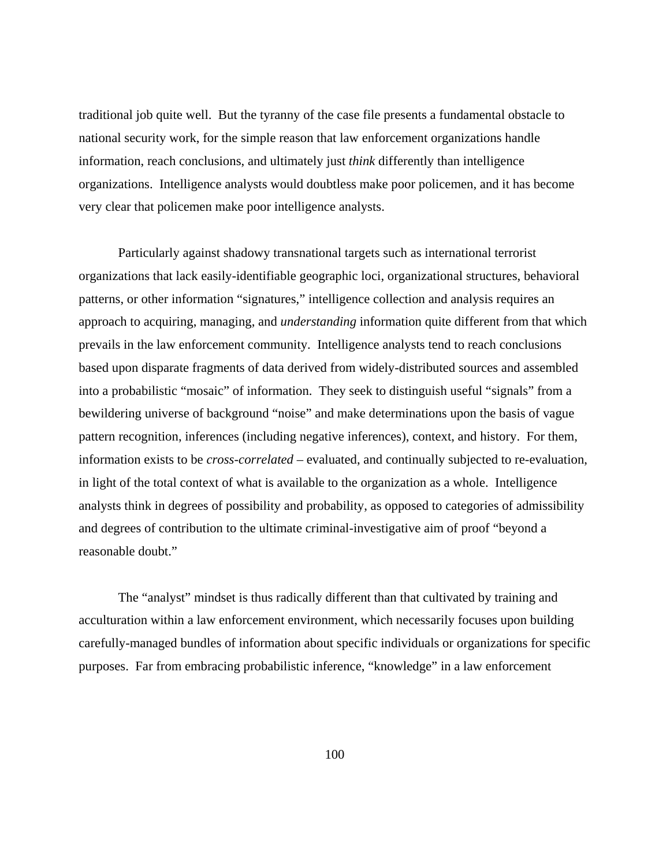traditional job quite well. But the tyranny of the case file presents a fundamental obstacle to national security work, for the simple reason that law enforcement organizations handle information, reach conclusions, and ultimately just *think* differently than intelligence organizations. Intelligence analysts would doubtless make poor policemen, and it has become very clear that policemen make poor intelligence analysts.

Particularly against shadowy transnational targets such as international terrorist organizations that lack easily-identifiable geographic loci, organizational structures, behavioral patterns, or other information "signatures," intelligence collection and analysis requires an approach to acquiring, managing, and *understanding* information quite different from that which prevails in the law enforcement community. Intelligence analysts tend to reach conclusions based upon disparate fragments of data derived from widely-distributed sources and assembled into a probabilistic "mosaic" of information. They seek to distinguish useful "signals" from a bewildering universe of background "noise" and make determinations upon the basis of vague pattern recognition, inferences (including negative inferences), context, and history. For them, information exists to be *cross-correlated* – evaluated, and continually subjected to re-evaluation, in light of the total context of what is available to the organization as a whole. Intelligence analysts think in degrees of possibility and probability, as opposed to categories of admissibility and degrees of contribution to the ultimate criminal-investigative aim of proof "beyond a reasonable doubt."

The "analyst" mindset is thus radically different than that cultivated by training and acculturation within a law enforcement environment, which necessarily focuses upon building carefully-managed bundles of information about specific individuals or organizations for specific purposes. Far from embracing probabilistic inference, "knowledge" in a law enforcement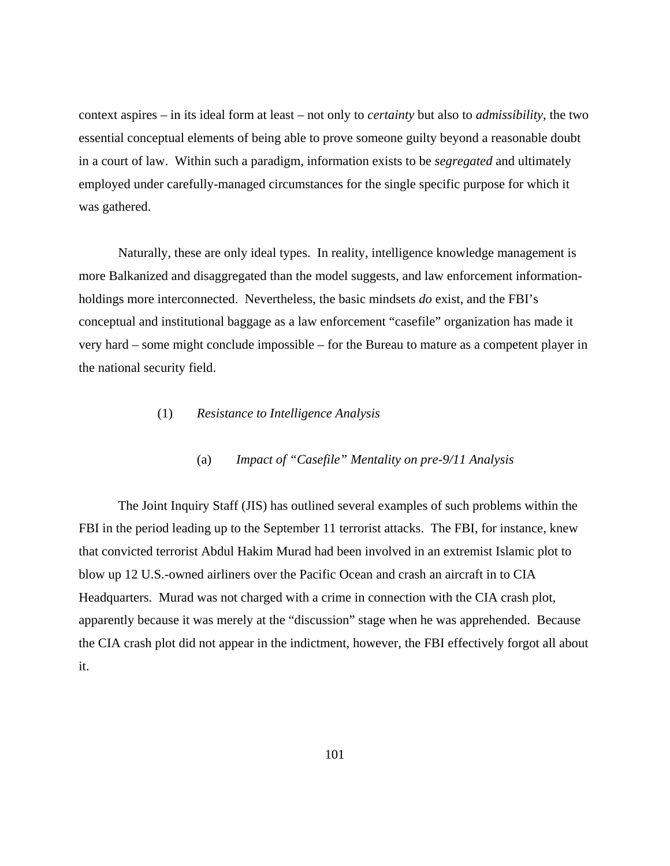context aspires – in its ideal form at least – not only to *certainty* but also to *admissibility*, the two essential conceptual elements of being able to prove someone guilty beyond a reasonable doubt in a court of law. Within such a paradigm, information exists to be *segregated* and ultimately employed under carefully-managed circumstances for the single specific purpose for which it was gathered.

Naturally, these are only ideal types. In reality, intelligence knowledge management is more Balkanized and disaggregated than the model suggests, and law enforcement informationholdings more interconnected. Nevertheless, the basic mindsets *do* exist, and the FBI's conceptual and institutional baggage as a law enforcement "casefile" organization has made it very hard – some might conclude impossible – for the Bureau to mature as a competent player in the national security field.

## (1) *Resistance to Intelligence Analysis*

## (a) *Impact of "Casefile" Mentality on pre-9/11 Analysis*

The Joint Inquiry Staff (JIS) has outlined several examples of such problems within the FBI in the period leading up to the September 11 terrorist attacks. The FBI, for instance, knew that convicted terrorist Abdul Hakim Murad had been involved in an extremist Islamic plot to blow up 12 U.S.-owned airliners over the Pacific Ocean and crash an aircraft in to CIA Headquarters. Murad was not charged with a crime in connection with the CIA crash plot, apparently because it was merely at the "discussion" stage when he was apprehended. Because the CIA crash plot did not appear in the indictment, however, the FBI effectively forgot all about it.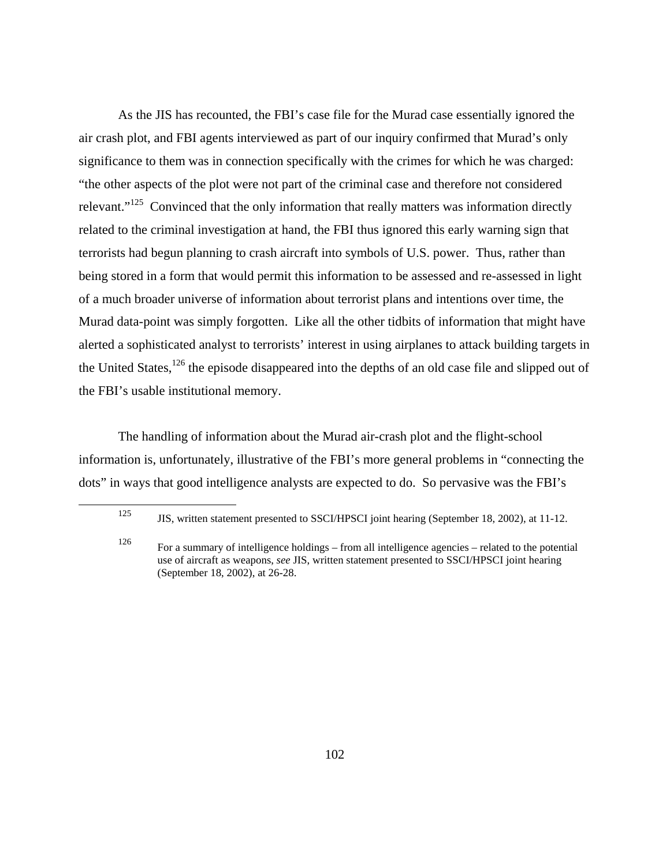As the JIS has recounted, the FBI's case file for the Murad case essentially ignored the air crash plot, and FBI agents interviewed as part of our inquiry confirmed that Murad's only significance to them was in connection specifically with the crimes for which he was charged: "the other aspects of the plot were not part of the criminal case and therefore not considered relevant."<sup>125</sup> Convinced that the only information that really matters was information directly related to the criminal investigation at hand, the FBI thus ignored this early warning sign that terrorists had begun planning to crash aircraft into symbols of U.S. power. Thus, rather than being stored in a form that would permit this information to be assessed and re-assessed in light of a much broader universe of information about terrorist plans and intentions over time, the Murad data-point was simply forgotten. Like all the other tidbits of information that might have alerted a sophisticated analyst to terrorists' interest in using airplanes to attack building targets in the United States,<sup>126</sup> the episode disappeared into the depths of an old case file and slipped out of the FBI's usable institutional memory.

The handling of information about the Murad air-crash plot and the flight-school information is, unfortunately, illustrative of the FBI's more general problems in "connecting the dots" in ways that good intelligence analysts are expected to do. So pervasive was the FBI's

<sup>125</sup> JIS, written statement presented to SSCI/HPSCI joint hearing (September 18, 2002), at 11-12.

<sup>126</sup> For a summary of intelligence holdings – from all intelligence agencies – related to the potential use of aircraft as weapons, *see* JIS, written statement presented to SSCI/HPSCI joint hearing (September 18, 2002), at 26-28.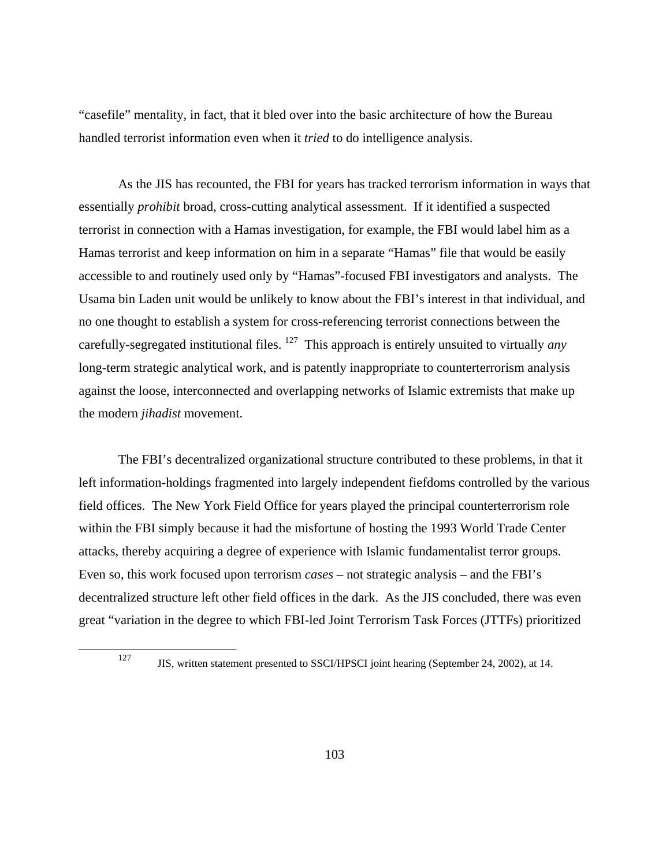"casefile" mentality, in fact, that it bled over into the basic architecture of how the Bureau handled terrorist information even when it *tried* to do intelligence analysis.

As the JIS has recounted, the FBI for years has tracked terrorism information in ways that essentially *prohibit* broad, cross-cutting analytical assessment. If it identified a suspected terrorist in connection with a Hamas investigation, for example, the FBI would label him as a Hamas terrorist and keep information on him in a separate "Hamas" file that would be easily accessible to and routinely used only by "Hamas"-focused FBI investigators and analysts. The Usama bin Laden unit would be unlikely to know about the FBI's interest in that individual, and no one thought to establish a system for cross-referencing terrorist connections between the carefully-segregated institutional files. 127 This approach is entirely unsuited to virtually *any* long-term strategic analytical work, and is patently inappropriate to counterterrorism analysis against the loose, interconnected and overlapping networks of Islamic extremists that make up the modern *jihadist* movement.

The FBI's decentralized organizational structure contributed to these problems, in that it left information-holdings fragmented into largely independent fiefdoms controlled by the various field offices. The New York Field Office for years played the principal counterterrorism role within the FBI simply because it had the misfortune of hosting the 1993 World Trade Center attacks, thereby acquiring a degree of experience with Islamic fundamentalist terror groups. Even so, this work focused upon terrorism *cases* – not strategic analysis – and the FBI's decentralized structure left other field offices in the dark. As the JIS concluded, there was even great "variation in the degree to which FBI-led Joint Terrorism Task Forces (JTTFs) prioritized

<sup>&</sup>lt;sup>127</sup> JIS, written statement presented to SSCI/HPSCI joint hearing (September 24, 2002), at 14.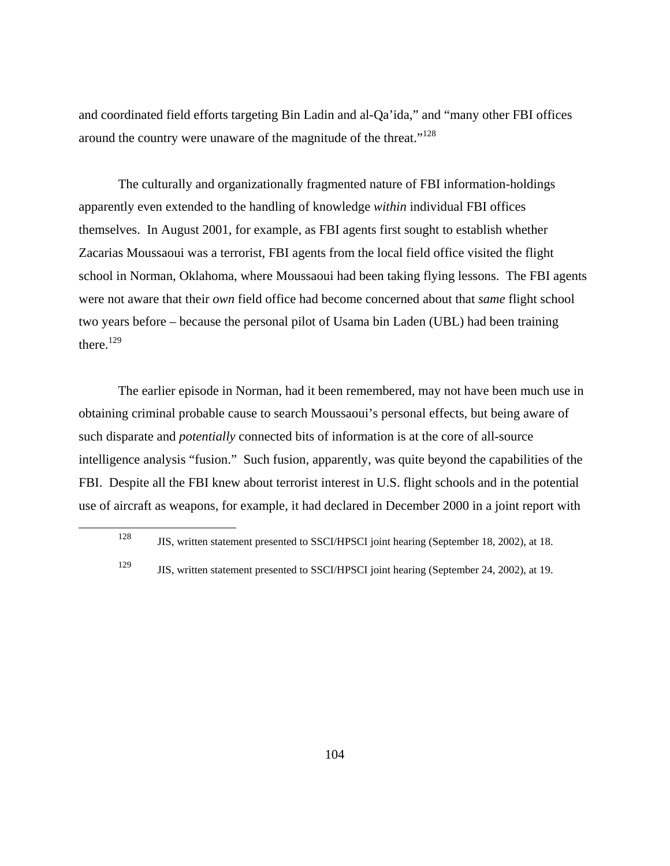and coordinated field efforts targeting Bin Ladin and al-Qa'ida," and "many other FBI offices around the country were unaware of the magnitude of the threat."128

The culturally and organizationally fragmented nature of FBI information-holdings apparently even extended to the handling of knowledge *within* individual FBI offices themselves. In August 2001, for example, as FBI agents first sought to establish whether Zacarias Moussaoui was a terrorist, FBI agents from the local field office visited the flight school in Norman, Oklahoma, where Moussaoui had been taking flying lessons. The FBI agents were not aware that their *own* field office had become concerned about that *same* flight school two years before – because the personal pilot of Usama bin Laden (UBL) had been training there.<sup>129</sup>

The earlier episode in Norman, had it been remembered, may not have been much use in obtaining criminal probable cause to search Moussaoui's personal effects, but being aware of such disparate and *potentially* connected bits of information is at the core of all-source intelligence analysis "fusion." Such fusion, apparently, was quite beyond the capabilities of the FBI. Despite all the FBI knew about terrorist interest in U.S. flight schools and in the potential use of aircraft as weapons, for example, it had declared in December 2000 in a joint report with

<sup>128</sup> JIS, written statement presented to SSCI/HPSCI joint hearing (September 18, 2002), at 18.

<sup>129</sup> JIS, written statement presented to SSCI/HPSCI joint hearing (September 24, 2002), at 19.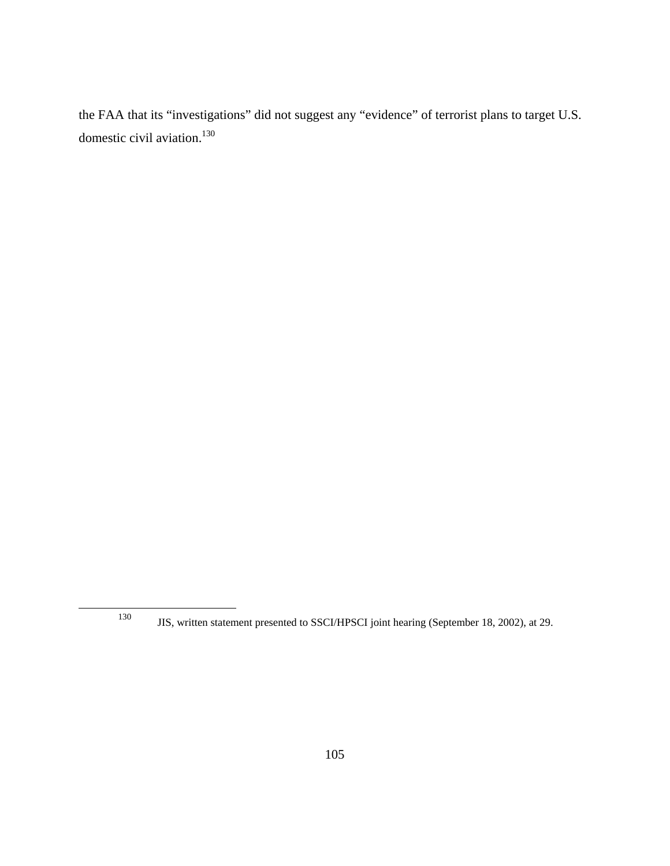the FAA that its "investigations" did not suggest any "evidence" of terrorist plans to target U.S. domestic civil aviation.<sup>130</sup>

<sup>130</sup> JIS, written statement presented to SSCI/HPSCI joint hearing (September 18, 2002), at 29.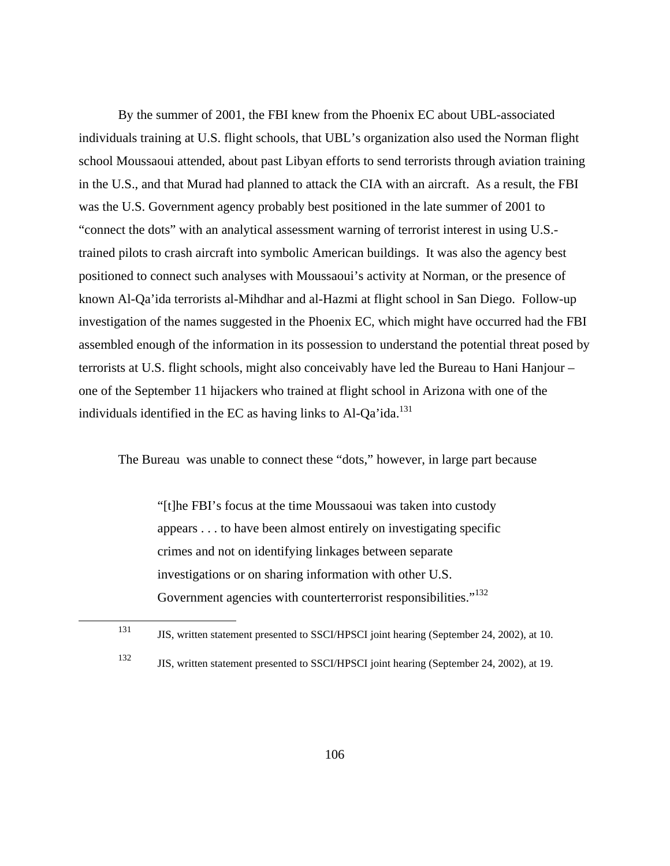By the summer of 2001, the FBI knew from the Phoenix EC about UBL-associated individuals training at U.S. flight schools, that UBL's organization also used the Norman flight school Moussaoui attended, about past Libyan efforts to send terrorists through aviation training in the U.S., and that Murad had planned to attack the CIA with an aircraft. As a result, the FBI was the U.S. Government agency probably best positioned in the late summer of 2001 to "connect the dots" with an analytical assessment warning of terrorist interest in using U.S. trained pilots to crash aircraft into symbolic American buildings. It was also the agency best positioned to connect such analyses with Moussaoui's activity at Norman, or the presence of known Al-Qa'ida terrorists al-Mihdhar and al-Hazmi at flight school in San Diego. Follow-up investigation of the names suggested in the Phoenix EC, which might have occurred had the FBI assembled enough of the information in its possession to understand the potential threat posed by terrorists at U.S. flight schools, might also conceivably have led the Bureau to Hani Hanjour – one of the September 11 hijackers who trained at flight school in Arizona with one of the individuals identified in the EC as having links to Al-Qa'ida.<sup>131</sup>

The Bureau was unable to connect these "dots," however, in large part because

"[t]he FBI's focus at the time Moussaoui was taken into custody appears . . . to have been almost entirely on investigating specific crimes and not on identifying linkages between separate investigations or on sharing information with other U.S. Government agencies with counterterrorist responsibilities."<sup>132</sup>

<sup>131</sup> JIS, written statement presented to SSCI/HPSCI joint hearing (September 24, 2002), at 10.

<sup>132</sup> JIS, written statement presented to SSCI/HPSCI joint hearing (September 24, 2002), at 19.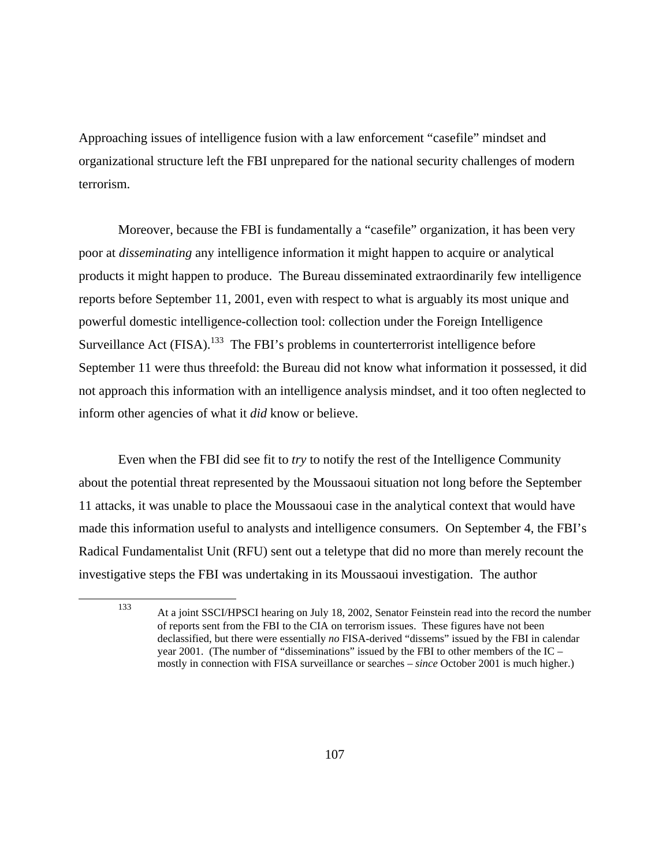Approaching issues of intelligence fusion with a law enforcement "casefile" mindset and organizational structure left the FBI unprepared for the national security challenges of modern terrorism.

Moreover, because the FBI is fundamentally a "casefile" organization, it has been very poor at *disseminating* any intelligence information it might happen to acquire or analytical products it might happen to produce. The Bureau disseminated extraordinarily few intelligence reports before September 11, 2001, even with respect to what is arguably its most unique and powerful domestic intelligence-collection tool: collection under the Foreign Intelligence Surveillance Act  $(FISA)$ .<sup>133</sup> The FBI's problems in counterterrorist intelligence before September 11 were thus threefold: the Bureau did not know what information it possessed, it did not approach this information with an intelligence analysis mindset, and it too often neglected to inform other agencies of what it *did* know or believe.

Even when the FBI did see fit to *try* to notify the rest of the Intelligence Community about the potential threat represented by the Moussaoui situation not long before the September 11 attacks, it was unable to place the Moussaoui case in the analytical context that would have made this information useful to analysts and intelligence consumers. On September 4, the FBI's Radical Fundamentalist Unit (RFU) sent out a teletype that did no more than merely recount the investigative steps the FBI was undertaking in its Moussaoui investigation. The author

<sup>133</sup> At a joint SSCI/HPSCI hearing on July 18, 2002, Senator Feinstein read into the record the number of reports sent from the FBI to the CIA on terrorism issues. These figures have not been declassified, but there were essentially *no* FISA-derived "dissems" issued by the FBI in calendar year 2001. (The number of "disseminations" issued by the FBI to other members of the IC – mostly in connection with FISA surveillance or searches – *since* October 2001 is much higher.)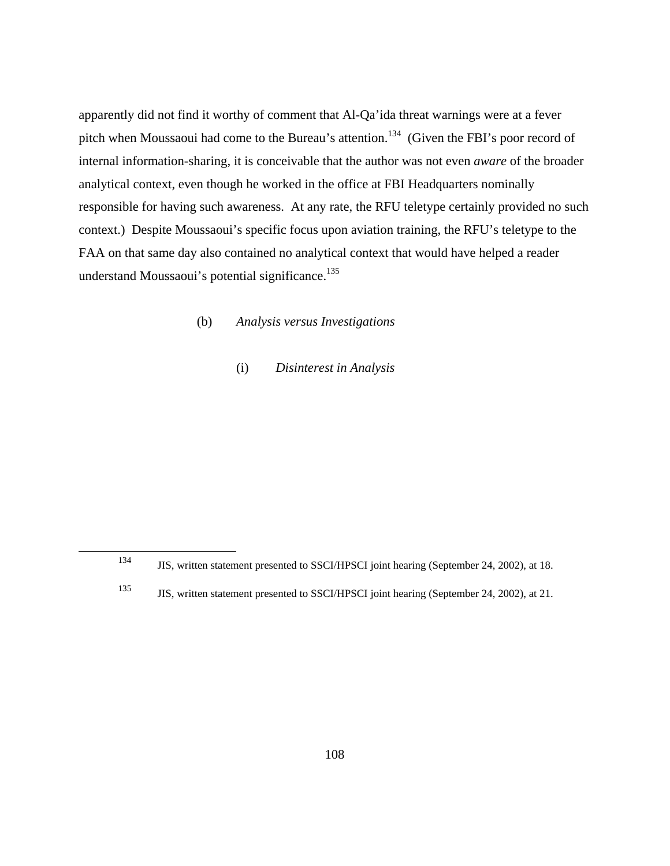apparently did not find it worthy of comment that Al-Qa'ida threat warnings were at a fever pitch when Moussaoui had come to the Bureau's attention.<sup>134</sup> (Given the FBI's poor record of internal information-sharing, it is conceivable that the author was not even *aware* of the broader analytical context, even though he worked in the office at FBI Headquarters nominally responsible for having such awareness. At any rate, the RFU teletype certainly provided no such context.) Despite Moussaoui's specific focus upon aviation training, the RFU's teletype to the FAA on that same day also contained no analytical context that would have helped a reader understand Moussaoui's potential significance.<sup>135</sup>

# (b) *Analysis versus Investigations*

(i) *Disinterest in Analysis* 

<sup>134</sup> JIS, written statement presented to SSCI/HPSCI joint hearing (September 24, 2002), at 18.

<sup>135</sup> JIS, written statement presented to SSCI/HPSCI joint hearing (September 24, 2002), at 21.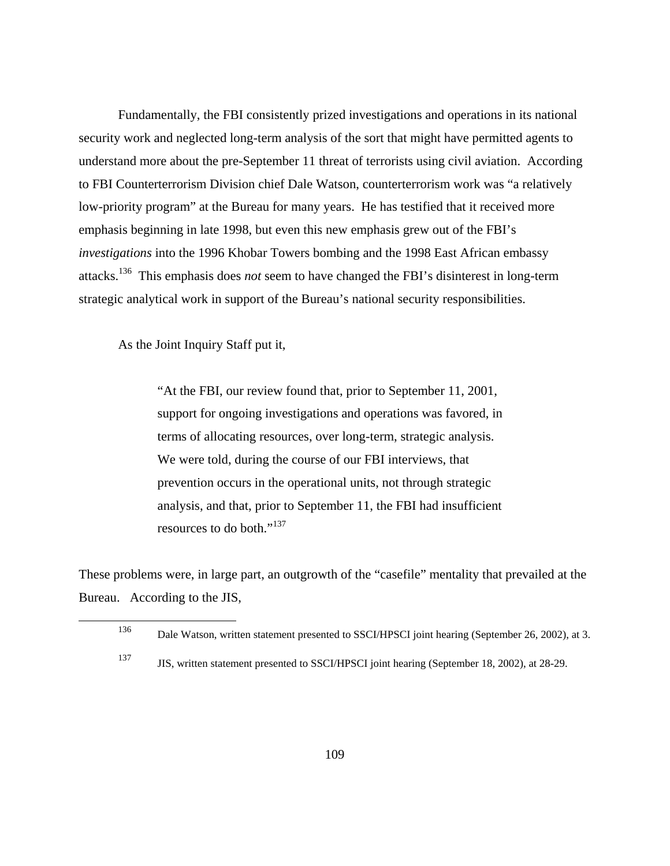Fundamentally, the FBI consistently prized investigations and operations in its national security work and neglected long-term analysis of the sort that might have permitted agents to understand more about the pre-September 11 threat of terrorists using civil aviation. According to FBI Counterterrorism Division chief Dale Watson, counterterrorism work was "a relatively low-priority program" at the Bureau for many years. He has testified that it received more emphasis beginning in late 1998, but even this new emphasis grew out of the FBI's *investigations* into the 1996 Khobar Towers bombing and the 1998 East African embassy attacks.136 This emphasis does *not* seem to have changed the FBI's disinterest in long-term strategic analytical work in support of the Bureau's national security responsibilities.

As the Joint Inquiry Staff put it,

"At the FBI, our review found that, prior to September 11, 2001, support for ongoing investigations and operations was favored, in terms of allocating resources, over long-term, strategic analysis. We were told, during the course of our FBI interviews, that prevention occurs in the operational units, not through strategic analysis, and that, prior to September 11, the FBI had insufficient resources to do both."<sup>137</sup>

These problems were, in large part, an outgrowth of the "casefile" mentality that prevailed at the Bureau. According to the JIS,

<sup>136</sup> Dale Watson, written statement presented to SSCI/HPSCI joint hearing (September 26, 2002), at 3.

<sup>137</sup> JIS, written statement presented to SSCI/HPSCI joint hearing (September 18, 2002), at 28-29.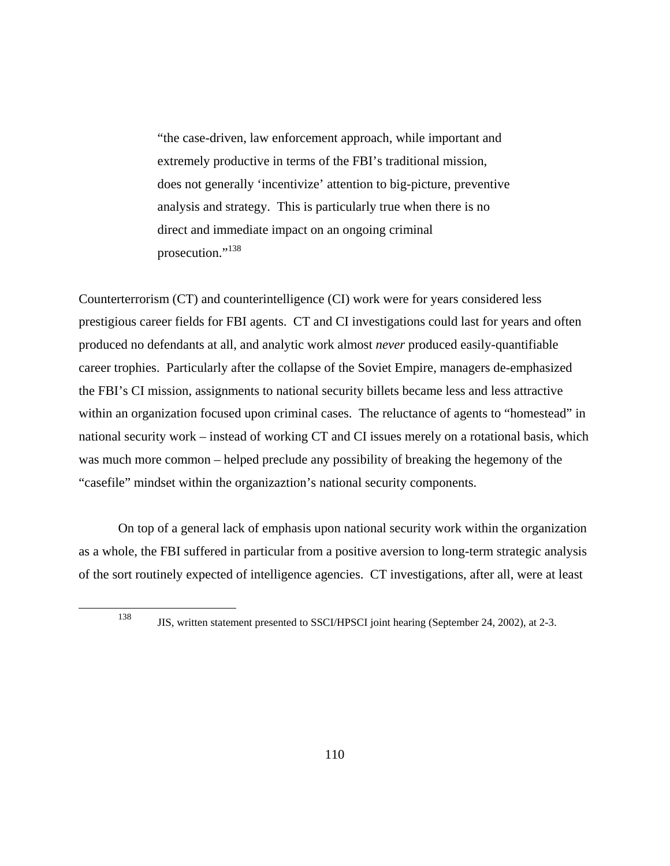"the case-driven, law enforcement approach, while important and extremely productive in terms of the FBI's traditional mission, does not generally 'incentivize' attention to big-picture, preventive analysis and strategy. This is particularly true when there is no direct and immediate impact on an ongoing criminal prosecution."<sup>138</sup>

Counterterrorism (CT) and counterintelligence (CI) work were for years considered less prestigious career fields for FBI agents. CT and CI investigations could last for years and often produced no defendants at all, and analytic work almost *never* produced easily-quantifiable career trophies. Particularly after the collapse of the Soviet Empire, managers de-emphasized the FBI's CI mission, assignments to national security billets became less and less attractive within an organization focused upon criminal cases. The reluctance of agents to "homestead" in national security work – instead of working CT and CI issues merely on a rotational basis, which was much more common – helped preclude any possibility of breaking the hegemony of the "casefile" mindset within the organizaztion's national security components.

On top of a general lack of emphasis upon national security work within the organization as a whole, the FBI suffered in particular from a positive aversion to long-term strategic analysis of the sort routinely expected of intelligence agencies. CT investigations, after all, were at least

<sup>138</sup> JIS, written statement presented to SSCI/HPSCI joint hearing (September 24, 2002), at 2-3.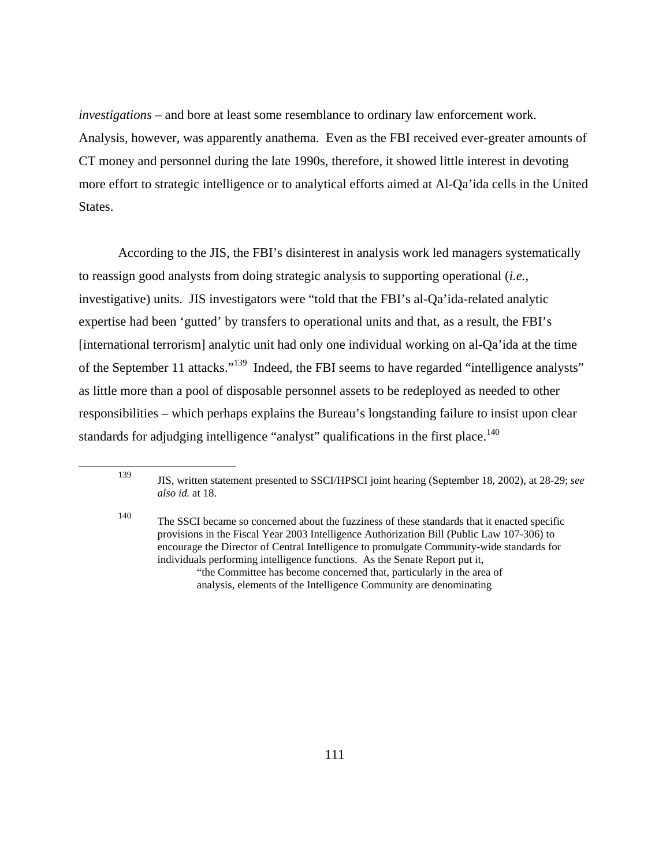*investigations* – and bore at least some resemblance to ordinary law enforcement work. Analysis, however, was apparently anathema. Even as the FBI received ever-greater amounts of CT money and personnel during the late 1990s, therefore, it showed little interest in devoting more effort to strategic intelligence or to analytical efforts aimed at Al-Qa'ida cells in the United States.

According to the JIS, the FBI's disinterest in analysis work led managers systematically to reassign good analysts from doing strategic analysis to supporting operational (*i.e.*, investigative) units. JIS investigators were "told that the FBI's al-Qa'ida-related analytic expertise had been 'gutted' by transfers to operational units and that, as a result, the FBI's [international terrorism] analytic unit had only one individual working on al-Qa'ida at the time of the September 11 attacks."139 Indeed, the FBI seems to have regarded "intelligence analysts" as little more than a pool of disposable personnel assets to be redeployed as needed to other responsibilities – which perhaps explains the Bureau's longstanding failure to insist upon clear standards for adjudging intelligence "analyst" qualifications in the first place.<sup>140</sup>

<sup>139</sup> JIS, written statement presented to SSCI/HPSCI joint hearing (September 18, 2002), at 28-29; *see also id.* at 18.

<sup>140</sup> The SSCI became so concerned about the fuzziness of these standards that it enacted specific provisions in the Fiscal Year 2003 Intelligence Authorization Bill (Public Law 107-306) to encourage the Director of Central Intelligence to promulgate Community-wide standards for individuals performing intelligence functions. As the Senate Report put it, "the Committee has become concerned that, particularly in the area of analysis, elements of the Intelligence Community are denominating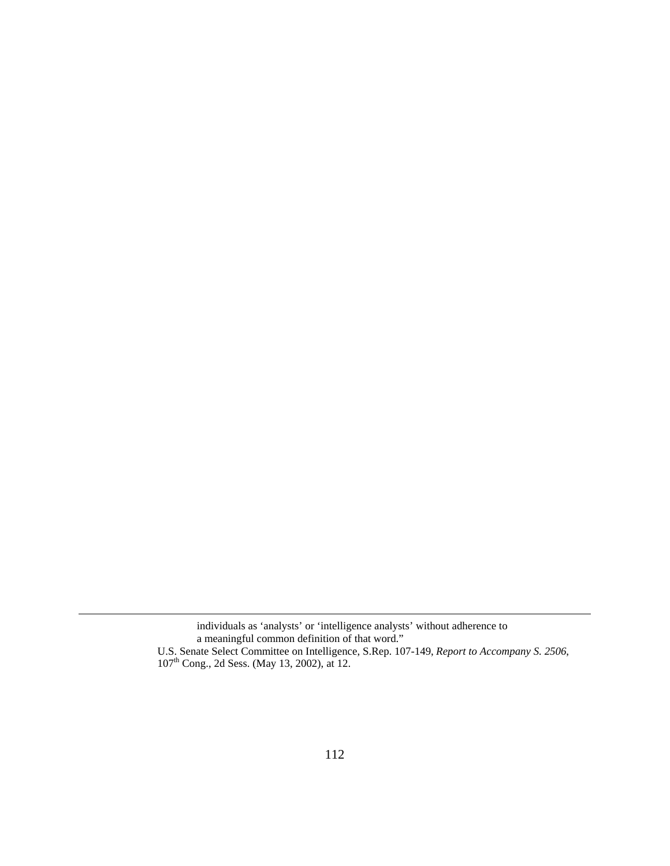individuals as 'analysts' or 'intelligence analysts' without adherence to a meaningful common definition of that word." U.S. Senate Select Committee on Intelligence, S.Rep. 107-149, *Report to Accompany S. 2506*, 107th Cong., 2d Sess. (May 13, 2002), at 12.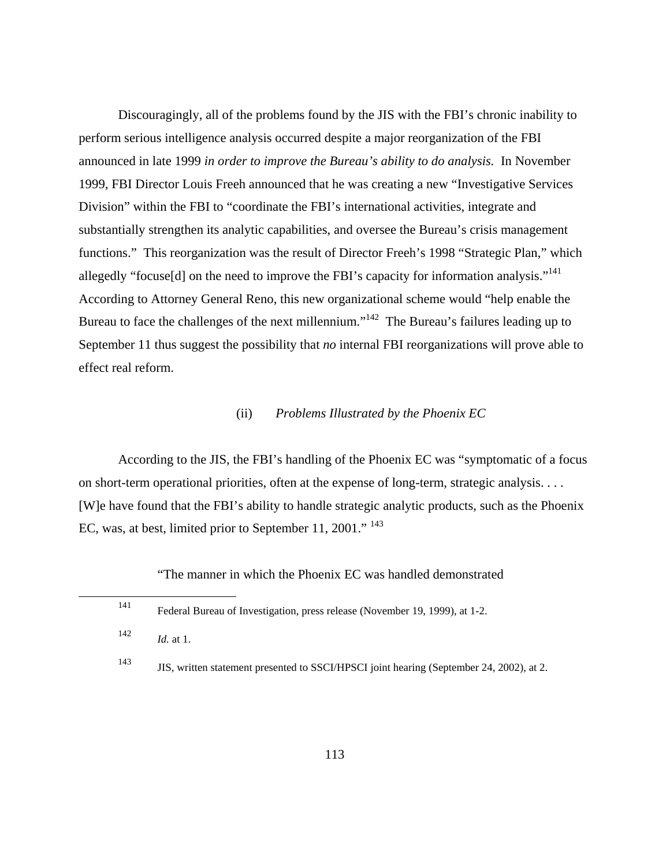Discouragingly, all of the problems found by the JIS with the FBI's chronic inability to perform serious intelligence analysis occurred despite a major reorganization of the FBI announced in late 1999 *in order to improve the Bureau's ability to do analysis.* In November 1999, FBI Director Louis Freeh announced that he was creating a new "Investigative Services Division" within the FBI to "coordinate the FBI's international activities, integrate and substantially strengthen its analytic capabilities, and oversee the Bureau's crisis management functions." This reorganization was the result of Director Freeh's 1998 "Strategic Plan," which allegedly "focuse[d] on the need to improve the FBI's capacity for information analysis."<sup>141</sup> According to Attorney General Reno, this new organizational scheme would "help enable the Bureau to face the challenges of the next millennium."<sup>142</sup> The Bureau's failures leading up to September 11 thus suggest the possibility that *no* internal FBI reorganizations will prove able to effect real reform.

#### (ii) *Problems Illustrated by the Phoenix EC*

According to the JIS, the FBI's handling of the Phoenix EC was "symptomatic of a focus on short-term operational priorities, often at the expense of long-term, strategic analysis. . . . [W]e have found that the FBI's ability to handle strategic analytic products, such as the Phoenix EC, was, at best, limited prior to September 11, 2001." <sup>143</sup>

"The manner in which the Phoenix EC was handled demonstrated

| 141 | Federal Bureau of Investigation, press release (November 19, 1999), at 1-2.              |
|-----|------------------------------------------------------------------------------------------|
| 142 | $Id.$ at 1.                                                                              |
| 143 | JIS, written statement presented to SSCI/HPSCI joint hearing (September 24, 2002), at 2. |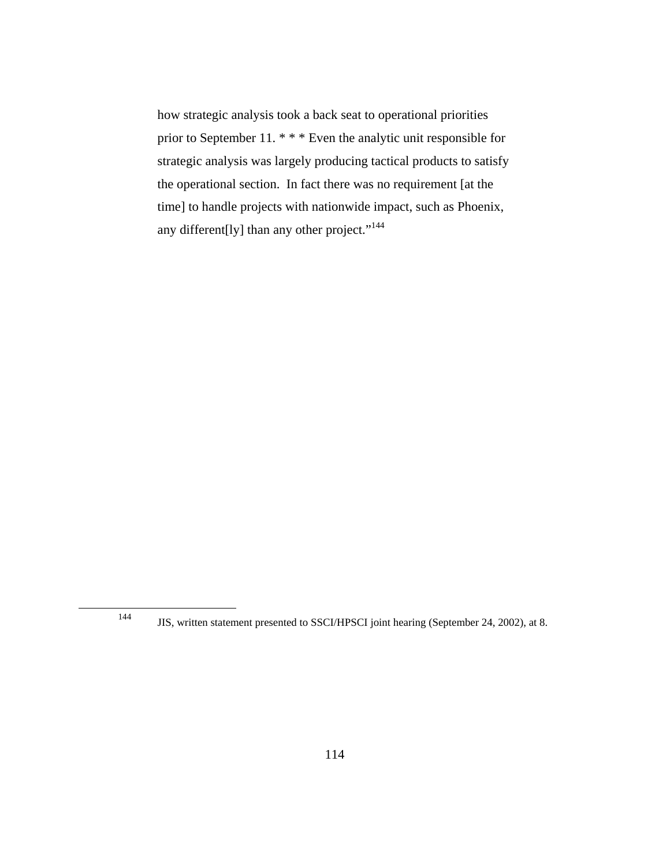how strategic analysis took a back seat to operational priorities prior to September 11. \* \* \* Even the analytic unit responsible for strategic analysis was largely producing tactical products to satisfy the operational section. In fact there was no requirement [at the time] to handle projects with nationwide impact, such as Phoenix, any different[ly] than any other project."<sup>144</sup>

<sup>144</sup> JIS, written statement presented to SSCI/HPSCI joint hearing (September 24, 2002), at 8.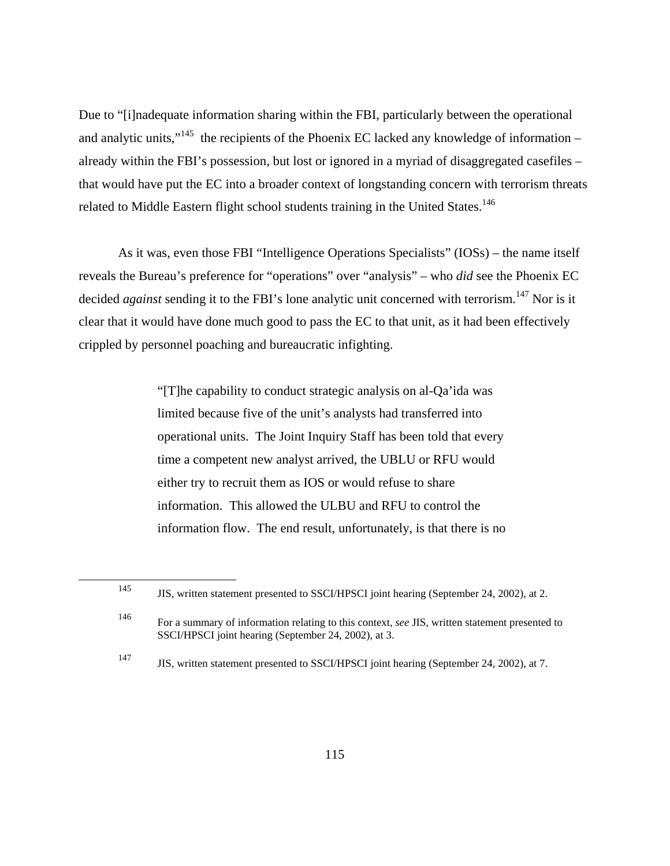Due to "[i]nadequate information sharing within the FBI, particularly between the operational and analytic units," $145$  the recipients of the Phoenix EC lacked any knowledge of information – already within the FBI's possession, but lost or ignored in a myriad of disaggregated casefiles – that would have put the EC into a broader context of longstanding concern with terrorism threats related to Middle Eastern flight school students training in the United States.<sup>146</sup>

As it was, even those FBI "Intelligence Operations Specialists" (IOSs) – the name itself reveals the Bureau's preference for "operations" over "analysis" – who *did* see the Phoenix EC decided *against* sending it to the FBI's lone analytic unit concerned with terrorism.<sup>147</sup> Nor is it clear that it would have done much good to pass the EC to that unit, as it had been effectively crippled by personnel poaching and bureaucratic infighting.

> "[T]he capability to conduct strategic analysis on al-Qa'ida was limited because five of the unit's analysts had transferred into operational units. The Joint Inquiry Staff has been told that every time a competent new analyst arrived, the UBLU or RFU would either try to recruit them as IOS or would refuse to share information. This allowed the ULBU and RFU to control the information flow. The end result, unfortunately, is that there is no

<sup>145</sup> JIS, written statement presented to SSCI/HPSCI joint hearing (September 24, 2002), at 2.

<sup>146</sup> For a summary of information relating to this context, *see* JIS, written statement presented to SSCI/HPSCI joint hearing (September 24, 2002), at 3.

<sup>147</sup> JIS, written statement presented to SSCI/HPSCI joint hearing (September 24, 2002), at 7.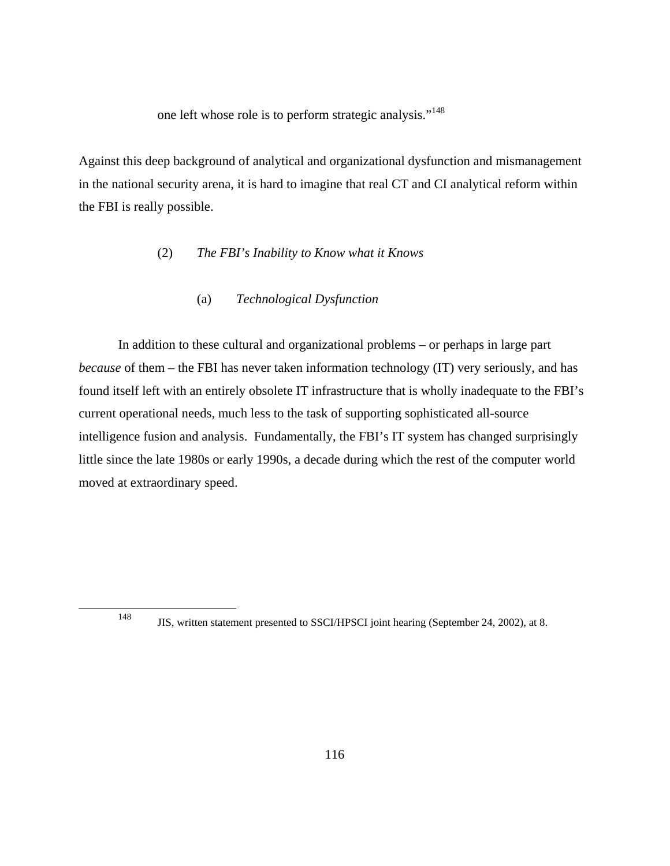one left whose role is to perform strategic analysis."<sup>148</sup>

Against this deep background of analytical and organizational dysfunction and mismanagement in the national security arena, it is hard to imagine that real CT and CI analytical reform within the FBI is really possible.

# (2) *The FBI's Inability to Know what it Knows*

# (a) *Technological Dysfunction*

In addition to these cultural and organizational problems – or perhaps in large part *because* of them – the FBI has never taken information technology (IT) very seriously, and has found itself left with an entirely obsolete IT infrastructure that is wholly inadequate to the FBI's current operational needs, much less to the task of supporting sophisticated all-source intelligence fusion and analysis. Fundamentally, the FBI's IT system has changed surprisingly little since the late 1980s or early 1990s, a decade during which the rest of the computer world moved at extraordinary speed.

<sup>148</sup> JIS, written statement presented to SSCI/HPSCI joint hearing (September 24, 2002), at 8.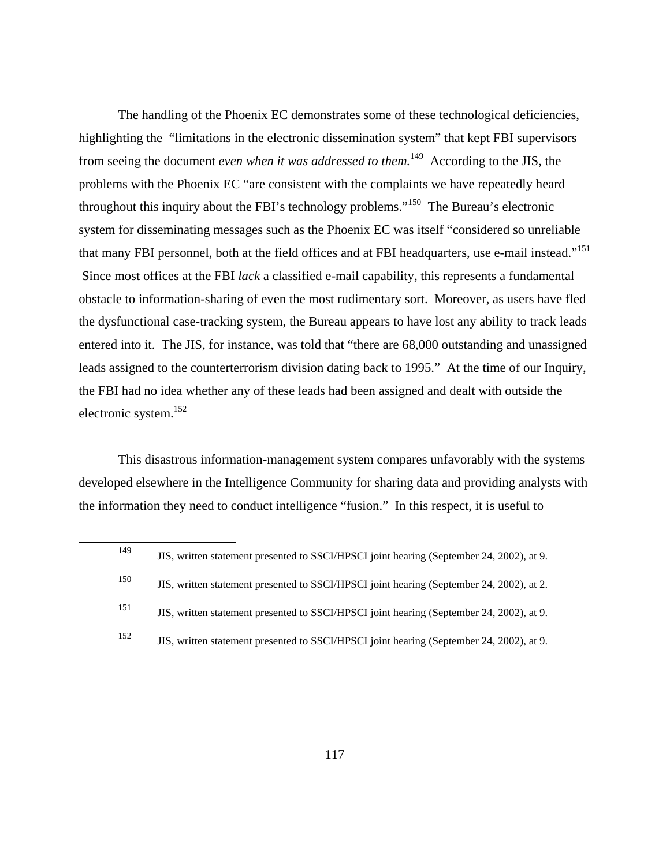The handling of the Phoenix EC demonstrates some of these technological deficiencies, highlighting the "limitations in the electronic dissemination system" that kept FBI supervisors from seeing the document *even when it was addressed to them.*149 According to the JIS, the problems with the Phoenix EC "are consistent with the complaints we have repeatedly heard throughout this inquiry about the FBI's technology problems."150 The Bureau's electronic system for disseminating messages such as the Phoenix EC was itself "considered so unreliable that many FBI personnel, both at the field offices and at FBI headquarters, use e-mail instead."151 Since most offices at the FBI *lack* a classified e-mail capability, this represents a fundamental obstacle to information-sharing of even the most rudimentary sort. Moreover, as users have fled the dysfunctional case-tracking system, the Bureau appears to have lost any ability to track leads entered into it. The JIS, for instance, was told that "there are 68,000 outstanding and unassigned leads assigned to the counterterrorism division dating back to 1995." At the time of our Inquiry, the FBI had no idea whether any of these leads had been assigned and dealt with outside the electronic system.152

This disastrous information-management system compares unfavorably with the systems developed elsewhere in the Intelligence Community for sharing data and providing analysts with the information they need to conduct intelligence "fusion." In this respect, it is useful to

<sup>149</sup> JIS, written statement presented to SSCI/HPSCI joint hearing (September 24, 2002), at 9. <sup>150</sup> JIS, written statement presented to SSCI/HPSCI joint hearing (September 24, 2002), at 2. 151 JIS, written statement presented to SSCI/HPSCI joint hearing (September 24, 2002), at 9. <sup>152</sup> JIS, written statement presented to SSCI/HPSCI joint hearing (September 24, 2002), at 9.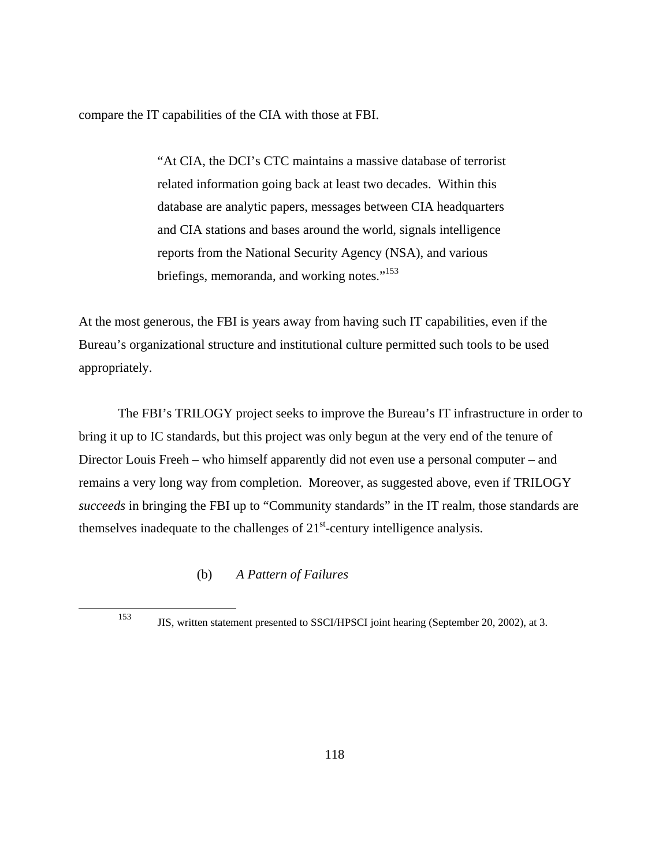compare the IT capabilities of the CIA with those at FBI.

"At CIA, the DCI's CTC maintains a massive database of terrorist related information going back at least two decades. Within this database are analytic papers, messages between CIA headquarters and CIA stations and bases around the world, signals intelligence reports from the National Security Agency (NSA), and various briefings, memoranda, and working notes."<sup>153</sup>

At the most generous, the FBI is years away from having such IT capabilities, even if the Bureau's organizational structure and institutional culture permitted such tools to be used appropriately.

The FBI's TRILOGY project seeks to improve the Bureau's IT infrastructure in order to bring it up to IC standards, but this project was only begun at the very end of the tenure of Director Louis Freeh – who himself apparently did not even use a personal computer – and remains a very long way from completion. Moreover, as suggested above, even if TRILOGY *succeeds* in bringing the FBI up to "Community standards" in the IT realm, those standards are themselves inadequate to the challenges of  $21<sup>st</sup>$ -century intelligence analysis.

(b) *A Pattern of Failures* 

<sup>153</sup> JIS, written statement presented to SSCI/HPSCI joint hearing (September 20, 2002), at 3.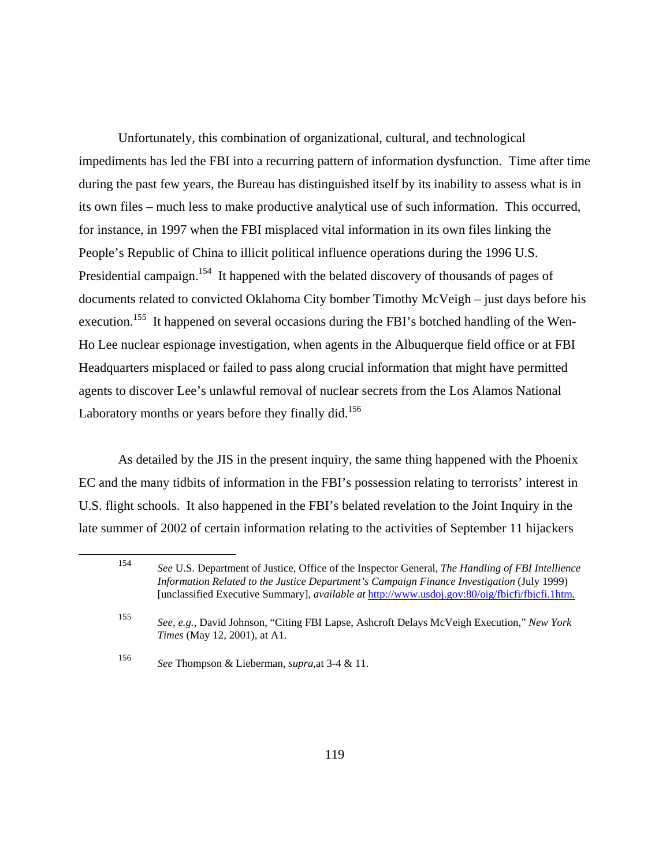Unfortunately, this combination of organizational, cultural, and technological impediments has led the FBI into a recurring pattern of information dysfunction. Time after time during the past few years, the Bureau has distinguished itself by its inability to assess what is in its own files – much less to make productive analytical use of such information. This occurred, for instance, in 1997 when the FBI misplaced vital information in its own files linking the People's Republic of China to illicit political influence operations during the 1996 U.S. Presidential campaign.<sup>154</sup> It happened with the belated discovery of thousands of pages of documents related to convicted Oklahoma City bomber Timothy McVeigh – just days before his execution.<sup>155</sup> It happened on several occasions during the FBI's botched handling of the Wen-Ho Lee nuclear espionage investigation, when agents in the Albuquerque field office or at FBI Headquarters misplaced or failed to pass along crucial information that might have permitted agents to discover Lee's unlawful removal of nuclear secrets from the Los Alamos National Laboratory months or years before they finally did.<sup>156</sup>

As detailed by the JIS in the present inquiry, the same thing happened with the Phoenix EC and the many tidbits of information in the FBI's possession relating to terrorists' interest in U.S. flight schools. It also happened in the FBI's belated revelation to the Joint Inquiry in the late summer of 2002 of certain information relating to the activities of September 11 hijackers

<sup>154</sup> *See* U.S. Department of Justice, Office of the Inspector General, *The Handling of FBI Intellience Information Related to the Justice Department's Campaign Finance Investigation* (July 1999) [unclassified Executive Summary], *available at* http://www.usdoj.gov:80/oig/fbicfi/fbicfi.1htm.

<sup>155</sup> *See, e.g.*, David Johnson, "Citing FBI Lapse, Ashcroft Delays McVeigh Execution," *New York Times* (May 12, 2001), at A1.

<sup>156</sup> *See* Thompson & Lieberman, *supra*,at 3-4 & 11.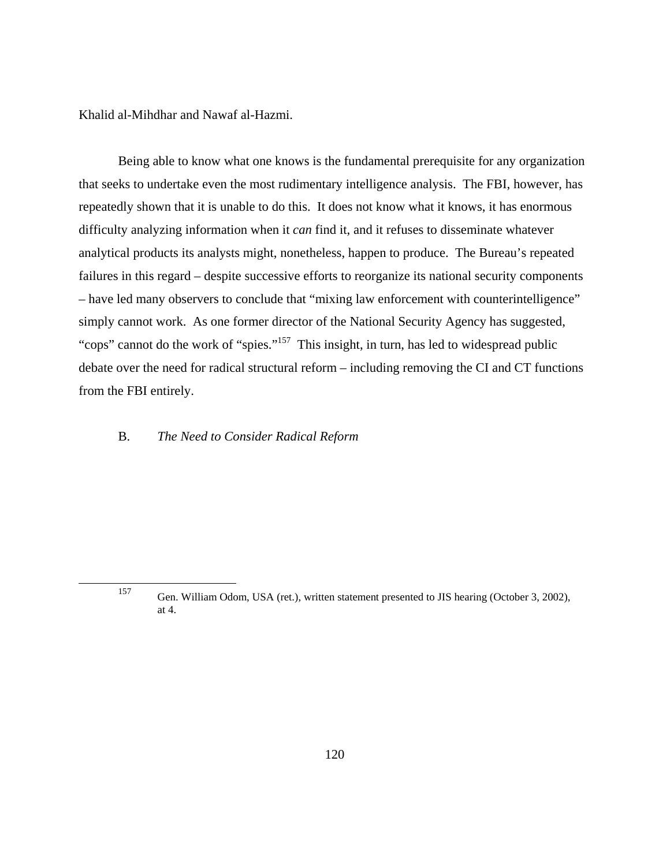Khalid al-Mihdhar and Nawaf al-Hazmi.

Being able to know what one knows is the fundamental prerequisite for any organization that seeks to undertake even the most rudimentary intelligence analysis. The FBI, however, has repeatedly shown that it is unable to do this. It does not know what it knows, it has enormous difficulty analyzing information when it *can* find it, and it refuses to disseminate whatever analytical products its analysts might, nonetheless, happen to produce. The Bureau's repeated failures in this regard – despite successive efforts to reorganize its national security components – have led many observers to conclude that "mixing law enforcement with counterintelligence" simply cannot work. As one former director of the National Security Agency has suggested, "cops" cannot do the work of "spies."<sup>157</sup> This insight, in turn, has led to widespread public debate over the need for radical structural reform – including removing the CI and CT functions from the FBI entirely.

## B. *The Need to Consider Radical Reform*

<sup>157</sup> Gen. William Odom, USA (ret.), written statement presented to JIS hearing (October 3, 2002), at 4.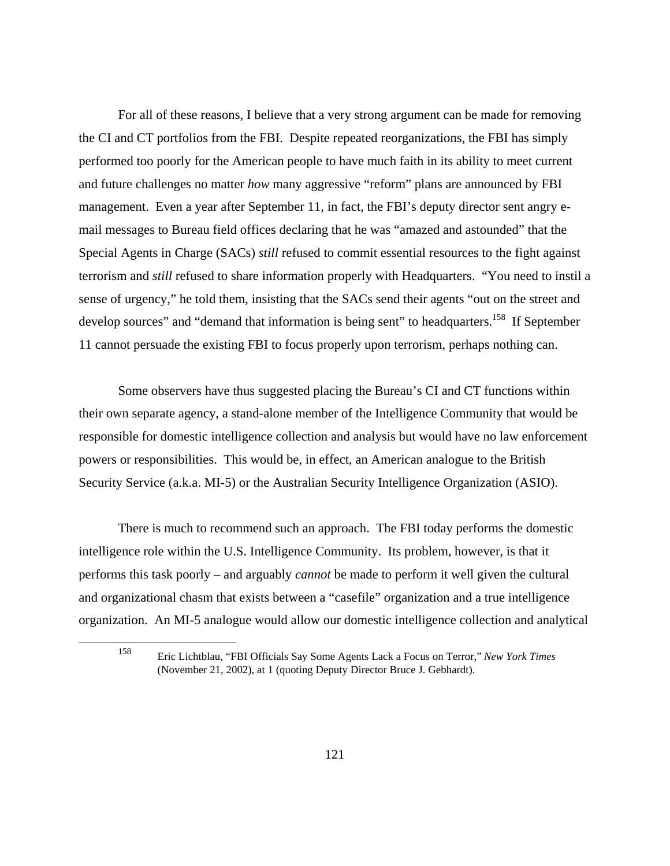For all of these reasons, I believe that a very strong argument can be made for removing the CI and CT portfolios from the FBI. Despite repeated reorganizations, the FBI has simply performed too poorly for the American people to have much faith in its ability to meet current and future challenges no matter *how* many aggressive "reform" plans are announced by FBI management. Even a year after September 11, in fact, the FBI's deputy director sent angry email messages to Bureau field offices declaring that he was "amazed and astounded" that the Special Agents in Charge (SACs) *still* refused to commit essential resources to the fight against terrorism and *still* refused to share information properly with Headquarters. "You need to instil a sense of urgency," he told them, insisting that the SACs send their agents "out on the street and develop sources" and "demand that information is being sent" to headquarters.<sup>158</sup> If September 11 cannot persuade the existing FBI to focus properly upon terrorism, perhaps nothing can.

Some observers have thus suggested placing the Bureau's CI and CT functions within their own separate agency, a stand-alone member of the Intelligence Community that would be responsible for domestic intelligence collection and analysis but would have no law enforcement powers or responsibilities. This would be, in effect, an American analogue to the British Security Service (a.k.a. MI-5) or the Australian Security Intelligence Organization (ASIO).

There is much to recommend such an approach. The FBI today performs the domestic intelligence role within the U.S. Intelligence Community. Its problem, however, is that it performs this task poorly – and arguably *cannot* be made to perform it well given the cultural and organizational chasm that exists between a "casefile" organization and a true intelligence organization. An MI-5 analogue would allow our domestic intelligence collection and analytical

<sup>158</sup> Eric Lichtblau, "FBI Officials Say Some Agents Lack a Focus on Terror," *New York Times*  (November 21, 2002), at 1 (quoting Deputy Director Bruce J. Gebhardt).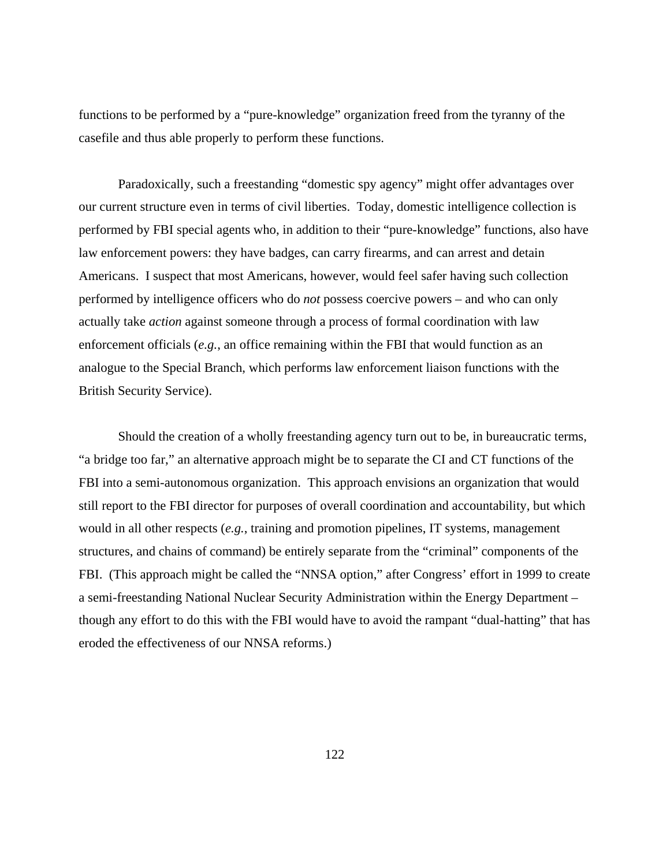functions to be performed by a "pure-knowledge" organization freed from the tyranny of the casefile and thus able properly to perform these functions.

Paradoxically, such a freestanding "domestic spy agency" might offer advantages over our current structure even in terms of civil liberties. Today, domestic intelligence collection is performed by FBI special agents who, in addition to their "pure-knowledge" functions, also have law enforcement powers: they have badges, can carry firearms, and can arrest and detain Americans. I suspect that most Americans, however, would feel safer having such collection performed by intelligence officers who do *not* possess coercive powers – and who can only actually take *action* against someone through a process of formal coordination with law enforcement officials (*e.g.*, an office remaining within the FBI that would function as an analogue to the Special Branch, which performs law enforcement liaison functions with the British Security Service).

Should the creation of a wholly freestanding agency turn out to be, in bureaucratic terms, "a bridge too far," an alternative approach might be to separate the CI and CT functions of the FBI into a semi-autonomous organization. This approach envisions an organization that would still report to the FBI director for purposes of overall coordination and accountability, but which would in all other respects (*e.g.*, training and promotion pipelines, IT systems, management structures, and chains of command) be entirely separate from the "criminal" components of the FBI. (This approach might be called the "NNSA option," after Congress' effort in 1999 to create a semi-freestanding National Nuclear Security Administration within the Energy Department – though any effort to do this with the FBI would have to avoid the rampant "dual-hatting" that has eroded the effectiveness of our NNSA reforms.)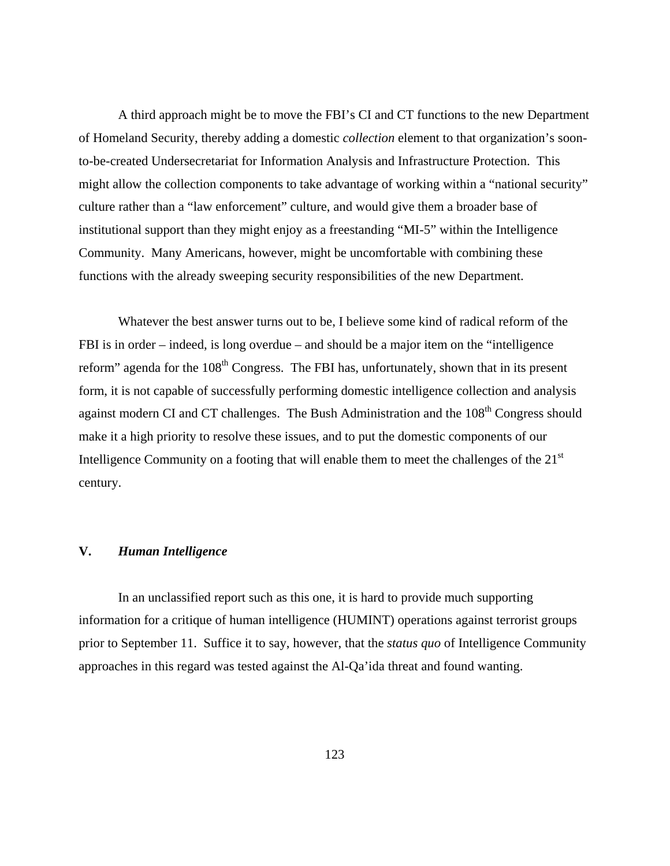A third approach might be to move the FBI's CI and CT functions to the new Department of Homeland Security, thereby adding a domestic *collection* element to that organization's soonto-be-created Undersecretariat for Information Analysis and Infrastructure Protection. This might allow the collection components to take advantage of working within a "national security" culture rather than a "law enforcement" culture, and would give them a broader base of institutional support than they might enjoy as a freestanding "MI-5" within the Intelligence Community. Many Americans, however, might be uncomfortable with combining these functions with the already sweeping security responsibilities of the new Department.

Whatever the best answer turns out to be, I believe some kind of radical reform of the FBI is in order – indeed, is long overdue – and should be a major item on the "intelligence reform" agenda for the 108<sup>th</sup> Congress. The FBI has, unfortunately, shown that in its present form, it is not capable of successfully performing domestic intelligence collection and analysis against modern CI and CT challenges. The Bush Administration and the 108<sup>th</sup> Congress should make it a high priority to resolve these issues, and to put the domestic components of our Intelligence Community on a footing that will enable them to meet the challenges of the 21<sup>st</sup> century.

#### **V.** *Human Intelligence*

In an unclassified report such as this one, it is hard to provide much supporting information for a critique of human intelligence (HUMINT) operations against terrorist groups prior to September 11. Suffice it to say, however, that the *status quo* of Intelligence Community approaches in this regard was tested against the Al-Qa'ida threat and found wanting.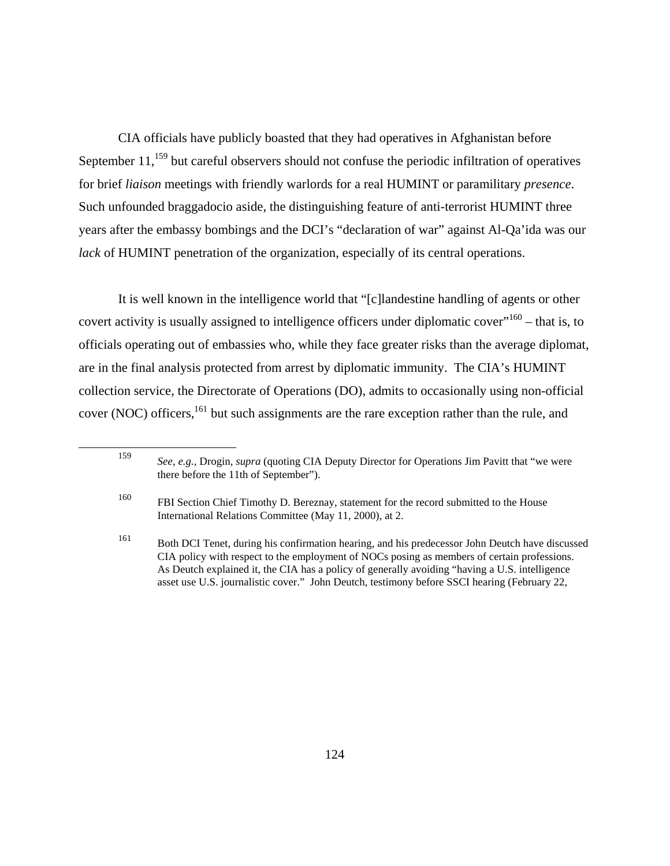CIA officials have publicly boasted that they had operatives in Afghanistan before September  $11<sup>159</sup>$  but careful observers should not confuse the periodic infiltration of operatives for brief *liaison* meetings with friendly warlords for a real HUMINT or paramilitary *presence*. Such unfounded braggadocio aside, the distinguishing feature of anti-terrorist HUMINT three years after the embassy bombings and the DCI's "declaration of war" against Al-Qa'ida was our *lack* of HUMINT penetration of the organization, especially of its central operations.

It is well known in the intelligence world that "[c]landestine handling of agents or other covert activity is usually assigned to intelligence officers under diplomatic cover"<sup>160</sup> – that is, to officials operating out of embassies who, while they face greater risks than the average diplomat, are in the final analysis protected from arrest by diplomatic immunity. The CIA's HUMINT collection service, the Directorate of Operations (DO), admits to occasionally using non-official cover (NOC) officers,<sup>161</sup> but such assignments are the rare exception rather than the rule, and

<sup>159</sup> *See, e.g.*, Drogin, *supra* (quoting CIA Deputy Director for Operations Jim Pavitt that "we were there before the 11th of September").

<sup>160</sup> FBI Section Chief Timothy D. Bereznay, statement for the record submitted to the House International Relations Committee (May 11, 2000), at 2.

<sup>161</sup> Both DCI Tenet, during his confirmation hearing, and his predecessor John Deutch have discussed CIA policy with respect to the employment of NOCs posing as members of certain professions. As Deutch explained it, the CIA has a policy of generally avoiding "having a U.S. intelligence asset use U.S. journalistic cover." John Deutch, testimony before SSCI hearing (February 22,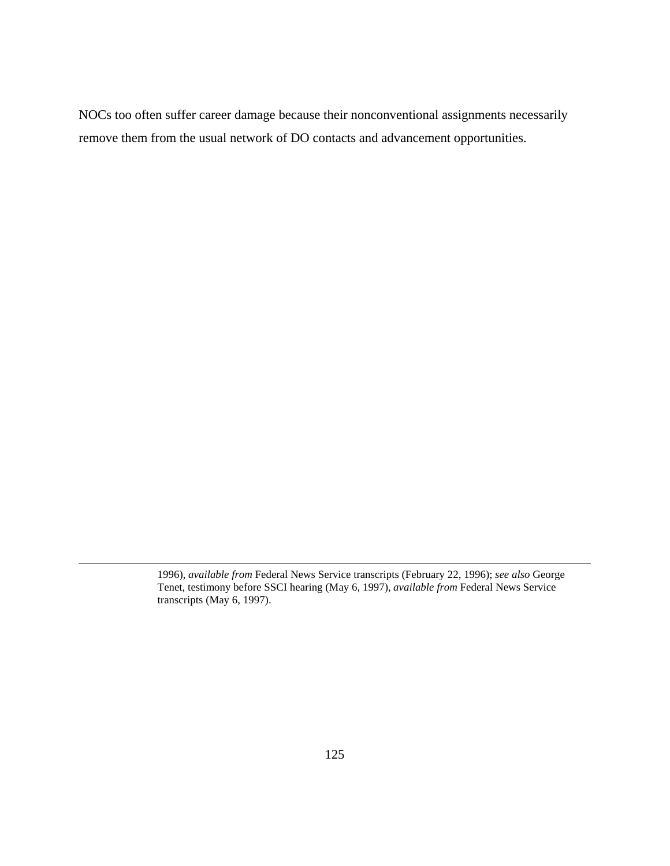NOCs too often suffer career damage because their nonconventional assignments necessarily remove them from the usual network of DO contacts and advancement opportunities.

<sup>1996),</sup> *available from* Federal News Service transcripts (February 22, 1996); *see also* George Tenet, testimony before SSCI hearing (May 6, 1997), *available from* Federal News Service transcripts (May 6, 1997).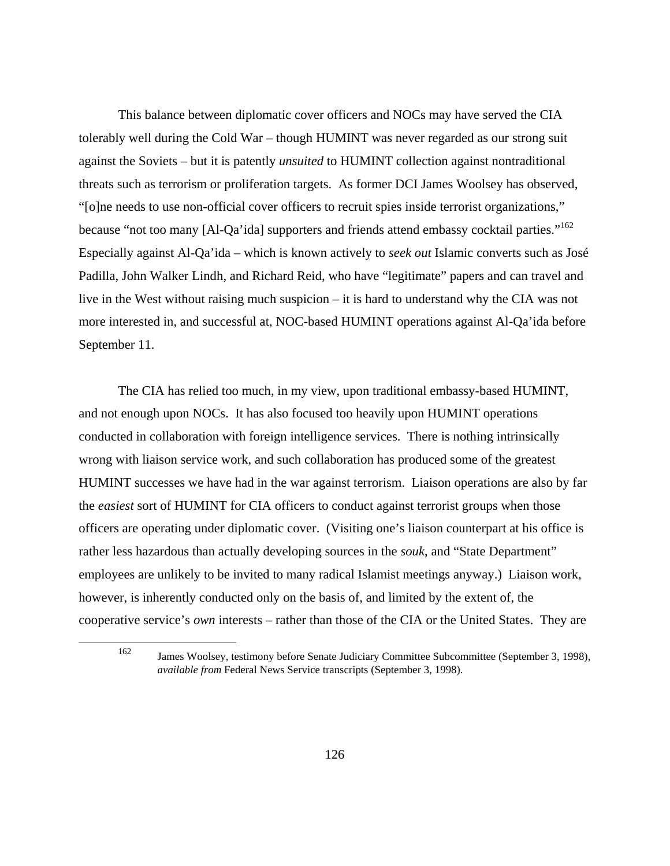This balance between diplomatic cover officers and NOCs may have served the CIA tolerably well during the Cold War – though HUMINT was never regarded as our strong suit against the Soviets – but it is patently *unsuited* to HUMINT collection against nontraditional threats such as terrorism or proliferation targets. As former DCI James Woolsey has observed, "[o]ne needs to use non-official cover officers to recruit spies inside terrorist organizations," because "not too many [Al-Qa'ida] supporters and friends attend embassy cocktail parties."<sup>162</sup> Especially against Al-Qa'ida – which is known actively to *seek out* Islamic converts such as José Padilla, John Walker Lindh, and Richard Reid, who have "legitimate" papers and can travel and live in the West without raising much suspicion – it is hard to understand why the CIA was not more interested in, and successful at, NOC-based HUMINT operations against Al-Qa'ida before September 11.

The CIA has relied too much, in my view, upon traditional embassy-based HUMINT, and not enough upon NOCs. It has also focused too heavily upon HUMINT operations conducted in collaboration with foreign intelligence services. There is nothing intrinsically wrong with liaison service work, and such collaboration has produced some of the greatest HUMINT successes we have had in the war against terrorism. Liaison operations are also by far the *easiest* sort of HUMINT for CIA officers to conduct against terrorist groups when those officers are operating under diplomatic cover. (Visiting one's liaison counterpart at his office is rather less hazardous than actually developing sources in the *souk*, and "State Department" employees are unlikely to be invited to many radical Islamist meetings anyway.) Liaison work, however, is inherently conducted only on the basis of, and limited by the extent of, the cooperative service's *own* interests – rather than those of the CIA or the United States. They are

<sup>162</sup> James Woolsey, testimony before Senate Judiciary Committee Subcommittee (September 3, 1998), *available from* Federal News Service transcripts (September 3, 1998).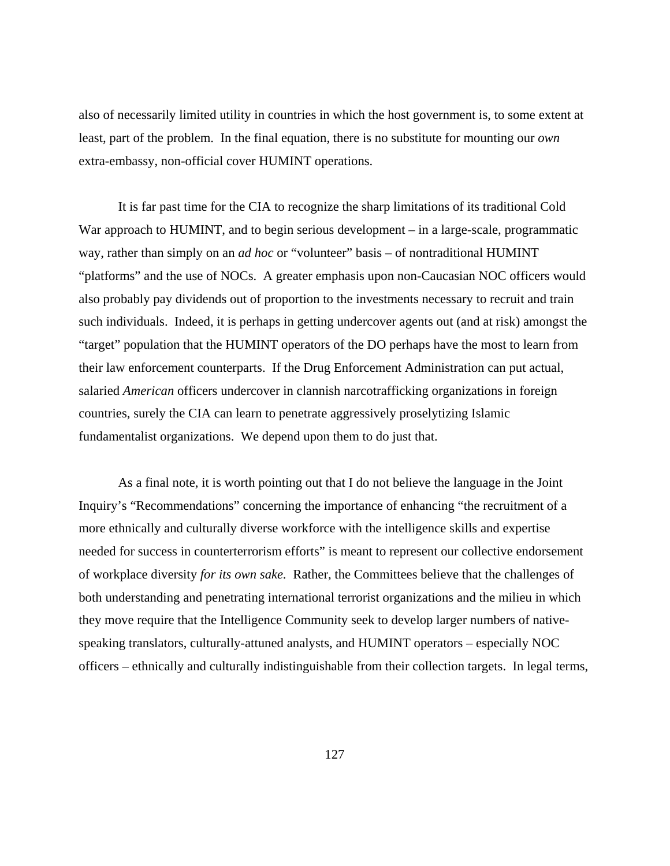also of necessarily limited utility in countries in which the host government is, to some extent at least, part of the problem. In the final equation, there is no substitute for mounting our *own* extra-embassy, non-official cover HUMINT operations.

It is far past time for the CIA to recognize the sharp limitations of its traditional Cold War approach to HUMINT, and to begin serious development – in a large-scale, programmatic way, rather than simply on an *ad hoc* or "volunteer" basis – of nontraditional HUMINT "platforms" and the use of NOCs. A greater emphasis upon non-Caucasian NOC officers would also probably pay dividends out of proportion to the investments necessary to recruit and train such individuals. Indeed, it is perhaps in getting undercover agents out (and at risk) amongst the "target" population that the HUMINT operators of the DO perhaps have the most to learn from their law enforcement counterparts. If the Drug Enforcement Administration can put actual, salaried *American* officers undercover in clannish narcotrafficking organizations in foreign countries, surely the CIA can learn to penetrate aggressively proselytizing Islamic fundamentalist organizations. We depend upon them to do just that.

As a final note, it is worth pointing out that I do not believe the language in the Joint Inquiry's "Recommendations" concerning the importance of enhancing "the recruitment of a more ethnically and culturally diverse workforce with the intelligence skills and expertise needed for success in counterterrorism efforts" is meant to represent our collective endorsement of workplace diversity *for its own sake.* Rather, the Committees believe that the challenges of both understanding and penetrating international terrorist organizations and the milieu in which they move require that the Intelligence Community seek to develop larger numbers of nativespeaking translators, culturally-attuned analysts, and HUMINT operators – especially NOC officers – ethnically and culturally indistinguishable from their collection targets. In legal terms,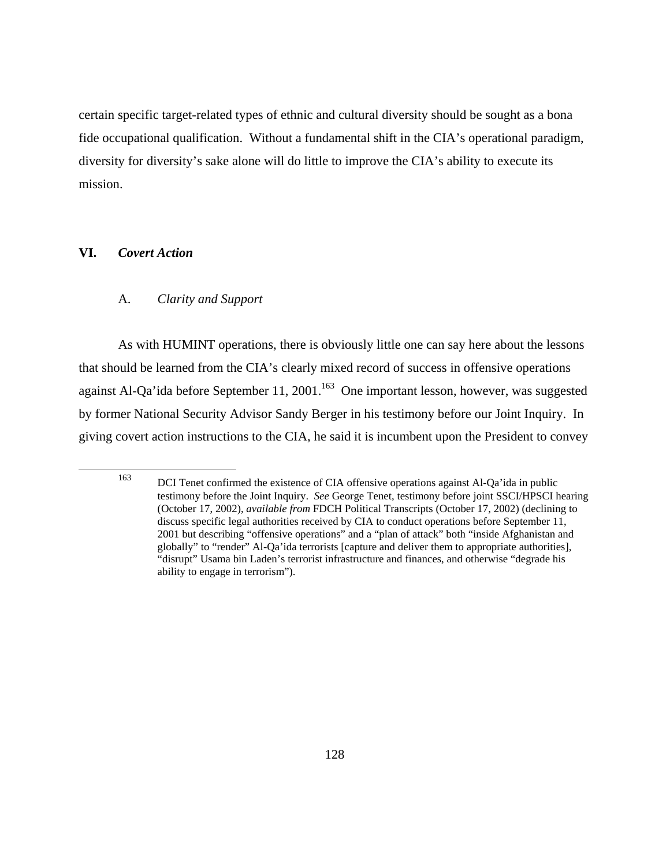certain specific target-related types of ethnic and cultural diversity should be sought as a bona fide occupational qualification. Without a fundamental shift in the CIA's operational paradigm, diversity for diversity's sake alone will do little to improve the CIA's ability to execute its mission.

# **VI.** *Covert Action*

# A. *Clarity and Support*

As with HUMINT operations, there is obviously little one can say here about the lessons that should be learned from the CIA's clearly mixed record of success in offensive operations against Al-Qa'ida before September 11, 2001.<sup>163</sup> One important lesson, however, was suggested by former National Security Advisor Sandy Berger in his testimony before our Joint Inquiry. In giving covert action instructions to the CIA, he said it is incumbent upon the President to convey

<sup>163</sup> DCI Tenet confirmed the existence of CIA offensive operations against Al-Qa'ida in public testimony before the Joint Inquiry. *See* George Tenet, testimony before joint SSCI/HPSCI hearing (October 17, 2002), *available from* FDCH Political Transcripts (October 17, 2002) (declining to discuss specific legal authorities received by CIA to conduct operations before September 11, 2001 but describing "offensive operations" and a "plan of attack" both "inside Afghanistan and globally" to "render" Al-Qa'ida terrorists [capture and deliver them to appropriate authorities], "disrupt" Usama bin Laden's terrorist infrastructure and finances, and otherwise "degrade his ability to engage in terrorism").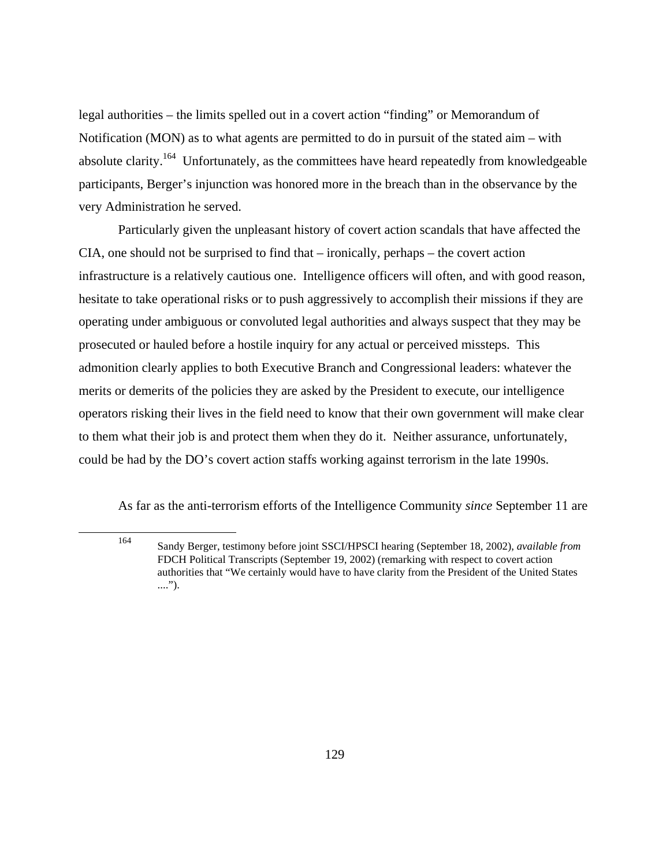legal authorities – the limits spelled out in a covert action "finding" or Memorandum of Notification (MON) as to what agents are permitted to do in pursuit of the stated aim – with absolute clarity.<sup>164</sup> Unfortunately, as the committees have heard repeatedly from knowledgeable participants, Berger's injunction was honored more in the breach than in the observance by the very Administration he served.

Particularly given the unpleasant history of covert action scandals that have affected the CIA, one should not be surprised to find that – ironically, perhaps – the covert action infrastructure is a relatively cautious one. Intelligence officers will often, and with good reason, hesitate to take operational risks or to push aggressively to accomplish their missions if they are operating under ambiguous or convoluted legal authorities and always suspect that they may be prosecuted or hauled before a hostile inquiry for any actual or perceived missteps. This admonition clearly applies to both Executive Branch and Congressional leaders: whatever the merits or demerits of the policies they are asked by the President to execute, our intelligence operators risking their lives in the field need to know that their own government will make clear to them what their job is and protect them when they do it. Neither assurance, unfortunately, could be had by the DO's covert action staffs working against terrorism in the late 1990s.

As far as the anti-terrorism efforts of the Intelligence Community *since* September 11 are

<sup>164</sup> Sandy Berger, testimony before joint SSCI/HPSCI hearing (September 18, 2002), *available from*  FDCH Political Transcripts (September 19, 2002) (remarking with respect to covert action authorities that "We certainly would have to have clarity from the President of the United States ....").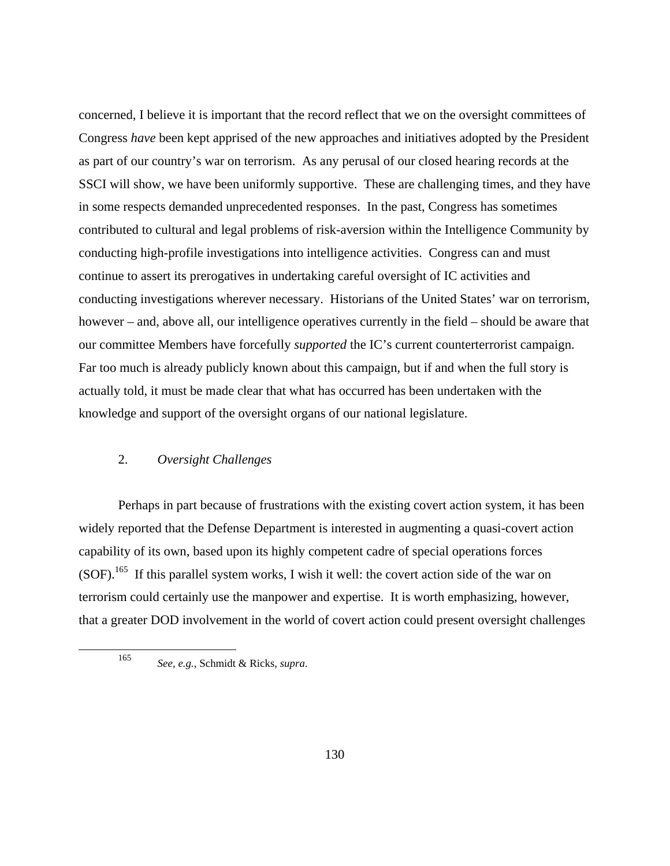concerned, I believe it is important that the record reflect that we on the oversight committees of Congress *have* been kept apprised of the new approaches and initiatives adopted by the President as part of our country's war on terrorism. As any perusal of our closed hearing records at the SSCI will show, we have been uniformly supportive. These are challenging times, and they have in some respects demanded unprecedented responses. In the past, Congress has sometimes contributed to cultural and legal problems of risk-aversion within the Intelligence Community by conducting high-profile investigations into intelligence activities. Congress can and must continue to assert its prerogatives in undertaking careful oversight of IC activities and conducting investigations wherever necessary. Historians of the United States' war on terrorism, however – and, above all, our intelligence operatives currently in the field – should be aware that our committee Members have forcefully *supported* the IC's current counterterrorist campaign. Far too much is already publicly known about this campaign, but if and when the full story is actually told, it must be made clear that what has occurred has been undertaken with the knowledge and support of the oversight organs of our national legislature.

# 2. *Oversight Challenges*

Perhaps in part because of frustrations with the existing covert action system, it has been widely reported that the Defense Department is interested in augmenting a quasi-covert action capability of its own, based upon its highly competent cadre of special operations forces  $(SOF).$ <sup>165</sup> If this parallel system works, I wish it well: the covert action side of the war on terrorism could certainly use the manpower and expertise. It is worth emphasizing, however, that a greater DOD involvement in the world of covert action could present oversight challenges

<sup>165</sup> *See, e.g.*, Schmidt & Ricks, *supra*.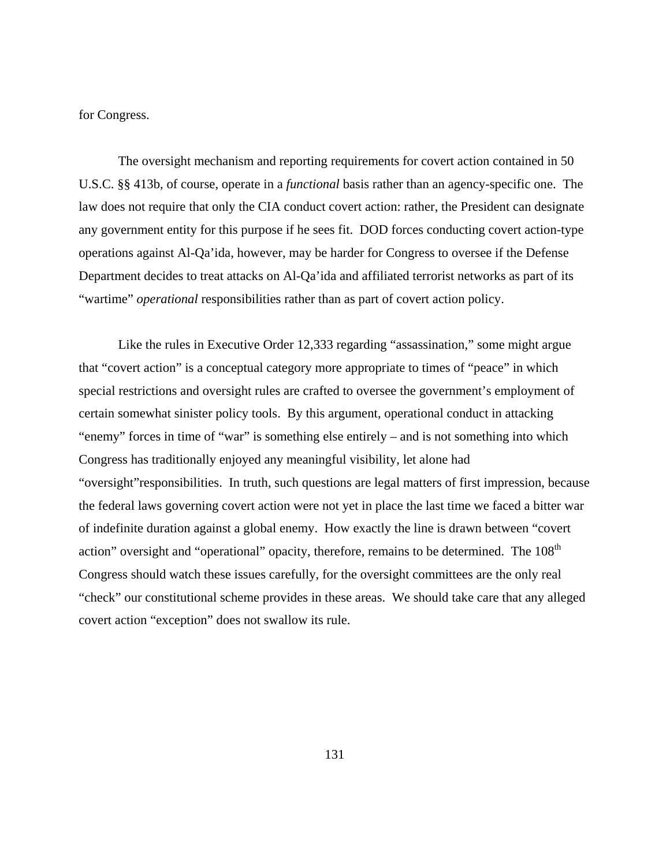for Congress.

The oversight mechanism and reporting requirements for covert action contained in 50 U.S.C. §§ 413b, of course, operate in a *functional* basis rather than an agency-specific one. The law does not require that only the CIA conduct covert action: rather, the President can designate any government entity for this purpose if he sees fit. DOD forces conducting covert action-type operations against Al-Qa'ida, however, may be harder for Congress to oversee if the Defense Department decides to treat attacks on Al-Qa'ida and affiliated terrorist networks as part of its "wartime" *operational* responsibilities rather than as part of covert action policy.

Like the rules in Executive Order 12,333 regarding "assassination," some might argue that "covert action" is a conceptual category more appropriate to times of "peace" in which special restrictions and oversight rules are crafted to oversee the government's employment of certain somewhat sinister policy tools. By this argument, operational conduct in attacking "enemy" forces in time of "war" is something else entirely – and is not something into which Congress has traditionally enjoyed any meaningful visibility, let alone had "oversight"responsibilities. In truth, such questions are legal matters of first impression, because the federal laws governing covert action were not yet in place the last time we faced a bitter war of indefinite duration against a global enemy. How exactly the line is drawn between "covert action" oversight and "operational" opacity, therefore, remains to be determined. The 108<sup>th</sup> Congress should watch these issues carefully, for the oversight committees are the only real "check" our constitutional scheme provides in these areas. We should take care that any alleged covert action "exception" does not swallow its rule.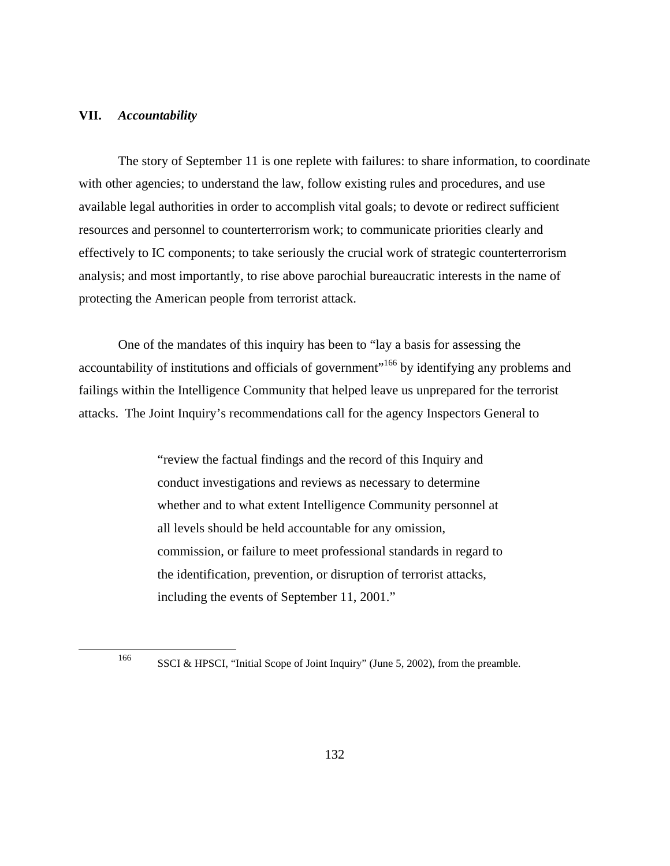#### **VII.** *Accountability*

The story of September 11 is one replete with failures: to share information, to coordinate with other agencies; to understand the law, follow existing rules and procedures, and use available legal authorities in order to accomplish vital goals; to devote or redirect sufficient resources and personnel to counterterrorism work; to communicate priorities clearly and effectively to IC components; to take seriously the crucial work of strategic counterterrorism analysis; and most importantly, to rise above parochial bureaucratic interests in the name of protecting the American people from terrorist attack.

One of the mandates of this inquiry has been to "lay a basis for assessing the accountability of institutions and officials of government"<sup>166</sup> by identifying any problems and failings within the Intelligence Community that helped leave us unprepared for the terrorist attacks. The Joint Inquiry's recommendations call for the agency Inspectors General to

> "review the factual findings and the record of this Inquiry and conduct investigations and reviews as necessary to determine whether and to what extent Intelligence Community personnel at all levels should be held accountable for any omission, commission, or failure to meet professional standards in regard to the identification, prevention, or disruption of terrorist attacks, including the events of September 11, 2001."

<sup>166</sup> SSCI & HPSCI, "Initial Scope of Joint Inquiry" (June 5, 2002), from the preamble.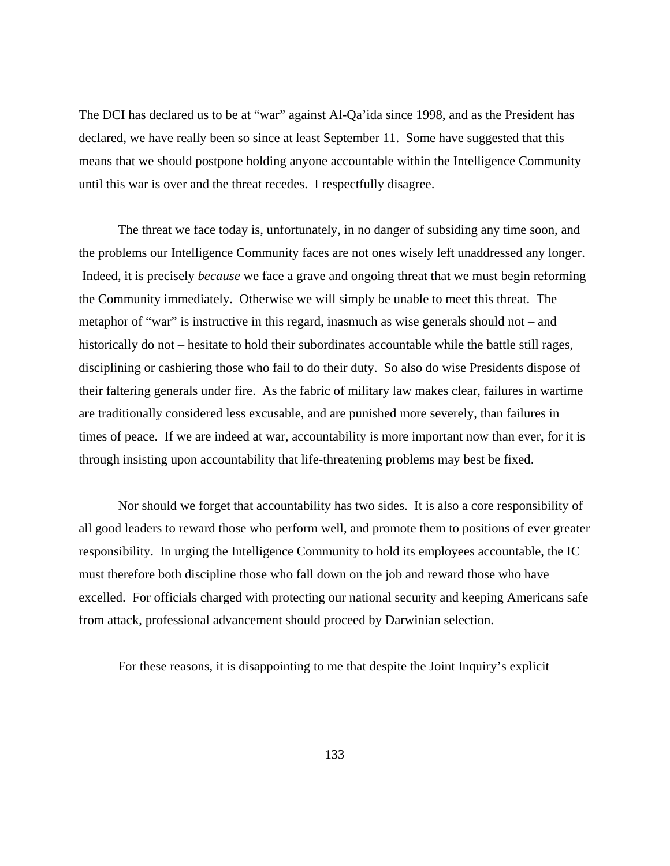The DCI has declared us to be at "war" against Al-Qa'ida since 1998, and as the President has declared, we have really been so since at least September 11. Some have suggested that this means that we should postpone holding anyone accountable within the Intelligence Community until this war is over and the threat recedes. I respectfully disagree.

The threat we face today is, unfortunately, in no danger of subsiding any time soon, and the problems our Intelligence Community faces are not ones wisely left unaddressed any longer. Indeed, it is precisely *because* we face a grave and ongoing threat that we must begin reforming the Community immediately. Otherwise we will simply be unable to meet this threat. The metaphor of "war" is instructive in this regard, inasmuch as wise generals should not – and historically do not – hesitate to hold their subordinates accountable while the battle still rages, disciplining or cashiering those who fail to do their duty. So also do wise Presidents dispose of their faltering generals under fire. As the fabric of military law makes clear, failures in wartime are traditionally considered less excusable, and are punished more severely, than failures in times of peace. If we are indeed at war, accountability is more important now than ever, for it is through insisting upon accountability that life-threatening problems may best be fixed.

Nor should we forget that accountability has two sides. It is also a core responsibility of all good leaders to reward those who perform well, and promote them to positions of ever greater responsibility. In urging the Intelligence Community to hold its employees accountable, the IC must therefore both discipline those who fall down on the job and reward those who have excelled. For officials charged with protecting our national security and keeping Americans safe from attack, professional advancement should proceed by Darwinian selection.

For these reasons, it is disappointing to me that despite the Joint Inquiry's explicit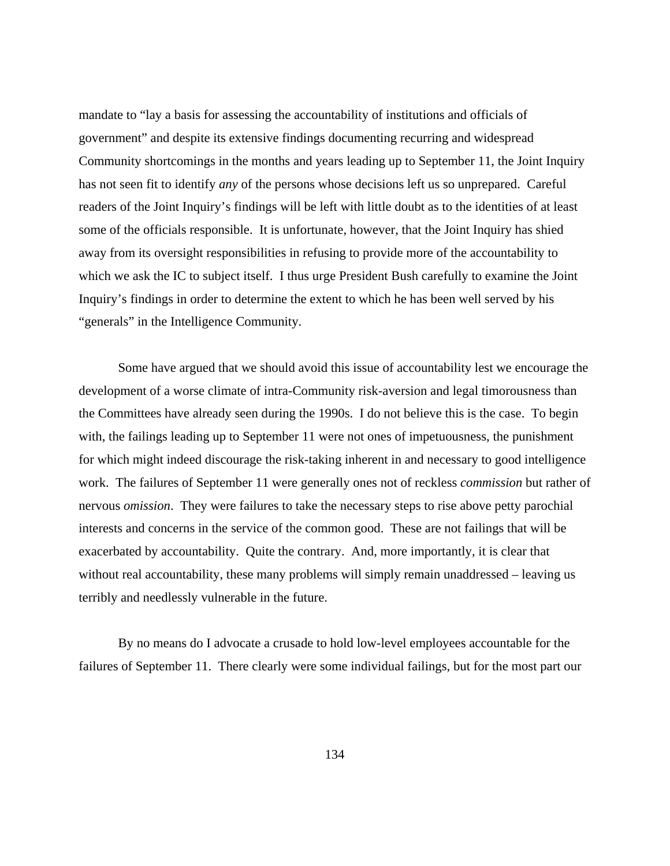mandate to "lay a basis for assessing the accountability of institutions and officials of government" and despite its extensive findings documenting recurring and widespread Community shortcomings in the months and years leading up to September 11, the Joint Inquiry has not seen fit to identify *any* of the persons whose decisions left us so unprepared. Careful readers of the Joint Inquiry's findings will be left with little doubt as to the identities of at least some of the officials responsible. It is unfortunate, however, that the Joint Inquiry has shied away from its oversight responsibilities in refusing to provide more of the accountability to which we ask the IC to subject itself. I thus urge President Bush carefully to examine the Joint Inquiry's findings in order to determine the extent to which he has been well served by his "generals" in the Intelligence Community.

Some have argued that we should avoid this issue of accountability lest we encourage the development of a worse climate of intra-Community risk-aversion and legal timorousness than the Committees have already seen during the 1990s. I do not believe this is the case. To begin with, the failings leading up to September 11 were not ones of impetuousness, the punishment for which might indeed discourage the risk-taking inherent in and necessary to good intelligence work. The failures of September 11 were generally ones not of reckless *commission* but rather of nervous *omission*. They were failures to take the necessary steps to rise above petty parochial interests and concerns in the service of the common good. These are not failings that will be exacerbated by accountability. Quite the contrary. And, more importantly, it is clear that without real accountability, these many problems will simply remain unaddressed – leaving us terribly and needlessly vulnerable in the future.

By no means do I advocate a crusade to hold low-level employees accountable for the failures of September 11. There clearly were some individual failings, but for the most part our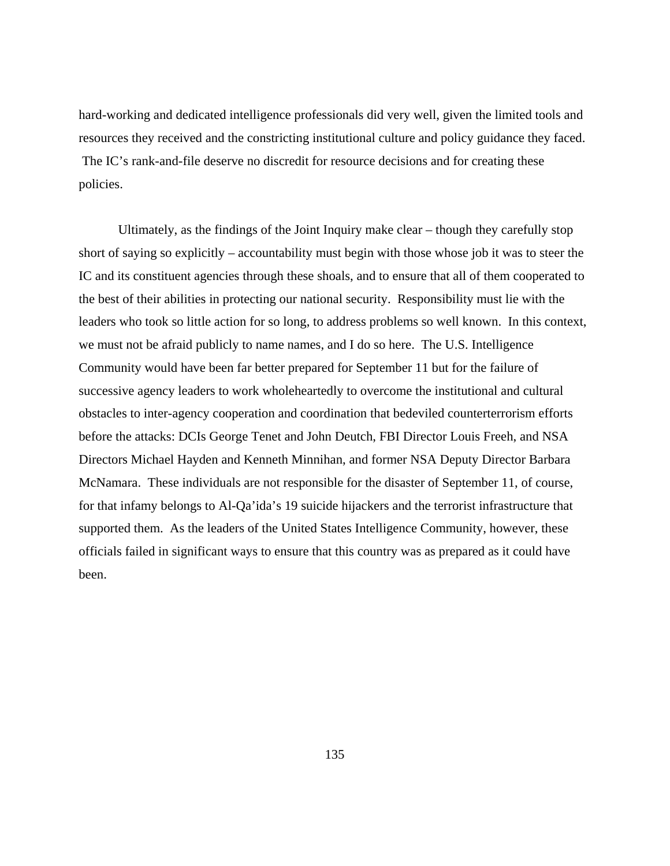hard-working and dedicated intelligence professionals did very well, given the limited tools and resources they received and the constricting institutional culture and policy guidance they faced. The IC's rank-and-file deserve no discredit for resource decisions and for creating these policies.

Ultimately, as the findings of the Joint Inquiry make clear – though they carefully stop short of saying so explicitly – accountability must begin with those whose job it was to steer the IC and its constituent agencies through these shoals, and to ensure that all of them cooperated to the best of their abilities in protecting our national security. Responsibility must lie with the leaders who took so little action for so long, to address problems so well known. In this context, we must not be afraid publicly to name names, and I do so here. The U.S. Intelligence Community would have been far better prepared for September 11 but for the failure of successive agency leaders to work wholeheartedly to overcome the institutional and cultural obstacles to inter-agency cooperation and coordination that bedeviled counterterrorism efforts before the attacks: DCIs George Tenet and John Deutch, FBI Director Louis Freeh, and NSA Directors Michael Hayden and Kenneth Minnihan, and former NSA Deputy Director Barbara McNamara. These individuals are not responsible for the disaster of September 11, of course, for that infamy belongs to Al-Qa'ida's 19 suicide hijackers and the terrorist infrastructure that supported them. As the leaders of the United States Intelligence Community, however, these officials failed in significant ways to ensure that this country was as prepared as it could have been.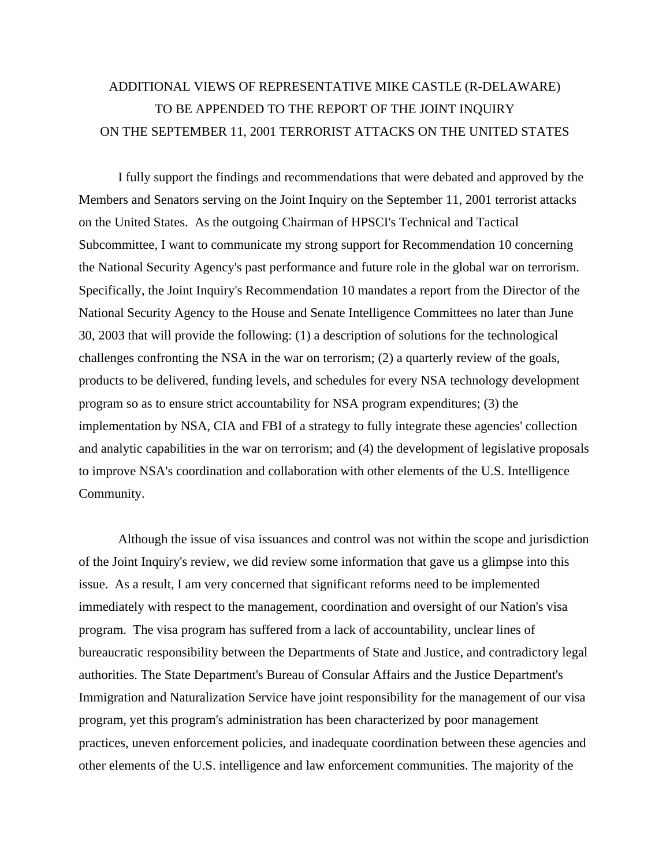# ADDITIONAL VIEWS OF REPRESENTATIVE MIKE CASTLE (R-DELAWARE) TO BE APPENDED TO THE REPORT OF THE JOINT INQUIRY ON THE SEPTEMBER 11, 2001 TERRORIST ATTACKS ON THE UNITED STATES

I fully support the findings and recommendations that were debated and approved by the Members and Senators serving on the Joint Inquiry on the September 11, 2001 terrorist attacks on the United States. As the outgoing Chairman of HPSCI's Technical and Tactical Subcommittee, I want to communicate my strong support for Recommendation 10 concerning the National Security Agency's past performance and future role in the global war on terrorism. Specifically, the Joint Inquiry's Recommendation 10 mandates a report from the Director of the National Security Agency to the House and Senate Intelligence Committees no later than June 30, 2003 that will provide the following: (1) a description of solutions for the technological challenges confronting the NSA in the war on terrorism; (2) a quarterly review of the goals, products to be delivered, funding levels, and schedules for every NSA technology development program so as to ensure strict accountability for NSA program expenditures; (3) the implementation by NSA, CIA and FBI of a strategy to fully integrate these agencies' collection and analytic capabilities in the war on terrorism; and (4) the development of legislative proposals to improve NSA's coordination and collaboration with other elements of the U.S. Intelligence Community.

Although the issue of visa issuances and control was not within the scope and jurisdiction of the Joint Inquiry's review, we did review some information that gave us a glimpse into this issue. As a result, I am very concerned that significant reforms need to be implemented immediately with respect to the management, coordination and oversight of our Nation's visa program. The visa program has suffered from a lack of accountability, unclear lines of bureaucratic responsibility between the Departments of State and Justice, and contradictory legal authorities. The State Department's Bureau of Consular Affairs and the Justice Department's Immigration and Naturalization Service have joint responsibility for the management of our visa program, yet this program's administration has been characterized by poor management practices, uneven enforcement policies, and inadequate coordination between these agencies and other elements of the U.S. intelligence and law enforcement communities. The majority of the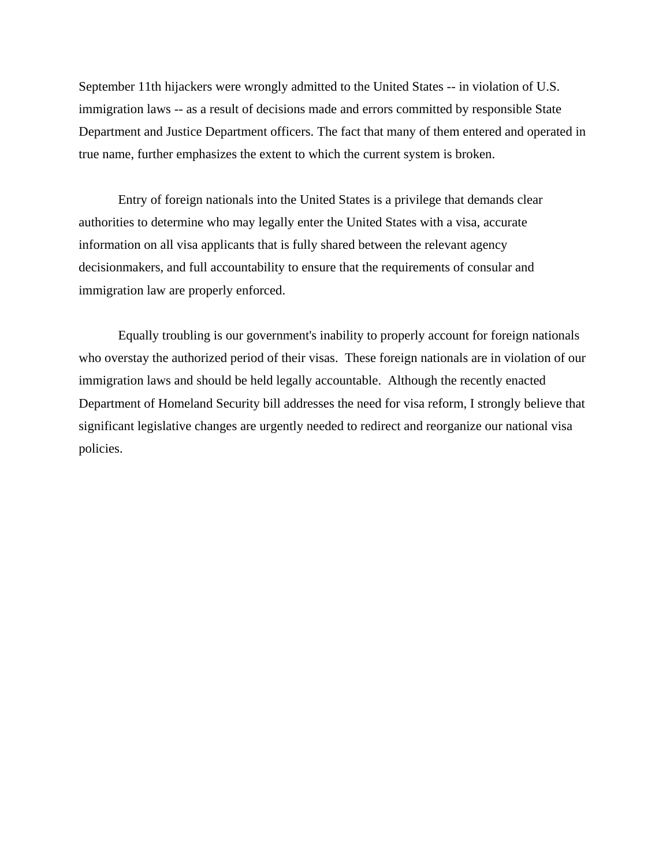September 11th hijackers were wrongly admitted to the United States -- in violation of U.S. immigration laws -- as a result of decisions made and errors committed by responsible State Department and Justice Department officers. The fact that many of them entered and operated in true name, further emphasizes the extent to which the current system is broken.

Entry of foreign nationals into the United States is a privilege that demands clear authorities to determine who may legally enter the United States with a visa, accurate information on all visa applicants that is fully shared between the relevant agency decisionmakers, and full accountability to ensure that the requirements of consular and immigration law are properly enforced.

Equally troubling is our government's inability to properly account for foreign nationals who overstay the authorized period of their visas. These foreign nationals are in violation of our immigration laws and should be held legally accountable. Although the recently enacted Department of Homeland Security bill addresses the need for visa reform, I strongly believe that significant legislative changes are urgently needed to redirect and reorganize our national visa policies.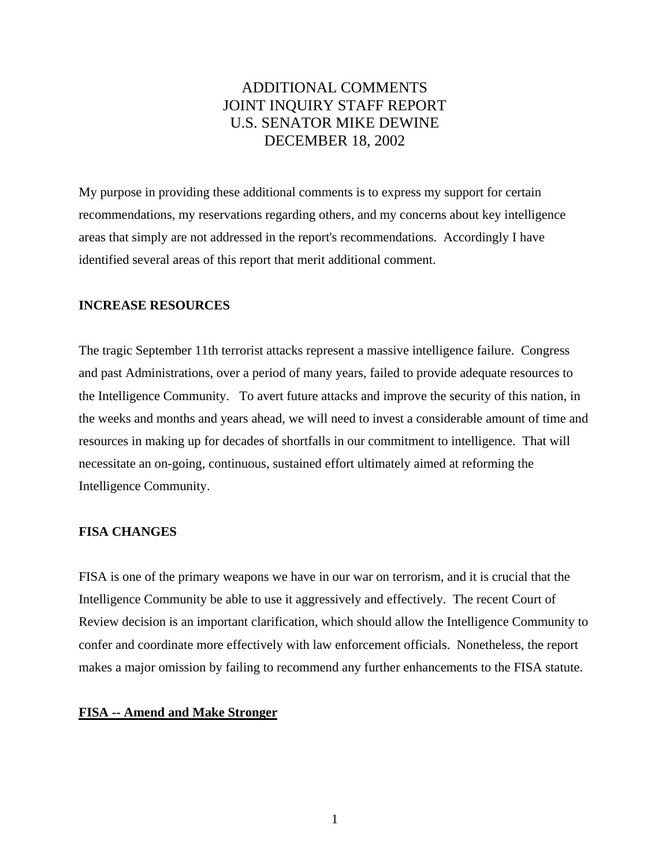# ADDITIONAL COMMENTS JOINT INQUIRY STAFF REPORT U.S. SENATOR MIKE DEWINE DECEMBER 18, 2002

My purpose in providing these additional comments is to express my support for certain recommendations, my reservations regarding others, and my concerns about key intelligence areas that simply are not addressed in the report's recommendations. Accordingly I have identified several areas of this report that merit additional comment.

#### **INCREASE RESOURCES**

The tragic September 11th terrorist attacks represent a massive intelligence failure. Congress and past Administrations, over a period of many years, failed to provide adequate resources to the Intelligence Community. To avert future attacks and improve the security of this nation, in the weeks and months and years ahead, we will need to invest a considerable amount of time and resources in making up for decades of shortfalls in our commitment to intelligence. That will necessitate an on-going, continuous, sustained effort ultimately aimed at reforming the Intelligence Community.

## **FISA CHANGES**

FISA is one of the primary weapons we have in our war on terrorism, and it is crucial that the Intelligence Community be able to use it aggressively and effectively. The recent Court of Review decision is an important clarification, which should allow the Intelligence Community to confer and coordinate more effectively with law enforcement officials. Nonetheless, the report makes a major omission by failing to recommend any further enhancements to the FISA statute.

# **FISA -- Amend and Make Stronger**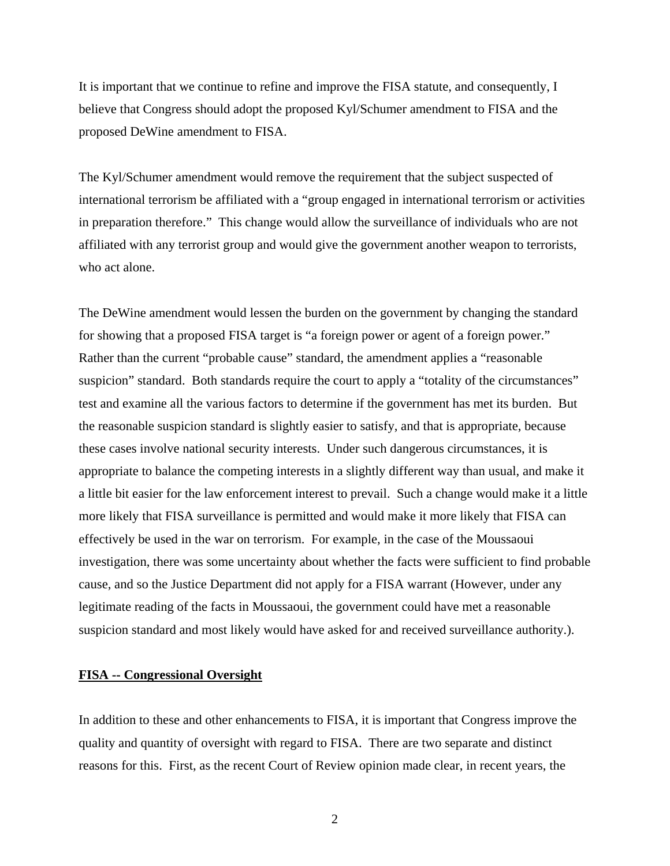It is important that we continue to refine and improve the FISA statute, and consequently, I believe that Congress should adopt the proposed Kyl/Schumer amendment to FISA and the proposed DeWine amendment to FISA.

The Kyl/Schumer amendment would remove the requirement that the subject suspected of international terrorism be affiliated with a "group engaged in international terrorism or activities in preparation therefore." This change would allow the surveillance of individuals who are not affiliated with any terrorist group and would give the government another weapon to terrorists, who act alone.

The DeWine amendment would lessen the burden on the government by changing the standard for showing that a proposed FISA target is "a foreign power or agent of a foreign power." Rather than the current "probable cause" standard, the amendment applies a "reasonable suspicion" standard. Both standards require the court to apply a "totality of the circumstances" test and examine all the various factors to determine if the government has met its burden. But the reasonable suspicion standard is slightly easier to satisfy, and that is appropriate, because these cases involve national security interests. Under such dangerous circumstances, it is appropriate to balance the competing interests in a slightly different way than usual, and make it a little bit easier for the law enforcement interest to prevail. Such a change would make it a little more likely that FISA surveillance is permitted and would make it more likely that FISA can effectively be used in the war on terrorism. For example, in the case of the Moussaoui investigation, there was some uncertainty about whether the facts were sufficient to find probable cause, and so the Justice Department did not apply for a FISA warrant (However, under any legitimate reading of the facts in Moussaoui, the government could have met a reasonable suspicion standard and most likely would have asked for and received surveillance authority.).

# **FISA -- Congressional Oversight**

In addition to these and other enhancements to FISA, it is important that Congress improve the quality and quantity of oversight with regard to FISA. There are two separate and distinct reasons for this. First, as the recent Court of Review opinion made clear, in recent years, the

2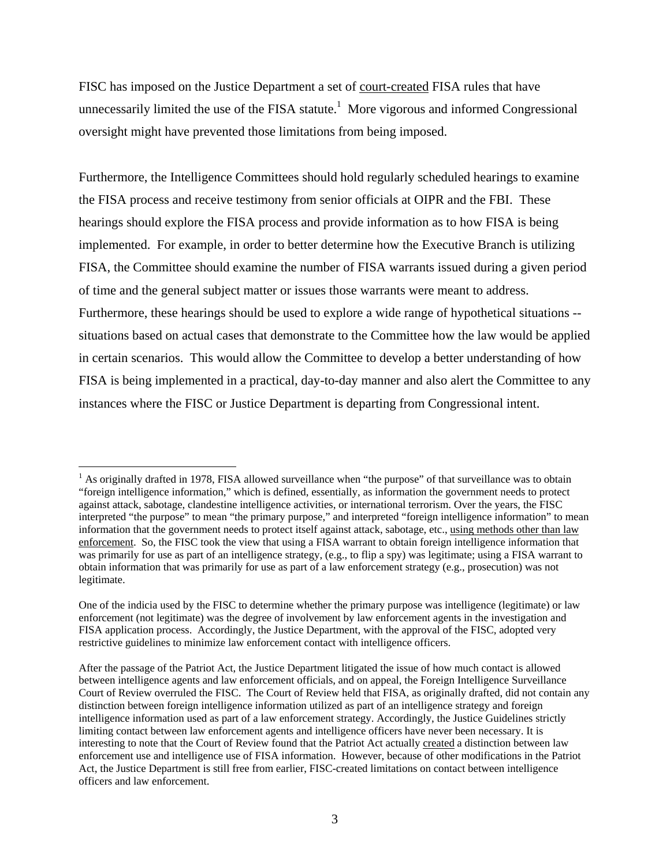FISC has imposed on the Justice Department a set of court-created FISA rules that have unnecessarily limited the use of the FISA statute.<sup>1</sup> More vigorous and informed Congressional oversight might have prevented those limitations from being imposed.

Furthermore, the Intelligence Committees should hold regularly scheduled hearings to examine the FISA process and receive testimony from senior officials at OIPR and the FBI. These hearings should explore the FISA process and provide information as to how FISA is being implemented. For example, in order to better determine how the Executive Branch is utilizing FISA, the Committee should examine the number of FISA warrants issued during a given period of time and the general subject matter or issues those warrants were meant to address. Furthermore, these hearings should be used to explore a wide range of hypothetical situations - situations based on actual cases that demonstrate to the Committee how the law would be applied in certain scenarios. This would allow the Committee to develop a better understanding of how FISA is being implemented in a practical, day-to-day manner and also alert the Committee to any instances where the FISC or Justice Department is departing from Congressional intent.

<sup>&</sup>lt;sup>1</sup> As originally drafted in 1978, FISA allowed surveillance when "the purpose" of that surveillance was to obtain "foreign intelligence information," which is defined, essentially, as information the government needs to protect against attack, sabotage, clandestine intelligence activities, or international terrorism. Over the years, the FISC interpreted "the purpose" to mean "the primary purpose," and interpreted "foreign intelligence information" to mean information that the government needs to protect itself against attack, sabotage, etc., using methods other than law enforcement. So, the FISC took the view that using a FISA warrant to obtain foreign intelligence information that was primarily for use as part of an intelligence strategy, (e.g., to flip a spy) was legitimate; using a FISA warrant to obtain information that was primarily for use as part of a law enforcement strategy (e.g., prosecution) was not legitimate.

One of the indicia used by the FISC to determine whether the primary purpose was intelligence (legitimate) or law enforcement (not legitimate) was the degree of involvement by law enforcement agents in the investigation and FISA application process. Accordingly, the Justice Department, with the approval of the FISC, adopted very restrictive guidelines to minimize law enforcement contact with intelligence officers.

After the passage of the Patriot Act, the Justice Department litigated the issue of how much contact is allowed between intelligence agents and law enforcement officials, and on appeal, the Foreign Intelligence Surveillance Court of Review overruled the FISC. The Court of Review held that FISA, as originally drafted, did not contain any distinction between foreign intelligence information utilized as part of an intelligence strategy and foreign intelligence information used as part of a law enforcement strategy. Accordingly, the Justice Guidelines strictly limiting contact between law enforcement agents and intelligence officers have never been necessary. It is interesting to note that the Court of Review found that the Patriot Act actually created a distinction between law enforcement use and intelligence use of FISA information. However, because of other modifications in the Patriot Act, the Justice Department is still free from earlier, FISC-created limitations on contact between intelligence officers and law enforcement.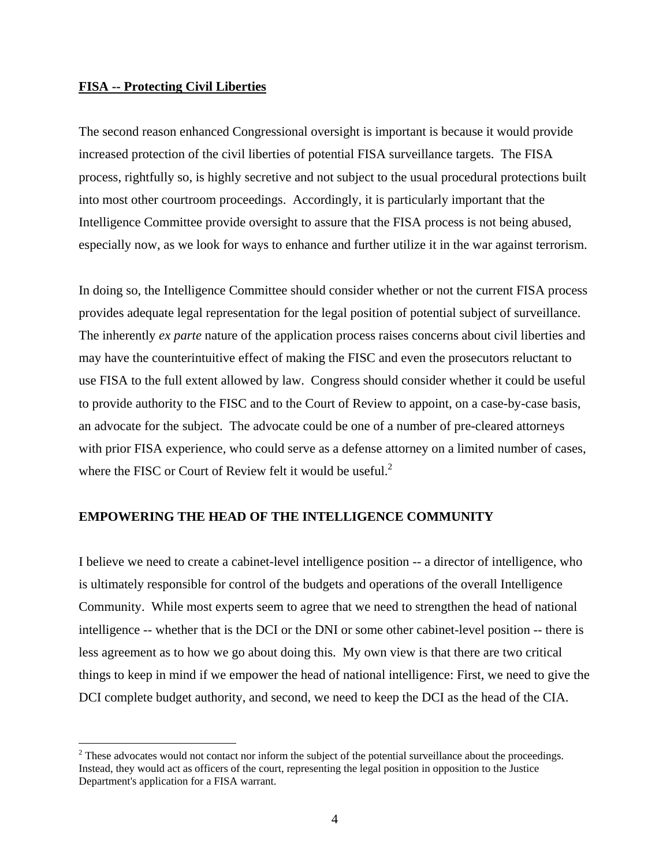#### **FISA -- Protecting Civil Liberties**

The second reason enhanced Congressional oversight is important is because it would provide increased protection of the civil liberties of potential FISA surveillance targets. The FISA process, rightfully so, is highly secretive and not subject to the usual procedural protections built into most other courtroom proceedings. Accordingly, it is particularly important that the Intelligence Committee provide oversight to assure that the FISA process is not being abused, especially now, as we look for ways to enhance and further utilize it in the war against terrorism.

In doing so, the Intelligence Committee should consider whether or not the current FISA process provides adequate legal representation for the legal position of potential subject of surveillance. The inherently *ex parte* nature of the application process raises concerns about civil liberties and may have the counterintuitive effect of making the FISC and even the prosecutors reluctant to use FISA to the full extent allowed by law. Congress should consider whether it could be useful to provide authority to the FISC and to the Court of Review to appoint, on a case-by-case basis, an advocate for the subject. The advocate could be one of a number of pre-cleared attorneys with prior FISA experience, who could serve as a defense attorney on a limited number of cases, where the FISC or Court of Review felt it would be useful. $2<sup>2</sup>$ 

#### **EMPOWERING THE HEAD OF THE INTELLIGENCE COMMUNITY**

I believe we need to create a cabinet-level intelligence position -- a director of intelligence, who is ultimately responsible for control of the budgets and operations of the overall Intelligence Community. While most experts seem to agree that we need to strengthen the head of national intelligence -- whether that is the DCI or the DNI or some other cabinet-level position -- there is less agreement as to how we go about doing this. My own view is that there are two critical things to keep in mind if we empower the head of national intelligence: First, we need to give the DCI complete budget authority, and second, we need to keep the DCI as the head of the CIA.

 $2^2$  These advocates would not contact nor inform the subject of the potential surveillance about the proceedings. Instead, they would act as officers of the court, representing the legal position in opposition to the Justice Department's application for a FISA warrant.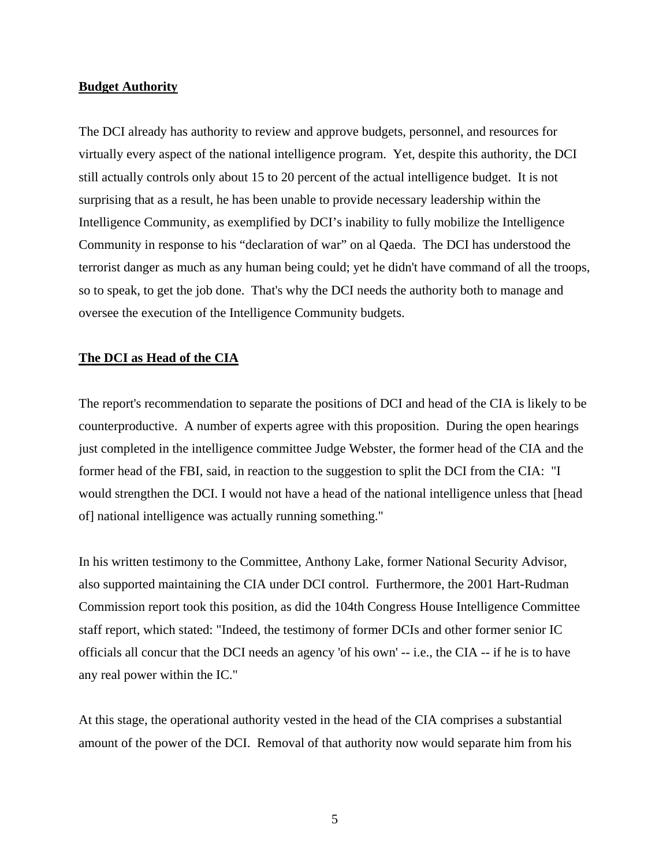#### **Budget Authority**

The DCI already has authority to review and approve budgets, personnel, and resources for virtually every aspect of the national intelligence program. Yet, despite this authority, the DCI still actually controls only about 15 to 20 percent of the actual intelligence budget. It is not surprising that as a result, he has been unable to provide necessary leadership within the Intelligence Community, as exemplified by DCI's inability to fully mobilize the Intelligence Community in response to his "declaration of war" on al Qaeda. The DCI has understood the terrorist danger as much as any human being could; yet he didn't have command of all the troops, so to speak, to get the job done. That's why the DCI needs the authority both to manage and oversee the execution of the Intelligence Community budgets.

#### **The DCI as Head of the CIA**

The report's recommendation to separate the positions of DCI and head of the CIA is likely to be counterproductive. A number of experts agree with this proposition. During the open hearings just completed in the intelligence committee Judge Webster, the former head of the CIA and the former head of the FBI, said, in reaction to the suggestion to split the DCI from the CIA: "I would strengthen the DCI. I would not have a head of the national intelligence unless that [head of] national intelligence was actually running something."

In his written testimony to the Committee, Anthony Lake, former National Security Advisor, also supported maintaining the CIA under DCI control. Furthermore, the 2001 Hart-Rudman Commission report took this position, as did the 104th Congress House Intelligence Committee staff report, which stated: "Indeed, the testimony of former DCIs and other former senior IC officials all concur that the DCI needs an agency 'of his own' -- i.e., the CIA -- if he is to have any real power within the IC."

At this stage, the operational authority vested in the head of the CIA comprises a substantial amount of the power of the DCI. Removal of that authority now would separate him from his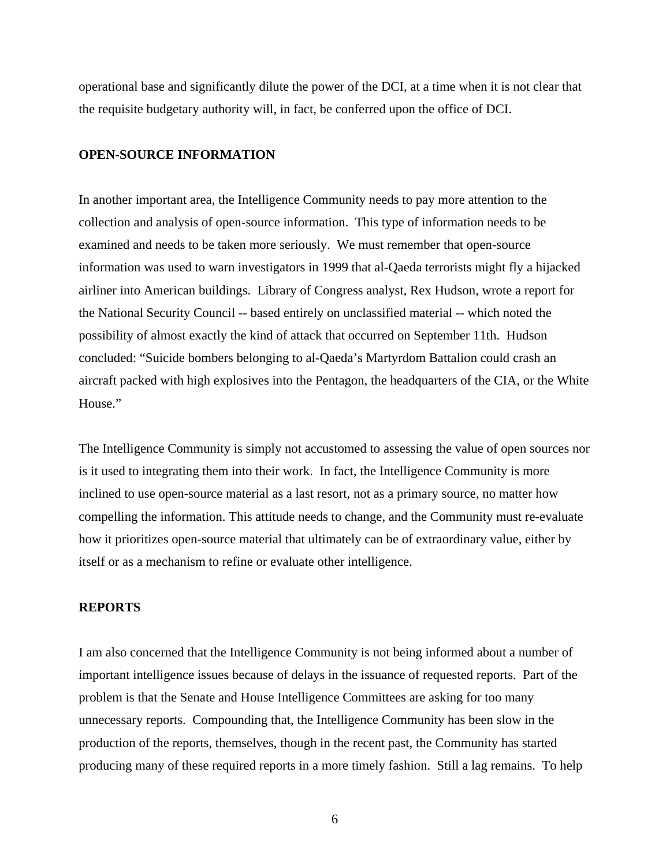operational base and significantly dilute the power of the DCI, at a time when it is not clear that the requisite budgetary authority will, in fact, be conferred upon the office of DCI.

## **OPEN-SOURCE INFORMATION**

In another important area, the Intelligence Community needs to pay more attention to the collection and analysis of open-source information. This type of information needs to be examined and needs to be taken more seriously. We must remember that open-source information was used to warn investigators in 1999 that al-Qaeda terrorists might fly a hijacked airliner into American buildings. Library of Congress analyst, Rex Hudson, wrote a report for the National Security Council -- based entirely on unclassified material -- which noted the possibility of almost exactly the kind of attack that occurred on September 11th. Hudson concluded: "Suicide bombers belonging to al-Qaeda's Martyrdom Battalion could crash an aircraft packed with high explosives into the Pentagon, the headquarters of the CIA, or the White House."

The Intelligence Community is simply not accustomed to assessing the value of open sources nor is it used to integrating them into their work. In fact, the Intelligence Community is more inclined to use open-source material as a last resort, not as a primary source, no matter how compelling the information. This attitude needs to change, and the Community must re-evaluate how it prioritizes open-source material that ultimately can be of extraordinary value, either by itself or as a mechanism to refine or evaluate other intelligence.

# **REPORTS**

I am also concerned that the Intelligence Community is not being informed about a number of important intelligence issues because of delays in the issuance of requested reports. Part of the problem is that the Senate and House Intelligence Committees are asking for too many unnecessary reports. Compounding that, the Intelligence Community has been slow in the production of the reports, themselves, though in the recent past, the Community has started producing many of these required reports in a more timely fashion. Still a lag remains. To help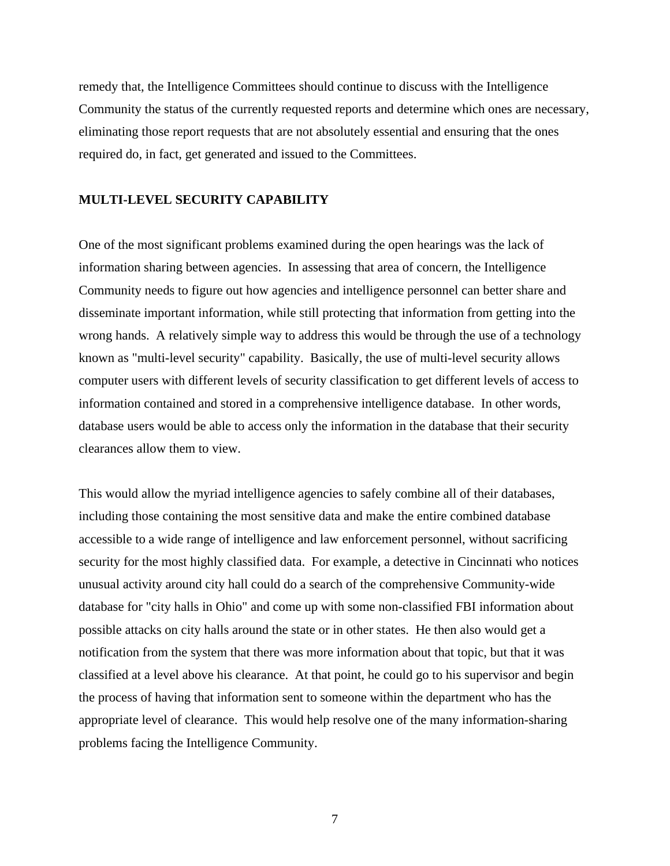remedy that, the Intelligence Committees should continue to discuss with the Intelligence Community the status of the currently requested reports and determine which ones are necessary, eliminating those report requests that are not absolutely essential and ensuring that the ones required do, in fact, get generated and issued to the Committees.

#### **MULTI-LEVEL SECURITY CAPABILITY**

One of the most significant problems examined during the open hearings was the lack of information sharing between agencies. In assessing that area of concern, the Intelligence Community needs to figure out how agencies and intelligence personnel can better share and disseminate important information, while still protecting that information from getting into the wrong hands. A relatively simple way to address this would be through the use of a technology known as "multi-level security" capability. Basically, the use of multi-level security allows computer users with different levels of security classification to get different levels of access to information contained and stored in a comprehensive intelligence database. In other words, database users would be able to access only the information in the database that their security clearances allow them to view.

This would allow the myriad intelligence agencies to safely combine all of their databases, including those containing the most sensitive data and make the entire combined database accessible to a wide range of intelligence and law enforcement personnel, without sacrificing security for the most highly classified data. For example, a detective in Cincinnati who notices unusual activity around city hall could do a search of the comprehensive Community-wide database for "city halls in Ohio" and come up with some non-classified FBI information about possible attacks on city halls around the state or in other states. He then also would get a notification from the system that there was more information about that topic, but that it was classified at a level above his clearance. At that point, he could go to his supervisor and begin the process of having that information sent to someone within the department who has the appropriate level of clearance. This would help resolve one of the many information-sharing problems facing the Intelligence Community.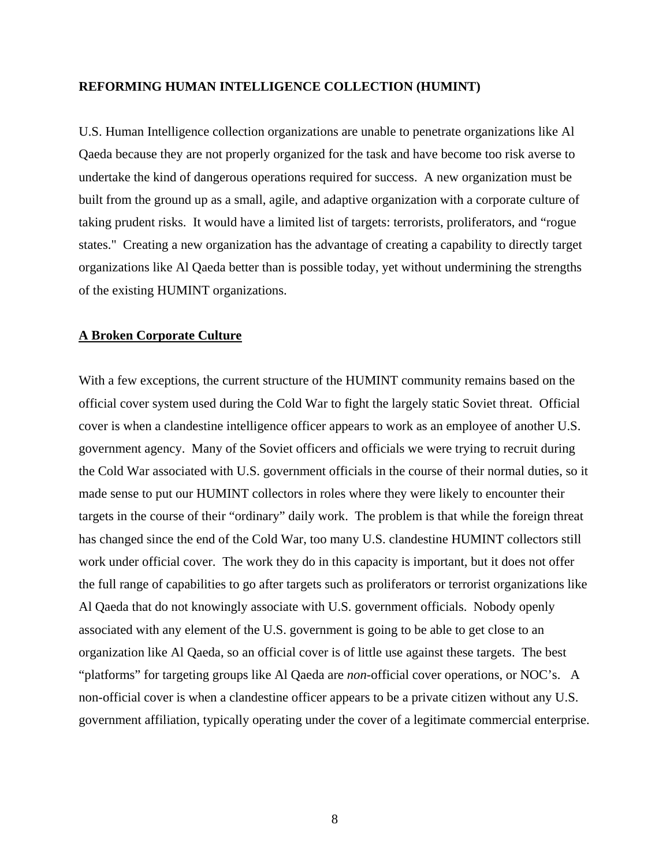## **REFORMING HUMAN INTELLIGENCE COLLECTION (HUMINT)**

U.S. Human Intelligence collection organizations are unable to penetrate organizations like Al Qaeda because they are not properly organized for the task and have become too risk averse to undertake the kind of dangerous operations required for success. A new organization must be built from the ground up as a small, agile, and adaptive organization with a corporate culture of taking prudent risks. It would have a limited list of targets: terrorists, proliferators, and "rogue states." Creating a new organization has the advantage of creating a capability to directly target organizations like Al Qaeda better than is possible today, yet without undermining the strengths of the existing HUMINT organizations.

#### **A Broken Corporate Culture**

With a few exceptions, the current structure of the HUMINT community remains based on the official cover system used during the Cold War to fight the largely static Soviet threat. Official cover is when a clandestine intelligence officer appears to work as an employee of another U.S. government agency. Many of the Soviet officers and officials we were trying to recruit during the Cold War associated with U.S. government officials in the course of their normal duties, so it made sense to put our HUMINT collectors in roles where they were likely to encounter their targets in the course of their "ordinary" daily work. The problem is that while the foreign threat has changed since the end of the Cold War, too many U.S. clandestine HUMINT collectors still work under official cover. The work they do in this capacity is important, but it does not offer the full range of capabilities to go after targets such as proliferators or terrorist organizations like Al Qaeda that do not knowingly associate with U.S. government officials. Nobody openly associated with any element of the U.S. government is going to be able to get close to an organization like Al Qaeda, so an official cover is of little use against these targets. The best "platforms" for targeting groups like Al Qaeda are *non*-official cover operations, or NOC's. A non-official cover is when a clandestine officer appears to be a private citizen without any U.S. government affiliation, typically operating under the cover of a legitimate commercial enterprise.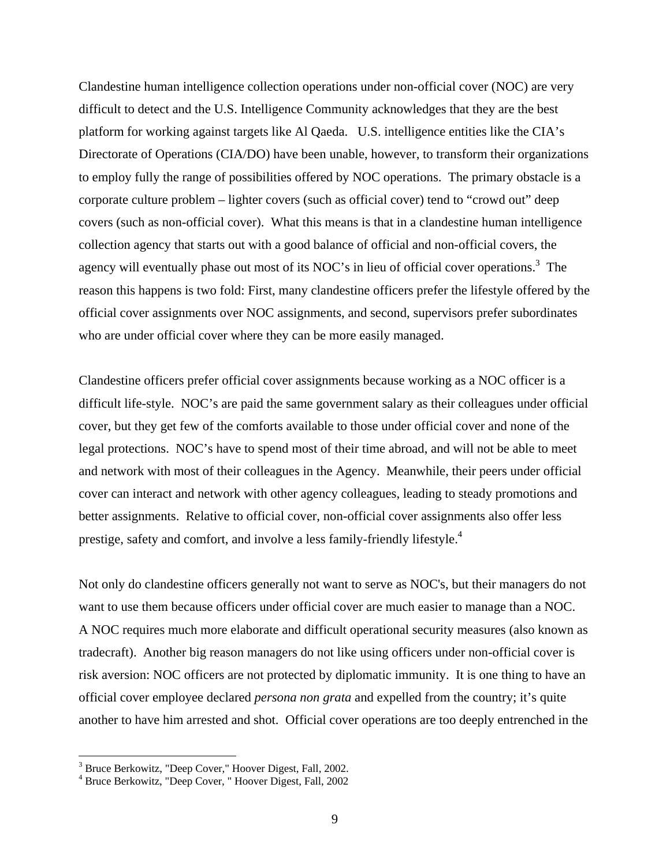Clandestine human intelligence collection operations under non-official cover (NOC) are very difficult to detect and the U.S. Intelligence Community acknowledges that they are the best platform for working against targets like Al Qaeda. U.S. intelligence entities like the CIA's Directorate of Operations (CIA/DO) have been unable, however, to transform their organizations to employ fully the range of possibilities offered by NOC operations. The primary obstacle is a corporate culture problem – lighter covers (such as official cover) tend to "crowd out" deep covers (such as non-official cover). What this means is that in a clandestine human intelligence collection agency that starts out with a good balance of official and non-official covers, the agency will eventually phase out most of its NOC's in lieu of official cover operations.<sup>3</sup> The reason this happens is two fold: First, many clandestine officers prefer the lifestyle offered by the official cover assignments over NOC assignments, and second, supervisors prefer subordinates who are under official cover where they can be more easily managed.

Clandestine officers prefer official cover assignments because working as a NOC officer is a difficult life-style. NOC's are paid the same government salary as their colleagues under official cover, but they get few of the comforts available to those under official cover and none of the legal protections. NOC's have to spend most of their time abroad, and will not be able to meet and network with most of their colleagues in the Agency. Meanwhile, their peers under official cover can interact and network with other agency colleagues, leading to steady promotions and better assignments. Relative to official cover, non-official cover assignments also offer less prestige, safety and comfort, and involve a less family-friendly lifestyle.<sup>4</sup>

Not only do clandestine officers generally not want to serve as NOC's, but their managers do not want to use them because officers under official cover are much easier to manage than a NOC. A NOC requires much more elaborate and difficult operational security measures (also known as tradecraft). Another big reason managers do not like using officers under non-official cover is risk aversion: NOC officers are not protected by diplomatic immunity. It is one thing to have an official cover employee declared *persona non grata* and expelled from the country; it's quite another to have him arrested and shot. Official cover operations are too deeply entrenched in the

<sup>&</sup>lt;sup>3</sup> Bruce Berkowitz, "Deep Cover," Hoover Digest, Fall, 2002.<br><sup>4</sup> Bruce Berkowitz, "Deep Cover, " Hoover Digest, Fall, 2002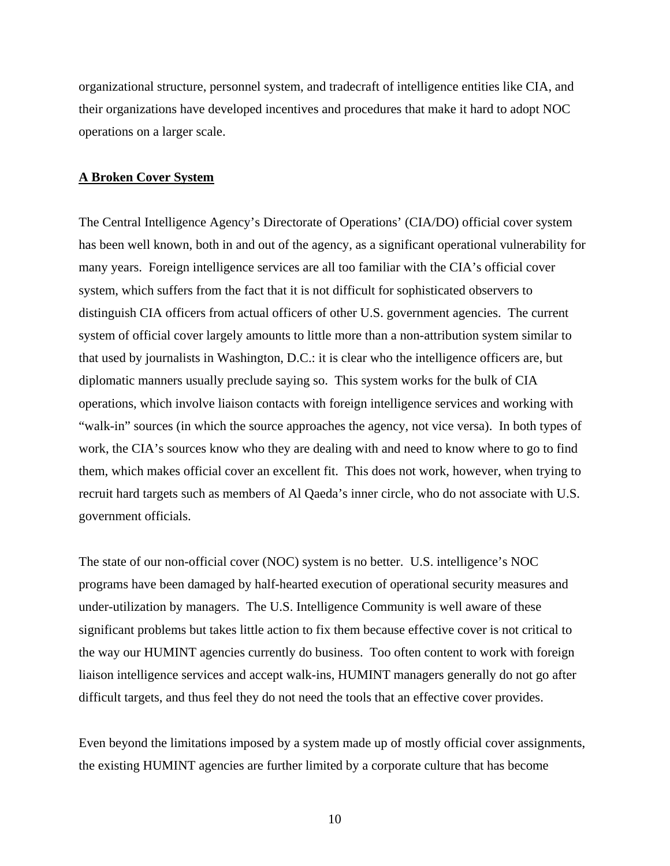organizational structure, personnel system, and tradecraft of intelligence entities like CIA, and their organizations have developed incentives and procedures that make it hard to adopt NOC operations on a larger scale.

## **A Broken Cover System**

The Central Intelligence Agency's Directorate of Operations' (CIA/DO) official cover system has been well known, both in and out of the agency, as a significant operational vulnerability for many years. Foreign intelligence services are all too familiar with the CIA's official cover system, which suffers from the fact that it is not difficult for sophisticated observers to distinguish CIA officers from actual officers of other U.S. government agencies. The current system of official cover largely amounts to little more than a non-attribution system similar to that used by journalists in Washington, D.C.: it is clear who the intelligence officers are, but diplomatic manners usually preclude saying so. This system works for the bulk of CIA operations, which involve liaison contacts with foreign intelligence services and working with "walk-in" sources (in which the source approaches the agency, not vice versa). In both types of work, the CIA's sources know who they are dealing with and need to know where to go to find them, which makes official cover an excellent fit. This does not work, however, when trying to recruit hard targets such as members of Al Qaeda's inner circle, who do not associate with U.S. government officials.

The state of our non-official cover (NOC) system is no better. U.S. intelligence's NOC programs have been damaged by half-hearted execution of operational security measures and under-utilization by managers. The U.S. Intelligence Community is well aware of these significant problems but takes little action to fix them because effective cover is not critical to the way our HUMINT agencies currently do business. Too often content to work with foreign liaison intelligence services and accept walk-ins, HUMINT managers generally do not go after difficult targets, and thus feel they do not need the tools that an effective cover provides.

Even beyond the limitations imposed by a system made up of mostly official cover assignments, the existing HUMINT agencies are further limited by a corporate culture that has become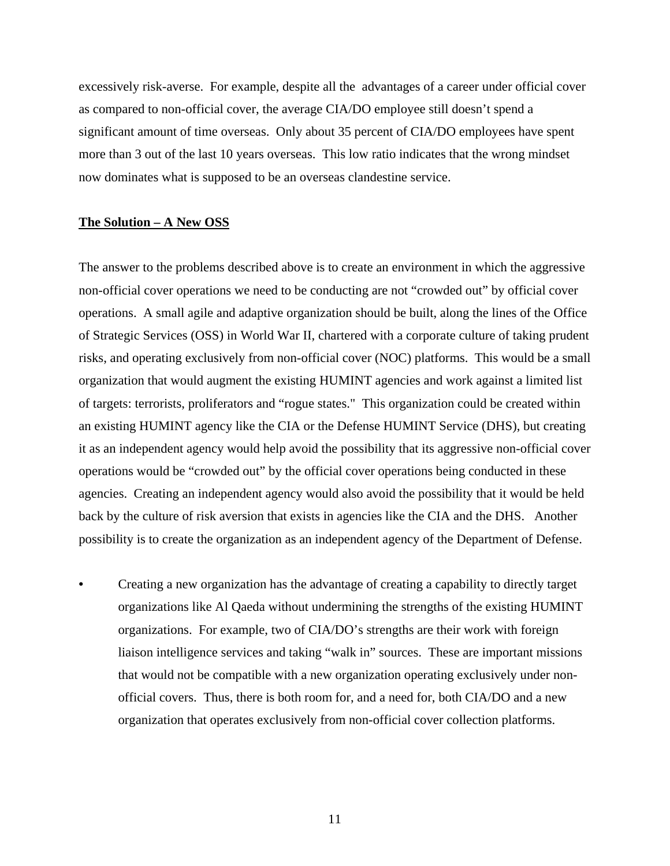excessively risk-averse. For example, despite all the advantages of a career under official cover as compared to non-official cover, the average CIA/DO employee still doesn't spend a significant amount of time overseas. Only about 35 percent of CIA/DO employees have spent more than 3 out of the last 10 years overseas. This low ratio indicates that the wrong mindset now dominates what is supposed to be an overseas clandestine service.

## **The Solution – A New OSS**

The answer to the problems described above is to create an environment in which the aggressive non-official cover operations we need to be conducting are not "crowded out" by official cover operations. A small agile and adaptive organization should be built, along the lines of the Office of Strategic Services (OSS) in World War II, chartered with a corporate culture of taking prudent risks, and operating exclusively from non-official cover (NOC) platforms. This would be a small organization that would augment the existing HUMINT agencies and work against a limited list of targets: terrorists, proliferators and "rogue states." This organization could be created within an existing HUMINT agency like the CIA or the Defense HUMINT Service (DHS), but creating it as an independent agency would help avoid the possibility that its aggressive non-official cover operations would be "crowded out" by the official cover operations being conducted in these agencies. Creating an independent agency would also avoid the possibility that it would be held back by the culture of risk aversion that exists in agencies like the CIA and the DHS. Another possibility is to create the organization as an independent agency of the Department of Defense.

• Creating a new organization has the advantage of creating a capability to directly target organizations like Al Qaeda without undermining the strengths of the existing HUMINT organizations. For example, two of CIA/DO's strengths are their work with foreign liaison intelligence services and taking "walk in" sources. These are important missions that would not be compatible with a new organization operating exclusively under nonofficial covers. Thus, there is both room for, and a need for, both CIA/DO and a new organization that operates exclusively from non-official cover collection platforms.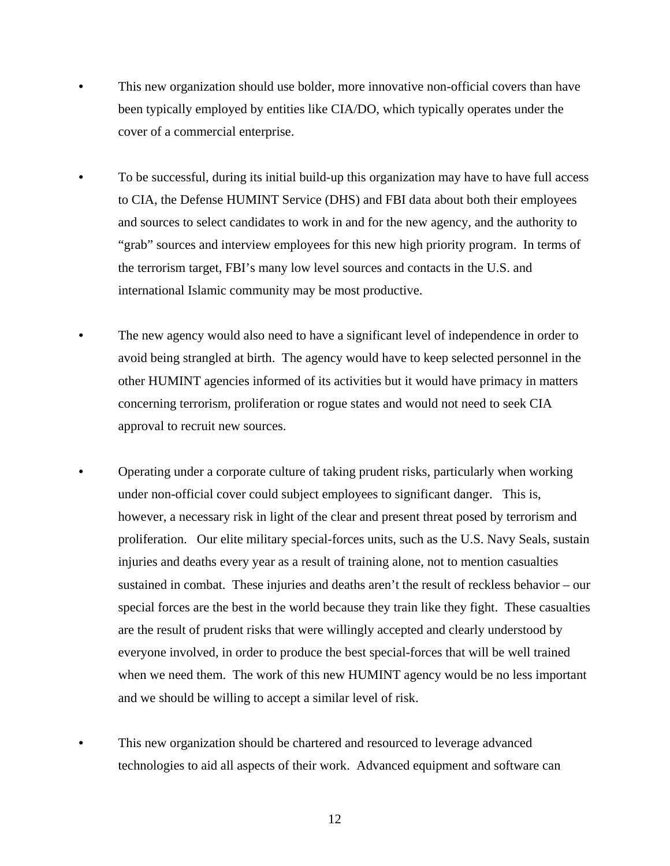- This new organization should use bolder, more innovative non-official covers than have been typically employed by entities like CIA/DO, which typically operates under the cover of a commercial enterprise.
- To be successful, during its initial build-up this organization may have to have full access to CIA, the Defense HUMINT Service (DHS) and FBI data about both their employees and sources to select candidates to work in and for the new agency, and the authority to "grab" sources and interview employees for this new high priority program. In terms of the terrorism target, FBI's many low level sources and contacts in the U.S. and international Islamic community may be most productive.
- The new agency would also need to have a significant level of independence in order to avoid being strangled at birth. The agency would have to keep selected personnel in the other HUMINT agencies informed of its activities but it would have primacy in matters concerning terrorism, proliferation or rogue states and would not need to seek CIA approval to recruit new sources.
- Operating under a corporate culture of taking prudent risks, particularly when working under non-official cover could subject employees to significant danger. This is, however, a necessary risk in light of the clear and present threat posed by terrorism and proliferation. Our elite military special-forces units, such as the U.S. Navy Seals, sustain injuries and deaths every year as a result of training alone, not to mention casualties sustained in combat. These injuries and deaths aren't the result of reckless behavior – our special forces are the best in the world because they train like they fight. These casualties are the result of prudent risks that were willingly accepted and clearly understood by everyone involved, in order to produce the best special-forces that will be well trained when we need them. The work of this new HUMINT agency would be no less important and we should be willing to accept a similar level of risk.
- This new organization should be chartered and resourced to leverage advanced technologies to aid all aspects of their work. Advanced equipment and software can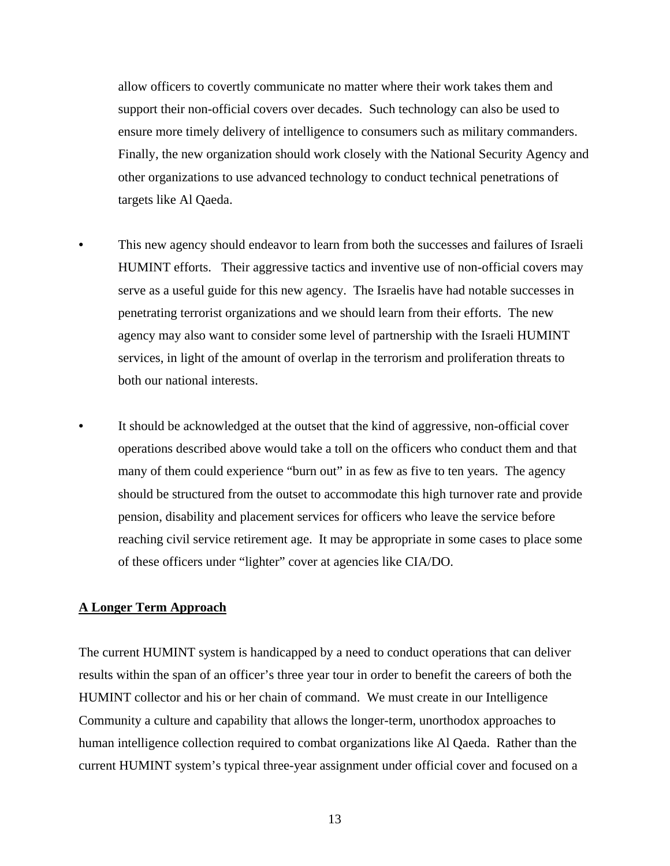allow officers to covertly communicate no matter where their work takes them and support their non-official covers over decades. Such technology can also be used to ensure more timely delivery of intelligence to consumers such as military commanders. Finally, the new organization should work closely with the National Security Agency and other organizations to use advanced technology to conduct technical penetrations of targets like Al Qaeda.

- This new agency should endeavor to learn from both the successes and failures of Israeli HUMINT efforts. Their aggressive tactics and inventive use of non-official covers may serve as a useful guide for this new agency. The Israelis have had notable successes in penetrating terrorist organizations and we should learn from their efforts. The new agency may also want to consider some level of partnership with the Israeli HUMINT services, in light of the amount of overlap in the terrorism and proliferation threats to both our national interests.
- It should be acknowledged at the outset that the kind of aggressive, non-official cover operations described above would take a toll on the officers who conduct them and that many of them could experience "burn out" in as few as five to ten years. The agency should be structured from the outset to accommodate this high turnover rate and provide pension, disability and placement services for officers who leave the service before reaching civil service retirement age. It may be appropriate in some cases to place some of these officers under "lighter" cover at agencies like CIA/DO.

# **A Longer Term Approach**

The current HUMINT system is handicapped by a need to conduct operations that can deliver results within the span of an officer's three year tour in order to benefit the careers of both the HUMINT collector and his or her chain of command. We must create in our Intelligence Community a culture and capability that allows the longer-term, unorthodox approaches to human intelligence collection required to combat organizations like Al Qaeda. Rather than the current HUMINT system's typical three-year assignment under official cover and focused on a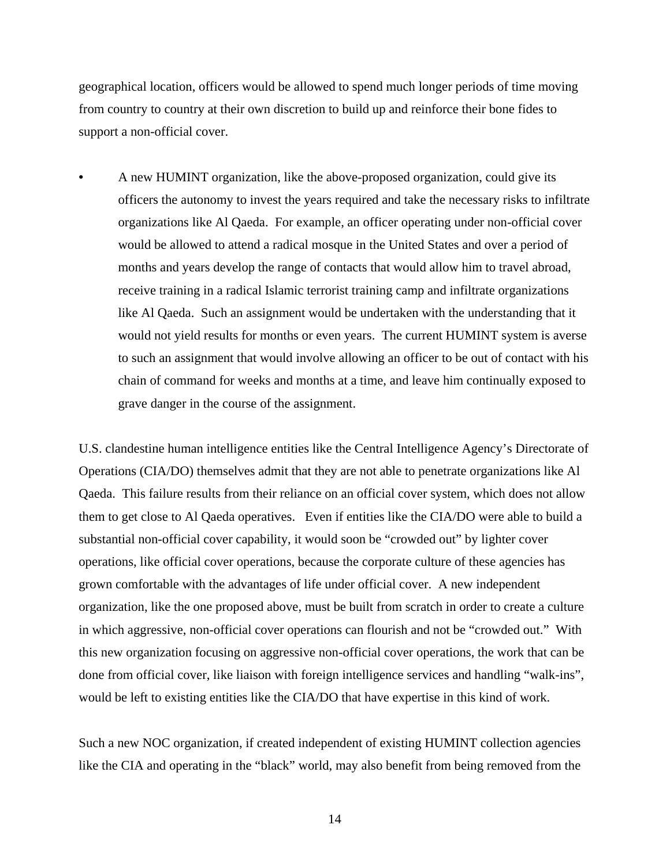geographical location, officers would be allowed to spend much longer periods of time moving from country to country at their own discretion to build up and reinforce their bone fides to support a non-official cover.

• A new HUMINT organization, like the above-proposed organization, could give its officers the autonomy to invest the years required and take the necessary risks to infiltrate organizations like Al Qaeda. For example, an officer operating under non-official cover would be allowed to attend a radical mosque in the United States and over a period of months and years develop the range of contacts that would allow him to travel abroad, receive training in a radical Islamic terrorist training camp and infiltrate organizations like Al Qaeda. Such an assignment would be undertaken with the understanding that it would not yield results for months or even years. The current HUMINT system is averse to such an assignment that would involve allowing an officer to be out of contact with his chain of command for weeks and months at a time, and leave him continually exposed to grave danger in the course of the assignment.

U.S. clandestine human intelligence entities like the Central Intelligence Agency's Directorate of Operations (CIA/DO) themselves admit that they are not able to penetrate organizations like Al Qaeda. This failure results from their reliance on an official cover system, which does not allow them to get close to Al Qaeda operatives. Even if entities like the CIA/DO were able to build a substantial non-official cover capability, it would soon be "crowded out" by lighter cover operations, like official cover operations, because the corporate culture of these agencies has grown comfortable with the advantages of life under official cover. A new independent organization, like the one proposed above, must be built from scratch in order to create a culture in which aggressive, non-official cover operations can flourish and not be "crowded out." With this new organization focusing on aggressive non-official cover operations, the work that can be done from official cover, like liaison with foreign intelligence services and handling "walk-ins", would be left to existing entities like the CIA/DO that have expertise in this kind of work.

Such a new NOC organization, if created independent of existing HUMINT collection agencies like the CIA and operating in the "black" world, may also benefit from being removed from the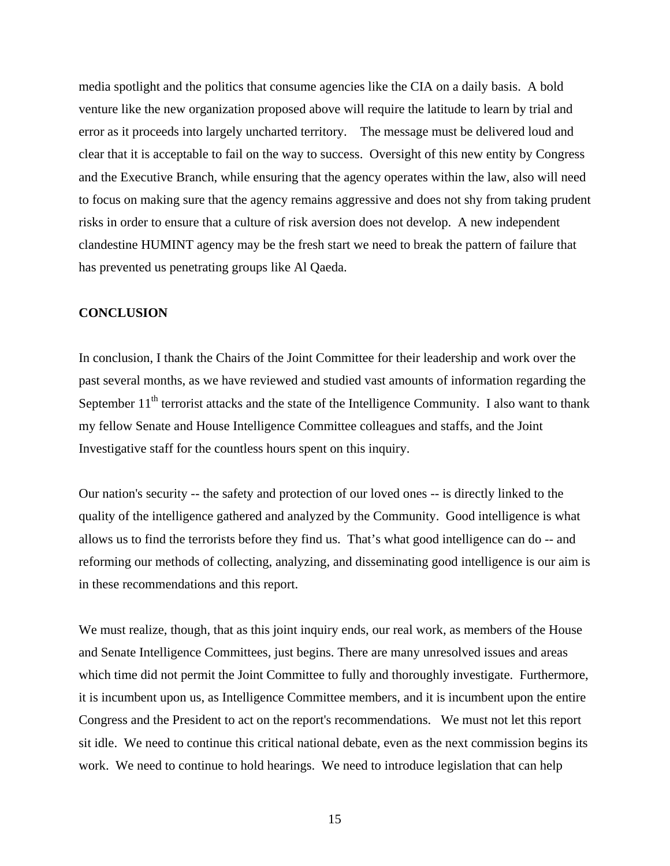media spotlight and the politics that consume agencies like the CIA on a daily basis. A bold venture like the new organization proposed above will require the latitude to learn by trial and error as it proceeds into largely uncharted territory. The message must be delivered loud and clear that it is acceptable to fail on the way to success. Oversight of this new entity by Congress and the Executive Branch, while ensuring that the agency operates within the law, also will need to focus on making sure that the agency remains aggressive and does not shy from taking prudent risks in order to ensure that a culture of risk aversion does not develop. A new independent clandestine HUMINT agency may be the fresh start we need to break the pattern of failure that has prevented us penetrating groups like Al Qaeda.

# **CONCLUSION**

In conclusion, I thank the Chairs of the Joint Committee for their leadership and work over the past several months, as we have reviewed and studied vast amounts of information regarding the September  $11<sup>th</sup>$  terrorist attacks and the state of the Intelligence Community. I also want to thank my fellow Senate and House Intelligence Committee colleagues and staffs, and the Joint Investigative staff for the countless hours spent on this inquiry.

Our nation's security -- the safety and protection of our loved ones -- is directly linked to the quality of the intelligence gathered and analyzed by the Community. Good intelligence is what allows us to find the terrorists before they find us. That's what good intelligence can do -- and reforming our methods of collecting, analyzing, and disseminating good intelligence is our aim is in these recommendations and this report.

We must realize, though, that as this joint inquiry ends, our real work, as members of the House and Senate Intelligence Committees, just begins. There are many unresolved issues and areas which time did not permit the Joint Committee to fully and thoroughly investigate. Furthermore, it is incumbent upon us, as Intelligence Committee members, and it is incumbent upon the entire Congress and the President to act on the report's recommendations. We must not let this report sit idle. We need to continue this critical national debate, even as the next commission begins its work. We need to continue to hold hearings. We need to introduce legislation that can help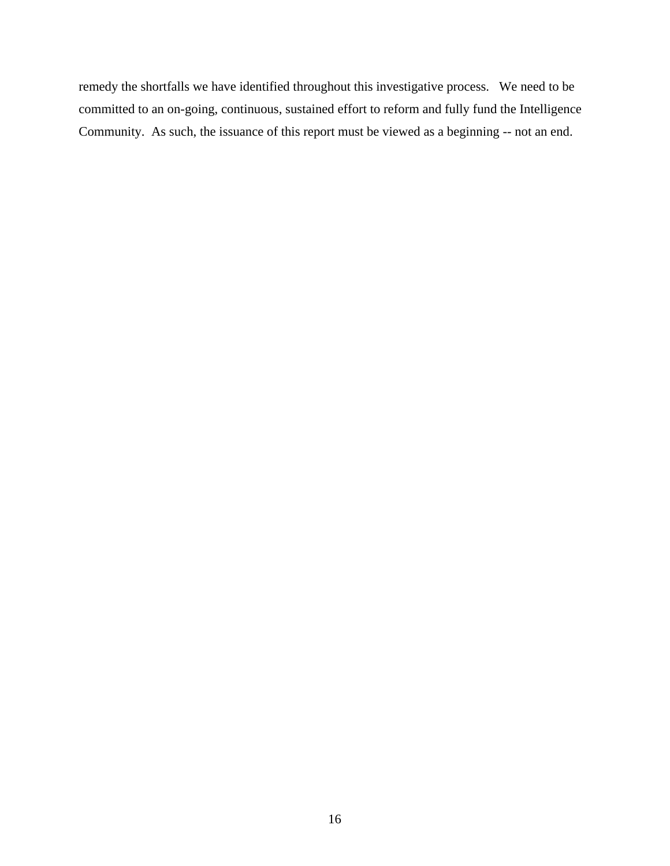remedy the shortfalls we have identified throughout this investigative process. We need to be committed to an on-going, continuous, sustained effort to reform and fully fund the Intelligence Community. As such, the issuance of this report must be viewed as a beginning -- not an end.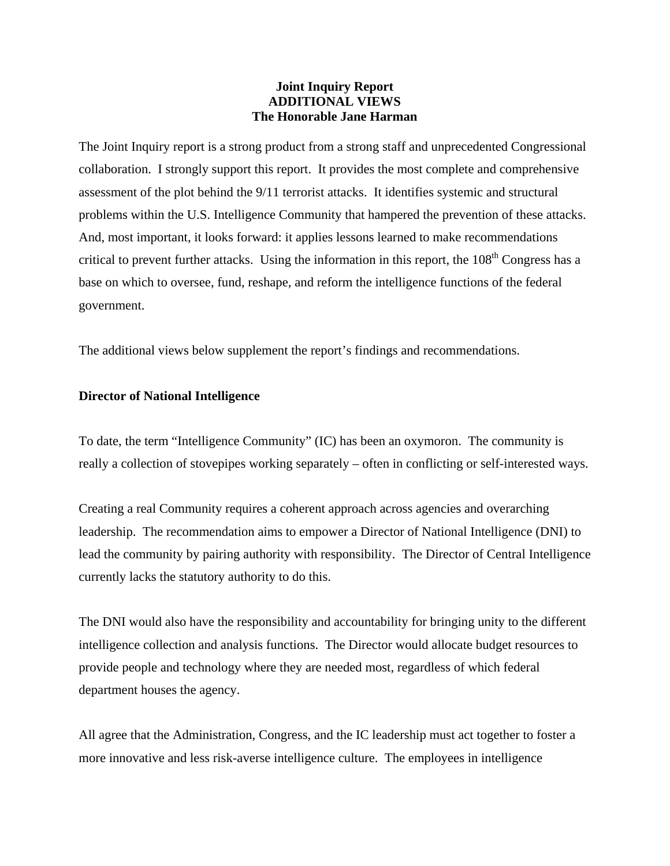# **Joint Inquiry Report ADDITIONAL VIEWS The Honorable Jane Harman**

The Joint Inquiry report is a strong product from a strong staff and unprecedented Congressional collaboration. I strongly support this report. It provides the most complete and comprehensive assessment of the plot behind the 9/11 terrorist attacks. It identifies systemic and structural problems within the U.S. Intelligence Community that hampered the prevention of these attacks. And, most important, it looks forward: it applies lessons learned to make recommendations critical to prevent further attacks. Using the information in this report, the 108<sup>th</sup> Congress has a base on which to oversee, fund, reshape, and reform the intelligence functions of the federal government.

The additional views below supplement the report's findings and recommendations.

# **Director of National Intelligence**

To date, the term "Intelligence Community" (IC) has been an oxymoron. The community is really a collection of stovepipes working separately – often in conflicting or self-interested ways.

Creating a real Community requires a coherent approach across agencies and overarching leadership. The recommendation aims to empower a Director of National Intelligence (DNI) to lead the community by pairing authority with responsibility. The Director of Central Intelligence currently lacks the statutory authority to do this.

The DNI would also have the responsibility and accountability for bringing unity to the different intelligence collection and analysis functions. The Director would allocate budget resources to provide people and technology where they are needed most, regardless of which federal department houses the agency.

All agree that the Administration, Congress, and the IC leadership must act together to foster a more innovative and less risk-averse intelligence culture. The employees in intelligence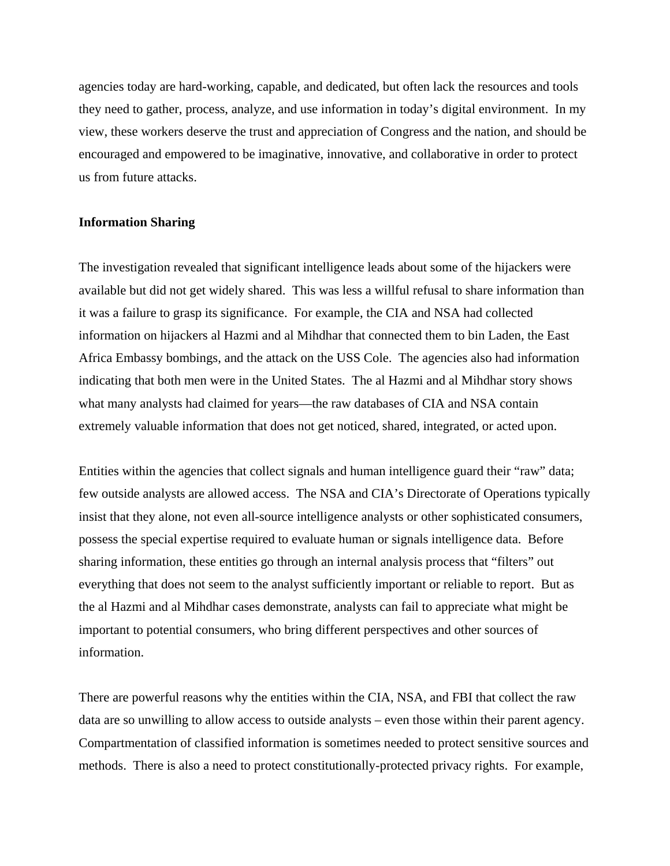agencies today are hard-working, capable, and dedicated, but often lack the resources and tools they need to gather, process, analyze, and use information in today's digital environment. In my view, these workers deserve the trust and appreciation of Congress and the nation, and should be encouraged and empowered to be imaginative, innovative, and collaborative in order to protect us from future attacks.

## **Information Sharing**

The investigation revealed that significant intelligence leads about some of the hijackers were available but did not get widely shared. This was less a willful refusal to share information than it was a failure to grasp its significance. For example, the CIA and NSA had collected information on hijackers al Hazmi and al Mihdhar that connected them to bin Laden, the East Africa Embassy bombings, and the attack on the USS Cole. The agencies also had information indicating that both men were in the United States. The al Hazmi and al Mihdhar story shows what many analysts had claimed for years—the raw databases of CIA and NSA contain extremely valuable information that does not get noticed, shared, integrated, or acted upon.

Entities within the agencies that collect signals and human intelligence guard their "raw" data; few outside analysts are allowed access. The NSA and CIA's Directorate of Operations typically insist that they alone, not even all-source intelligence analysts or other sophisticated consumers, possess the special expertise required to evaluate human or signals intelligence data. Before sharing information, these entities go through an internal analysis process that "filters" out everything that does not seem to the analyst sufficiently important or reliable to report. But as the al Hazmi and al Mihdhar cases demonstrate, analysts can fail to appreciate what might be important to potential consumers, who bring different perspectives and other sources of information.

There are powerful reasons why the entities within the CIA, NSA, and FBI that collect the raw data are so unwilling to allow access to outside analysts – even those within their parent agency. Compartmentation of classified information is sometimes needed to protect sensitive sources and methods. There is also a need to protect constitutionally-protected privacy rights. For example,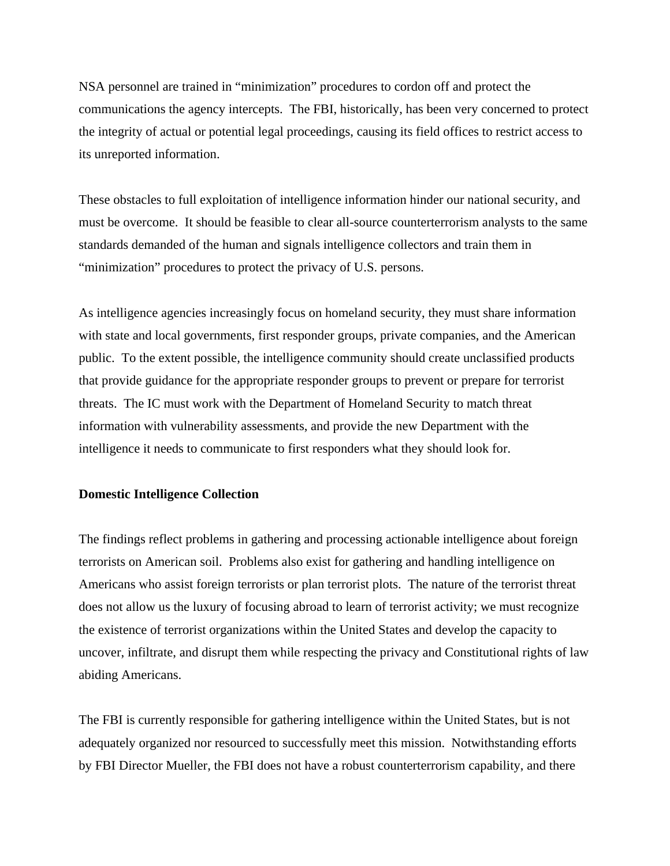NSA personnel are trained in "minimization" procedures to cordon off and protect the communications the agency intercepts. The FBI, historically, has been very concerned to protect the integrity of actual or potential legal proceedings, causing its field offices to restrict access to its unreported information.

These obstacles to full exploitation of intelligence information hinder our national security, and must be overcome. It should be feasible to clear all-source counterterrorism analysts to the same standards demanded of the human and signals intelligence collectors and train them in "minimization" procedures to protect the privacy of U.S. persons.

As intelligence agencies increasingly focus on homeland security, they must share information with state and local governments, first responder groups, private companies, and the American public. To the extent possible, the intelligence community should create unclassified products that provide guidance for the appropriate responder groups to prevent or prepare for terrorist threats. The IC must work with the Department of Homeland Security to match threat information with vulnerability assessments, and provide the new Department with the intelligence it needs to communicate to first responders what they should look for.

## **Domestic Intelligence Collection**

The findings reflect problems in gathering and processing actionable intelligence about foreign terrorists on American soil. Problems also exist for gathering and handling intelligence on Americans who assist foreign terrorists or plan terrorist plots. The nature of the terrorist threat does not allow us the luxury of focusing abroad to learn of terrorist activity; we must recognize the existence of terrorist organizations within the United States and develop the capacity to uncover, infiltrate, and disrupt them while respecting the privacy and Constitutional rights of law abiding Americans.

The FBI is currently responsible for gathering intelligence within the United States, but is not adequately organized nor resourced to successfully meet this mission. Notwithstanding efforts by FBI Director Mueller, the FBI does not have a robust counterterrorism capability, and there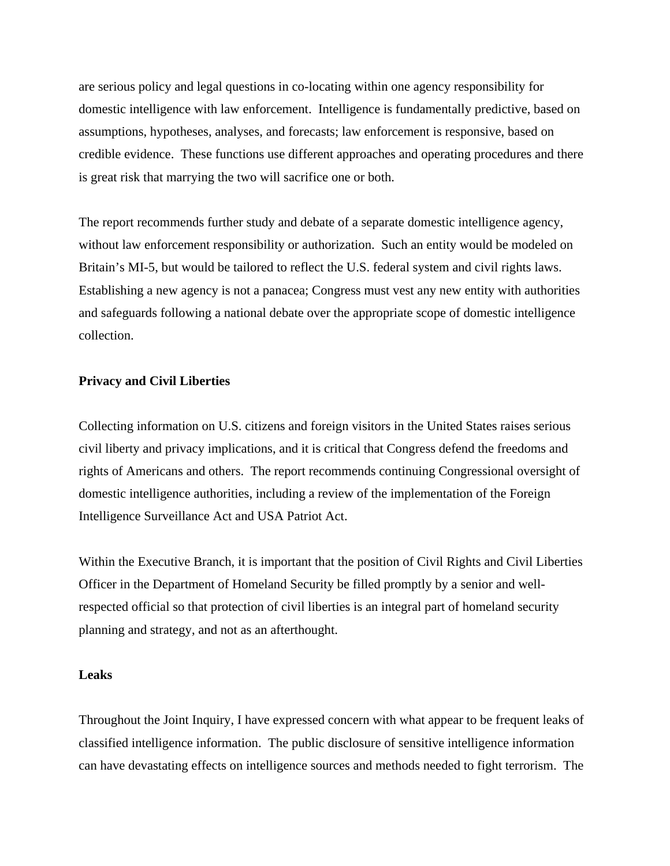are serious policy and legal questions in co-locating within one agency responsibility for domestic intelligence with law enforcement. Intelligence is fundamentally predictive, based on assumptions, hypotheses, analyses, and forecasts; law enforcement is responsive, based on credible evidence. These functions use different approaches and operating procedures and there is great risk that marrying the two will sacrifice one or both.

The report recommends further study and debate of a separate domestic intelligence agency, without law enforcement responsibility or authorization. Such an entity would be modeled on Britain's MI-5, but would be tailored to reflect the U.S. federal system and civil rights laws. Establishing a new agency is not a panacea; Congress must vest any new entity with authorities and safeguards following a national debate over the appropriate scope of domestic intelligence collection.

## **Privacy and Civil Liberties**

Collecting information on U.S. citizens and foreign visitors in the United States raises serious civil liberty and privacy implications, and it is critical that Congress defend the freedoms and rights of Americans and others. The report recommends continuing Congressional oversight of domestic intelligence authorities, including a review of the implementation of the Foreign Intelligence Surveillance Act and USA Patriot Act.

Within the Executive Branch, it is important that the position of Civil Rights and Civil Liberties Officer in the Department of Homeland Security be filled promptly by a senior and wellrespected official so that protection of civil liberties is an integral part of homeland security planning and strategy, and not as an afterthought.

## **Leaks**

Throughout the Joint Inquiry, I have expressed concern with what appear to be frequent leaks of classified intelligence information. The public disclosure of sensitive intelligence information can have devastating effects on intelligence sources and methods needed to fight terrorism. The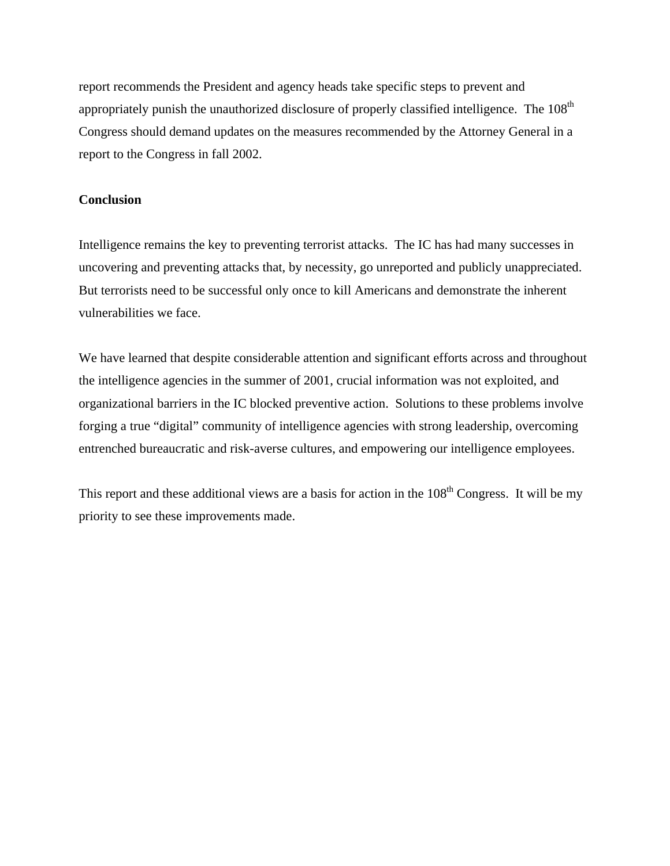report recommends the President and agency heads take specific steps to prevent and appropriately punish the unauthorized disclosure of properly classified intelligence. The  $108<sup>th</sup>$ Congress should demand updates on the measures recommended by the Attorney General in a report to the Congress in fall 2002.

## **Conclusion**

Intelligence remains the key to preventing terrorist attacks. The IC has had many successes in uncovering and preventing attacks that, by necessity, go unreported and publicly unappreciated. But terrorists need to be successful only once to kill Americans and demonstrate the inherent vulnerabilities we face.

We have learned that despite considerable attention and significant efforts across and throughout the intelligence agencies in the summer of 2001, crucial information was not exploited, and organizational barriers in the IC blocked preventive action. Solutions to these problems involve forging a true "digital" community of intelligence agencies with strong leadership, overcoming entrenched bureaucratic and risk-averse cultures, and empowering our intelligence employees.

This report and these additional views are a basis for action in the  $108<sup>th</sup>$  Congress. It will be my priority to see these improvements made.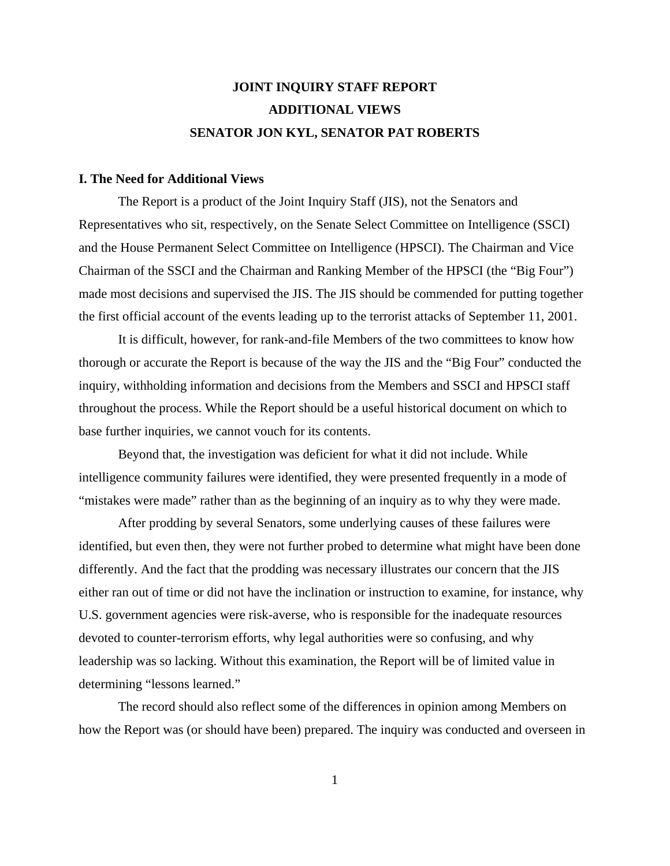# **JOINT INQUIRY STAFF REPORT ADDITIONAL VIEWS SENATOR JON KYL, SENATOR PAT ROBERTS**

#### **I. The Need for Additional Views**

The Report is a product of the Joint Inquiry Staff (JIS), not the Senators and Representatives who sit, respectively, on the Senate Select Committee on Intelligence (SSCI) and the House Permanent Select Committee on Intelligence (HPSCI). The Chairman and Vice Chairman of the SSCI and the Chairman and Ranking Member of the HPSCI (the "Big Four") made most decisions and supervised the JIS. The JIS should be commended for putting together the first official account of the events leading up to the terrorist attacks of September 11, 2001.

It is difficult, however, for rank-and-file Members of the two committees to know how thorough or accurate the Report is because of the way the JIS and the "Big Four" conducted the inquiry, withholding information and decisions from the Members and SSCI and HPSCI staff throughout the process. While the Report should be a useful historical document on which to base further inquiries, we cannot vouch for its contents.

Beyond that, the investigation was deficient for what it did not include. While intelligence community failures were identified, they were presented frequently in a mode of "mistakes were made" rather than as the beginning of an inquiry as to why they were made.

After prodding by several Senators, some underlying causes of these failures were identified, but even then, they were not further probed to determine what might have been done differently. And the fact that the prodding was necessary illustrates our concern that the JIS either ran out of time or did not have the inclination or instruction to examine, for instance, why U.S. government agencies were risk-averse, who is responsible for the inadequate resources devoted to counter-terrorism efforts, why legal authorities were so confusing, and why leadership was so lacking. Without this examination, the Report will be of limited value in determining "lessons learned."

The record should also reflect some of the differences in opinion among Members on how the Report was (or should have been) prepared. The inquiry was conducted and overseen in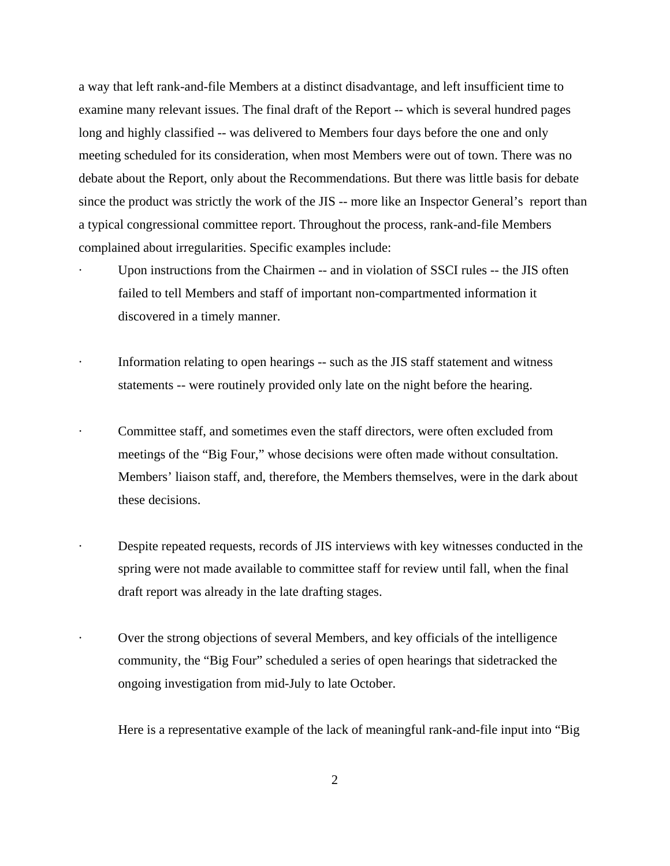a way that left rank-and-file Members at a distinct disadvantage, and left insufficient time to examine many relevant issues. The final draft of the Report -- which is several hundred pages long and highly classified -- was delivered to Members four days before the one and only meeting scheduled for its consideration, when most Members were out of town. There was no debate about the Report, only about the Recommendations. But there was little basis for debate since the product was strictly the work of the JIS -- more like an Inspector General's report than a typical congressional committee report. Throughout the process, rank-and-file Members complained about irregularities. Specific examples include:

- Upon instructions from the Chairmen -- and in violation of SSCI rules -- the JIS often failed to tell Members and staff of important non-compartmented information it discovered in a timely manner.
- Information relating to open hearings -- such as the JIS staff statement and witness statements -- were routinely provided only late on the night before the hearing.
- · Committee staff, and sometimes even the staff directors, were often excluded from meetings of the "Big Four," whose decisions were often made without consultation. Members' liaison staff, and, therefore, the Members themselves, were in the dark about these decisions.
- Despite repeated requests, records of JIS interviews with key witnesses conducted in the spring were not made available to committee staff for review until fall, when the final draft report was already in the late drafting stages.
- Over the strong objections of several Members, and key officials of the intelligence community, the "Big Four" scheduled a series of open hearings that sidetracked the ongoing investigation from mid-July to late October.

Here is a representative example of the lack of meaningful rank-and-file input into "Big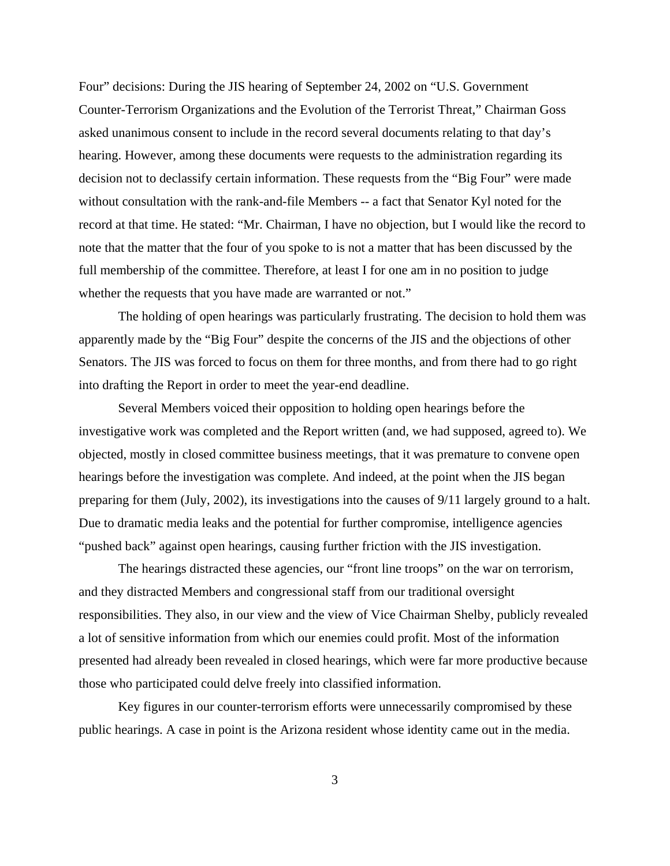Four" decisions: During the JIS hearing of September 24, 2002 on "U.S. Government Counter-Terrorism Organizations and the Evolution of the Terrorist Threat," Chairman Goss asked unanimous consent to include in the record several documents relating to that day's hearing. However, among these documents were requests to the administration regarding its decision not to declassify certain information. These requests from the "Big Four" were made without consultation with the rank-and-file Members -- a fact that Senator Kyl noted for the record at that time. He stated: "Mr. Chairman, I have no objection, but I would like the record to note that the matter that the four of you spoke to is not a matter that has been discussed by the full membership of the committee. Therefore, at least I for one am in no position to judge whether the requests that you have made are warranted or not."

The holding of open hearings was particularly frustrating. The decision to hold them was apparently made by the "Big Four" despite the concerns of the JIS and the objections of other Senators. The JIS was forced to focus on them for three months, and from there had to go right into drafting the Report in order to meet the year-end deadline.

Several Members voiced their opposition to holding open hearings before the investigative work was completed and the Report written (and, we had supposed, agreed to). We objected, mostly in closed committee business meetings, that it was premature to convene open hearings before the investigation was complete. And indeed, at the point when the JIS began preparing for them (July, 2002), its investigations into the causes of 9/11 largely ground to a halt. Due to dramatic media leaks and the potential for further compromise, intelligence agencies "pushed back" against open hearings, causing further friction with the JIS investigation.

The hearings distracted these agencies, our "front line troops" on the war on terrorism, and they distracted Members and congressional staff from our traditional oversight responsibilities. They also, in our view and the view of Vice Chairman Shelby, publicly revealed a lot of sensitive information from which our enemies could profit. Most of the information presented had already been revealed in closed hearings, which were far more productive because those who participated could delve freely into classified information.

Key figures in our counter-terrorism efforts were unnecessarily compromised by these public hearings. A case in point is the Arizona resident whose identity came out in the media.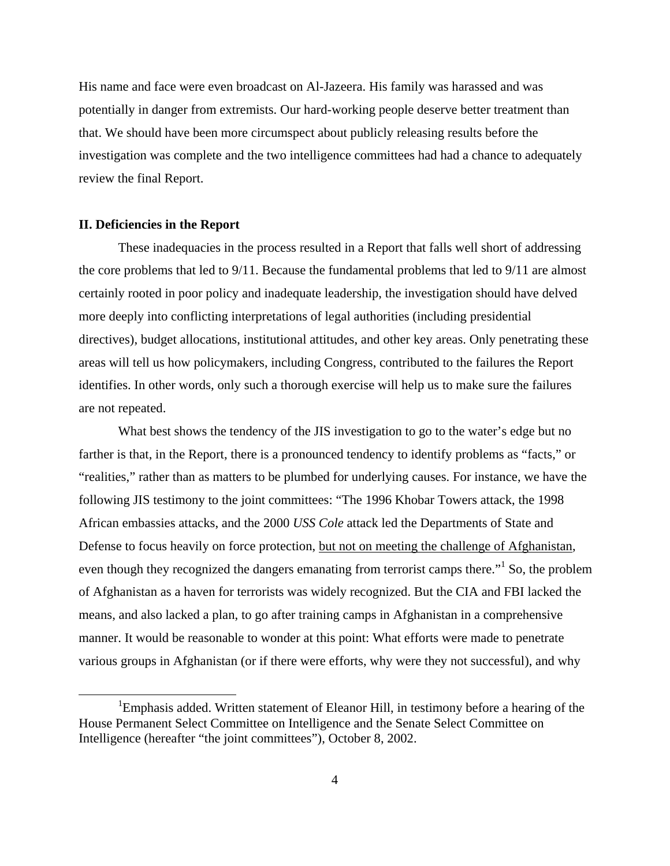His name and face were even broadcast on Al-Jazeera. His family was harassed and was potentially in danger from extremists. Our hard-working people deserve better treatment than that. We should have been more circumspect about publicly releasing results before the investigation was complete and the two intelligence committees had had a chance to adequately review the final Report.

#### **II. Deficiencies in the Report**

These inadequacies in the process resulted in a Report that falls well short of addressing the core problems that led to 9/11. Because the fundamental problems that led to 9/11 are almost certainly rooted in poor policy and inadequate leadership, the investigation should have delved more deeply into conflicting interpretations of legal authorities (including presidential directives), budget allocations, institutional attitudes, and other key areas. Only penetrating these areas will tell us how policymakers, including Congress, contributed to the failures the Report identifies. In other words, only such a thorough exercise will help us to make sure the failures are not repeated.

What best shows the tendency of the JIS investigation to go to the water's edge but no farther is that, in the Report, there is a pronounced tendency to identify problems as "facts," or "realities," rather than as matters to be plumbed for underlying causes. For instance, we have the following JIS testimony to the joint committees: "The 1996 Khobar Towers attack, the 1998 African embassies attacks, and the 2000 *USS Cole* attack led the Departments of State and Defense to focus heavily on force protection, but not on meeting the challenge of Afghanistan, even though they recognized the dangers emanating from terrorist camps there."<sup>1</sup> So, the problem of Afghanistan as a haven for terrorists was widely recognized. But the CIA and FBI lacked the means, and also lacked a plan, to go after training camps in Afghanistan in a comprehensive manner. It would be reasonable to wonder at this point: What efforts were made to penetrate various groups in Afghanistan (or if there were efforts, why were they not successful), and why

<sup>&</sup>lt;sup>1</sup>Emphasis added. Written statement of Eleanor Hill, in testimony before a hearing of the House Permanent Select Committee on Intelligence and the Senate Select Committee on Intelligence (hereafter "the joint committees"), October 8, 2002.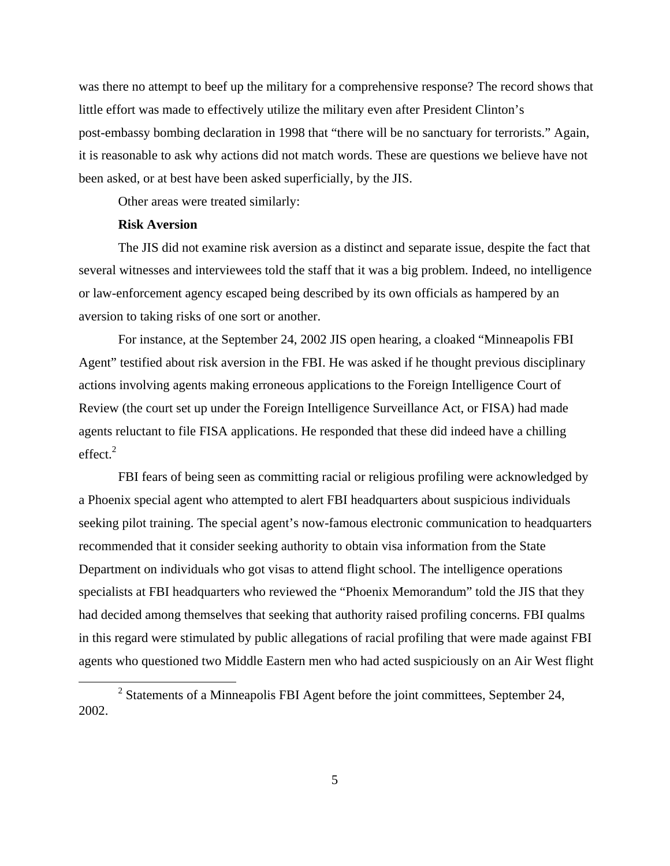was there no attempt to beef up the military for a comprehensive response? The record shows that little effort was made to effectively utilize the military even after President Clinton's post-embassy bombing declaration in 1998 that "there will be no sanctuary for terrorists." Again, it is reasonable to ask why actions did not match words. These are questions we believe have not been asked, or at best have been asked superficially, by the JIS.

Other areas were treated similarly:

## **Risk Aversion**

The JIS did not examine risk aversion as a distinct and separate issue, despite the fact that several witnesses and interviewees told the staff that it was a big problem. Indeed, no intelligence or law-enforcement agency escaped being described by its own officials as hampered by an aversion to taking risks of one sort or another.

For instance, at the September 24, 2002 JIS open hearing, a cloaked "Minneapolis FBI Agent" testified about risk aversion in the FBI. He was asked if he thought previous disciplinary actions involving agents making erroneous applications to the Foreign Intelligence Court of Review (the court set up under the Foreign Intelligence Surveillance Act, or FISA) had made agents reluctant to file FISA applications. He responded that these did indeed have a chilling  $effect.<sup>2</sup>$ 

FBI fears of being seen as committing racial or religious profiling were acknowledged by a Phoenix special agent who attempted to alert FBI headquarters about suspicious individuals seeking pilot training. The special agent's now-famous electronic communication to headquarters recommended that it consider seeking authority to obtain visa information from the State Department on individuals who got visas to attend flight school. The intelligence operations specialists at FBI headquarters who reviewed the "Phoenix Memorandum" told the JIS that they had decided among themselves that seeking that authority raised profiling concerns. FBI qualms in this regard were stimulated by public allegations of racial profiling that were made against FBI agents who questioned two Middle Eastern men who had acted suspiciously on an Air West flight

 $2^2$  Statements of a Minneapolis FBI Agent before the joint committees, September 24, 2002.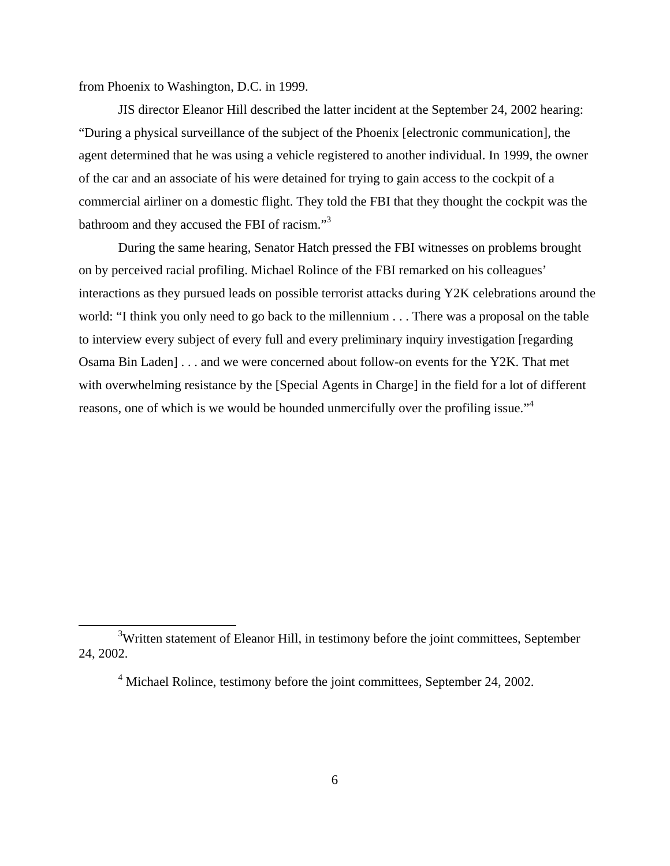from Phoenix to Washington, D.C. in 1999.

JIS director Eleanor Hill described the latter incident at the September 24, 2002 hearing: "During a physical surveillance of the subject of the Phoenix [electronic communication], the agent determined that he was using a vehicle registered to another individual. In 1999, the owner of the car and an associate of his were detained for trying to gain access to the cockpit of a commercial airliner on a domestic flight. They told the FBI that they thought the cockpit was the bathroom and they accused the FBI of racism."3

During the same hearing, Senator Hatch pressed the FBI witnesses on problems brought on by perceived racial profiling. Michael Rolince of the FBI remarked on his colleagues' interactions as they pursued leads on possible terrorist attacks during Y2K celebrations around the world: "I think you only need to go back to the millennium . . . There was a proposal on the table to interview every subject of every full and every preliminary inquiry investigation [regarding Osama Bin Laden] . . . and we were concerned about follow-on events for the Y2K. That met with overwhelming resistance by the [Special Agents in Charge] in the field for a lot of different reasons, one of which is we would be hounded unmercifully over the profiling issue."<sup>4</sup>

<sup>&</sup>lt;sup>3</sup>Written statement of Eleanor Hill, in testimony before the joint committees, September 24, 2002.

<sup>&</sup>lt;sup>4</sup> Michael Rolince, testimony before the joint committees, September 24, 2002.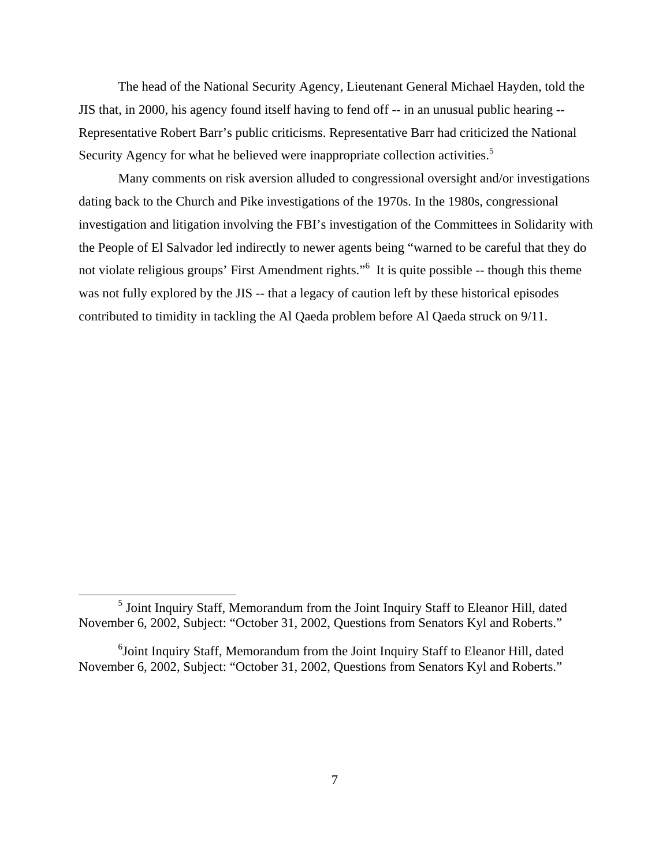The head of the National Security Agency, Lieutenant General Michael Hayden, told the JIS that, in 2000, his agency found itself having to fend off -- in an unusual public hearing -- Representative Robert Barr's public criticisms. Representative Barr had criticized the National Security Agency for what he believed were inappropriate collection activities.<sup>5</sup>

Many comments on risk aversion alluded to congressional oversight and/or investigations dating back to the Church and Pike investigations of the 1970s. In the 1980s, congressional investigation and litigation involving the FBI's investigation of the Committees in Solidarity with the People of El Salvador led indirectly to newer agents being "warned to be careful that they do not violate religious groups' First Amendment rights."6 It is quite possible -- though this theme was not fully explored by the JIS -- that a legacy of caution left by these historical episodes contributed to timidity in tackling the Al Qaeda problem before Al Qaeda struck on 9/11.

<sup>&</sup>lt;sup>5</sup> Joint Inquiry Staff, Memorandum from the Joint Inquiry Staff to Eleanor Hill, dated November 6, 2002, Subject: "October 31, 2002, Questions from Senators Kyl and Roberts."

<sup>&</sup>lt;sup>6</sup>Joint Inquiry Staff, Memorandum from the Joint Inquiry Staff to Eleanor Hill, dated November 6, 2002, Subject: "October 31, 2002, Questions from Senators Kyl and Roberts."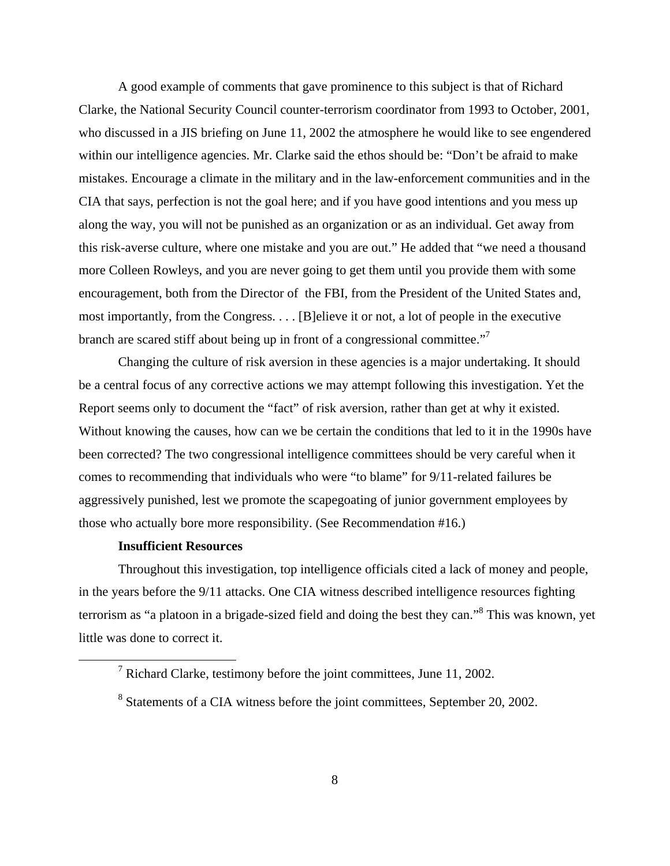A good example of comments that gave prominence to this subject is that of Richard Clarke, the National Security Council counter-terrorism coordinator from 1993 to October, 2001, who discussed in a JIS briefing on June 11, 2002 the atmosphere he would like to see engendered within our intelligence agencies. Mr. Clarke said the ethos should be: "Don't be afraid to make mistakes. Encourage a climate in the military and in the law-enforcement communities and in the CIA that says, perfection is not the goal here; and if you have good intentions and you mess up along the way, you will not be punished as an organization or as an individual. Get away from this risk-averse culture, where one mistake and you are out." He added that "we need a thousand more Colleen Rowleys, and you are never going to get them until you provide them with some encouragement, both from the Director of the FBI, from the President of the United States and, most importantly, from the Congress. . . . [B]elieve it or not, a lot of people in the executive branch are scared stiff about being up in front of a congressional committee."<sup>7</sup>

Changing the culture of risk aversion in these agencies is a major undertaking. It should be a central focus of any corrective actions we may attempt following this investigation. Yet the Report seems only to document the "fact" of risk aversion, rather than get at why it existed. Without knowing the causes, how can we be certain the conditions that led to it in the 1990s have been corrected? The two congressional intelligence committees should be very careful when it comes to recommending that individuals who were "to blame" for 9/11-related failures be aggressively punished, lest we promote the scapegoating of junior government employees by those who actually bore more responsibility. (See Recommendation #16.)

#### **Insufficient Resources**

Throughout this investigation, top intelligence officials cited a lack of money and people, in the years before the 9/11 attacks. One CIA witness described intelligence resources fighting terrorism as "a platoon in a brigade-sized field and doing the best they can."<sup>8</sup> This was known, yet little was done to correct it.

<sup>&</sup>lt;sup>7</sup> Richard Clarke, testimony before the joint committees, June 11, 2002.

<sup>&</sup>lt;sup>8</sup> Statements of a CIA witness before the joint committees, September 20, 2002.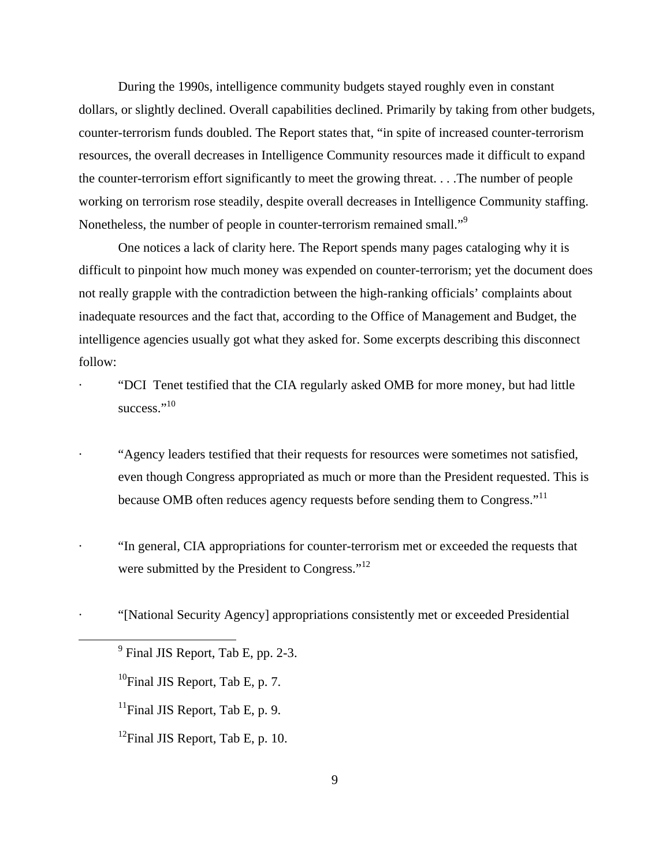During the 1990s, intelligence community budgets stayed roughly even in constant dollars, or slightly declined. Overall capabilities declined. Primarily by taking from other budgets, counter-terrorism funds doubled. The Report states that, "in spite of increased counter-terrorism resources, the overall decreases in Intelligence Community resources made it difficult to expand the counter-terrorism effort significantly to meet the growing threat. . . .The number of people working on terrorism rose steadily, despite overall decreases in Intelligence Community staffing. Nonetheless, the number of people in counter-terrorism remained small."<sup>9</sup>

One notices a lack of clarity here. The Report spends many pages cataloging why it is difficult to pinpoint how much money was expended on counter-terrorism; yet the document does not really grapple with the contradiction between the high-ranking officials' complaints about inadequate resources and the fact that, according to the Office of Management and Budget, the intelligence agencies usually got what they asked for. Some excerpts describing this disconnect follow:

· "DCI Tenet testified that the CIA regularly asked OMB for more money, but had little success."<sup>10</sup>

· "Agency leaders testified that their requests for resources were sometimes not satisfied, even though Congress appropriated as much or more than the President requested. This is because OMB often reduces agency requests before sending them to Congress."<sup>11</sup>

- · "In general, CIA appropriations for counter-terrorism met or exceeded the requests that were submitted by the President to Congress."<sup>12</sup>
- · "[National Security Agency] appropriations consistently met or exceeded Presidential

 $9^9$  Final JIS Report, Tab E, pp. 2-3.

<sup>&</sup>lt;sup>10</sup>Final JIS Report, Tab E, p. 7.

<sup>&</sup>lt;sup>11</sup>Final JIS Report, Tab E, p. 9.

<sup>&</sup>lt;sup>12</sup>Final JIS Report, Tab E, p. 10.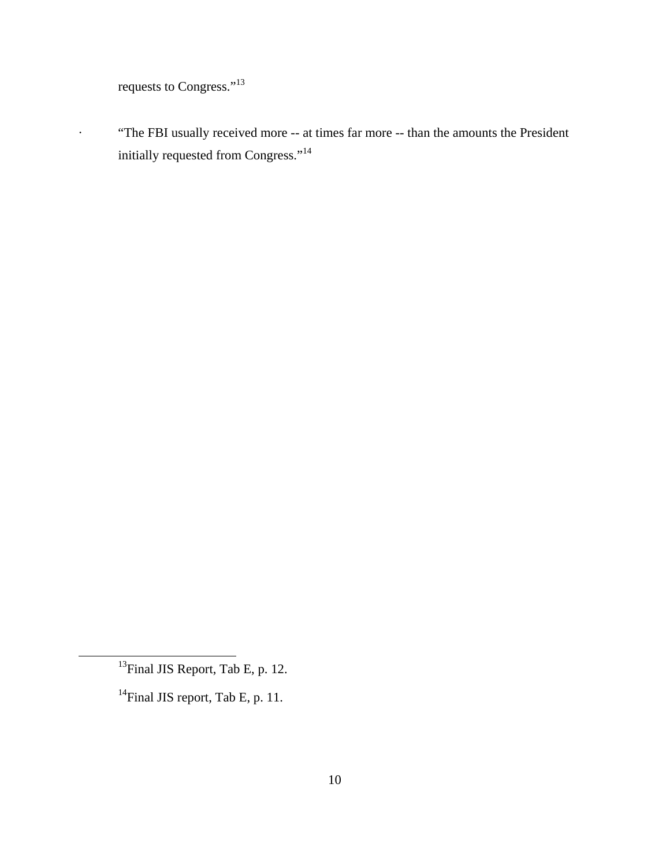requests to Congress."<sup>13</sup>

· "The FBI usually received more -- at times far more -- than the amounts the President initially requested from Congress."<sup>14</sup>

<sup>&</sup>lt;sup>13</sup>Final JIS Report, Tab E, p. 12.

<sup>&</sup>lt;sup>14</sup>Final JIS report, Tab E, p. 11.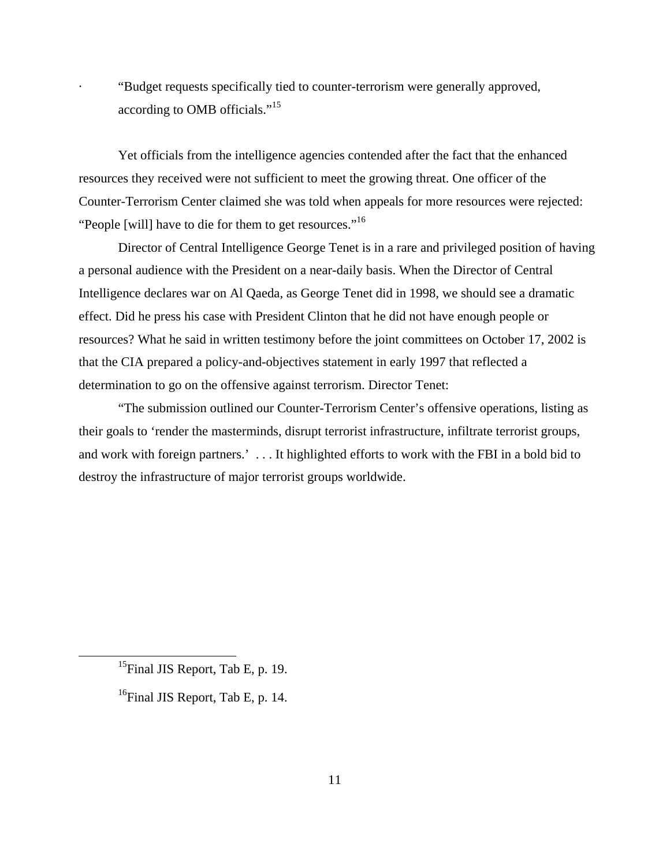· "Budget requests specifically tied to counter-terrorism were generally approved, according to OMB officials."<sup>15</sup>

Yet officials from the intelligence agencies contended after the fact that the enhanced resources they received were not sufficient to meet the growing threat. One officer of the Counter-Terrorism Center claimed she was told when appeals for more resources were rejected: "People [will] have to die for them to get resources."<sup>16</sup>

Director of Central Intelligence George Tenet is in a rare and privileged position of having a personal audience with the President on a near-daily basis. When the Director of Central Intelligence declares war on Al Qaeda, as George Tenet did in 1998, we should see a dramatic effect. Did he press his case with President Clinton that he did not have enough people or resources? What he said in written testimony before the joint committees on October 17, 2002 is that the CIA prepared a policy-and-objectives statement in early 1997 that reflected a determination to go on the offensive against terrorism. Director Tenet:

"The submission outlined our Counter-Terrorism Center's offensive operations, listing as their goals to 'render the masterminds, disrupt terrorist infrastructure, infiltrate terrorist groups, and work with foreign partners.' . . . It highlighted efforts to work with the FBI in a bold bid to destroy the infrastructure of major terrorist groups worldwide.

<sup>&</sup>lt;sup>15</sup>Final JIS Report, Tab E, p. 19.

 $16$ Final JIS Report, Tab E, p. 14.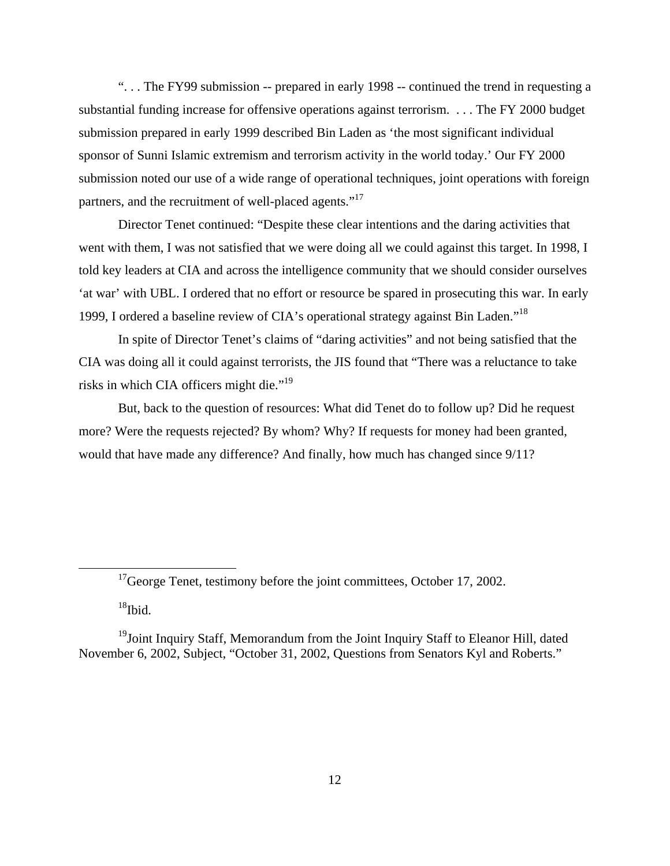". . . The FY99 submission -- prepared in early 1998 -- continued the trend in requesting a substantial funding increase for offensive operations against terrorism. . . . The FY 2000 budget submission prepared in early 1999 described Bin Laden as 'the most significant individual sponsor of Sunni Islamic extremism and terrorism activity in the world today.' Our FY 2000 submission noted our use of a wide range of operational techniques, joint operations with foreign partners, and the recruitment of well-placed agents."<sup>17</sup>

Director Tenet continued: "Despite these clear intentions and the daring activities that went with them, I was not satisfied that we were doing all we could against this target. In 1998, I told key leaders at CIA and across the intelligence community that we should consider ourselves 'at war' with UBL. I ordered that no effort or resource be spared in prosecuting this war. In early 1999, I ordered a baseline review of CIA's operational strategy against Bin Laden."18

In spite of Director Tenet's claims of "daring activities" and not being satisfied that the CIA was doing all it could against terrorists, the JIS found that "There was a reluctance to take risks in which CIA officers might die."<sup>19</sup>

But, back to the question of resources: What did Tenet do to follow up? Did he request more? Were the requests rejected? By whom? Why? If requests for money had been granted, would that have made any difference? And finally, how much has changed since 9/11?

 $18$ Ibid.

 $17$ George Tenet, testimony before the joint committees, October 17, 2002.

<sup>&</sup>lt;sup>19</sup>Joint Inquiry Staff, Memorandum from the Joint Inquiry Staff to Eleanor Hill, dated November 6, 2002, Subject, "October 31, 2002, Questions from Senators Kyl and Roberts."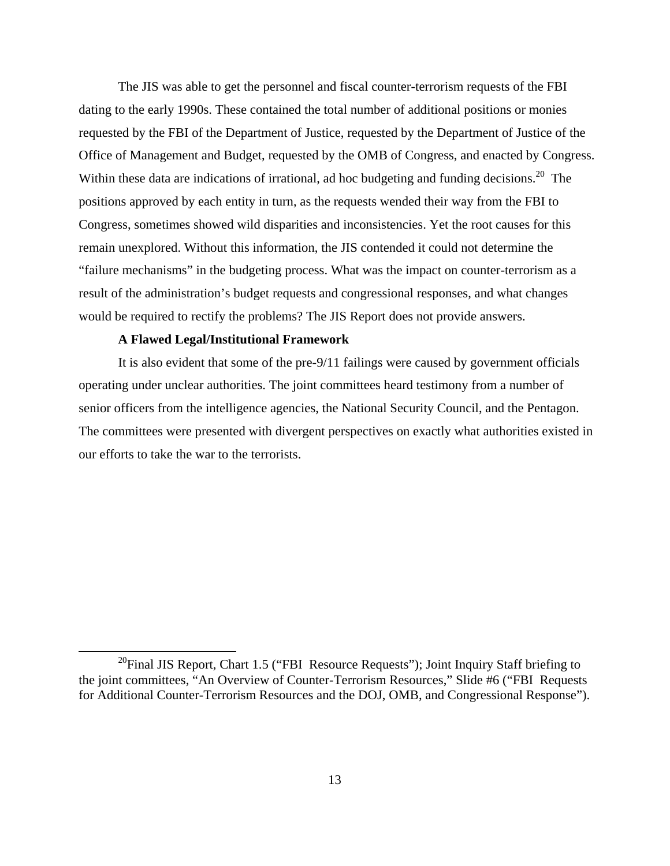The JIS was able to get the personnel and fiscal counter-terrorism requests of the FBI dating to the early 1990s. These contained the total number of additional positions or monies requested by the FBI of the Department of Justice, requested by the Department of Justice of the Office of Management and Budget, requested by the OMB of Congress, and enacted by Congress. Within these data are indications of irrational, ad hoc budgeting and funding decisions.<sup>20</sup> The positions approved by each entity in turn, as the requests wended their way from the FBI to Congress, sometimes showed wild disparities and inconsistencies. Yet the root causes for this remain unexplored. Without this information, the JIS contended it could not determine the "failure mechanisms" in the budgeting process. What was the impact on counter-terrorism as a result of the administration's budget requests and congressional responses, and what changes would be required to rectify the problems? The JIS Report does not provide answers.

#### **A Flawed Legal/Institutional Framework**

It is also evident that some of the pre-9/11 failings were caused by government officials operating under unclear authorities. The joint committees heard testimony from a number of senior officers from the intelligence agencies, the National Security Council, and the Pentagon. The committees were presented with divergent perspectives on exactly what authorities existed in our efforts to take the war to the terrorists.

<sup>&</sup>lt;sup>20</sup>Final JIS Report, Chart 1.5 ("FBI Resource Requests"); Joint Inquiry Staff briefing to the joint committees, "An Overview of Counter-Terrorism Resources," Slide #6 ("FBI Requests for Additional Counter-Terrorism Resources and the DOJ, OMB, and Congressional Response").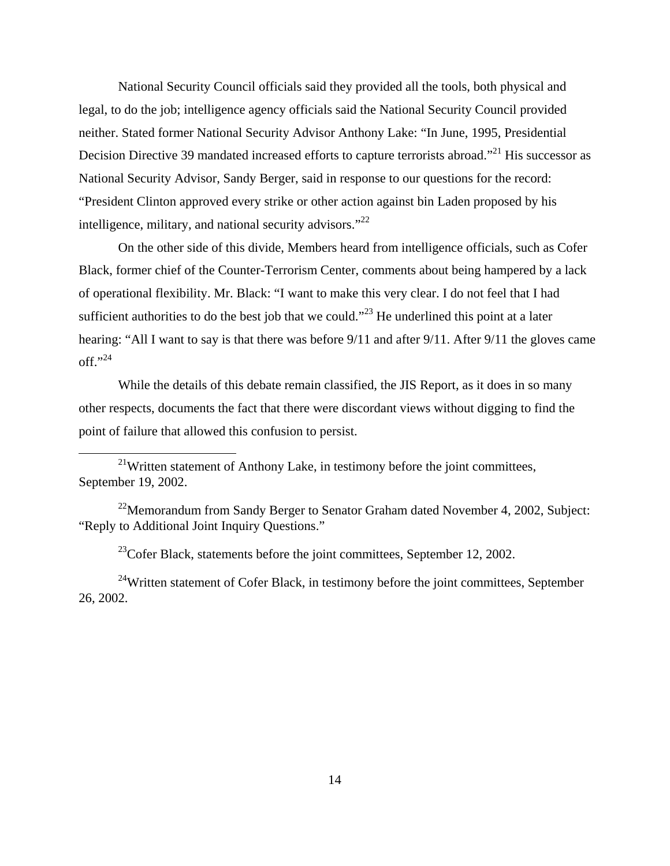National Security Council officials said they provided all the tools, both physical and legal, to do the job; intelligence agency officials said the National Security Council provided neither. Stated former National Security Advisor Anthony Lake: "In June, 1995, Presidential Decision Directive 39 mandated increased efforts to capture terrorists abroad."<sup>21</sup> His successor as National Security Advisor, Sandy Berger, said in response to our questions for the record: "President Clinton approved every strike or other action against bin Laden proposed by his intelligence, military, and national security advisors. $^{22}$ 

On the other side of this divide, Members heard from intelligence officials, such as Cofer Black, former chief of the Counter-Terrorism Center, comments about being hampered by a lack of operational flexibility. Mr. Black: "I want to make this very clear. I do not feel that I had sufficient authorities to do the best job that we could."<sup>23</sup> He underlined this point at a later hearing: "All I want to say is that there was before  $9/11$  and after  $9/11$ . After  $9/11$  the gloves came  $\mathrm{off.}^{9,24}$ 

While the details of this debate remain classified, the JIS Report, as it does in so many other respects, documents the fact that there were discordant views without digging to find the point of failure that allowed this confusion to persist.

 $^{23}$ Cofer Black, statements before the joint committees, September 12, 2002.

<sup>24</sup>Written statement of Cofer Black, in testimony before the joint committees, September 26, 2002.

 $^{21}$ Written statement of Anthony Lake, in testimony before the joint committees, September 19, 2002.

<sup>&</sup>lt;sup>22</sup>Memorandum from Sandy Berger to Senator Graham dated November 4, 2002, Subject: "Reply to Additional Joint Inquiry Questions."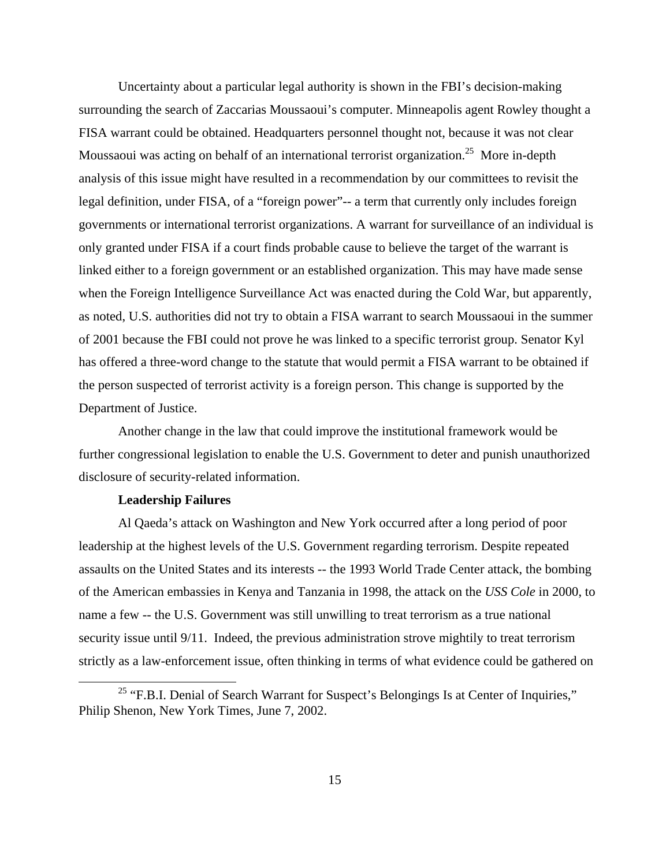Uncertainty about a particular legal authority is shown in the FBI's decision-making surrounding the search of Zaccarias Moussaoui's computer. Minneapolis agent Rowley thought a FISA warrant could be obtained. Headquarters personnel thought not, because it was not clear Moussaoui was acting on behalf of an international terrorist organization.<sup>25</sup> More in-depth analysis of this issue might have resulted in a recommendation by our committees to revisit the legal definition, under FISA, of a "foreign power"-- a term that currently only includes foreign governments or international terrorist organizations. A warrant for surveillance of an individual is only granted under FISA if a court finds probable cause to believe the target of the warrant is linked either to a foreign government or an established organization. This may have made sense when the Foreign Intelligence Surveillance Act was enacted during the Cold War, but apparently, as noted, U.S. authorities did not try to obtain a FISA warrant to search Moussaoui in the summer of 2001 because the FBI could not prove he was linked to a specific terrorist group. Senator Kyl has offered a three-word change to the statute that would permit a FISA warrant to be obtained if the person suspected of terrorist activity is a foreign person. This change is supported by the Department of Justice.

Another change in the law that could improve the institutional framework would be further congressional legislation to enable the U.S. Government to deter and punish unauthorized disclosure of security-related information.

## **Leadership Failures**

Al Qaeda's attack on Washington and New York occurred after a long period of poor leadership at the highest levels of the U.S. Government regarding terrorism. Despite repeated assaults on the United States and its interests -- the 1993 World Trade Center attack, the bombing of the American embassies in Kenya and Tanzania in 1998, the attack on the *USS Cole* in 2000, to name a few -- the U.S. Government was still unwilling to treat terrorism as a true national security issue until 9/11. Indeed, the previous administration strove mightily to treat terrorism strictly as a law-enforcement issue, often thinking in terms of what evidence could be gathered on

<sup>&</sup>lt;sup>25</sup> "F.B.I. Denial of Search Warrant for Suspect's Belongings Is at Center of Inquiries," Philip Shenon, New York Times, June 7, 2002.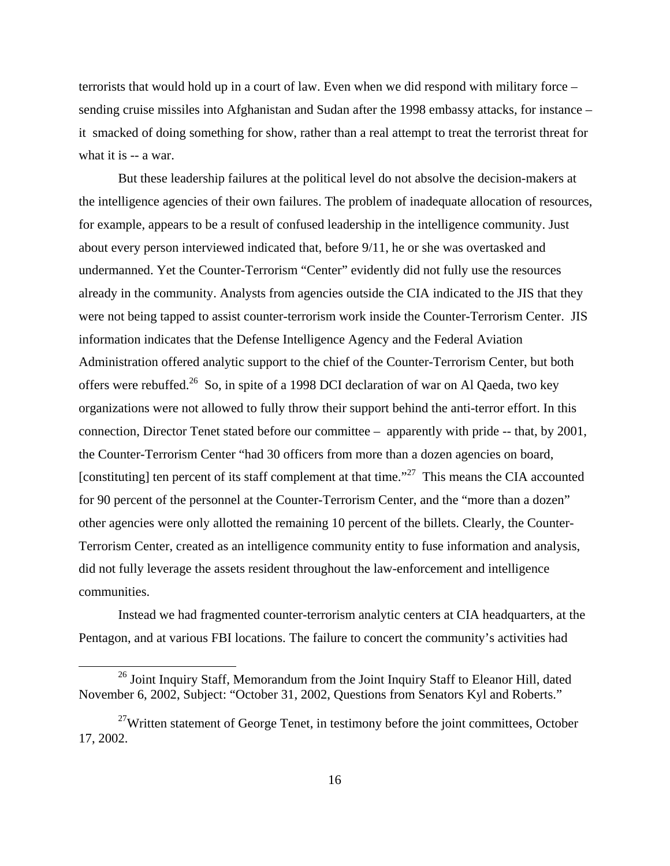terrorists that would hold up in a court of law. Even when we did respond with military force – sending cruise missiles into Afghanistan and Sudan after the 1998 embassy attacks, for instance – it smacked of doing something for show, rather than a real attempt to treat the terrorist threat for what it is -- a war.

But these leadership failures at the political level do not absolve the decision-makers at the intelligence agencies of their own failures. The problem of inadequate allocation of resources, for example, appears to be a result of confused leadership in the intelligence community. Just about every person interviewed indicated that, before 9/11, he or she was overtasked and undermanned. Yet the Counter-Terrorism "Center" evidently did not fully use the resources already in the community. Analysts from agencies outside the CIA indicated to the JIS that they were not being tapped to assist counter-terrorism work inside the Counter-Terrorism Center. JIS information indicates that the Defense Intelligence Agency and the Federal Aviation Administration offered analytic support to the chief of the Counter-Terrorism Center, but both offers were rebuffed.<sup>26</sup> So, in spite of a 1998 DCI declaration of war on Al Qaeda, two key organizations were not allowed to fully throw their support behind the anti-terror effort. In this connection, Director Tenet stated before our committee – apparently with pride -- that, by 2001, the Counter-Terrorism Center "had 30 officers from more than a dozen agencies on board, [constituting] ten percent of its staff complement at that time."<sup>27</sup> This means the CIA accounted for 90 percent of the personnel at the Counter-Terrorism Center, and the "more than a dozen" other agencies were only allotted the remaining 10 percent of the billets. Clearly, the Counter-Terrorism Center, created as an intelligence community entity to fuse information and analysis, did not fully leverage the assets resident throughout the law-enforcement and intelligence communities.

Instead we had fragmented counter-terrorism analytic centers at CIA headquarters, at the Pentagon, and at various FBI locations. The failure to concert the community's activities had

<sup>&</sup>lt;sup>26</sup> Joint Inquiry Staff, Memorandum from the Joint Inquiry Staff to Eleanor Hill, dated November 6, 2002, Subject: "October 31, 2002, Questions from Senators Kyl and Roberts."

 $27$ Written statement of George Tenet, in testimony before the joint committees, October 17, 2002.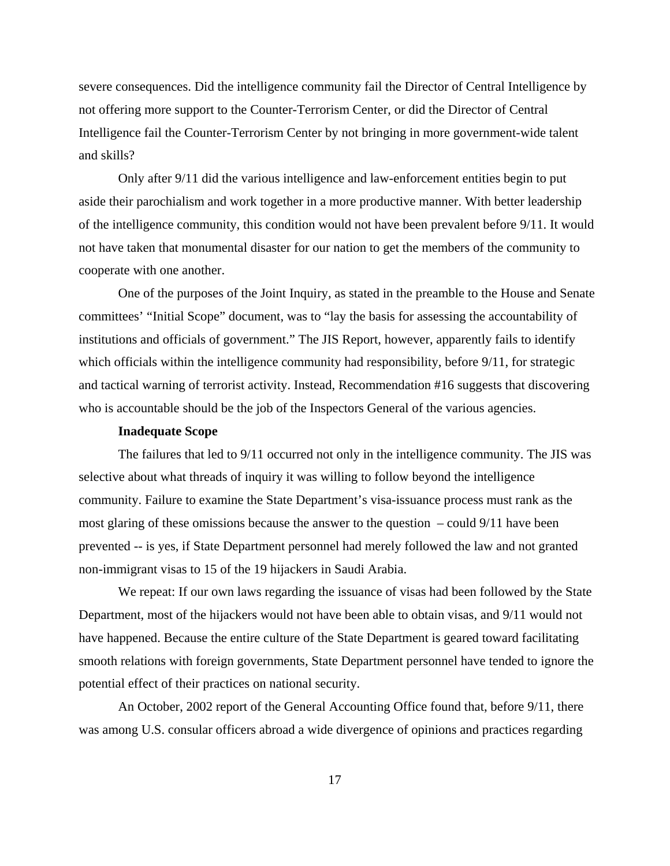severe consequences. Did the intelligence community fail the Director of Central Intelligence by not offering more support to the Counter-Terrorism Center, or did the Director of Central Intelligence fail the Counter-Terrorism Center by not bringing in more government-wide talent and skills?

Only after 9/11 did the various intelligence and law-enforcement entities begin to put aside their parochialism and work together in a more productive manner. With better leadership of the intelligence community, this condition would not have been prevalent before 9/11. It would not have taken that monumental disaster for our nation to get the members of the community to cooperate with one another.

One of the purposes of the Joint Inquiry, as stated in the preamble to the House and Senate committees' "Initial Scope" document, was to "lay the basis for assessing the accountability of institutions and officials of government." The JIS Report, however, apparently fails to identify which officials within the intelligence community had responsibility, before 9/11, for strategic and tactical warning of terrorist activity. Instead, Recommendation #16 suggests that discovering who is accountable should be the job of the Inspectors General of the various agencies.

#### **Inadequate Scope**

The failures that led to 9/11 occurred not only in the intelligence community. The JIS was selective about what threads of inquiry it was willing to follow beyond the intelligence community. Failure to examine the State Department's visa-issuance process must rank as the most glaring of these omissions because the answer to the question – could 9/11 have been prevented -- is yes, if State Department personnel had merely followed the law and not granted non-immigrant visas to 15 of the 19 hijackers in Saudi Arabia.

We repeat: If our own laws regarding the issuance of visas had been followed by the State Department, most of the hijackers would not have been able to obtain visas, and 9/11 would not have happened. Because the entire culture of the State Department is geared toward facilitating smooth relations with foreign governments, State Department personnel have tended to ignore the potential effect of their practices on national security.

An October, 2002 report of the General Accounting Office found that, before 9/11, there was among U.S. consular officers abroad a wide divergence of opinions and practices regarding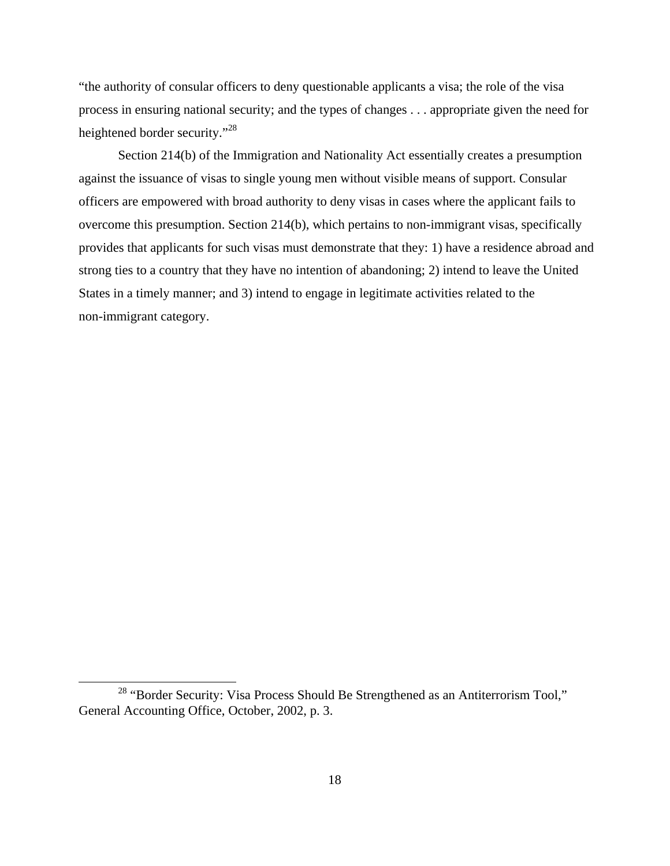"the authority of consular officers to deny questionable applicants a visa; the role of the visa process in ensuring national security; and the types of changes . . . appropriate given the need for heightened border security."<sup>28</sup>

Section 214(b) of the Immigration and Nationality Act essentially creates a presumption against the issuance of visas to single young men without visible means of support. Consular officers are empowered with broad authority to deny visas in cases where the applicant fails to overcome this presumption. Section 214(b), which pertains to non-immigrant visas, specifically provides that applicants for such visas must demonstrate that they: 1) have a residence abroad and strong ties to a country that they have no intention of abandoning; 2) intend to leave the United States in a timely manner; and 3) intend to engage in legitimate activities related to the non-immigrant category.

<sup>&</sup>lt;sup>28</sup> "Border Security: Visa Process Should Be Strengthened as an Antiterrorism Tool," General Accounting Office, October, 2002, p. 3.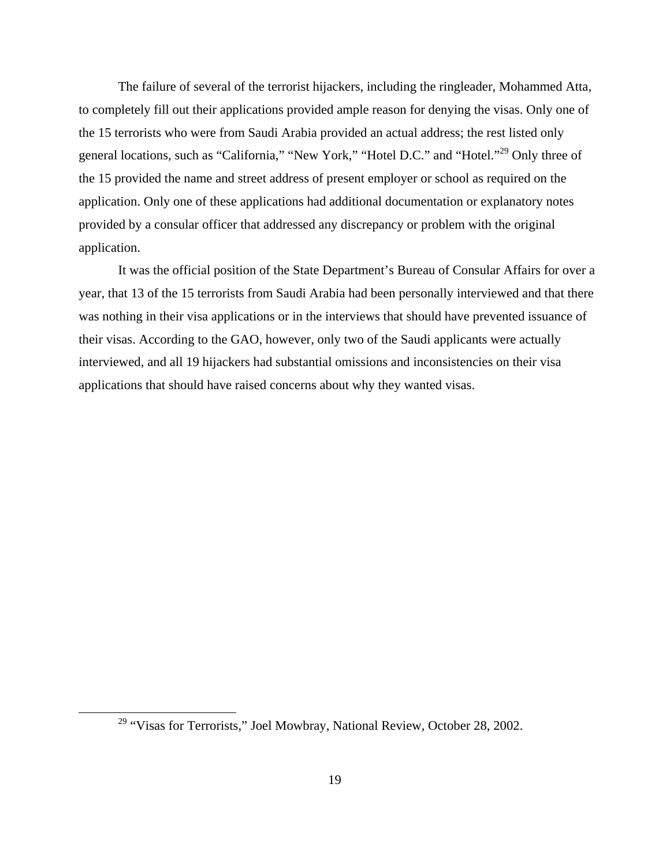The failure of several of the terrorist hijackers, including the ringleader, Mohammed Atta, to completely fill out their applications provided ample reason for denying the visas. Only one of the 15 terrorists who were from Saudi Arabia provided an actual address; the rest listed only general locations, such as "California," "New York," "Hotel D.C." and "Hotel."<sup>29</sup> Only three of the 15 provided the name and street address of present employer or school as required on the application. Only one of these applications had additional documentation or explanatory notes provided by a consular officer that addressed any discrepancy or problem with the original application.

It was the official position of the State Department's Bureau of Consular Affairs for over a year, that 13 of the 15 terrorists from Saudi Arabia had been personally interviewed and that there was nothing in their visa applications or in the interviews that should have prevented issuance of their visas. According to the GAO, however, only two of the Saudi applicants were actually interviewed, and all 19 hijackers had substantial omissions and inconsistencies on their visa applications that should have raised concerns about why they wanted visas.

<sup>&</sup>lt;sup>29</sup> "Visas for Terrorists," Joel Mowbray, National Review, October 28, 2002.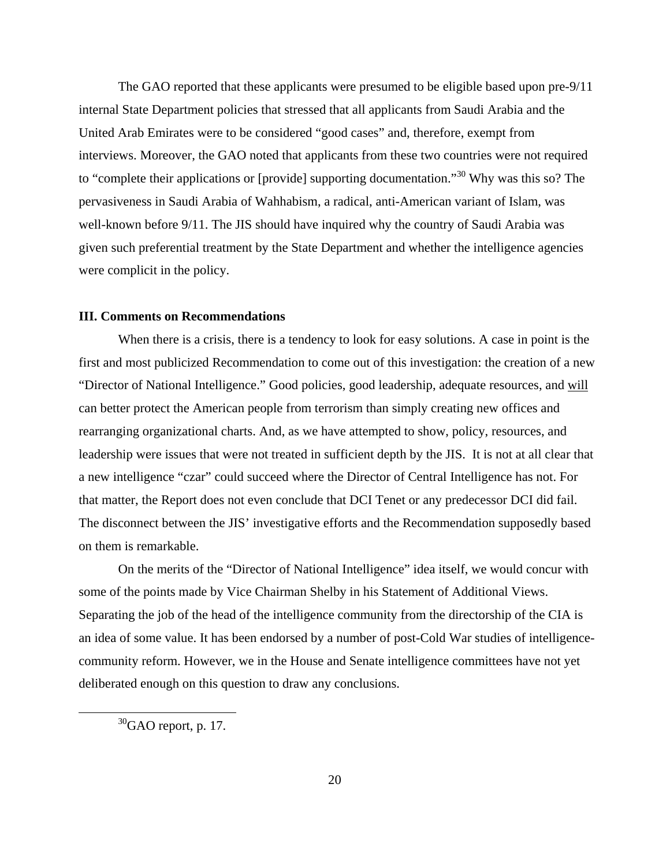The GAO reported that these applicants were presumed to be eligible based upon pre-9/11 internal State Department policies that stressed that all applicants from Saudi Arabia and the United Arab Emirates were to be considered "good cases" and, therefore, exempt from interviews. Moreover, the GAO noted that applicants from these two countries were not required to "complete their applications or [provide] supporting documentation."<sup>30</sup> Why was this so? The pervasiveness in Saudi Arabia of Wahhabism, a radical, anti-American variant of Islam, was well-known before 9/11. The JIS should have inquired why the country of Saudi Arabia was given such preferential treatment by the State Department and whether the intelligence agencies were complicit in the policy.

#### **III. Comments on Recommendations**

When there is a crisis, there is a tendency to look for easy solutions. A case in point is the first and most publicized Recommendation to come out of this investigation: the creation of a new "Director of National Intelligence." Good policies, good leadership, adequate resources, and will can better protect the American people from terrorism than simply creating new offices and rearranging organizational charts. And, as we have attempted to show, policy, resources, and leadership were issues that were not treated in sufficient depth by the JIS. It is not at all clear that a new intelligence "czar" could succeed where the Director of Central Intelligence has not. For that matter, the Report does not even conclude that DCI Tenet or any predecessor DCI did fail. The disconnect between the JIS' investigative efforts and the Recommendation supposedly based on them is remarkable.

On the merits of the "Director of National Intelligence" idea itself, we would concur with some of the points made by Vice Chairman Shelby in his Statement of Additional Views. Separating the job of the head of the intelligence community from the directorship of the CIA is an idea of some value. It has been endorsed by a number of post-Cold War studies of intelligencecommunity reform. However, we in the House and Senate intelligence committees have not yet deliberated enough on this question to draw any conclusions.

 $30$ GAO report, p. 17.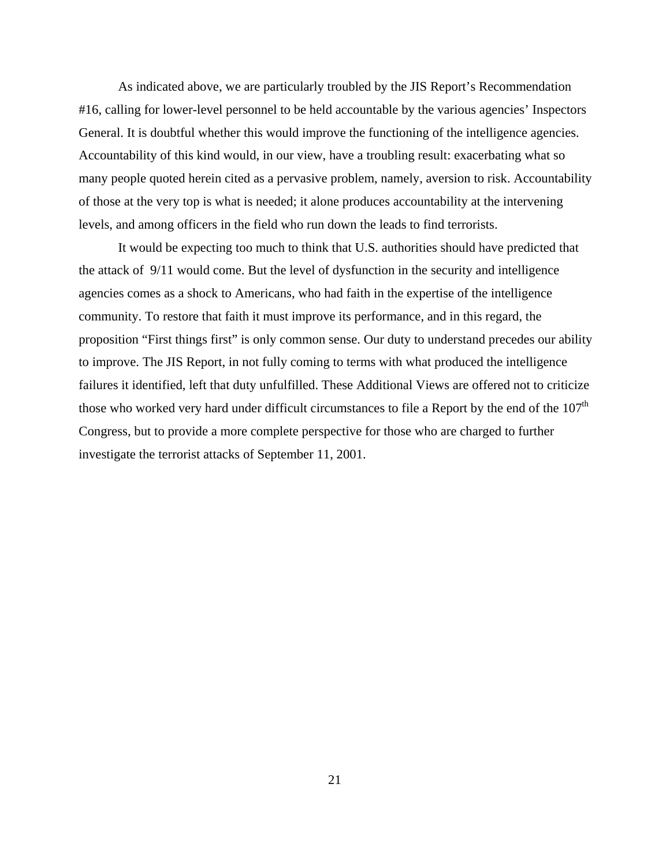As indicated above, we are particularly troubled by the JIS Report's Recommendation #16, calling for lower-level personnel to be held accountable by the various agencies' Inspectors General. It is doubtful whether this would improve the functioning of the intelligence agencies. Accountability of this kind would, in our view, have a troubling result: exacerbating what so many people quoted herein cited as a pervasive problem, namely, aversion to risk. Accountability of those at the very top is what is needed; it alone produces accountability at the intervening levels, and among officers in the field who run down the leads to find terrorists.

It would be expecting too much to think that U.S. authorities should have predicted that the attack of 9/11 would come. But the level of dysfunction in the security and intelligence agencies comes as a shock to Americans, who had faith in the expertise of the intelligence community. To restore that faith it must improve its performance, and in this regard, the proposition "First things first" is only common sense. Our duty to understand precedes our ability to improve. The JIS Report, in not fully coming to terms with what produced the intelligence failures it identified, left that duty unfulfilled. These Additional Views are offered not to criticize those who worked very hard under difficult circumstances to file a Report by the end of the  $107<sup>th</sup>$ Congress, but to provide a more complete perspective for those who are charged to further investigate the terrorist attacks of September 11, 2001.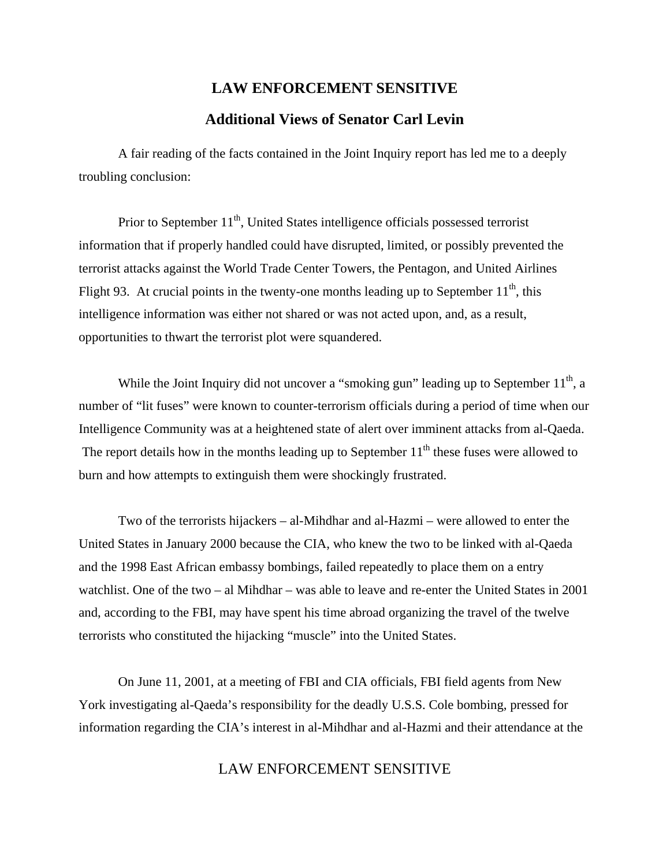# **LAW ENFORCEMENT SENSITIVE Additional Views of Senator Carl Levin**

A fair reading of the facts contained in the Joint Inquiry report has led me to a deeply troubling conclusion:

Prior to September  $11<sup>th</sup>$ , United States intelligence officials possessed terrorist information that if properly handled could have disrupted, limited, or possibly prevented the terrorist attacks against the World Trade Center Towers, the Pentagon, and United Airlines Flight 93. At crucial points in the twenty-one months leading up to September  $11<sup>th</sup>$ , this intelligence information was either not shared or was not acted upon, and, as a result, opportunities to thwart the terrorist plot were squandered.

While the Joint Inquiry did not uncover a "smoking gun" leading up to September  $11<sup>th</sup>$ , a number of "lit fuses" were known to counter-terrorism officials during a period of time when our Intelligence Community was at a heightened state of alert over imminent attacks from al-Qaeda. The report details how in the months leading up to September  $11<sup>th</sup>$  these fuses were allowed to burn and how attempts to extinguish them were shockingly frustrated.

Two of the terrorists hijackers – al-Mihdhar and al-Hazmi – were allowed to enter the United States in January 2000 because the CIA, who knew the two to be linked with al-Qaeda and the 1998 East African embassy bombings, failed repeatedly to place them on a entry watchlist. One of the two – al Mihdhar – was able to leave and re-enter the United States in 2001 and, according to the FBI, may have spent his time abroad organizing the travel of the twelve terrorists who constituted the hijacking "muscle" into the United States.

On June 11, 2001, at a meeting of FBI and CIA officials, FBI field agents from New York investigating al-Qaeda's responsibility for the deadly U.S.S. Cole bombing, pressed for information regarding the CIA's interest in al-Mihdhar and al-Hazmi and their attendance at the

## LAW ENFORCEMENT SENSITIVE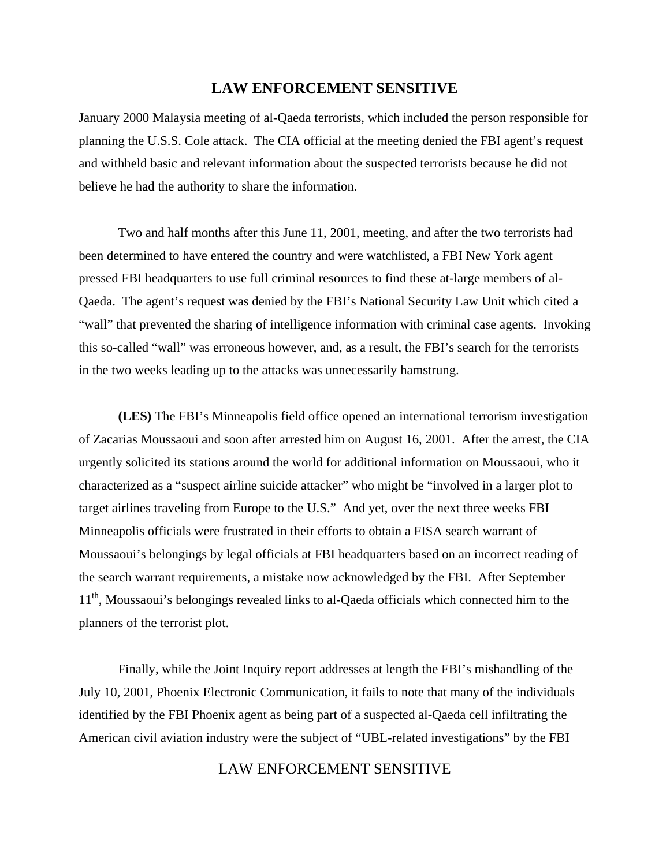#### **LAW ENFORCEMENT SENSITIVE**

January 2000 Malaysia meeting of al-Qaeda terrorists, which included the person responsible for planning the U.S.S. Cole attack. The CIA official at the meeting denied the FBI agent's request and withheld basic and relevant information about the suspected terrorists because he did not believe he had the authority to share the information.

Two and half months after this June 11, 2001, meeting, and after the two terrorists had been determined to have entered the country and were watchlisted, a FBI New York agent pressed FBI headquarters to use full criminal resources to find these at-large members of al-Qaeda. The agent's request was denied by the FBI's National Security Law Unit which cited a "wall" that prevented the sharing of intelligence information with criminal case agents. Invoking this so-called "wall" was erroneous however, and, as a result, the FBI's search for the terrorists in the two weeks leading up to the attacks was unnecessarily hamstrung.

**(LES)** The FBI's Minneapolis field office opened an international terrorism investigation of Zacarias Moussaoui and soon after arrested him on August 16, 2001. After the arrest, the CIA urgently solicited its stations around the world for additional information on Moussaoui, who it characterized as a "suspect airline suicide attacker" who might be "involved in a larger plot to target airlines traveling from Europe to the U.S." And yet, over the next three weeks FBI Minneapolis officials were frustrated in their efforts to obtain a FISA search warrant of Moussaoui's belongings by legal officials at FBI headquarters based on an incorrect reading of the search warrant requirements, a mistake now acknowledged by the FBI. After September 11<sup>th</sup>, Moussaoui's belongings revealed links to al-Qaeda officials which connected him to the planners of the terrorist plot.

Finally, while the Joint Inquiry report addresses at length the FBI's mishandling of the July 10, 2001, Phoenix Electronic Communication, it fails to note that many of the individuals identified by the FBI Phoenix agent as being part of a suspected al-Qaeda cell infiltrating the American civil aviation industry were the subject of "UBL-related investigations" by the FBI

#### LAW ENFORCEMENT SENSITIVE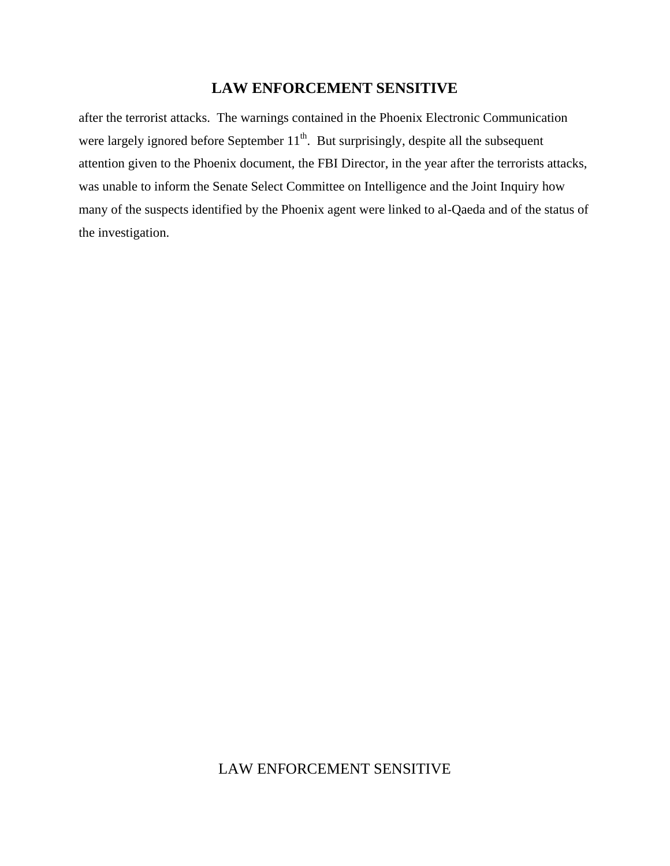#### **LAW ENFORCEMENT SENSITIVE**

after the terrorist attacks. The warnings contained in the Phoenix Electronic Communication were largely ignored before September  $11<sup>th</sup>$ . But surprisingly, despite all the subsequent attention given to the Phoenix document, the FBI Director, in the year after the terrorists attacks, was unable to inform the Senate Select Committee on Intelligence and the Joint Inquiry how many of the suspects identified by the Phoenix agent were linked to al-Qaeda and of the status of the investigation.

## LAW ENFORCEMENT SENSITIVE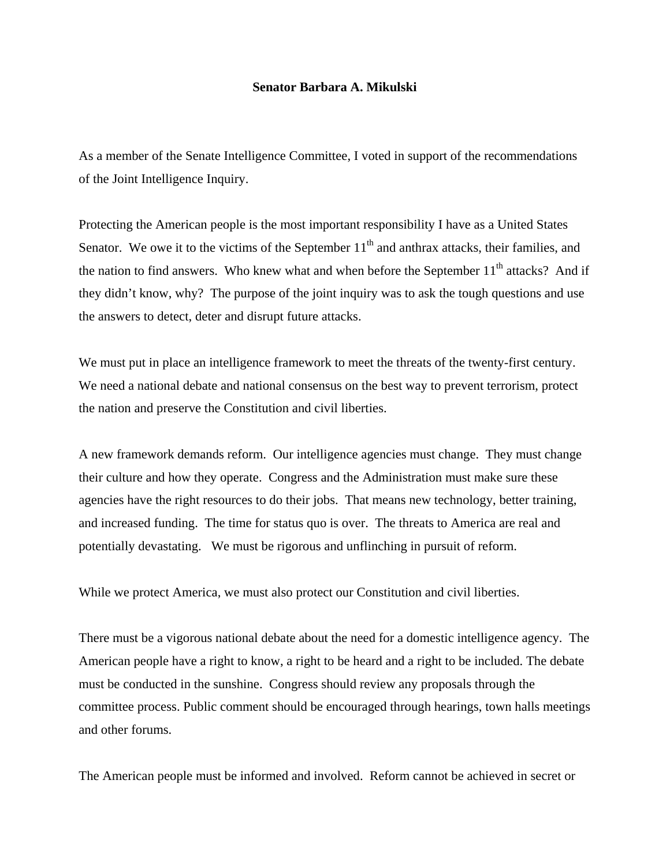#### **Senator Barbara A. Mikulski**

As a member of the Senate Intelligence Committee, I voted in support of the recommendations of the Joint Intelligence Inquiry.

Protecting the American people is the most important responsibility I have as a United States Senator. We owe it to the victims of the September  $11<sup>th</sup>$  and anthrax attacks, their families, and the nation to find answers. Who knew what and when before the September  $11<sup>th</sup>$  attacks? And if they didn't know, why? The purpose of the joint inquiry was to ask the tough questions and use the answers to detect, deter and disrupt future attacks.

We must put in place an intelligence framework to meet the threats of the twenty-first century. We need a national debate and national consensus on the best way to prevent terrorism, protect the nation and preserve the Constitution and civil liberties.

A new framework demands reform. Our intelligence agencies must change. They must change their culture and how they operate. Congress and the Administration must make sure these agencies have the right resources to do their jobs. That means new technology, better training, and increased funding. The time for status quo is over. The threats to America are real and potentially devastating. We must be rigorous and unflinching in pursuit of reform.

While we protect America, we must also protect our Constitution and civil liberties.

There must be a vigorous national debate about the need for a domestic intelligence agency. The American people have a right to know, a right to be heard and a right to be included. The debate must be conducted in the sunshine. Congress should review any proposals through the committee process. Public comment should be encouraged through hearings, town halls meetings and other forums.

The American people must be informed and involved. Reform cannot be achieved in secret or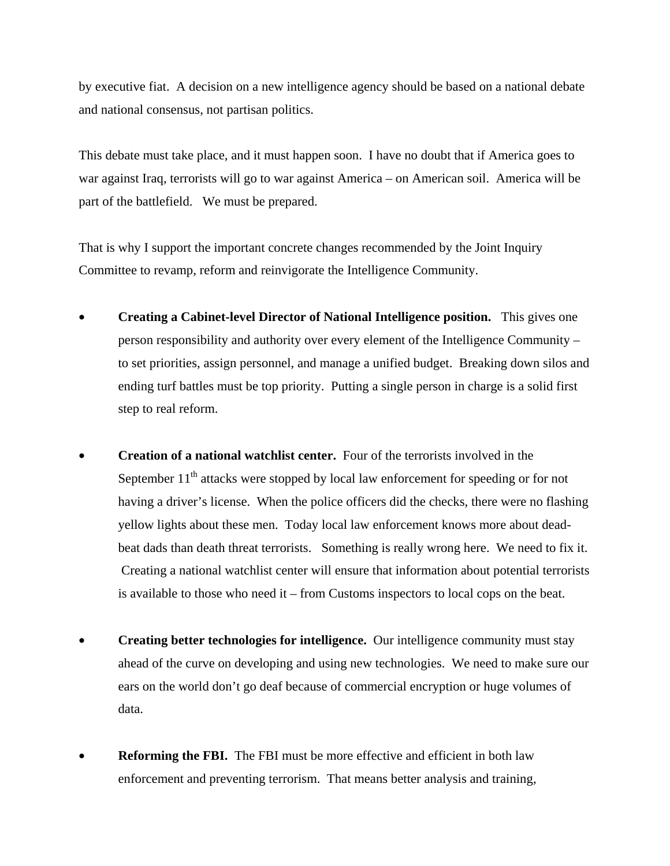by executive fiat. A decision on a new intelligence agency should be based on a national debate and national consensus, not partisan politics.

This debate must take place, and it must happen soon. I have no doubt that if America goes to war against Iraq, terrorists will go to war against America – on American soil. America will be part of the battlefield. We must be prepared.

That is why I support the important concrete changes recommended by the Joint Inquiry Committee to revamp, reform and reinvigorate the Intelligence Community.

- **Creating a Cabinet-level Director of National Intelligence position.** This gives one person responsibility and authority over every element of the Intelligence Community – to set priorities, assign personnel, and manage a unified budget. Breaking down silos and ending turf battles must be top priority. Putting a single person in charge is a solid first step to real reform.
- **Creation of a national watchlist center.** Four of the terrorists involved in the September  $11<sup>th</sup>$  attacks were stopped by local law enforcement for speeding or for not having a driver's license. When the police officers did the checks, there were no flashing yellow lights about these men. Today local law enforcement knows more about deadbeat dads than death threat terrorists. Something is really wrong here. We need to fix it. Creating a national watchlist center will ensure that information about potential terrorists is available to those who need it – from Customs inspectors to local cops on the beat.
- **Creating better technologies for intelligence.** Our intelligence community must stay ahead of the curve on developing and using new technologies. We need to make sure our ears on the world don't go deaf because of commercial encryption or huge volumes of data.
- **Reforming the FBI.** The FBI must be more effective and efficient in both law enforcement and preventing terrorism. That means better analysis and training,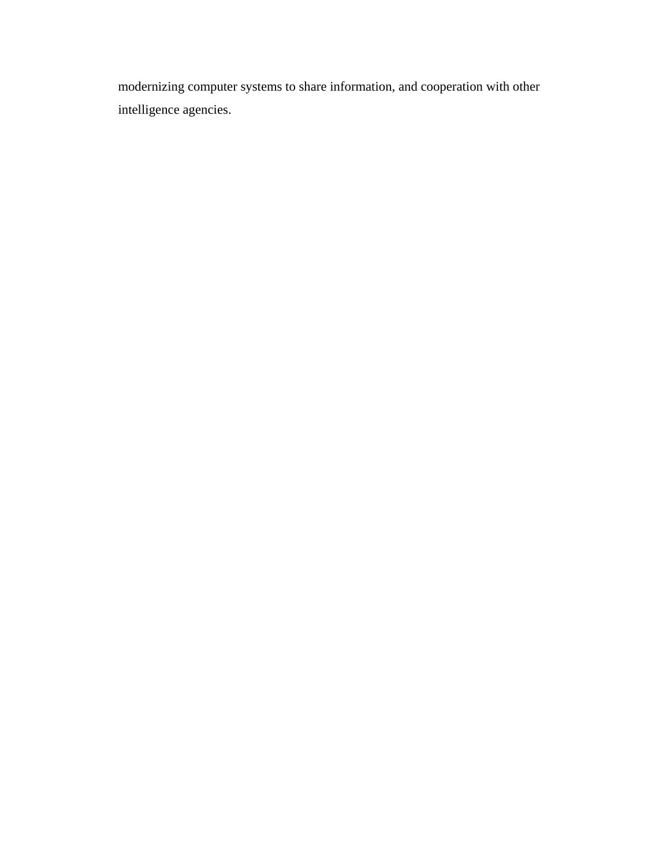modernizing computer systems to share information, and cooperation with other intelligence agencies.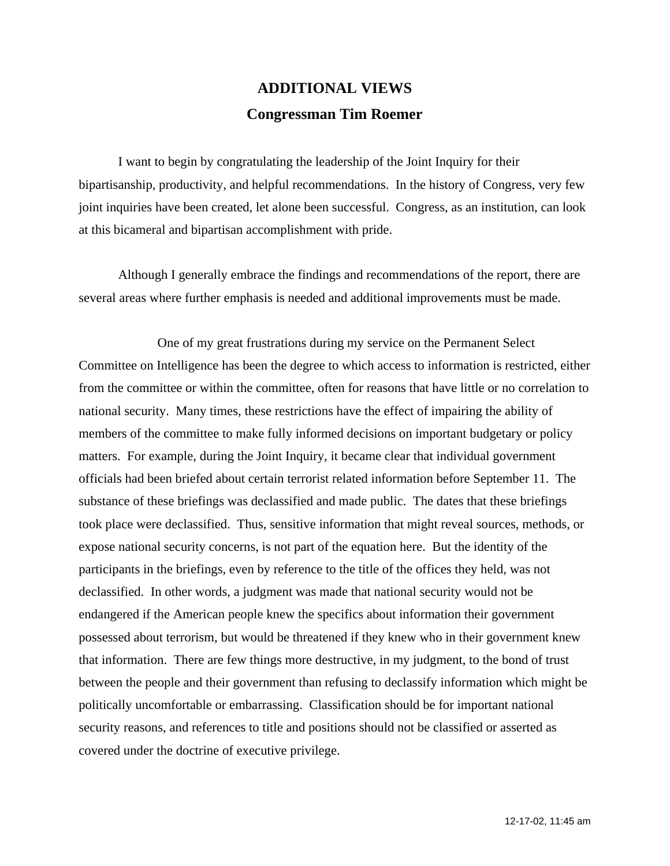# **ADDITIONAL VIEWS Congressman Tim Roemer**

I want to begin by congratulating the leadership of the Joint Inquiry for their bipartisanship, productivity, and helpful recommendations. In the history of Congress, very few joint inquiries have been created, let alone been successful. Congress, as an institution, can look at this bicameral and bipartisan accomplishment with pride.

Although I generally embrace the findings and recommendations of the report, there are several areas where further emphasis is needed and additional improvements must be made.

One of my great frustrations during my service on the Permanent Select Committee on Intelligence has been the degree to which access to information is restricted, either from the committee or within the committee, often for reasons that have little or no correlation to national security. Many times, these restrictions have the effect of impairing the ability of members of the committee to make fully informed decisions on important budgetary or policy matters. For example, during the Joint Inquiry, it became clear that individual government officials had been briefed about certain terrorist related information before September 11. The substance of these briefings was declassified and made public. The dates that these briefings took place were declassified. Thus, sensitive information that might reveal sources, methods, or expose national security concerns, is not part of the equation here. But the identity of the participants in the briefings, even by reference to the title of the offices they held, was not declassified. In other words, a judgment was made that national security would not be endangered if the American people knew the specifics about information their government possessed about terrorism, but would be threatened if they knew who in their government knew that information. There are few things more destructive, in my judgment, to the bond of trust between the people and their government than refusing to declassify information which might be politically uncomfortable or embarrassing. Classification should be for important national security reasons, and references to title and positions should not be classified or asserted as covered under the doctrine of executive privilege.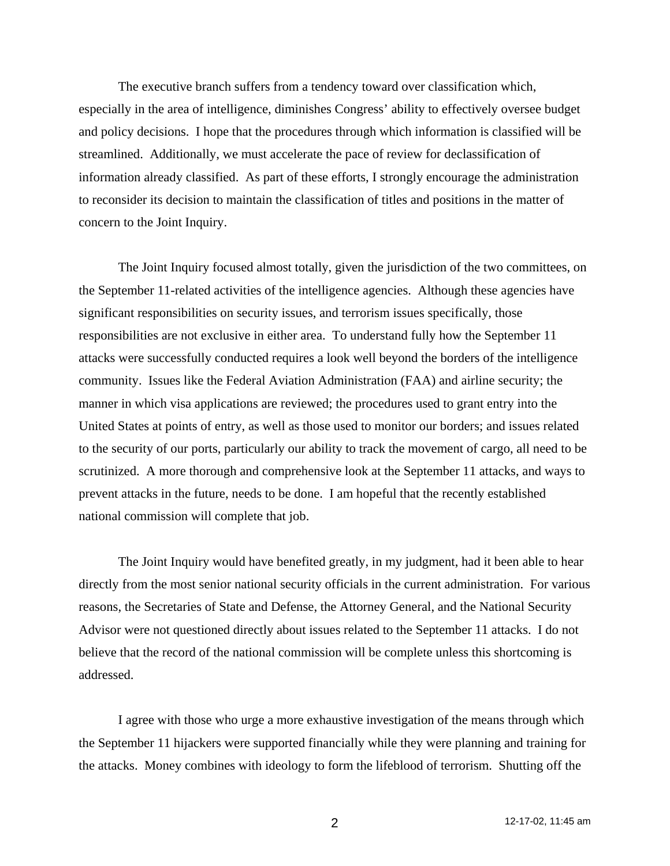The executive branch suffers from a tendency toward over classification which, especially in the area of intelligence, diminishes Congress' ability to effectively oversee budget and policy decisions. I hope that the procedures through which information is classified will be streamlined. Additionally, we must accelerate the pace of review for declassification of information already classified. As part of these efforts, I strongly encourage the administration to reconsider its decision to maintain the classification of titles and positions in the matter of concern to the Joint Inquiry.

The Joint Inquiry focused almost totally, given the jurisdiction of the two committees, on the September 11-related activities of the intelligence agencies. Although these agencies have significant responsibilities on security issues, and terrorism issues specifically, those responsibilities are not exclusive in either area. To understand fully how the September 11 attacks were successfully conducted requires a look well beyond the borders of the intelligence community. Issues like the Federal Aviation Administration (FAA) and airline security; the manner in which visa applications are reviewed; the procedures used to grant entry into the United States at points of entry, as well as those used to monitor our borders; and issues related to the security of our ports, particularly our ability to track the movement of cargo, all need to be scrutinized. A more thorough and comprehensive look at the September 11 attacks, and ways to prevent attacks in the future, needs to be done. I am hopeful that the recently established national commission will complete that job.

The Joint Inquiry would have benefited greatly, in my judgment, had it been able to hear directly from the most senior national security officials in the current administration. For various reasons, the Secretaries of State and Defense, the Attorney General, and the National Security Advisor were not questioned directly about issues related to the September 11 attacks. I do not believe that the record of the national commission will be complete unless this shortcoming is addressed.

I agree with those who urge a more exhaustive investigation of the means through which the September 11 hijackers were supported financially while they were planning and training for the attacks. Money combines with ideology to form the lifeblood of terrorism. Shutting off the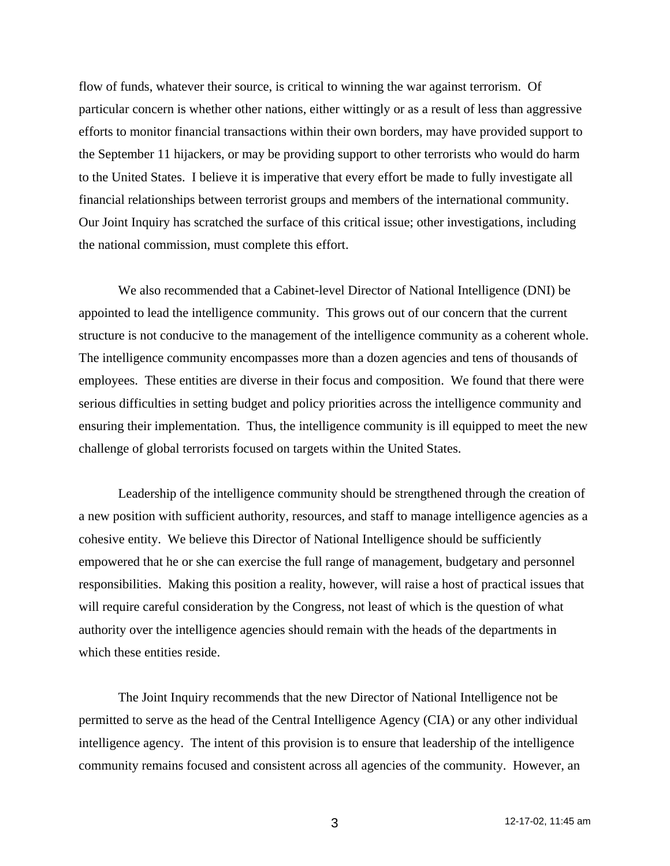flow of funds, whatever their source, is critical to winning the war against terrorism. Of particular concern is whether other nations, either wittingly or as a result of less than aggressive efforts to monitor financial transactions within their own borders, may have provided support to the September 11 hijackers, or may be providing support to other terrorists who would do harm to the United States. I believe it is imperative that every effort be made to fully investigate all financial relationships between terrorist groups and members of the international community. Our Joint Inquiry has scratched the surface of this critical issue; other investigations, including the national commission, must complete this effort.

We also recommended that a Cabinet-level Director of National Intelligence (DNI) be appointed to lead the intelligence community. This grows out of our concern that the current structure is not conducive to the management of the intelligence community as a coherent whole. The intelligence community encompasses more than a dozen agencies and tens of thousands of employees. These entities are diverse in their focus and composition. We found that there were serious difficulties in setting budget and policy priorities across the intelligence community and ensuring their implementation. Thus, the intelligence community is ill equipped to meet the new challenge of global terrorists focused on targets within the United States.

Leadership of the intelligence community should be strengthened through the creation of a new position with sufficient authority, resources, and staff to manage intelligence agencies as a cohesive entity. We believe this Director of National Intelligence should be sufficiently empowered that he or she can exercise the full range of management, budgetary and personnel responsibilities. Making this position a reality, however, will raise a host of practical issues that will require careful consideration by the Congress, not least of which is the question of what authority over the intelligence agencies should remain with the heads of the departments in which these entities reside.

The Joint Inquiry recommends that the new Director of National Intelligence not be permitted to serve as the head of the Central Intelligence Agency (CIA) or any other individual intelligence agency. The intent of this provision is to ensure that leadership of the intelligence community remains focused and consistent across all agencies of the community. However, an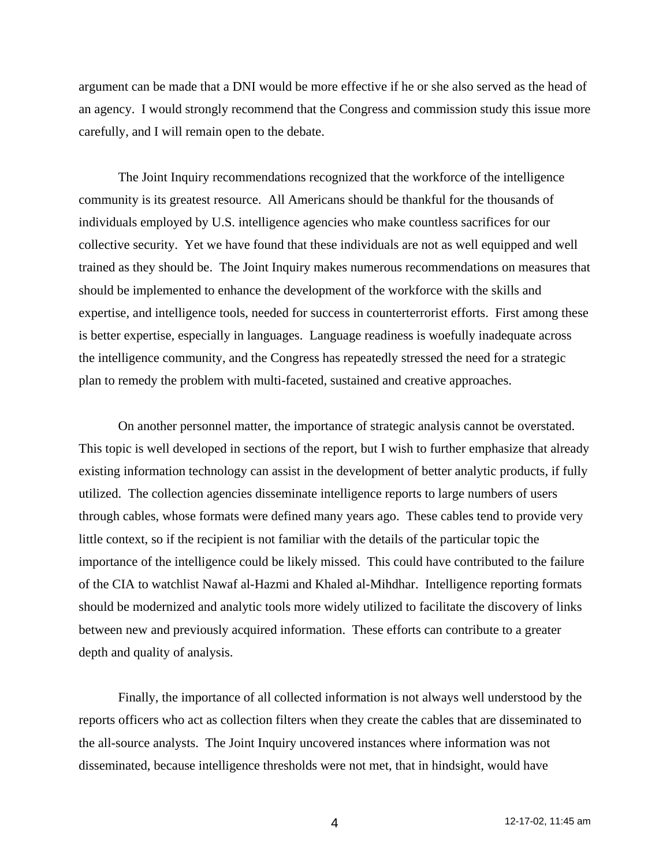argument can be made that a DNI would be more effective if he or she also served as the head of an agency. I would strongly recommend that the Congress and commission study this issue more carefully, and I will remain open to the debate.

The Joint Inquiry recommendations recognized that the workforce of the intelligence community is its greatest resource. All Americans should be thankful for the thousands of individuals employed by U.S. intelligence agencies who make countless sacrifices for our collective security. Yet we have found that these individuals are not as well equipped and well trained as they should be. The Joint Inquiry makes numerous recommendations on measures that should be implemented to enhance the development of the workforce with the skills and expertise, and intelligence tools, needed for success in counterterrorist efforts. First among these is better expertise, especially in languages. Language readiness is woefully inadequate across the intelligence community, and the Congress has repeatedly stressed the need for a strategic plan to remedy the problem with multi-faceted, sustained and creative approaches.

On another personnel matter, the importance of strategic analysis cannot be overstated. This topic is well developed in sections of the report, but I wish to further emphasize that already existing information technology can assist in the development of better analytic products, if fully utilized. The collection agencies disseminate intelligence reports to large numbers of users through cables, whose formats were defined many years ago. These cables tend to provide very little context, so if the recipient is not familiar with the details of the particular topic the importance of the intelligence could be likely missed. This could have contributed to the failure of the CIA to watchlist Nawaf al-Hazmi and Khaled al-Mihdhar. Intelligence reporting formats should be modernized and analytic tools more widely utilized to facilitate the discovery of links between new and previously acquired information. These efforts can contribute to a greater depth and quality of analysis.

Finally, the importance of all collected information is not always well understood by the reports officers who act as collection filters when they create the cables that are disseminated to the all-source analysts. The Joint Inquiry uncovered instances where information was not disseminated, because intelligence thresholds were not met, that in hindsight, would have